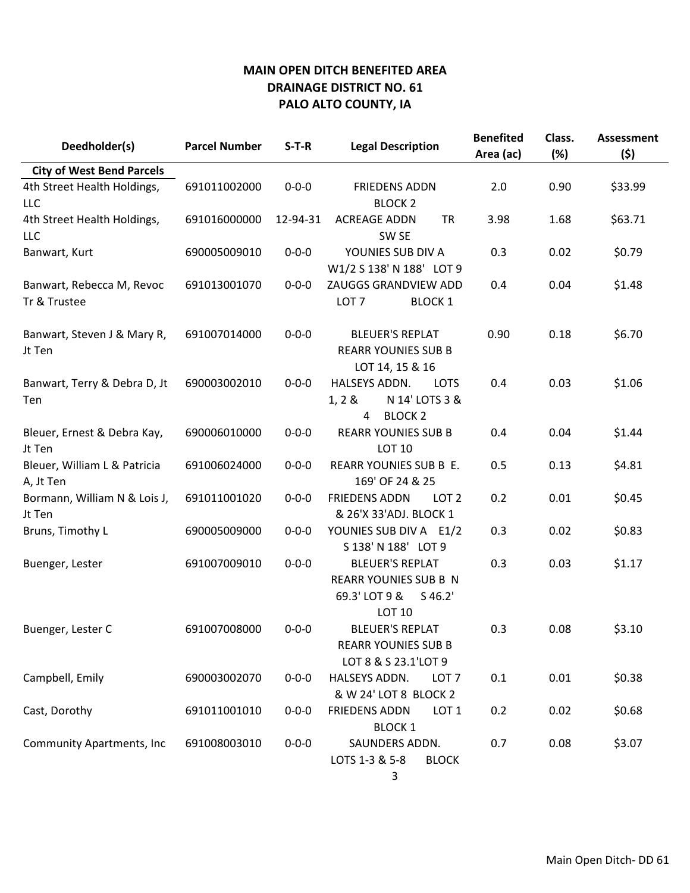| Deedholder(s)                             | <b>Parcel Number</b> | $S-T-R$     | <b>Legal Description</b>                                                                              | <b>Benefited</b><br>Area (ac) | Class.<br>(%) | <b>Assessment</b><br>(5) |
|-------------------------------------------|----------------------|-------------|-------------------------------------------------------------------------------------------------------|-------------------------------|---------------|--------------------------|
| <b>City of West Bend Parcels</b>          |                      |             |                                                                                                       |                               |               |                          |
| 4th Street Health Holdings,<br>LLC        | 691011002000         | $0 - 0 - 0$ | <b>FRIEDENS ADDN</b><br><b>BLOCK 2</b>                                                                | 2.0                           | 0.90          | \$33.99                  |
| 4th Street Health Holdings,<br>LLC        | 691016000000         | 12-94-31    | <b>ACREAGE ADDN</b><br><b>TR</b><br>SW <sub>SE</sub>                                                  | 3.98                          | 1.68          | \$63.71                  |
| Banwart, Kurt                             | 690005009010         | $0 - 0 - 0$ | YOUNIES SUB DIV A<br>W1/2 S 138' N 188' LOT 9                                                         | 0.3                           | 0.02          | \$0.79                   |
| Banwart, Rebecca M, Revoc<br>Tr & Trustee | 691013001070         | $0 - 0 - 0$ | ZAUGGS GRANDVIEW ADD<br>LOT <sub>7</sub><br><b>BLOCK 1</b>                                            | 0.4                           | 0.04          | \$1.48                   |
| Banwart, Steven J & Mary R,<br>Jt Ten     | 691007014000         | $0 - 0 - 0$ | <b>BLEUER'S REPLAT</b><br><b>REARR YOUNIES SUB B</b><br>LOT 14, 15 & 16                               | 0.90                          | 0.18          | \$6.70                   |
| Banwart, Terry & Debra D, Jt<br>Ten       | 690003002010         | $0 - 0 - 0$ | HALSEYS ADDN.<br><b>LOTS</b><br>N 14' LOTS 3 &<br>1, 2 &<br><b>BLOCK 2</b><br>4                       | 0.4                           | 0.03          | \$1.06                   |
| Bleuer, Ernest & Debra Kay,<br>Jt Ten     | 690006010000         | $0 - 0 - 0$ | <b>REARR YOUNIES SUB B</b><br><b>LOT 10</b>                                                           | 0.4                           | 0.04          | \$1.44                   |
| Bleuer, William L & Patricia<br>A, Jt Ten | 691006024000         | $0 - 0 - 0$ | REARR YOUNIES SUB B E.<br>169' OF 24 & 25                                                             | 0.5                           | 0.13          | \$4.81                   |
| Bormann, William N & Lois J,<br>Jt Ten    | 691011001020         | $0 - 0 - 0$ | <b>FRIEDENS ADDN</b><br>LOT <sub>2</sub><br>& 26'X 33'ADJ. BLOCK 1                                    | 0.2                           | 0.01          | \$0.45                   |
| Bruns, Timothy L                          | 690005009000         | $0 - 0 - 0$ | YOUNIES SUB DIV A E1/2<br>S 138' N 188' LOT 9                                                         | 0.3                           | 0.02          | \$0.83                   |
| Buenger, Lester                           | 691007009010         | $0 - 0 - 0$ | <b>BLEUER'S REPLAT</b><br><b>REARR YOUNIES SUB B N</b><br>69.3' LOT 9 &<br>$S$ 46.2'<br><b>LOT 10</b> | 0.3                           | 0.03          | \$1.17                   |
| Buenger, Lester C                         | 691007008000         | $0 - 0 - 0$ | <b>BLEUER'S REPLAT</b><br><b>REARR YOUNIES SUB B</b><br>LOT 8 & S 23.1'LOT 9                          | 0.3                           | 0.08          | \$3.10                   |
| Campbell, Emily                           | 690003002070         | $0 - 0 - 0$ | HALSEYS ADDN.<br>LOT <sub>7</sub><br>& W 24' LOT 8 BLOCK 2                                            | 0.1                           | 0.01          | \$0.38                   |
| Cast, Dorothy                             | 691011001010         | $0 - 0 - 0$ | <b>FRIEDENS ADDN</b><br>LOT <sub>1</sub><br><b>BLOCK 1</b>                                            | 0.2                           | 0.02          | \$0.68                   |
| Community Apartments, Inc                 | 691008003010         | $0 - 0 - 0$ | SAUNDERS ADDN.<br>LOTS 1-3 & 5-8<br><b>BLOCK</b><br>3                                                 | 0.7                           | 0.08          | \$3.07                   |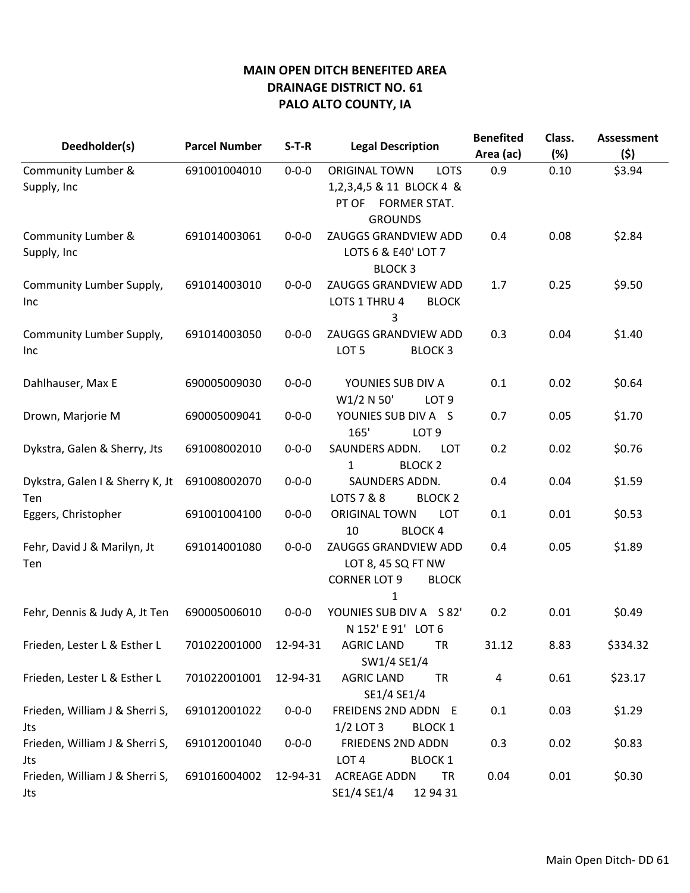| Deedholder(s)                          | <b>Parcel Number</b> | $S-T-R$     | <b>Legal Description</b>                                                                                | <b>Benefited</b><br>Area (ac) | Class.<br>(%) | <b>Assessment</b><br>(\$) |
|----------------------------------------|----------------------|-------------|---------------------------------------------------------------------------------------------------------|-------------------------------|---------------|---------------------------|
| Community Lumber &<br>Supply, Inc      | 691001004010         | $0 - 0 - 0$ | <b>ORIGINAL TOWN</b><br><b>LOTS</b><br>1,2,3,4,5 & 11 BLOCK 4 &<br>PT OF FORMER STAT.<br><b>GROUNDS</b> | 0.9                           | 0.10          | \$3.94                    |
| Community Lumber &<br>Supply, Inc      | 691014003061         | $0 - 0 - 0$ | ZAUGGS GRANDVIEW ADD<br>LOTS 6 & E40' LOT 7<br><b>BLOCK3</b>                                            | 0.4                           | 0.08          | \$2.84                    |
| Community Lumber Supply,<br>Inc.       | 691014003010         | $0 - 0 - 0$ | ZAUGGS GRANDVIEW ADD<br>LOTS 1 THRU 4<br><b>BLOCK</b><br>3                                              | 1.7                           | 0.25          | \$9.50                    |
| Community Lumber Supply,<br>Inc.       | 691014003050         | $0 - 0 - 0$ | ZAUGGS GRANDVIEW ADD<br>LOT <sub>5</sub><br><b>BLOCK 3</b>                                              | 0.3                           | 0.04          | \$1.40                    |
| Dahlhauser, Max E                      | 690005009030         | $0 - 0 - 0$ | YOUNIES SUB DIV A<br>W1/2 N 50'<br>LOT <sub>9</sub>                                                     | 0.1                           | 0.02          | \$0.64                    |
| Drown, Marjorie M                      | 690005009041         | $0 - 0 - 0$ | YOUNIES SUB DIV A S<br>165'<br>LOT <sub>9</sub>                                                         | 0.7                           | 0.05          | \$1.70                    |
| Dykstra, Galen & Sherry, Jts           | 691008002010         | $0 - 0 - 0$ | SAUNDERS ADDN.<br><b>LOT</b><br>$\mathbf{1}$<br><b>BLOCK 2</b>                                          | 0.2                           | 0.02          | \$0.76                    |
| Dykstra, Galen I & Sherry K, Jt<br>Ten | 691008002070         | $0 - 0 - 0$ | SAUNDERS ADDN.<br>LOTS 7 & 8<br><b>BLOCK 2</b>                                                          | 0.4                           | 0.04          | \$1.59                    |
| Eggers, Christopher                    | 691001004100         | $0 - 0 - 0$ | <b>ORIGINAL TOWN</b><br><b>LOT</b><br>10<br><b>BLOCK4</b>                                               | 0.1                           | 0.01          | \$0.53                    |
| Fehr, David J & Marilyn, Jt<br>Ten     | 691014001080         | $0 - 0 - 0$ | ZAUGGS GRANDVIEW ADD<br>LOT 8, 45 SQ FT NW<br><b>CORNER LOT 9</b><br><b>BLOCK</b><br>1                  | 0.4                           | 0.05          | \$1.89                    |
| Fehr, Dennis & Judy A, Jt Ten          | 690005006010         | $0 - 0 - 0$ | YOUNIES SUB DIV A S 82'<br>N 152' E 91' LOT 6                                                           | 0.2                           | 0.01          | \$0.49                    |
| Frieden, Lester L & Esther L           | 701022001000         | 12-94-31    | <b>AGRIC LAND</b><br><b>TR</b><br>SW1/4 SE1/4                                                           | 31.12                         | 8.83          | \$334.32                  |
| Frieden, Lester L & Esther L           | 701022001001         | 12-94-31    | <b>AGRIC LAND</b><br><b>TR</b><br>SE1/4 SE1/4                                                           | 4                             | 0.61          | \$23.17                   |
| Frieden, William J & Sherri S,<br>Jts  | 691012001022         | $0 - 0 - 0$ | FREIDENS 2ND ADDN E<br>$1/2$ LOT 3<br><b>BLOCK 1</b>                                                    | 0.1                           | 0.03          | \$1.29                    |
| Frieden, William J & Sherri S,<br>Jts  | 691012001040         | $0 - 0 - 0$ | <b>FRIEDENS 2ND ADDN</b><br>LOT <sub>4</sub><br><b>BLOCK 1</b>                                          | 0.3                           | 0.02          | \$0.83                    |
| Frieden, William J & Sherri S,<br>Jts  | 691016004002         | 12-94-31    | <b>ACREAGE ADDN</b><br><b>TR</b><br>SE1/4 SE1/4<br>12 94 31                                             | 0.04                          | 0.01          | \$0.30                    |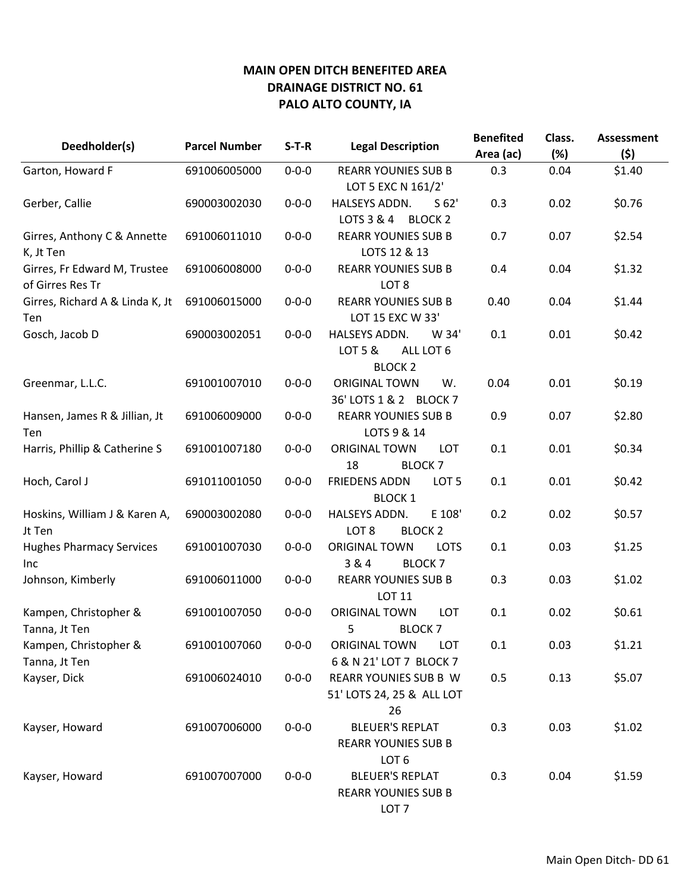| Deedholder(s)                                    | <b>Parcel Number</b> | $S-T-R$     | <b>Legal Description</b>                                                                | <b>Benefited</b><br>Area (ac) | Class.<br>(%) | <b>Assessment</b><br>(5) |
|--------------------------------------------------|----------------------|-------------|-----------------------------------------------------------------------------------------|-------------------------------|---------------|--------------------------|
| Garton, Howard F                                 | 691006005000         | $0 - 0 - 0$ | <b>REARR YOUNIES SUB B</b>                                                              | 0.3                           | 0.04          | \$1.40                   |
| Gerber, Callie                                   | 690003002030         | $0 - 0 - 0$ | LOT 5 EXC N 161/2'<br>HALSEYS ADDN.<br>S <sub>62'</sub><br>LOTS 3 & 4<br><b>BLOCK 2</b> | 0.3                           | 0.02          | \$0.76                   |
| Girres, Anthony C & Annette<br>K, Jt Ten         | 691006011010         | $0 - 0 - 0$ | <b>REARR YOUNIES SUB B</b><br>LOTS 12 & 13                                              | 0.7                           | 0.07          | \$2.54                   |
| Girres, Fr Edward M, Trustee<br>of Girres Res Tr | 691006008000         | $0 - 0 - 0$ | <b>REARR YOUNIES SUB B</b><br>LOT <sub>8</sub>                                          | 0.4                           | 0.04          | \$1.32                   |
| Girres, Richard A & Linda K, Jt<br>Ten           | 691006015000         | $0 - 0 - 0$ | <b>REARR YOUNIES SUB B</b><br>LOT 15 EXC W 33'                                          | 0.40                          | 0.04          | \$1.44                   |
| Gosch, Jacob D                                   | 690003002051         | $0 - 0 - 0$ | HALSEYS ADDN.<br>W 34'<br>LOT 5 &<br>ALL LOT 6<br><b>BLOCK 2</b>                        | 0.1                           | 0.01          | \$0.42                   |
| Greenmar, L.L.C.                                 | 691001007010         | $0 - 0 - 0$ | <b>ORIGINAL TOWN</b><br>W.<br>36' LOTS 1 & 2 BLOCK 7                                    | 0.04                          | 0.01          | \$0.19                   |
| Hansen, James R & Jillian, Jt<br>Ten             | 691006009000         | $0 - 0 - 0$ | <b>REARR YOUNIES SUB B</b><br>LOTS 9 & 14                                               | 0.9                           | 0.07          | \$2.80                   |
| Harris, Phillip & Catherine S                    | 691001007180         | $0 - 0 - 0$ | <b>ORIGINAL TOWN</b><br><b>LOT</b><br>18<br><b>BLOCK7</b>                               | 0.1                           | 0.01          | \$0.34                   |
| Hoch, Carol J                                    | 691011001050         | $0 - 0 - 0$ | <b>FRIEDENS ADDN</b><br>LOT <sub>5</sub><br><b>BLOCK 1</b>                              | 0.1                           | 0.01          | \$0.42                   |
| Hoskins, William J & Karen A,<br>Jt Ten          | 690003002080         | $0 - 0 - 0$ | HALSEYS ADDN.<br>E 108'<br>LOT <sub>8</sub><br><b>BLOCK 2</b>                           | 0.2                           | 0.02          | \$0.57                   |
| <b>Hughes Pharmacy Services</b><br>Inc           | 691001007030         | $0 - 0 - 0$ | <b>ORIGINAL TOWN</b><br><b>LOTS</b><br>3 & 4<br><b>BLOCK7</b>                           | 0.1                           | 0.03          | \$1.25                   |
| Johnson, Kimberly                                | 691006011000         | $0 - 0 - 0$ | <b>REARR YOUNIES SUB B</b><br><b>LOT 11</b>                                             | 0.3                           | 0.03          | \$1.02                   |
| Kampen, Christopher &<br>Tanna, Jt Ten           | 691001007050         | $0 - 0 - 0$ | <b>ORIGINAL TOWN</b><br>LOT<br>5<br><b>BLOCK 7</b>                                      | 0.1                           | 0.02          | \$0.61                   |
| Kampen, Christopher &<br>Tanna, Jt Ten           | 691001007060         | $0 - 0 - 0$ | <b>ORIGINAL TOWN</b><br>LOT<br>6 & N 21' LOT 7 BLOCK 7                                  | $0.1\,$                       | 0.03          | \$1.21                   |
| Kayser, Dick                                     | 691006024010         | $0 - 0 - 0$ | <b>REARR YOUNIES SUB B W</b><br>51' LOTS 24, 25 & ALL LOT<br>26                         | 0.5                           | 0.13          | \$5.07                   |
| Kayser, Howard                                   | 691007006000         | $0 - 0 - 0$ | <b>BLEUER'S REPLAT</b><br><b>REARR YOUNIES SUB B</b><br>LOT <sub>6</sub>                | 0.3                           | 0.03          | \$1.02                   |
| Kayser, Howard                                   | 691007007000         | $0 - 0 - 0$ | <b>BLEUER'S REPLAT</b><br><b>REARR YOUNIES SUB B</b>                                    | 0.3                           | 0.04          | \$1.59                   |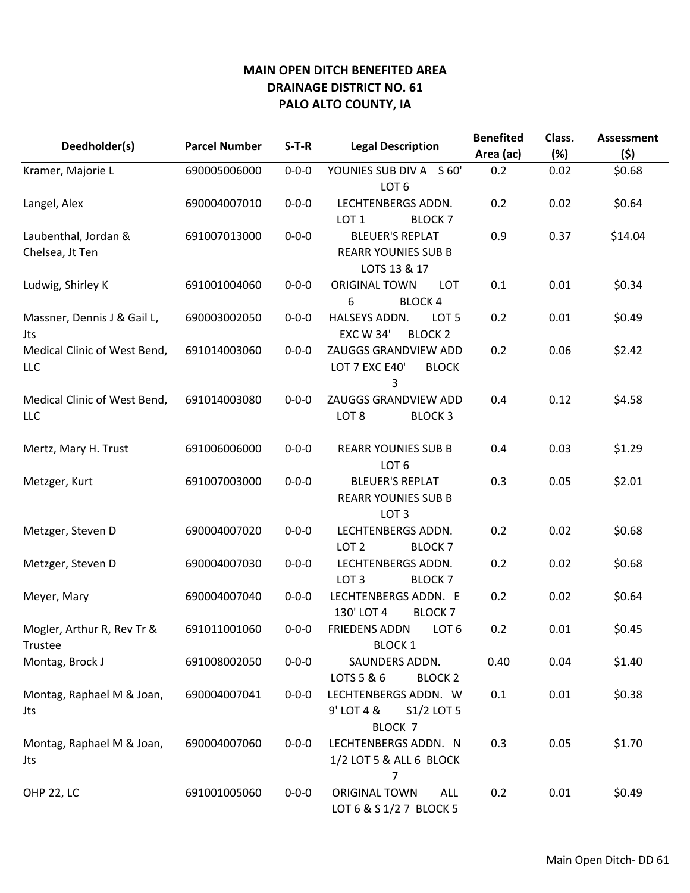| Deedholder(s)                           | <b>Parcel Number</b> | $S-T-R$     | <b>Legal Description</b>                                                 | <b>Benefited</b><br>Area (ac) | Class.<br>(%) | <b>Assessment</b><br>(5) |
|-----------------------------------------|----------------------|-------------|--------------------------------------------------------------------------|-------------------------------|---------------|--------------------------|
| Kramer, Majorie L                       | 690005006000         | $0 - 0 - 0$ | YOUNIES SUB DIV A S 60'<br>LOT <sub>6</sub>                              | 0.2                           | 0.02          | \$0.68                   |
| Langel, Alex                            | 690004007010         | $0 - 0 - 0$ | LECHTENBERGS ADDN.<br>LOT <sub>1</sub><br><b>BLOCK 7</b>                 | 0.2                           | 0.02          | \$0.64                   |
| Laubenthal, Jordan &<br>Chelsea, Jt Ten | 691007013000         | $0 - 0 - 0$ | <b>BLEUER'S REPLAT</b><br><b>REARR YOUNIES SUB B</b><br>LOTS 13 & 17     | 0.9                           | 0.37          | \$14.04                  |
| Ludwig, Shirley K                       | 691001004060         | $0 - 0 - 0$ | <b>ORIGINAL TOWN</b><br><b>LOT</b><br>6<br><b>BLOCK4</b>                 | 0.1                           | 0.01          | \$0.34                   |
| Massner, Dennis J & Gail L,<br>Jts      | 690003002050         | $0 - 0 - 0$ | HALSEYS ADDN.<br>LOT <sub>5</sub><br><b>EXC W 34'</b><br><b>BLOCK 2</b>  | 0.2                           | 0.01          | \$0.49                   |
| Medical Clinic of West Bend,<br>LLC     | 691014003060         | $0 - 0 - 0$ | ZAUGGS GRANDVIEW ADD<br>LOT 7 EXC E40'<br><b>BLOCK</b><br>3              | 0.2                           | 0.06          | \$2.42                   |
| Medical Clinic of West Bend,<br>LLC     | 691014003080         | $0 - 0 - 0$ | ZAUGGS GRANDVIEW ADD<br>LOT <sub>8</sub><br><b>BLOCK 3</b>               | 0.4                           | 0.12          | \$4.58                   |
| Mertz, Mary H. Trust                    | 691006006000         | $0 - 0 - 0$ | <b>REARR YOUNIES SUB B</b><br>LOT <sub>6</sub>                           | 0.4                           | 0.03          | \$1.29                   |
| Metzger, Kurt                           | 691007003000         | $0 - 0 - 0$ | <b>BLEUER'S REPLAT</b><br><b>REARR YOUNIES SUB B</b><br>LOT <sub>3</sub> | 0.3                           | 0.05          | \$2.01                   |
| Metzger, Steven D                       | 690004007020         | $0 - 0 - 0$ | LECHTENBERGS ADDN.<br>LOT <sub>2</sub><br><b>BLOCK7</b>                  | 0.2                           | 0.02          | \$0.68                   |
| Metzger, Steven D                       | 690004007030         | $0 - 0 - 0$ | LECHTENBERGS ADDN.<br>LOT <sub>3</sub><br><b>BLOCK7</b>                  | 0.2                           | 0.02          | \$0.68                   |
| Meyer, Mary                             | 690004007040         | $0 - 0 - 0$ | LECHTENBERGS ADDN. E<br>130' LOT 4<br><b>BLOCK7</b>                      | 0.2                           | 0.02          | \$0.64                   |
| Mogler, Arthur R, Rev Tr &<br>Trustee   | 691011001060         | $0 - 0 - 0$ | <b>FRIEDENS ADDN</b><br>LOT <sub>6</sub><br><b>BLOCK 1</b>               | 0.2                           | 0.01          | \$0.45                   |
| Montag, Brock J                         | 691008002050         | $0 - 0 - 0$ | SAUNDERS ADDN.<br>LOTS 5 & 6<br><b>BLOCK 2</b>                           | 0.40                          | 0.04          | \$1.40                   |
| Montag, Raphael M & Joan,<br>Jts        | 690004007041         | $0 - 0 - 0$ | LECHTENBERGS ADDN. W<br>9' LOT 4 &<br>S1/2 LOT 5<br>BLOCK <sub>7</sub>   | 0.1                           | 0.01          | \$0.38                   |
| Montag, Raphael M & Joan,<br>Jts        | 690004007060         | $0 - 0 - 0$ | LECHTENBERGS ADDN. N<br>1/2 LOT 5 & ALL 6 BLOCK<br>7                     | 0.3                           | 0.05          | \$1.70                   |
| <b>OHP 22, LC</b>                       | 691001005060         | $0 - 0 - 0$ | ORIGINAL TOWN<br><b>ALL</b><br>LOT 6 & S 1/2 7 BLOCK 5                   | 0.2                           | 0.01          | \$0.49                   |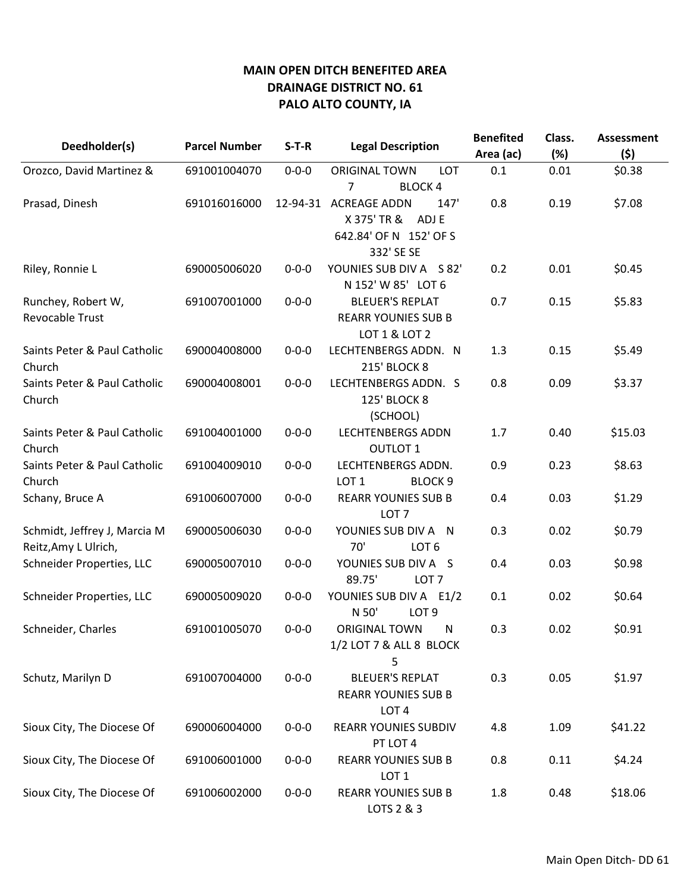|                              |                      | $S-T-R$     |                                    | <b>Benefited</b> | Class. | <b>Assessment</b> |
|------------------------------|----------------------|-------------|------------------------------------|------------------|--------|-------------------|
| Deedholder(s)                | <b>Parcel Number</b> |             | <b>Legal Description</b>           | Area (ac)        | (%)    | (5)               |
| Orozco, David Martinez &     | 691001004070         | $0 - 0 - 0$ | <b>ORIGINAL TOWN</b><br><b>LOT</b> | 0.1              | 0.01   | \$0.38            |
|                              |                      |             | 7<br><b>BLOCK4</b>                 |                  |        |                   |
| Prasad, Dinesh               | 691016016000         | 12-94-31    | <b>ACREAGE ADDN</b><br>147'        | 0.8              | 0.19   | \$7.08            |
|                              |                      |             | X 375' TR &<br>ADJ E               |                  |        |                   |
|                              |                      |             | 642.84' OF N 152' OF S             |                  |        |                   |
|                              |                      |             | 332' SE SE                         |                  |        |                   |
| Riley, Ronnie L              | 690005006020         | $0 - 0 - 0$ | YOUNIES SUB DIV A S 82'            | 0.2              | 0.01   | \$0.45            |
|                              |                      |             | N 152' W 85' LOT 6                 |                  |        |                   |
| Runchey, Robert W,           | 691007001000         | $0 - 0 - 0$ | <b>BLEUER'S REPLAT</b>             | 0.7              | 0.15   | \$5.83            |
| <b>Revocable Trust</b>       |                      |             | <b>REARR YOUNIES SUB B</b>         |                  |        |                   |
|                              |                      |             | LOT 1 & LOT 2                      |                  |        |                   |
| Saints Peter & Paul Catholic | 690004008000         | $0 - 0 - 0$ | LECHTENBERGS ADDN. N               | 1.3              | 0.15   | \$5.49            |
| Church                       |                      |             | <b>215' BLOCK 8</b>                |                  |        |                   |
| Saints Peter & Paul Catholic | 690004008001         | $0 - 0 - 0$ | LECHTENBERGS ADDN. S               | 0.8              | 0.09   | \$3.37            |
| Church                       |                      |             | <b>125' BLOCK 8</b>                |                  |        |                   |
|                              |                      |             | (SCHOOL)                           |                  |        |                   |
| Saints Peter & Paul Catholic | 691004001000         | $0 - 0 - 0$ | <b>LECHTENBERGS ADDN</b>           | 1.7              | 0.40   | \$15.03           |
| Church                       |                      |             | <b>OUTLOT 1</b>                    |                  |        |                   |
| Saints Peter & Paul Catholic | 691004009010         | $0 - 0 - 0$ | LECHTENBERGS ADDN.                 | 0.9              | 0.23   | \$8.63            |
| Church                       |                      |             | LOT <sub>1</sub><br><b>BLOCK 9</b> |                  |        |                   |
| Schany, Bruce A              | 691006007000         | $0 - 0 - 0$ | <b>REARR YOUNIES SUB B</b>         | 0.4              | 0.03   | \$1.29            |
|                              |                      |             | LOT <sub>7</sub>                   |                  |        |                   |
| Schmidt, Jeffrey J, Marcia M | 690005006030         | $0 - 0 - 0$ | YOUNIES SUB DIV A N                | 0.3              | 0.02   | \$0.79            |
| Reitz, Amy L Ulrich,         |                      |             | 70'<br>LOT <sub>6</sub>            |                  |        |                   |
| Schneider Properties, LLC    | 690005007010         | $0 - 0 - 0$ | YOUNIES SUB DIV A S                | 0.4              | 0.03   | \$0.98            |
|                              |                      |             | 89.75'<br>LOT <sub>7</sub>         |                  |        |                   |
| Schneider Properties, LLC    | 690005009020         | $0 - 0 - 0$ | YOUNIES SUB DIV A E1/2             | 0.1              | 0.02   | \$0.64            |
|                              |                      |             | N 50'<br>LOT <sub>9</sub>          |                  |        |                   |
| Schneider, Charles           | 691001005070         | $0 - 0 - 0$ | <b>ORIGINAL TOWN</b><br>N          | 0.3              | 0.02   | \$0.91            |
|                              |                      |             | 1/2 LOT 7 & ALL 8 BLOCK            |                  |        |                   |
|                              |                      |             | 5                                  |                  |        |                   |
| Schutz, Marilyn D            | 691007004000         | $0 - 0 - 0$ | <b>BLEUER'S REPLAT</b>             | 0.3              | 0.05   | \$1.97            |
|                              |                      |             | <b>REARR YOUNIES SUB B</b>         |                  |        |                   |
|                              |                      |             | LOT <sub>4</sub>                   |                  |        |                   |
| Sioux City, The Diocese Of   | 690006004000         | $0 - 0 - 0$ | <b>REARR YOUNIES SUBDIV</b>        | 4.8              | 1.09   | \$41.22           |
|                              |                      |             | PT LOT 4                           |                  |        |                   |
| Sioux City, The Diocese Of   | 691006001000         | $0 - 0 - 0$ | <b>REARR YOUNIES SUB B</b>         | 0.8              | 0.11   | \$4.24            |
|                              |                      |             | LOT <sub>1</sub>                   |                  |        |                   |
| Sioux City, The Diocese Of   | 691006002000         | $0 - 0 - 0$ | <b>REARR YOUNIES SUB B</b>         | 1.8              | 0.48   | \$18.06           |
|                              |                      |             | LOTS 2 & 3                         |                  |        |                   |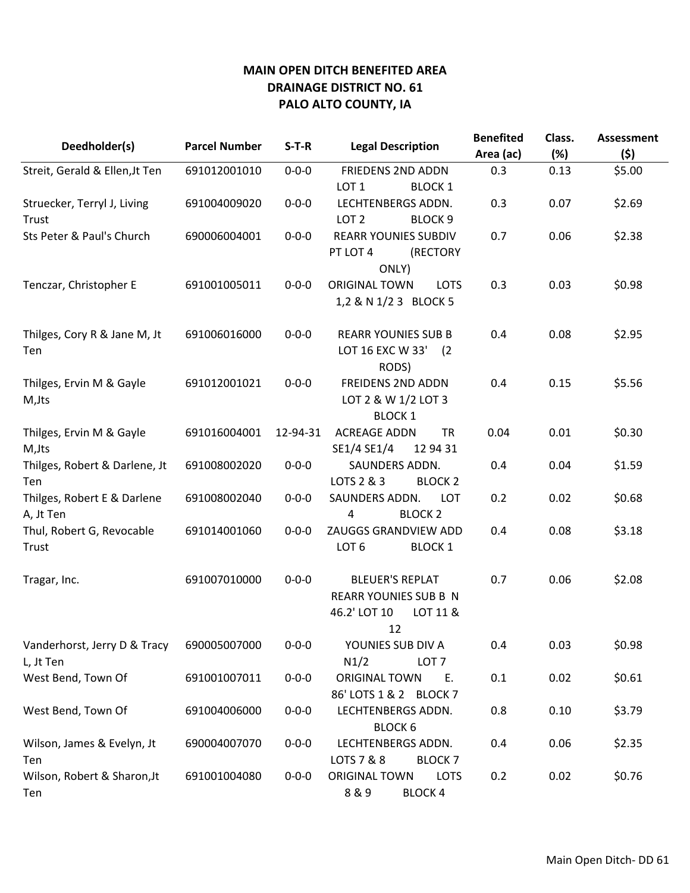| Deedholder(s)                             | <b>Parcel Number</b> | $S-T-R$     | <b>Legal Description</b>                                                                 | <b>Benefited</b><br>Area (ac) | Class.<br>(%) | <b>Assessment</b><br>(5) |
|-------------------------------------------|----------------------|-------------|------------------------------------------------------------------------------------------|-------------------------------|---------------|--------------------------|
| Streit, Gerald & Ellen, Jt Ten            | 691012001010         | $0 - 0 - 0$ | <b>FRIEDENS 2ND ADDN</b>                                                                 | 0.3                           | 0.13          | \$5.00                   |
|                                           |                      |             | LOT <sub>1</sub><br><b>BLOCK 1</b>                                                       |                               |               |                          |
| Struecker, Terryl J, Living               | 691004009020         | $0 - 0 - 0$ | LECHTENBERGS ADDN.                                                                       | 0.3                           | 0.07          | \$2.69                   |
| Trust                                     |                      |             | LOT <sub>2</sub><br><b>BLOCK 9</b>                                                       |                               |               |                          |
| Sts Peter & Paul's Church                 | 690006004001         | $0 - 0 - 0$ | <b>REARR YOUNIES SUBDIV</b><br>PT LOT 4<br>(RECTORY                                      | 0.7                           | 0.06          | \$2.38                   |
| Tenczar, Christopher E                    | 691001005011         | $0 - 0 - 0$ | ONLY)<br><b>ORIGINAL TOWN</b><br><b>LOTS</b><br>1,2 & N 1/2 3 BLOCK 5                    | 0.3                           | 0.03          | \$0.98                   |
| Thilges, Cory R & Jane M, Jt<br>Ten       | 691006016000         | $0 - 0 - 0$ | <b>REARR YOUNIES SUB B</b><br>LOT 16 EXC W 33'<br>(2)<br>RODS)                           | 0.4                           | 0.08          | \$2.95                   |
| Thilges, Ervin M & Gayle<br>M, Jts        | 691012001021         | $0 - 0 - 0$ | <b>FREIDENS 2ND ADDN</b><br>LOT 2 & W 1/2 LOT 3<br><b>BLOCK 1</b>                        | 0.4                           | 0.15          | \$5.56                   |
| Thilges, Ervin M & Gayle<br>M, Jts        | 691016004001         | 12-94-31    | <b>ACREAGE ADDN</b><br><b>TR</b><br>SE1/4 SE1/4<br>12 94 31                              | 0.04                          | 0.01          | \$0.30                   |
| Thilges, Robert & Darlene, Jt<br>Ten      | 691008002020         | $0 - 0 - 0$ | SAUNDERS ADDN.<br>LOTS 2 & 3<br><b>BLOCK 2</b>                                           | 0.4                           | 0.04          | \$1.59                   |
| Thilges, Robert E & Darlene<br>A, Jt Ten  | 691008002040         | $0 - 0 - 0$ | SAUNDERS ADDN.<br><b>LOT</b><br>4<br><b>BLOCK 2</b>                                      | 0.2                           | 0.02          | \$0.68                   |
| Thul, Robert G, Revocable<br>Trust        | 691014001060         | $0 - 0 - 0$ | ZAUGGS GRANDVIEW ADD<br>LOT <sub>6</sub><br><b>BLOCK 1</b>                               | 0.4                           | 0.08          | \$3.18                   |
| Tragar, Inc.                              | 691007010000         | $0 - 0 - 0$ | <b>BLEUER'S REPLAT</b><br><b>REARR YOUNIES SUB B N</b><br>46.2' LOT 10<br>LOT 11 &<br>12 | 0.7                           | 0.06          | \$2.08                   |
| Vanderhorst, Jerry D & Tracy<br>L, Jt Ten | 690005007000         | $0 - 0 - 0$ | YOUNIES SUB DIV A<br>N1/2<br>LOT <sub>7</sub>                                            | 0.4                           | 0.03          | \$0.98                   |
| West Bend, Town Of                        | 691001007011         | $0 - 0 - 0$ | ORIGINAL TOWN<br>Ε.<br>86' LOTS 1 & 2 BLOCK 7                                            | 0.1                           | 0.02          | \$0.61                   |
| West Bend, Town Of                        | 691004006000         | $0 - 0 - 0$ | LECHTENBERGS ADDN.<br><b>BLOCK 6</b>                                                     | 0.8                           | 0.10          | \$3.79                   |
| Wilson, James & Evelyn, Jt<br>Ten         | 690004007070         | $0 - 0 - 0$ | LECHTENBERGS ADDN.<br>LOTS 7 & 8<br><b>BLOCK7</b>                                        | 0.4                           | 0.06          | \$2.35                   |
| Wilson, Robert & Sharon, Jt<br>Ten        | 691001004080         | $0 - 0 - 0$ | ORIGINAL TOWN<br><b>LOTS</b><br>8&9<br><b>BLOCK 4</b>                                    | 0.2                           | 0.02          | \$0.76                   |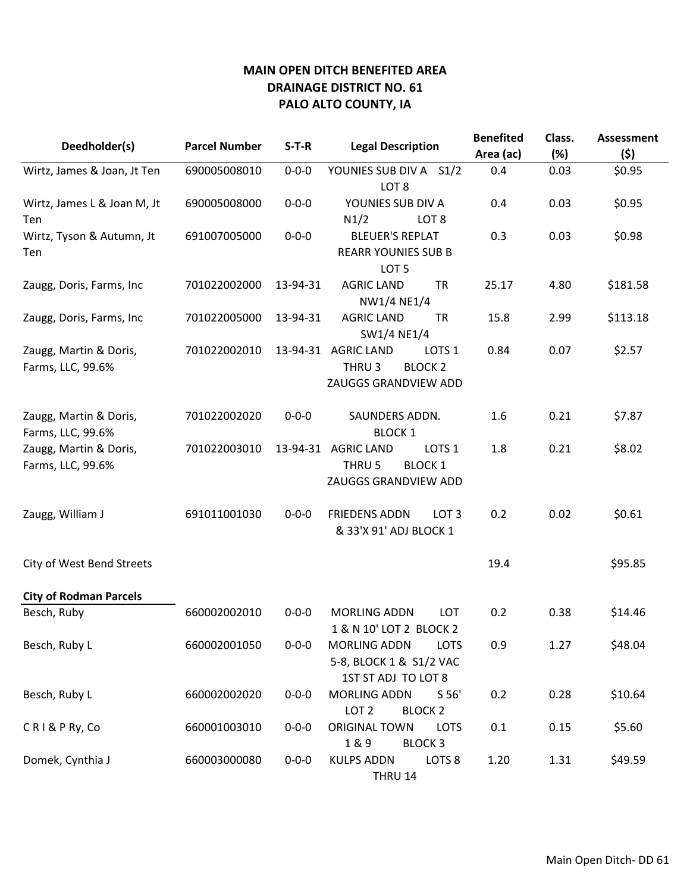| Deedholder(s)                               | <b>Parcel Number</b> | $S-T-R$     | <b>Legal Description</b>                                                                              | <b>Benefited</b><br>Area (ac) | Class.<br>(%) | <b>Assessment</b><br>(5) |
|---------------------------------------------|----------------------|-------------|-------------------------------------------------------------------------------------------------------|-------------------------------|---------------|--------------------------|
| Wirtz, James & Joan, Jt Ten                 | 690005008010         | $0 - 0 - 0$ | YOUNIES SUB DIV A S1/2                                                                                | 0.4                           | 0.03          | \$0.95                   |
| Wirtz, James L & Joan M, Jt<br>Ten          | 690005008000         | $0 - 0 - 0$ | LOT <sub>8</sub><br>YOUNIES SUB DIV A<br>N1/2<br>LOT <sub>8</sub>                                     | 0.4                           | 0.03          | \$0.95                   |
| Wirtz, Tyson & Autumn, Jt<br>Ten            | 691007005000         | $0 - 0 - 0$ | <b>BLEUER'S REPLAT</b><br><b>REARR YOUNIES SUB B</b><br>LOT <sub>5</sub>                              | 0.3                           | 0.03          | \$0.98                   |
| Zaugg, Doris, Farms, Inc                    | 701022002000         | 13-94-31    | <b>AGRIC LAND</b><br><b>TR</b><br>NW1/4 NE1/4                                                         | 25.17                         | 4.80          | \$181.58                 |
| Zaugg, Doris, Farms, Inc                    | 701022005000         | 13-94-31    | <b>AGRIC LAND</b><br><b>TR</b><br>SW1/4 NE1/4                                                         | 15.8                          | 2.99          | \$113.18                 |
| Zaugg, Martin & Doris,<br>Farms, LLC, 99.6% | 701022002010         | 13-94-31    | <b>AGRIC LAND</b><br>LOTS <sub>1</sub><br>THRU <sub>3</sub><br><b>BLOCK 2</b><br>ZAUGGS GRANDVIEW ADD | 0.84                          | 0.07          | \$2.57                   |
| Zaugg, Martin & Doris,<br>Farms, LLC, 99.6% | 701022002020         | $0 - 0 - 0$ | SAUNDERS ADDN.<br><b>BLOCK 1</b>                                                                      | 1.6                           | 0.21          | \$7.87                   |
| Zaugg, Martin & Doris,<br>Farms, LLC, 99.6% | 701022003010         | 13-94-31    | <b>AGRIC LAND</b><br>LOTS <sub>1</sub><br>THRU 5<br><b>BLOCK 1</b><br>ZAUGGS GRANDVIEW ADD            | 1.8                           | 0.21          | \$8.02                   |
| Zaugg, William J                            | 691011001030         | $0 - 0 - 0$ | <b>FRIEDENS ADDN</b><br>LOT <sub>3</sub><br>& 33'X 91' ADJ BLOCK 1                                    | 0.2                           | 0.02          | \$0.61                   |
| City of West Bend Streets                   |                      |             |                                                                                                       | 19.4                          |               | \$95.85                  |
| <b>City of Rodman Parcels</b>               |                      |             |                                                                                                       |                               |               |                          |
| Besch, Ruby                                 | 660002002010         | $0 - 0 - 0$ | <b>MORLING ADDN</b><br><b>LOT</b><br>1 & N 10' LOT 2 BLOCK 2                                          | 0.2                           | 0.38          | \$14.46                  |
| Besch, Ruby L                               | 660002001050         | $0 - 0 - 0$ | <b>MORLING ADDN</b><br><b>LOTS</b><br>5-8, BLOCK 1 & S1/2 VAC<br>1ST ST ADJ TO LOT 8                  | 0.9                           | 1.27          | \$48.04                  |
| Besch, Ruby L                               | 660002002020         | $0 - 0 - 0$ | <b>MORLING ADDN</b><br>S <sub>56'</sub><br>LOT <sub>2</sub><br><b>BLOCK 2</b>                         | 0.2                           | 0.28          | \$10.64                  |
| CRI&PRy, Co                                 | 660001003010         | $0 - 0 - 0$ | <b>ORIGINAL TOWN</b><br><b>LOTS</b><br>1&9<br><b>BLOCK 3</b>                                          | 0.1                           | 0.15          | \$5.60                   |
| Domek, Cynthia J                            | 660003000080         | $0 - 0 - 0$ | <b>KULPS ADDN</b><br>LOTS <sub>8</sub><br>THRU 14                                                     | 1.20                          | 1.31          | \$49.59                  |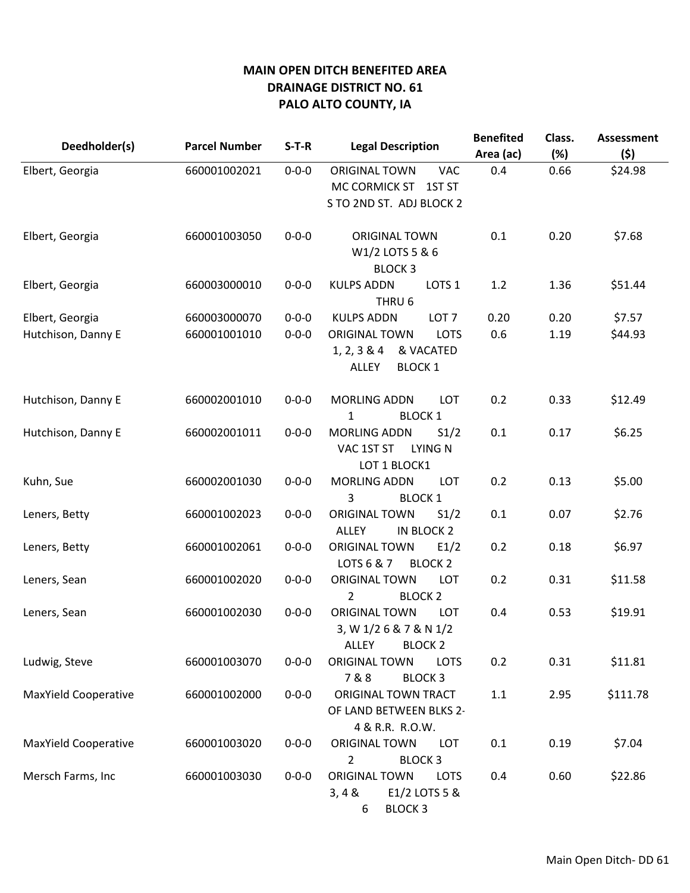| Deedholder(s)               | <b>Parcel Number</b> | $S-T-R$     | <b>Legal Description</b>                                                                             | <b>Benefited</b><br>Area (ac) | Class.<br>(%) | <b>Assessment</b><br>(\$) |
|-----------------------------|----------------------|-------------|------------------------------------------------------------------------------------------------------|-------------------------------|---------------|---------------------------|
| Elbert, Georgia             | 660001002021         | $0 - 0 - 0$ | <b>ORIGINAL TOWN</b><br><b>VAC</b><br>MC CORMICK ST<br>1ST <sub>ST</sub><br>S TO 2ND ST. ADJ BLOCK 2 | 0.4                           | 0.66          | \$24.98                   |
| Elbert, Georgia             | 660001003050         | $0 - 0 - 0$ | <b>ORIGINAL TOWN</b><br>W1/2 LOTS 5 & 6<br><b>BLOCK3</b>                                             | 0.1                           | 0.20          | \$7.68                    |
| Elbert, Georgia             | 660003000010         | $0 - 0 - 0$ | <b>KULPS ADDN</b><br>LOTS <sub>1</sub><br>THRU <sub>6</sub>                                          | 1.2                           | 1.36          | \$51.44                   |
| Elbert, Georgia             | 660003000070         | $0 - 0 - 0$ | <b>KULPS ADDN</b><br>LOT <sub>7</sub>                                                                | 0.20                          | 0.20          | \$7.57                    |
| Hutchison, Danny E          | 660001001010         | $0 - 0 - 0$ | <b>ORIGINAL TOWN</b><br>LOTS<br>1, 2, 3 & 4<br>& VACATED<br>ALLEY<br><b>BLOCK 1</b>                  | 0.6                           | 1.19          | \$44.93                   |
| Hutchison, Danny E          | 660002001010         | $0 - 0 - 0$ | <b>MORLING ADDN</b><br>LOT<br><b>BLOCK 1</b><br>1                                                    | 0.2                           | 0.33          | \$12.49                   |
| Hutchison, Danny E          | 660002001011         | $0 - 0 - 0$ | <b>MORLING ADDN</b><br>S1/2<br><b>LYING N</b><br>VAC 1ST ST<br>LOT 1 BLOCK1                          | 0.1                           | 0.17          | \$6.25                    |
| Kuhn, Sue                   | 660002001030         | $0 - 0 - 0$ | <b>MORLING ADDN</b><br><b>LOT</b><br>3<br><b>BLOCK 1</b>                                             | 0.2                           | 0.13          | \$5.00                    |
| Leners, Betty               | 660001002023         | $0 - 0 - 0$ | <b>ORIGINAL TOWN</b><br>S1/2<br><b>ALLEY</b><br>IN BLOCK 2                                           | 0.1                           | 0.07          | \$2.76                    |
| Leners, Betty               | 660001002061         | $0 - 0 - 0$ | <b>ORIGINAL TOWN</b><br>E1/2<br>LOTS 6 & 7<br><b>BLOCK 2</b>                                         | 0.2                           | 0.18          | \$6.97                    |
| Leners, Sean                | 660001002020         | $0 - 0 - 0$ | <b>ORIGINAL TOWN</b><br><b>LOT</b><br>2<br><b>BLOCK 2</b>                                            | 0.2                           | 0.31          | \$11.58                   |
| Leners, Sean                | 660001002030         | $0 - 0 - 0$ | <b>ORIGINAL TOWN</b><br><b>LOT</b><br>3, W 1/2 6 & 7 & N 1/2<br><b>ALLEY</b><br><b>BLOCK 2</b>       | 0.4                           | 0.53          | \$19.91                   |
| Ludwig, Steve               | 660001003070         | $0 - 0 - 0$ | <b>ORIGINAL TOWN</b><br><b>LOTS</b><br>7&8<br><b>BLOCK 3</b>                                         | 0.2                           | 0.31          | \$11.81                   |
| <b>MaxYield Cooperative</b> | 660001002000         | $0 - 0 - 0$ | ORIGINAL TOWN TRACT<br>OF LAND BETWEEN BLKS 2-<br>4 & R.R. R.O.W.                                    | 1.1                           | 2.95          | \$111.78                  |
| <b>MaxYield Cooperative</b> | 660001003020         | $0 - 0 - 0$ | ORIGINAL TOWN<br><b>LOT</b><br>$\overline{2}$<br><b>BLOCK 3</b>                                      | 0.1                           | 0.19          | \$7.04                    |
| Mersch Farms, Inc           | 660001003030         | $0 - 0 - 0$ | <b>ORIGINAL TOWN</b><br><b>LOTS</b><br>3,48<br>E1/2 LOTS 5 &<br><b>BLOCK 3</b><br>6                  | 0.4                           | 0.60          | \$22.86                   |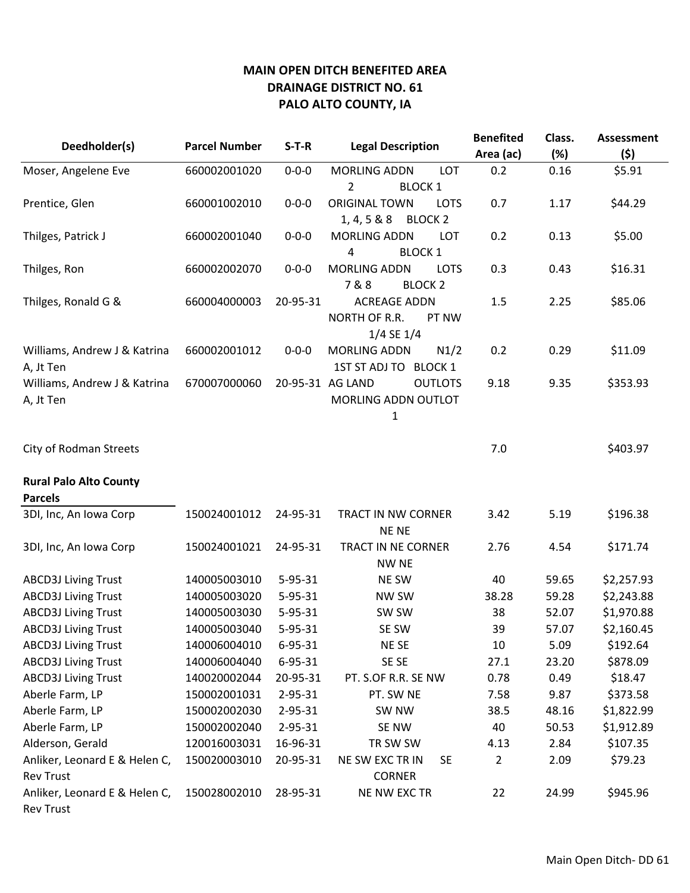|                               |                        |               |                                     | <b>Benefited</b> | Class. | <b>Assessment</b> |
|-------------------------------|------------------------|---------------|-------------------------------------|------------------|--------|-------------------|
| Deedholder(s)                 | <b>Parcel Number</b>   | $S-T-R$       | <b>Legal Description</b>            | Area (ac)        | (%)    | (\$)              |
| Moser, Angelene Eve           | 660002001020           | $0 - 0 - 0$   | <b>MORLING ADDN</b><br>LOT          | 0.2              | 0.16   | \$5.91            |
|                               |                        |               | 2<br><b>BLOCK 1</b>                 |                  |        |                   |
| Prentice, Glen                | 660001002010           | $0 - 0 - 0$   | <b>ORIGINAL TOWN</b><br><b>LOTS</b> | 0.7              | 1.17   | \$44.29           |
|                               |                        |               | 1, 4, 5 & 8 & 8<br><b>BLOCK 2</b>   |                  |        |                   |
| Thilges, Patrick J            | 660002001040           | $0 - 0 - 0$   | <b>MORLING ADDN</b><br>LOT          | 0.2              | 0.13   | \$5.00            |
|                               |                        |               | 4<br><b>BLOCK 1</b>                 |                  |        |                   |
| Thilges, Ron                  | 660002002070           | $0 - 0 - 0$   | <b>MORLING ADDN</b><br><b>LOTS</b>  | 0.3              | 0.43   | \$16.31           |
|                               |                        |               | 7&8<br><b>BLOCK 2</b>               |                  |        |                   |
| Thilges, Ronald G &           | 660004000003           | 20-95-31      | <b>ACREAGE ADDN</b>                 | 1.5              | 2.25   | \$85.06           |
|                               | NORTH OF R.R.<br>PT NW |               |                                     |                  |        |                   |
|                               |                        |               | 1/4 SE 1/4                          |                  |        |                   |
| Williams, Andrew J & Katrina  | 660002001012           | $0 - 0 - 0$   | <b>MORLING ADDN</b><br>N1/2         | 0.2              | 0.29   | \$11.09           |
| A, Jt Ten                     |                        |               | 1ST ST ADJ TO BLOCK 1               |                  |        |                   |
| Williams, Andrew J & Katrina  | 670007000060           |               | 20-95-31 AG LAND<br><b>OUTLOTS</b>  | 9.18             | 9.35   | \$353.93          |
| A, Jt Ten                     |                        |               | MORLING ADDN OUTLOT                 |                  |        |                   |
|                               |                        |               | 1                                   |                  |        |                   |
| <b>City of Rodman Streets</b> |                        |               |                                     | 7.0              |        | \$403.97          |
|                               |                        |               |                                     |                  |        |                   |
| <b>Rural Palo Alto County</b> |                        |               |                                     |                  |        |                   |
| <b>Parcels</b>                |                        |               |                                     |                  |        |                   |
| 3DI, Inc, An Iowa Corp        | 150024001012           | 24-95-31      | TRACT IN NW CORNER                  | 3.42             | 5.19   | \$196.38          |
|                               |                        |               | <b>NENE</b>                         |                  |        |                   |
| 3DI, Inc, An Iowa Corp        | 150024001021           | 24-95-31      | TRACT IN NE CORNER                  | 2.76             | 4.54   | \$171.74          |
|                               |                        |               | <b>NW NE</b>                        |                  |        |                   |
| <b>ABCD3J Living Trust</b>    | 140005003010           | $5 - 95 - 31$ | <b>NE SW</b>                        | 40               | 59.65  | \$2,257.93        |
| <b>ABCD3J Living Trust</b>    | 140005003020           | 5-95-31       | NW SW                               | 38.28            | 59.28  | \$2,243.88        |
| <b>ABCD3J Living Trust</b>    | 140005003030           | $5 - 95 - 31$ | SW SW                               | 38               | 52.07  | \$1,970.88        |
| <b>ABCD3J Living Trust</b>    | 140005003040           | $5 - 95 - 31$ | SE SW                               | 39               | 57.07  | \$2,160.45        |
| <b>ABCD3J Living Trust</b>    | 140006004010           | $6 - 95 - 31$ | NE SE                               | 10               | 5.09   | \$192.64          |
| <b>ABCD3J Living Trust</b>    | 140006004040           | $6 - 95 - 31$ | SE SE                               | 27.1             | 23.20  | \$878.09          |
| <b>ABCD3J Living Trust</b>    | 140020002044           | 20-95-31      | PT. S.OF R.R. SE NW                 | 0.78             | 0.49   | \$18.47           |
| Aberle Farm, LP               | 150002001031           | $2 - 95 - 31$ | PT. SW NE                           | 7.58             | 9.87   | \$373.58          |
| Aberle Farm, LP               | 150002002030           | $2 - 95 - 31$ | SW <sub>NW</sub>                    | 38.5             | 48.16  | \$1,822.99        |
| Aberle Farm, LP               | 150002002040           | $2 - 95 - 31$ | SE NW                               | 40               | 50.53  | \$1,912.89        |
| Alderson, Gerald              | 120016003031           | 16-96-31      | TR SW SW                            | 4.13             | 2.84   | \$107.35          |
| Anliker, Leonard E & Helen C, | 150020003010           | 20-95-31      | NE SW EXC TR IN<br><b>SE</b>        | 2                | 2.09   | \$79.23           |
| <b>Rev Trust</b>              |                        |               | <b>CORNER</b>                       |                  |        |                   |
| Anliker, Leonard E & Helen C, | 150028002010           | 28-95-31      | NE NW EXC TR                        | 22               | 24.99  | \$945.96          |
| <b>Rev Trust</b>              |                        |               |                                     |                  |        |                   |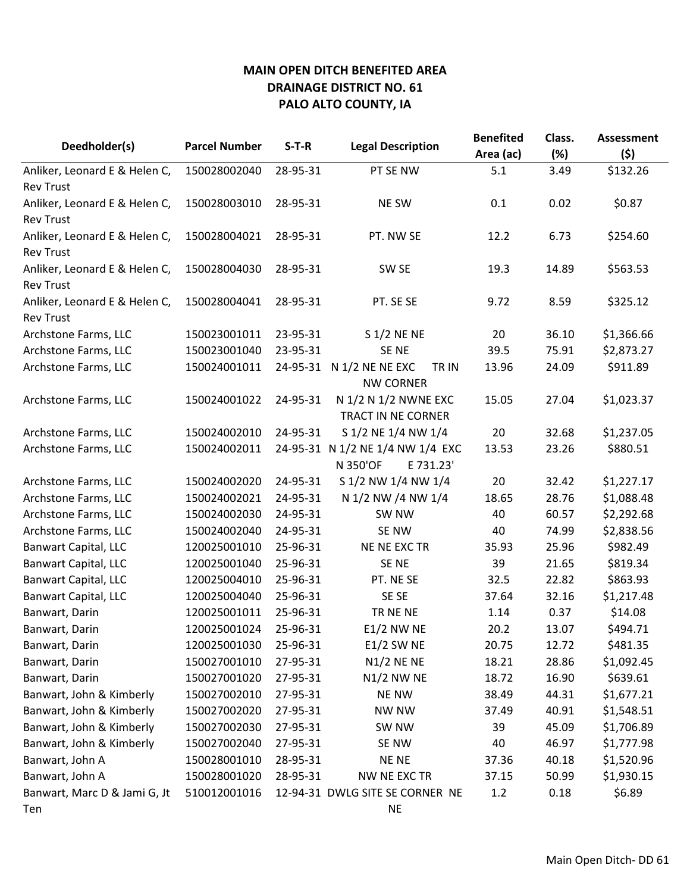|                               | <b>Parcel Number</b> | $S-T-R$  |                                                       | <b>Benefited</b> | Class. | <b>Assessment</b> |
|-------------------------------|----------------------|----------|-------------------------------------------------------|------------------|--------|-------------------|
| Deedholder(s)                 |                      |          | <b>Legal Description</b>                              | Area (ac)        | (%)    | (5)               |
| Anliker, Leonard E & Helen C, | 150028002040         | 28-95-31 | PT SE NW                                              | 5.1              | 3.49   | \$132.26          |
| <b>Rev Trust</b>              |                      |          |                                                       |                  |        |                   |
| Anliker, Leonard E & Helen C, | 150028003010         | 28-95-31 | <b>NE SW</b>                                          | 0.1              | 0.02   | \$0.87            |
| <b>Rev Trust</b>              |                      |          |                                                       |                  |        |                   |
| Anliker, Leonard E & Helen C, | 150028004021         | 28-95-31 | PT. NW SE                                             | 12.2             | 6.73   | \$254.60          |
| <b>Rev Trust</b>              |                      |          |                                                       |                  |        |                   |
| Anliker, Leonard E & Helen C, | 150028004030         | 28-95-31 | SW <sub>SE</sub>                                      | 19.3             | 14.89  | \$563.53          |
| <b>Rev Trust</b>              |                      |          |                                                       |                  |        |                   |
| Anliker, Leonard E & Helen C, | 150028004041         | 28-95-31 | PT. SE SE                                             | 9.72             | 8.59   | \$325.12          |
| <b>Rev Trust</b>              |                      |          |                                                       |                  |        |                   |
| Archstone Farms, LLC          | 150023001011         | 23-95-31 | S 1/2 NE NE                                           | 20               | 36.10  | \$1,366.66        |
| Archstone Farms, LLC          | 150023001040         | 23-95-31 | SE <sub>NE</sub>                                      | 39.5             | 75.91  | \$2,873.27        |
| Archstone Farms, LLC          | 150024001011         |          | 24-95-31 N 1/2 NE NE EXC<br>TR IN<br><b>NW CORNER</b> | 13.96            | 24.09  | \$911.89          |
| Archstone Farms, LLC          | 150024001022         | 24-95-31 | N 1/2 N 1/2 NWNE EXC                                  | 15.05            | 27.04  | \$1,023.37        |
|                               |                      |          | TRACT IN NE CORNER                                    |                  |        |                   |
| Archstone Farms, LLC          | 150024002010         | 24-95-31 | S 1/2 NE 1/4 NW 1/4                                   | 20               | 32.68  | \$1,237.05        |
| Archstone Farms, LLC          | 150024002011         |          | 24-95-31 N 1/2 NE 1/4 NW 1/4 EXC                      | 13.53            | 23.26  | \$880.51          |
|                               |                      |          | N 350'OF<br>E 731.23'                                 |                  |        |                   |
| Archstone Farms, LLC          | 150024002020         | 24-95-31 | S 1/2 NW 1/4 NW 1/4                                   | 20               | 32.42  | \$1,227.17        |
| Archstone Farms, LLC          | 150024002021         | 24-95-31 | N 1/2 NW /4 NW 1/4                                    | 18.65            | 28.76  | \$1,088.48        |
| Archstone Farms, LLC          | 150024002030         | 24-95-31 | SW NW                                                 | 40               | 60.57  | \$2,292.68        |
| Archstone Farms, LLC          | 150024002040         | 24-95-31 | SE NW                                                 | 40               | 74.99  | \$2,838.56        |
| <b>Banwart Capital, LLC</b>   | 120025001010         | 25-96-31 | NE NE EXC TR                                          | 35.93            | 25.96  | \$982.49          |
| <b>Banwart Capital, LLC</b>   | 120025001040         | 25-96-31 | SE NE                                                 | 39               | 21.65  | \$819.34          |
| <b>Banwart Capital, LLC</b>   | 120025004010         | 25-96-31 | PT. NE SE                                             | 32.5             | 22.82  | \$863.93          |
| <b>Banwart Capital, LLC</b>   | 120025004040         | 25-96-31 | SE SE                                                 | 37.64            | 32.16  | \$1,217.48        |
| Banwart, Darin                | 120025001011         | 25-96-31 | TR NE NE                                              | 1.14             | 0.37   | \$14.08           |
| Banwart, Darin                | 120025001024         | 25-96-31 | <b>E1/2 NW NE</b>                                     | 20.2             | 13.07  | \$494.71          |
| Banwart, Darin                | 120025001030         | 25-96-31 | E1/2 SW NE                                            | 20.75            | 12.72  | \$481.35          |
| Banwart, Darin                | 150027001010         | 27-95-31 | $N1/2$ NE NE                                          | 18.21            | 28.86  | \$1,092.45        |
| Banwart, Darin                | 150027001020         | 27-95-31 | N1/2 NW NE                                            | 18.72            | 16.90  | \$639.61          |
| Banwart, John & Kimberly      | 150027002010         | 27-95-31 | <b>NE NW</b>                                          | 38.49            | 44.31  | \$1,677.21        |
| Banwart, John & Kimberly      | 150027002020         | 27-95-31 | <b>NW NW</b>                                          | 37.49            | 40.91  | \$1,548.51        |
| Banwart, John & Kimberly      | 150027002030         | 27-95-31 | SW NW                                                 | 39               | 45.09  | \$1,706.89        |
| Banwart, John & Kimberly      | 150027002040         | 27-95-31 | SE NW                                                 | 40               | 46.97  | \$1,777.98        |
| Banwart, John A               | 150028001010         | 28-95-31 | <b>NE NE</b>                                          | 37.36            | 40.18  | \$1,520.96        |
| Banwart, John A               | 150028001020         | 28-95-31 | NW NE EXC TR                                          | 37.15            | 50.99  | \$1,930.15        |
| Banwart, Marc D & Jami G, Jt  | 510012001016         |          | 12-94-31 DWLG SITE SE CORNER NE                       | 1.2              | 0.18   | \$6.89            |
| Ten                           |                      |          | <b>NE</b>                                             |                  |        |                   |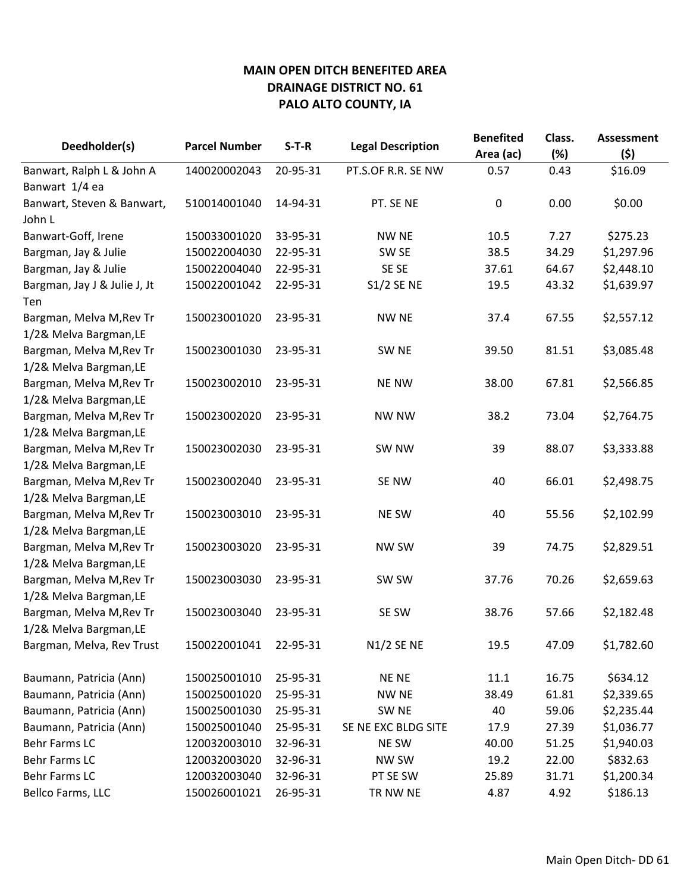| Deedholder(s)                | <b>Parcel Number</b> | $S-T-R$<br><b>Legal Description</b> |                     | <b>Benefited</b><br>Area (ac) | Class.<br>(%) | <b>Assessment</b><br>(\$) |
|------------------------------|----------------------|-------------------------------------|---------------------|-------------------------------|---------------|---------------------------|
| Banwart, Ralph L & John A    | 140020002043         | 20-95-31                            | PT.S.OF R.R. SE NW  | 0.57                          | 0.43          | \$16.09                   |
| Banwart 1/4 ea               |                      |                                     |                     |                               |               |                           |
| Banwart, Steven & Banwart,   | 510014001040         | 14-94-31                            | PT. SE NE           | $\pmb{0}$                     | 0.00          | \$0.00                    |
| John L                       |                      |                                     |                     |                               |               |                           |
| Banwart-Goff, Irene          | 150033001020         | 33-95-31                            | <b>NW NE</b>        | 10.5                          | 7.27          | \$275.23                  |
| Bargman, Jay & Julie         | 150022004030         | 22-95-31                            | SW <sub>SE</sub>    | 38.5                          | 34.29         | \$1,297.96                |
| Bargman, Jay & Julie         | 150022004040         | 22-95-31                            | SE SE               | 37.61                         | 64.67         | \$2,448.10                |
| Bargman, Jay J & Julie J, Jt | 150022001042         | 22-95-31                            | <b>S1/2 SE NE</b>   | 19.5                          | 43.32         | \$1,639.97                |
| Ten                          |                      |                                     |                     |                               |               |                           |
| Bargman, Melva M, Rev Tr     | 150023001020         | 23-95-31                            | <b>NW NE</b>        | 37.4                          | 67.55         | \$2,557.12                |
| 1/2& Melva Bargman, LE       |                      |                                     |                     |                               |               |                           |
| Bargman, Melva M, Rev Tr     | 150023001030         | 23-95-31                            | SW <sub>NE</sub>    | 39.50                         | 81.51         | \$3,085.48                |
| 1/2& Melva Bargman, LE       |                      |                                     |                     |                               |               |                           |
| Bargman, Melva M, Rev Tr     | 150023002010         | 23-95-31                            | <b>NE NW</b>        | 38.00                         | 67.81         | \$2,566.85                |
| 1/2& Melva Bargman, LE       |                      |                                     |                     |                               |               |                           |
| Bargman, Melva M, Rev Tr     | 150023002020         | 23-95-31                            | NW NW               | 38.2                          | 73.04         | \$2,764.75                |
| 1/2& Melva Bargman, LE       |                      |                                     |                     |                               |               |                           |
| Bargman, Melva M, Rev Tr     | 150023002030         | 23-95-31                            | SW NW               | 39                            | 88.07         | \$3,333.88                |
| 1/2& Melva Bargman, LE       |                      |                                     |                     |                               |               |                           |
| Bargman, Melva M, Rev Tr     | 150023002040         | 23-95-31                            | SE NW               | 40                            | 66.01         | \$2,498.75                |
| 1/2& Melva Bargman, LE       |                      |                                     |                     |                               |               |                           |
| Bargman, Melva M, Rev Tr     | 150023003010         | 23-95-31                            | <b>NE SW</b>        | 40                            | 55.56         | \$2,102.99                |
| 1/2& Melva Bargman, LE       |                      |                                     |                     |                               |               |                           |
| Bargman, Melva M, Rev Tr     | 150023003020         | 23-95-31                            | <b>NW SW</b>        | 39                            | 74.75         | \$2,829.51                |
| 1/2& Melva Bargman, LE       |                      |                                     |                     |                               |               |                           |
| Bargman, Melva M, Rev Tr     | 150023003030         | 23-95-31                            | SW SW               | 37.76                         | 70.26         | \$2,659.63                |
| 1/2& Melva Bargman, LE       |                      |                                     |                     |                               |               |                           |
| Bargman, Melva M, Rev Tr     | 150023003040         | 23-95-31                            | SE SW               | 38.76                         | 57.66         | \$2,182.48                |
| 1/2& Melva Bargman, LE       |                      |                                     |                     |                               |               |                           |
| Bargman, Melva, Rev Trust    | 150022001041         | 22-95-31                            | N1/2 SE NE          | 19.5                          | 47.09         | \$1,782.60                |
| Baumann, Patricia (Ann)      | 150025001010         | 25-95-31                            | <b>NENE</b>         | 11.1                          | 16.75         | \$634.12                  |
| Baumann, Patricia (Ann)      | 150025001020         | 25-95-31                            | <b>NW NE</b>        | 38.49                         | 61.81         | \$2,339.65                |
| Baumann, Patricia (Ann)      | 150025001030         | 25-95-31                            | SW <sub>NE</sub>    | 40                            | 59.06         | \$2,235.44                |
| Baumann, Patricia (Ann)      | 150025001040         | 25-95-31                            | SE NE EXC BLDG SITE | 17.9                          | 27.39         | \$1,036.77                |
| Behr Farms LC                | 120032003010         | 32-96-31                            | NE SW               | 40.00                         | 51.25         | \$1,940.03                |
| <b>Behr Farms LC</b>         | 120032003020         | 32-96-31                            | NW SW               | 19.2                          | 22.00         | \$832.63                  |
| Behr Farms LC                | 120032003040         | 32-96-31                            | PT SE SW            | 25.89                         | 31.71         | \$1,200.34                |
| Bellco Farms, LLC            | 150026001021         | 26-95-31                            | 4.87<br>TR NW NE    |                               | 4.92          | \$186.13                  |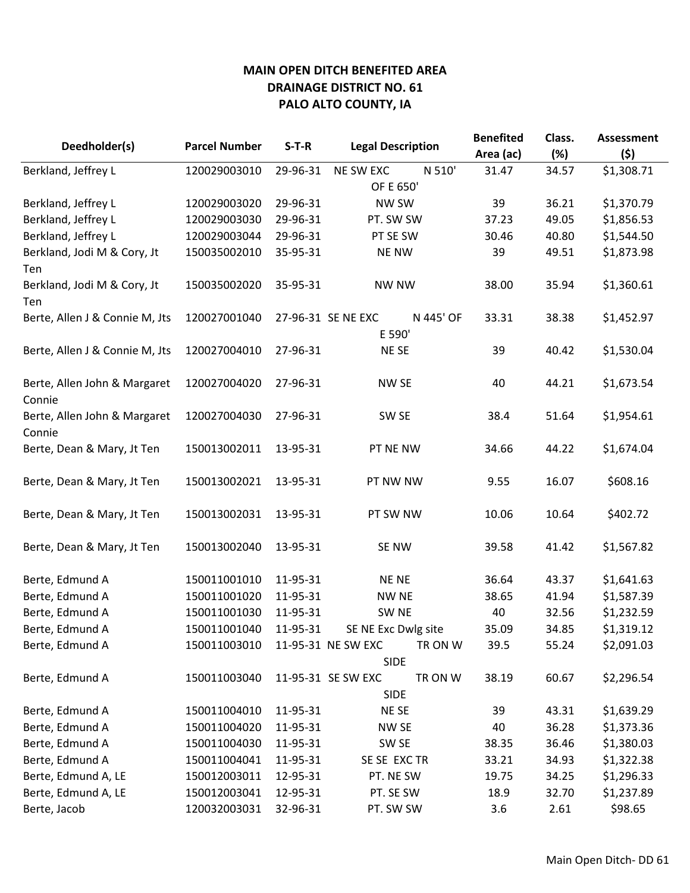|                                        | <b>Parcel Number</b> |          |                              |           | <b>Benefited</b> | Class. | <b>Assessment</b> |
|----------------------------------------|----------------------|----------|------------------------------|-----------|------------------|--------|-------------------|
| Deedholder(s)                          |                      | $S-T-R$  | <b>Legal Description</b>     |           | Area (ac)        | (%)    | (5)               |
| Berkland, Jeffrey L                    | 120029003010         | 29-96-31 | <b>NE SW EXC</b>             | N 510'    | 31.47            | 34.57  | \$1,308.71        |
|                                        |                      |          | OF E 650'                    |           |                  |        |                   |
| Berkland, Jeffrey L                    | 120029003020         | 29-96-31 |                              | NW SW     |                  | 36.21  | \$1,370.79        |
| Berkland, Jeffrey L                    | 120029003030         | 29-96-31 | PT. SW SW                    |           | 37.23            | 49.05  | \$1,856.53        |
| Berkland, Jeffrey L                    | 120029003044         | 29-96-31 | PT SE SW                     |           | 30.46            | 40.80  | \$1,544.50        |
| Berkland, Jodi M & Cory, Jt<br>Ten     | 150035002010         | 35-95-31 | <b>NE NW</b>                 |           | 39               | 49.51  | \$1,873.98        |
| Berkland, Jodi M & Cory, Jt<br>Ten     | 150035002020         | 35-95-31 | <b>NW NW</b>                 |           | 38.00            | 35.94  | \$1,360.61        |
| Berte, Allen J & Connie M, Jts         | 120027001040         |          | 27-96-31 SE NE EXC<br>E 590' | N 445' OF | 33.31            | 38.38  | \$1,452.97        |
| Berte, Allen J & Connie M, Jts         | 120027004010         | 27-96-31 | <b>NESE</b>                  |           | 39               | 40.42  | \$1,530.04        |
| Berte, Allen John & Margaret<br>Connie | 120027004020         | 27-96-31 | NW SE                        |           | 40               | 44.21  | \$1,673.54        |
| Berte, Allen John & Margaret<br>Connie | 120027004030         | 27-96-31 | SW <sub>SE</sub>             |           | 38.4             | 51.64  | \$1,954.61        |
| Berte, Dean & Mary, Jt Ten             | 150013002011         | 13-95-31 | PT NE NW                     |           | 34.66            | 44.22  | \$1,674.04        |
| Berte, Dean & Mary, Jt Ten             | 150013002021         | 13-95-31 | PT NW NW                     |           | 9.55             | 16.07  | \$608.16          |
| Berte, Dean & Mary, Jt Ten             | 150013002031         | 13-95-31 | PT SW NW                     |           | 10.06            | 10.64  | \$402.72          |
| Berte, Dean & Mary, Jt Ten             | 150013002040         | 13-95-31 | SE NW                        |           | 39.58            | 41.42  | \$1,567.82        |
| Berte, Edmund A                        | 150011001010         | 11-95-31 | <b>NE NE</b>                 |           | 36.64            | 43.37  | \$1,641.63        |
| Berte, Edmund A                        | 150011001020         | 11-95-31 | <b>NW NE</b>                 |           | 38.65            | 41.94  | \$1,587.39        |
| Berte, Edmund A                        | 150011001030         | 11-95-31 | SW <sub>NE</sub>             |           | 40               | 32.56  | \$1,232.59        |
| Berte, Edmund A                        | 150011001040         | 11-95-31 | SE NE Exc Dwlg site          |           | 35.09            | 34.85  | \$1,319.12        |
| Berte, Edmund A                        | 150011003010         |          | 11-95-31 NE SW EXC           | TR ON W   | 39.5             | 55.24  | \$2,091.03        |
|                                        |                      |          | <b>SIDE</b>                  |           |                  |        |                   |
| Berte, Edmund A                        | 150011003040         |          | 11-95-31 SE SW EXC           | TR ON W   | 38.19            | 60.67  | \$2,296.54        |
|                                        |                      |          | <b>SIDE</b>                  |           |                  |        |                   |
| Berte, Edmund A                        | 150011004010         | 11-95-31 | NE SE                        |           | 39               | 43.31  | \$1,639.29        |
| Berte, Edmund A                        | 150011004020         | 11-95-31 | NW SE                        |           | 40               | 36.28  | \$1,373.36        |
| Berte, Edmund A                        | 150011004030         | 11-95-31 | SW SE                        |           | 38.35            | 36.46  | \$1,380.03        |
| Berte, Edmund A                        | 150011004041         | 11-95-31 | SE SE EXC TR                 |           | 33.21            | 34.93  | \$1,322.38        |
| Berte, Edmund A, LE                    | 150012003011         | 12-95-31 | PT. NE SW                    |           | 19.75            | 34.25  | \$1,296.33        |
| Berte, Edmund A, LE                    | 150012003041         | 12-95-31 | PT. SE SW                    |           | 18.9             | 32.70  | \$1,237.89        |
| Berte, Jacob                           | 120032003031         | 32-96-31 | PT. SW SW                    |           | 3.6              | 2.61   | \$98.65           |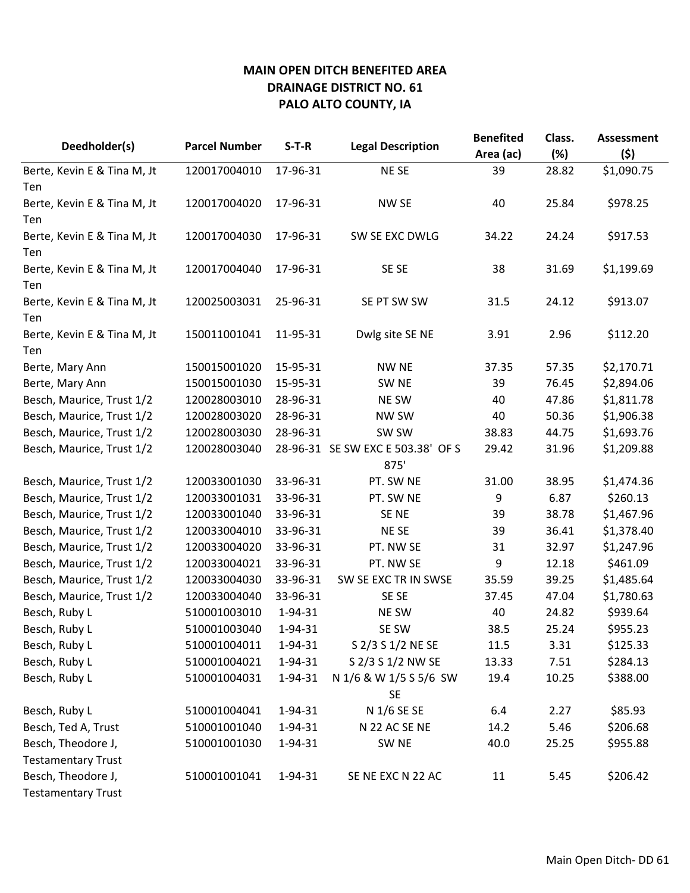| Deedholder(s)               | <b>Parcel Number</b> | $S-T-R$  | <b>Legal Description</b>          | <b>Benefited</b><br>Area (ac) | Class.<br>(%) | <b>Assessment</b><br>(5) |
|-----------------------------|----------------------|----------|-----------------------------------|-------------------------------|---------------|--------------------------|
| Berte, Kevin E & Tina M, Jt | 120017004010         | 17-96-31 | NE SE                             | 39                            | 28.82         | \$1,090.75               |
| Ten                         |                      |          |                                   |                               |               |                          |
| Berte, Kevin E & Tina M, Jt | 120017004020         | 17-96-31 | <b>NW SE</b>                      | 40                            | 25.84         | \$978.25                 |
| Ten                         |                      |          |                                   |                               |               |                          |
| Berte, Kevin E & Tina M, Jt | 120017004030         | 17-96-31 | SW SE EXC DWLG                    | 34.22                         | 24.24         | \$917.53                 |
| Ten                         |                      |          |                                   |                               |               |                          |
| Berte, Kevin E & Tina M, Jt | 120017004040         | 17-96-31 | SE SE                             | 38                            | 31.69         | \$1,199.69               |
| Ten                         |                      |          |                                   |                               |               |                          |
| Berte, Kevin E & Tina M, Jt | 120025003031         | 25-96-31 | SE PT SW SW                       | 31.5                          | 24.12         | \$913.07                 |
| Ten                         |                      |          |                                   |                               |               |                          |
| Berte, Kevin E & Tina M, Jt | 150011001041         | 11-95-31 | Dwlg site SE NE                   | 3.91                          | 2.96          | \$112.20                 |
| Ten                         |                      |          |                                   |                               |               |                          |
| Berte, Mary Ann             | 150015001020         | 15-95-31 | <b>NW NE</b>                      | 37.35                         | 57.35         | \$2,170.71               |
| Berte, Mary Ann             | 150015001030         | 15-95-31 | SW <sub>NE</sub>                  | 39                            | 76.45         | \$2,894.06               |
| Besch, Maurice, Trust 1/2   | 120028003010         | 28-96-31 | NE SW                             | 40                            | 47.86         | \$1,811.78               |
| Besch, Maurice, Trust 1/2   | 120028003020         | 28-96-31 | NW SW                             | 40                            | 50.36         | \$1,906.38               |
| Besch, Maurice, Trust 1/2   | 120028003030         | 28-96-31 | SW SW                             | 38.83                         | 44.75         | \$1,693.76               |
| Besch, Maurice, Trust 1/2   | 120028003040         |          | 28-96-31 SE SW EXC E 503.38' OF S | 29.42                         | 31.96         | \$1,209.88               |
|                             |                      |          | 875'                              |                               |               |                          |
| Besch, Maurice, Trust 1/2   | 120033001030         | 33-96-31 | PT. SW NE                         | 31.00                         | 38.95         | \$1,474.36               |
| Besch, Maurice, Trust 1/2   | 120033001031         | 33-96-31 | PT. SW NE                         | 9                             | 6.87          | \$260.13                 |
| Besch, Maurice, Trust 1/2   | 120033001040         | 33-96-31 | SE <sub>NE</sub>                  | 39                            | 38.78         | \$1,467.96               |
| Besch, Maurice, Trust 1/2   | 120033004010         | 33-96-31 | <b>NESE</b>                       | 39                            | 36.41         | \$1,378.40               |
| Besch, Maurice, Trust 1/2   | 120033004020         | 33-96-31 | PT. NW SE                         | 31                            | 32.97         | \$1,247.96               |
| Besch, Maurice, Trust 1/2   | 120033004021         | 33-96-31 | PT. NW SE                         | 9                             | 12.18         | \$461.09                 |
| Besch, Maurice, Trust 1/2   | 120033004030         | 33-96-31 | SW SE EXC TR IN SWSE              | 35.59                         | 39.25         | \$1,485.64               |
| Besch, Maurice, Trust 1/2   | 120033004040         | 33-96-31 | SE SE                             | 37.45                         | 47.04         | \$1,780.63               |
| Besch, Ruby L               | 510001003010         | 1-94-31  | NE SW                             | 40                            | 24.82         | \$939.64                 |
| Besch, Ruby L               | 510001003040         | 1-94-31  | SE SW                             | 38.5                          | 25.24         | \$955.23                 |
| Besch, Ruby L               | 510001004011         | 1-94-31  | S 2/3 S 1/2 NE SE                 | 11.5                          | 3.31          | \$125.33                 |
| Besch, Ruby L               | 510001004021         | 1-94-31  | S 2/3 S 1/2 NW SE                 | 13.33                         | 7.51          | \$284.13                 |
| Besch, Ruby L               | 510001004031         | 1-94-31  | N 1/6 & W 1/5 S 5/6 SW            | 19.4                          | 10.25         | \$388.00                 |
|                             |                      |          | <b>SE</b>                         |                               |               |                          |
| Besch, Ruby L               | 510001004041         | 1-94-31  | N 1/6 SE SE                       | 6.4                           | 2.27          | \$85.93                  |
| Besch, Ted A, Trust         | 510001001040         | 1-94-31  | N 22 AC SE NE                     | 14.2                          | 5.46          | \$206.68                 |
| Besch, Theodore J,          | 510001001030         | 1-94-31  | SW <sub>NE</sub>                  | 40.0                          | 25.25         | \$955.88                 |
| <b>Testamentary Trust</b>   |                      |          |                                   |                               |               |                          |
| Besch, Theodore J,          | 510001001041         | 1-94-31  | SE NE EXC N 22 AC                 | 11                            | 5.45          | \$206.42                 |
| <b>Testamentary Trust</b>   |                      |          |                                   |                               |               |                          |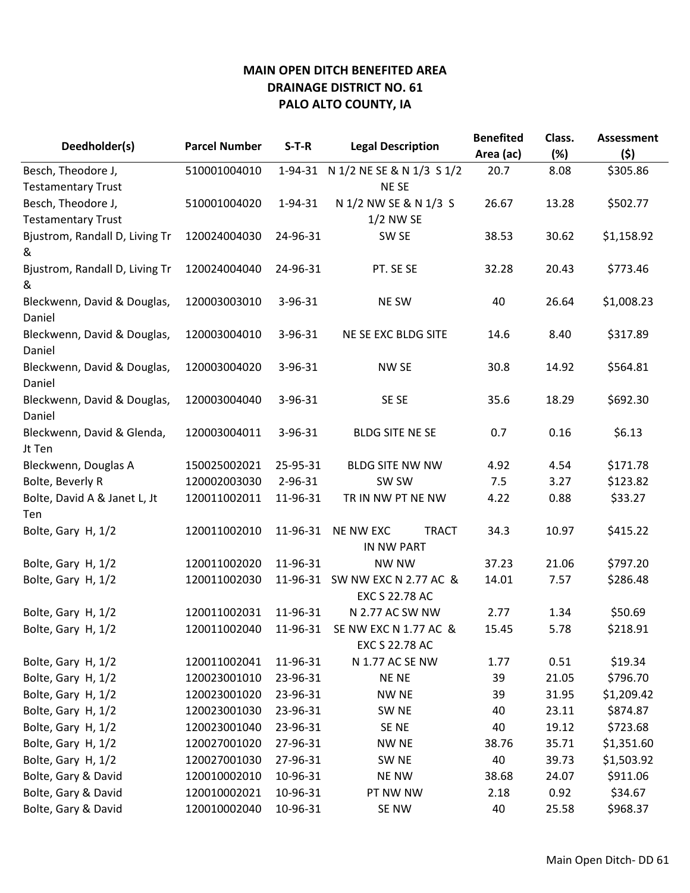| Deedholder(s)                         | <b>Parcel Number</b> | $S-T-R$  | <b>Legal Description</b>                       | <b>Benefited</b><br>Area (ac) | Class.<br>(%) | <b>Assessment</b><br>(\$) |
|---------------------------------------|----------------------|----------|------------------------------------------------|-------------------------------|---------------|---------------------------|
| Besch, Theodore J,                    | 510001004010         | 1-94-31  | N 1/2 NE SE & N 1/3 S 1/2                      | 20.7                          | 8.08          | \$305.86                  |
| <b>Testamentary Trust</b>             |                      |          | NE SE                                          |                               |               |                           |
| Besch, Theodore J,                    | 510001004020         | 1-94-31  | N 1/2 NW SE & N 1/3 S                          | 26.67                         | 13.28         | \$502.77                  |
| <b>Testamentary Trust</b>             |                      |          | 1/2 NW SE                                      |                               |               |                           |
| Bjustrom, Randall D, Living Tr        | 120024004030         | 24-96-31 | SW <sub>SE</sub>                               | 38.53                         | 30.62         | \$1,158.92                |
| &                                     |                      |          |                                                |                               |               |                           |
| Bjustrom, Randall D, Living Tr<br>&   | 120024004040         | 24-96-31 | PT. SE SE                                      | 32.28                         | 20.43         | \$773.46                  |
| Bleckwenn, David & Douglas,<br>Daniel | 120003003010         | 3-96-31  | NE SW                                          | 40                            | 26.64         | \$1,008.23                |
| Bleckwenn, David & Douglas,<br>Daniel | 120003004010         | 3-96-31  | NE SE EXC BLDG SITE                            | 14.6                          | 8.40          | \$317.89                  |
| Bleckwenn, David & Douglas,<br>Daniel | 120003004020         | 3-96-31  | <b>NW SE</b>                                   | 30.8                          | 14.92         | \$564.81                  |
| Bleckwenn, David & Douglas,<br>Daniel | 120003004040         | 3-96-31  | SE SE                                          | 35.6                          | 18.29         | \$692.30                  |
| Bleckwenn, David & Glenda,<br>Jt Ten  | 120003004011         | 3-96-31  | <b>BLDG SITE NE SE</b>                         | 0.7                           | 0.16          | \$6.13                    |
| Bleckwenn, Douglas A                  | 150025002021         | 25-95-31 | <b>BLDG SITE NW NW</b>                         | 4.92                          | 4.54          | \$171.78                  |
| Bolte, Beverly R                      | 120002003030         | 2-96-31  | SW SW                                          | 7.5                           | 3.27          | \$123.82                  |
| Bolte, David A & Janet L, Jt          | 120011002011         | 11-96-31 | TR IN NW PT NE NW                              | 4.22                          | 0.88          | \$33.27                   |
| Ten                                   |                      |          |                                                |                               |               |                           |
| Bolte, Gary H, 1/2                    | 120011002010         | 11-96-31 | <b>NE NW EXC</b><br><b>TRACT</b><br>IN NW PART | 34.3                          | 10.97         | \$415.22                  |
| Bolte, Gary H, 1/2                    | 120011002020         | 11-96-31 | <b>NW NW</b>                                   | 37.23                         | 21.06         | \$797.20                  |
| Bolte, Gary H, 1/2                    | 120011002030         | 11-96-31 | SW NW EXC N 2.77 AC &<br>EXC S 22.78 AC        | 14.01                         | 7.57          | \$286.48                  |
| Bolte, Gary H, 1/2                    | 120011002031         | 11-96-31 | N 2.77 AC SW NW                                | 2.77                          | 1.34          | \$50.69                   |
| Bolte, Gary H, 1/2                    | 120011002040         | 11-96-31 | SE NW EXC N 1.77 AC &<br>EXC S 22.78 AC        | 15.45                         | 5.78          | \$218.91                  |
| Bolte, Gary H, 1/2                    | 120011002041         | 11-96-31 | N 1.77 AC SE NW                                | 1.77                          | 0.51          | \$19.34                   |
| Bolte, Gary H, 1/2                    | 120023001010         | 23-96-31 | <b>NENE</b>                                    | 39                            | 21.05         | \$796.70                  |
| Bolte, Gary H, 1/2                    | 120023001020         | 23-96-31 | <b>NW NE</b>                                   | 39                            | 31.95         | \$1,209.42                |
| Bolte, Gary H, 1/2                    | 120023001030         | 23-96-31 | SW <sub>NE</sub>                               | 40                            | 23.11         | \$874.87                  |
| Bolte, Gary H, 1/2                    | 120023001040         | 23-96-31 | SE <sub>NE</sub>                               | 40                            | 19.12         | \$723.68                  |
| Bolte, Gary H, 1/2                    | 120027001020         | 27-96-31 | <b>NW NE</b>                                   | 38.76                         | 35.71         | \$1,351.60                |
| Bolte, Gary H, 1/2                    | 120027001030         | 27-96-31 | SW <sub>NE</sub>                               | 40                            | 39.73         | \$1,503.92                |
| Bolte, Gary & David                   | 120010002010         | 10-96-31 | <b>NE NW</b>                                   | 38.68                         | 24.07         | \$911.06                  |
| Bolte, Gary & David                   | 120010002021         | 10-96-31 | PT NW NW                                       | 2.18                          | 0.92          | \$34.67                   |
| Bolte, Gary & David                   | 120010002040         | 10-96-31 | SE NW                                          | 40                            | 25.58         | \$968.37                  |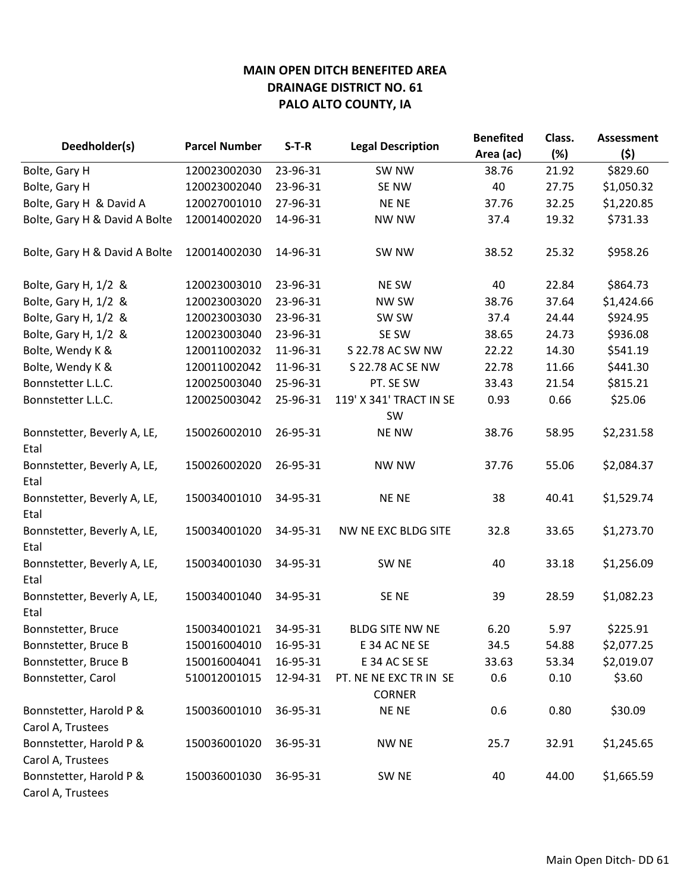| Deedholder(s)                 | <b>Parcel Number</b> | $S-T-R$  | <b>Legal Description</b> | <b>Benefited</b> | Class. | <b>Assessment</b> |
|-------------------------------|----------------------|----------|--------------------------|------------------|--------|-------------------|
|                               |                      |          |                          | Area (ac)        | (%)    | (5)               |
| Bolte, Gary H                 | 120023002030         | 23-96-31 | SW NW                    | 38.76            | 21.92  | \$829.60          |
| Bolte, Gary H                 | 120023002040         | 23-96-31 | SE NW                    | 40               | 27.75  | \$1,050.32        |
| Bolte, Gary H & David A       | 120027001010         | 27-96-31 | <b>NENE</b>              | 37.76            | 32.25  | \$1,220.85        |
| Bolte, Gary H & David A Bolte | 120014002020         | 14-96-31 | <b>NW NW</b>             | 37.4             | 19.32  | \$731.33          |
|                               |                      |          |                          |                  |        |                   |
| Bolte, Gary H & David A Bolte | 120014002030         | 14-96-31 | SW NW                    | 38.52            | 25.32  | \$958.26          |
|                               |                      |          |                          |                  |        |                   |
| Bolte, Gary H, 1/2 &          | 120023003010         | 23-96-31 | <b>NE SW</b>             | 40               | 22.84  | \$864.73          |
| Bolte, Gary H, 1/2 &          | 120023003020         | 23-96-31 | NW SW                    | 38.76            | 37.64  | \$1,424.66        |
| Bolte, Gary H, 1/2 &          | 120023003030         | 23-96-31 | SW SW                    | 37.4             | 24.44  | \$924.95          |
| Bolte, Gary H, 1/2 &          | 120023003040         | 23-96-31 | SE SW                    | 38.65            | 24.73  | \$936.08          |
| Bolte, Wendy K &              | 120011002032         | 11-96-31 | S 22.78 AC SW NW         | 22.22            | 14.30  | \$541.19          |
| Bolte, Wendy K &              | 120011002042         | 11-96-31 | S 22.78 AC SE NW         | 22.78            | 11.66  | \$441.30          |
| Bonnstetter L.L.C.            | 120025003040         | 25-96-31 | PT. SE SW                | 33.43            | 21.54  | \$815.21          |
| Bonnstetter L.L.C.            | 120025003042         | 25-96-31 | 119' X 341' TRACT IN SE  | 0.93             | 0.66   | \$25.06           |
|                               |                      |          | SW                       |                  |        |                   |
| Bonnstetter, Beverly A, LE,   | 150026002010         | 26-95-31 | <b>NE NW</b>             | 38.76            | 58.95  | \$2,231.58        |
| Etal                          |                      |          |                          |                  |        |                   |
| Bonnstetter, Beverly A, LE,   | 150026002020         | 26-95-31 | <b>NW NW</b>             | 37.76            | 55.06  | \$2,084.37        |
| Etal                          |                      |          |                          |                  |        |                   |
| Bonnstetter, Beverly A, LE,   | 150034001010         | 34-95-31 | <b>NENE</b>              | 38               | 40.41  | \$1,529.74        |
| Etal                          |                      |          |                          |                  |        |                   |
| Bonnstetter, Beverly A, LE,   | 150034001020         | 34-95-31 | NW NE EXC BLDG SITE      | 32.8             | 33.65  | \$1,273.70        |
| Etal                          |                      |          |                          |                  |        |                   |
| Bonnstetter, Beverly A, LE,   | 150034001030         | 34-95-31 | SW <sub>NE</sub>         | 40               | 33.18  | \$1,256.09        |
| Etal                          |                      |          |                          |                  |        |                   |
| Bonnstetter, Beverly A, LE,   | 150034001040         | 34-95-31 | SE <sub>NE</sub>         | 39               | 28.59  | \$1,082.23        |
| Etal                          |                      |          |                          |                  |        |                   |
| Bonnstetter, Bruce            | 150034001021         | 34-95-31 | <b>BLDG SITE NW NE</b>   | 6.20             | 5.97   | \$225.91          |
| Bonnstetter, Bruce B          | 150016004010         | 16-95-31 | E 34 AC NE SE            | 34.5             | 54.88  | \$2,077.25        |
| Bonnstetter, Bruce B          | 150016004041         | 16-95-31 | E 34 AC SE SE            | 33.63            | 53.34  | \$2,019.07        |
| Bonnstetter, Carol            | 510012001015         | 12-94-31 | PT. NE NE EXC TR IN SE   | 0.6              | 0.10   | \$3.60            |
|                               |                      |          | <b>CORNER</b>            |                  |        |                   |
| Bonnstetter, Harold P &       | 150036001010         | 36-95-31 | <b>NENE</b>              | 0.6              | 0.80   | \$30.09           |
| Carol A, Trustees             |                      |          |                          |                  |        |                   |
| Bonnstetter, Harold P &       | 150036001020         | 36-95-31 | <b>NW NE</b>             | 25.7             | 32.91  | \$1,245.65        |
| Carol A, Trustees             |                      |          |                          |                  |        |                   |
| Bonnstetter, Harold P &       | 150036001030         | 36-95-31 | SW <sub>NE</sub>         | 40               | 44.00  | \$1,665.59        |
| Carol A, Trustees             |                      |          |                          |                  |        |                   |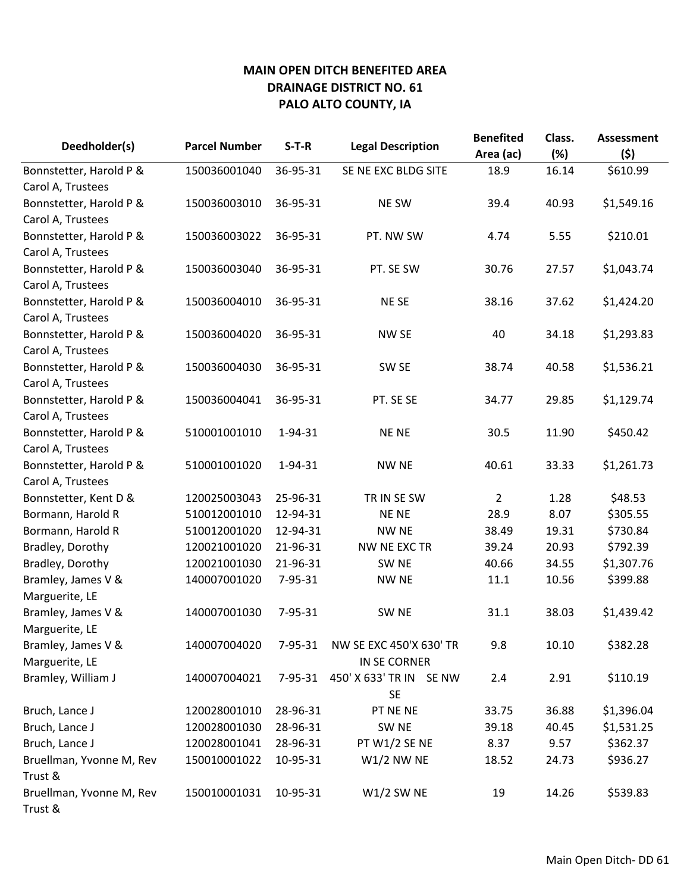| Deedholder(s)            | <b>Parcel Number</b> | $S-T-R$       | <b>Legal Description</b> | <b>Benefited</b><br>Area (ac) | Class.<br>(%) | <b>Assessment</b><br>(5) |
|--------------------------|----------------------|---------------|--------------------------|-------------------------------|---------------|--------------------------|
| Bonnstetter, Harold P &  | 150036001040         | 36-95-31      | SE NE EXC BLDG SITE      | 18.9                          | 16.14         | \$610.99                 |
| Carol A, Trustees        |                      |               |                          |                               |               |                          |
| Bonnstetter, Harold P &  | 150036003010         | 36-95-31      | <b>NE SW</b>             | 39.4                          | 40.93         | \$1,549.16               |
| Carol A, Trustees        |                      |               |                          |                               |               |                          |
| Bonnstetter, Harold P &  | 150036003022         | 36-95-31      | PT. NW SW                | 4.74                          | 5.55          | \$210.01                 |
| Carol A, Trustees        |                      |               |                          |                               |               |                          |
| Bonnstetter, Harold P &  | 150036003040         | 36-95-31      | PT. SE SW                | 30.76                         | 27.57         | \$1,043.74               |
| Carol A, Trustees        |                      |               |                          |                               |               |                          |
| Bonnstetter, Harold P &  | 150036004010         | 36-95-31      | NE SE                    | 38.16                         | 37.62         | \$1,424.20               |
| Carol A, Trustees        |                      |               |                          |                               |               |                          |
| Bonnstetter, Harold P &  | 150036004020         | 36-95-31      | NW SE                    | 40                            | 34.18         | \$1,293.83               |
| Carol A, Trustees        |                      |               |                          |                               |               |                          |
| Bonnstetter, Harold P &  | 150036004030         | 36-95-31      | SW <sub>SE</sub>         | 38.74                         | 40.58         | \$1,536.21               |
| Carol A, Trustees        |                      |               |                          |                               |               |                          |
| Bonnstetter, Harold P &  | 150036004041         | 36-95-31      | PT. SE SE                | 34.77                         | 29.85         | \$1,129.74               |
| Carol A, Trustees        |                      |               |                          |                               |               |                          |
| Bonnstetter, Harold P &  | 510001001010         | 1-94-31       | <b>NENE</b>              | 30.5                          | 11.90         | \$450.42                 |
| Carol A, Trustees        |                      |               |                          |                               |               |                          |
| Bonnstetter, Harold P &  | 510001001020         | 1-94-31       | <b>NW NE</b>             | 40.61                         | 33.33         | \$1,261.73               |
| Carol A, Trustees        |                      |               |                          |                               |               |                          |
| Bonnstetter, Kent D &    | 120025003043         | 25-96-31      | TR IN SE SW              | $\overline{2}$                | 1.28          | \$48.53                  |
| Bormann, Harold R        | 510012001010         | 12-94-31      | <b>NENE</b>              | 28.9                          | 8.07          | \$305.55                 |
| Bormann, Harold R        | 510012001020         | 12-94-31      | <b>NW NE</b>             | 38.49                         | 19.31         | \$730.84                 |
| Bradley, Dorothy         | 120021001020         | 21-96-31      | NW NE EXC TR             | 39.24                         | 20.93         | \$792.39                 |
| Bradley, Dorothy         | 120021001030         | 21-96-31      | SW NE                    | 40.66                         | 34.55         | \$1,307.76               |
| Bramley, James V &       | 140007001020         | 7-95-31       | <b>NW NE</b>             | 11.1                          | 10.56         | \$399.88                 |
| Marguerite, LE           |                      |               |                          |                               |               |                          |
| Bramley, James V &       | 140007001030         | 7-95-31       | SW <sub>NE</sub>         | 31.1                          | 38.03         | \$1,439.42               |
| Marguerite, LE           |                      |               |                          |                               |               |                          |
| Bramley, James V &       | 140007004020         | 7-95-31       | NW SE EXC 450'X 630' TR  | 9.8                           | 10.10         | \$382.28                 |
| Marguerite, LE           |                      |               | IN SE CORNER             |                               |               |                          |
| Bramley, William J       | 140007004021         | $7 - 95 - 31$ | 450' X 633' TR IN SE NW  | 2.4                           | 2.91          | \$110.19                 |
|                          |                      |               | <b>SE</b>                |                               |               |                          |
| Bruch, Lance J           | 120028001010         | 28-96-31      | PT NE NE                 | 33.75                         | 36.88         | \$1,396.04               |
| Bruch, Lance J           | 120028001030         | 28-96-31      | SW NE                    | 39.18                         | 40.45         | \$1,531.25               |
| Bruch, Lance J           | 120028001041         | 28-96-31      | PT W1/2 SE NE            | 8.37                          | 9.57          | \$362.37                 |
| Bruellman, Yvonne M, Rev | 150010001022         | 10-95-31      | $W1/2$ NW NE             | 18.52                         | 24.73         | \$936.27                 |
| Trust &                  |                      |               |                          |                               |               |                          |
| Bruellman, Yvonne M, Rev | 150010001031         | 10-95-31      | $W1/2$ SW NE             | 19                            | 14.26         | \$539.83                 |
| Trust &                  |                      |               |                          |                               |               |                          |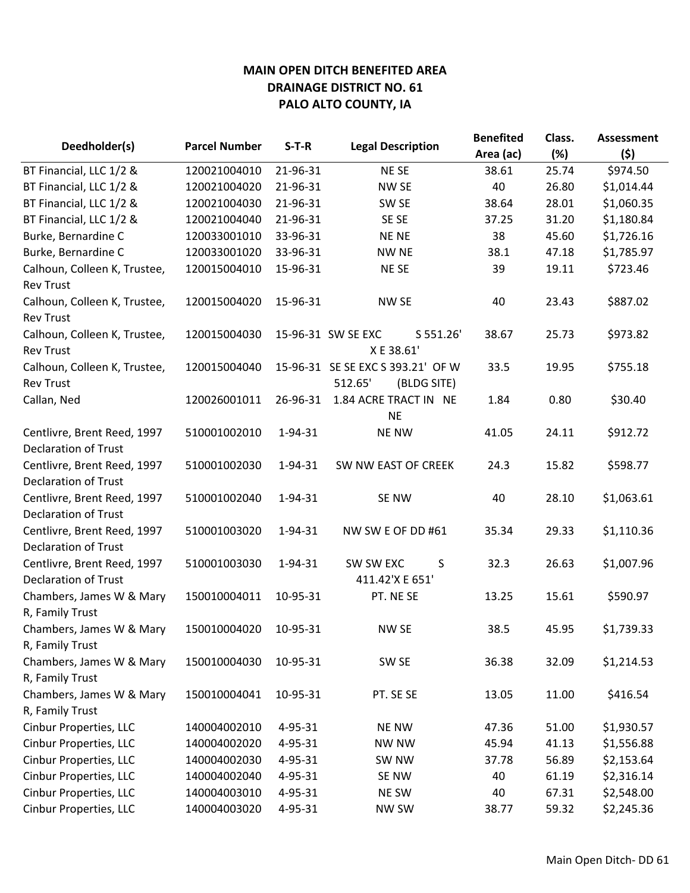|                                                            |                      | $S-T-R$  | <b>Legal Description</b>                                    | <b>Benefited</b> | Class. | <b>Assessment</b> |
|------------------------------------------------------------|----------------------|----------|-------------------------------------------------------------|------------------|--------|-------------------|
| Deedholder(s)                                              | <b>Parcel Number</b> |          |                                                             | Area (ac)        | (%)    | (5)               |
| BT Financial, LLC 1/2 &                                    | 120021004010         | 21-96-31 | <b>NESE</b>                                                 | 38.61            | 25.74  | \$974.50          |
| BT Financial, LLC 1/2 &                                    | 120021004020         | 21-96-31 | NW SE                                                       | 40               | 26.80  | \$1,014.44        |
| BT Financial, LLC 1/2 &                                    | 120021004030         | 21-96-31 | SW <sub>SE</sub>                                            | 38.64            | 28.01  | \$1,060.35        |
| BT Financial, LLC 1/2 &                                    | 120021004040         | 21-96-31 | SE SE                                                       | 37.25            | 31.20  | \$1,180.84        |
| Burke, Bernardine C                                        | 120033001010         | 33-96-31 | <b>NENE</b>                                                 | 38               | 45.60  | \$1,726.16        |
| Burke, Bernardine C                                        | 120033001020         | 33-96-31 | <b>NW NE</b>                                                | 38.1             | 47.18  | \$1,785.97        |
| Calhoun, Colleen K, Trustee,<br><b>Rev Trust</b>           | 120015004010         | 15-96-31 | <b>NESE</b>                                                 | 39               | 19.11  | \$723.46          |
| Calhoun, Colleen K, Trustee,<br><b>Rev Trust</b>           | 120015004020         | 15-96-31 | NW SE                                                       | 40               | 23.43  | \$887.02          |
| Calhoun, Colleen K, Trustee,<br><b>Rev Trust</b>           | 120015004030         |          | 15-96-31 SW SE EXC<br>S 551.26'<br>X E 38.61'               | 38.67            | 25.73  | \$973.82          |
| Calhoun, Colleen K, Trustee,<br><b>Rev Trust</b>           | 120015004040         |          | 15-96-31 SE SE EXC S 393.21' OF W<br>512.65'<br>(BLDG SITE) | 33.5             | 19.95  | \$755.18          |
| Callan, Ned                                                | 120026001011         | 26-96-31 | 1.84 ACRE TRACT IN NE<br><b>NE</b>                          | 1.84             | 0.80   | \$30.40           |
| Centlivre, Brent Reed, 1997<br><b>Declaration of Trust</b> | 510001002010         | 1-94-31  | <b>NE NW</b>                                                | 41.05            | 24.11  | \$912.72          |
| Centlivre, Brent Reed, 1997<br><b>Declaration of Trust</b> | 510001002030         | 1-94-31  | SW NW EAST OF CREEK                                         | 24.3             | 15.82  | \$598.77          |
| Centlivre, Brent Reed, 1997<br><b>Declaration of Trust</b> | 510001002040         | 1-94-31  | SE NW                                                       | 40               | 28.10  | \$1,063.61        |
| Centlivre, Brent Reed, 1997<br><b>Declaration of Trust</b> | 510001003020         | 1-94-31  | NW SW E OF DD #61                                           | 35.34            | 29.33  | \$1,110.36        |
| Centlivre, Brent Reed, 1997<br><b>Declaration of Trust</b> | 510001003030         | 1-94-31  | SW SW EXC<br>S<br>411.42'X E 651'                           | 32.3             | 26.63  | \$1,007.96        |
| Chambers, James W & Mary<br>R, Family Trust                | 150010004011         | 10-95-31 | PT. NE SE                                                   | 13.25            | 15.61  | \$590.97          |
| Chambers, James W & Mary<br>R, Family Trust                | 150010004020         | 10-95-31 | <b>NW SE</b>                                                | 38.5             | 45.95  | \$1,739.33        |
| Chambers, James W & Mary<br>R, Family Trust                | 150010004030         | 10-95-31 | SW SE                                                       | 36.38            | 32.09  | \$1,214.53        |
| Chambers, James W & Mary<br>R, Family Trust                | 150010004041         | 10-95-31 | PT. SE SE                                                   | 13.05            | 11.00  | \$416.54          |
| Cinbur Properties, LLC                                     | 140004002010         | 4-95-31  | <b>NE NW</b>                                                | 47.36            | 51.00  | \$1,930.57        |
| Cinbur Properties, LLC                                     | 140004002020         | 4-95-31  | <b>NW NW</b>                                                | 45.94            | 41.13  | \$1,556.88        |
| Cinbur Properties, LLC                                     | 140004002030         | 4-95-31  | SW NW                                                       | 37.78            | 56.89  | \$2,153.64        |
| Cinbur Properties, LLC                                     | 140004002040         | 4-95-31  | SE NW                                                       | 40               | 61.19  | \$2,316.14        |
| Cinbur Properties, LLC                                     | 140004003010         | 4-95-31  | NE SW                                                       | 40               | 67.31  | \$2,548.00        |
| Cinbur Properties, LLC                                     | 140004003020         | 4-95-31  | <b>NW SW</b>                                                | 38.77            | 59.32  | \$2,245.36        |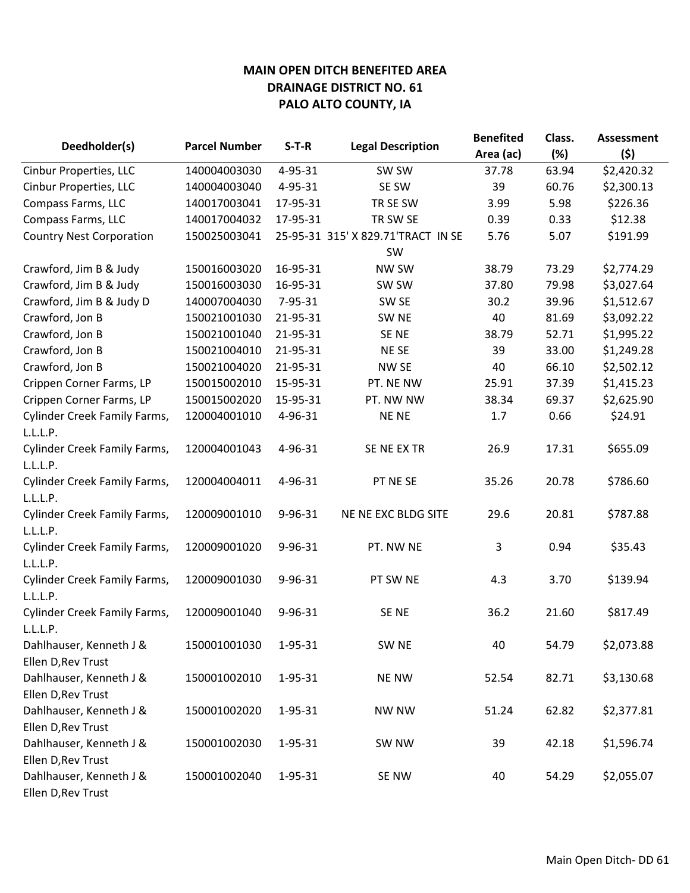| Deedholder(s)                                 | <b>Parcel Number</b> | $S-T-R$  | <b>Legal Description</b>           | <b>Benefited</b><br>Area (ac) | Class.<br>(%) | <b>Assessment</b><br>(5) |
|-----------------------------------------------|----------------------|----------|------------------------------------|-------------------------------|---------------|--------------------------|
| Cinbur Properties, LLC                        | 140004003030         | 4-95-31  | SW SW                              | 37.78                         | 63.94         | \$2,420.32               |
| Cinbur Properties, LLC                        | 140004003040         | 4-95-31  | SE SW                              | 39                            | 60.76         | \$2,300.13               |
| Compass Farms, LLC                            | 140017003041         | 17-95-31 | TR SE SW                           | 3.99                          | 5.98          | \$226.36                 |
| Compass Farms, LLC                            | 140017004032         | 17-95-31 | TR SW SE                           | 0.39                          | 0.33          | \$12.38                  |
| <b>Country Nest Corporation</b>               | 150025003041         |          | 25-95-31 315' X 829.71'TRACT IN SE | 5.76                          | 5.07          | \$191.99                 |
|                                               |                      |          | SW                                 |                               |               |                          |
| Crawford, Jim B & Judy                        | 150016003020         | 16-95-31 | <b>NW SW</b>                       | 38.79                         | 73.29         | \$2,774.29               |
| Crawford, Jim B & Judy                        | 150016003030         | 16-95-31 | SW SW                              | 37.80                         | 79.98         | \$3,027.64               |
| Crawford, Jim B & Judy D                      | 140007004030         | 7-95-31  | SW <sub>SE</sub>                   | 30.2                          | 39.96         | \$1,512.67               |
| Crawford, Jon B                               | 150021001030         | 21-95-31 | SW <sub>NE</sub>                   | 40                            | 81.69         | \$3,092.22               |
| Crawford, Jon B                               | 150021001040         | 21-95-31 | SE NE                              | 38.79                         | 52.71         | \$1,995.22               |
| Crawford, Jon B                               | 150021004010         | 21-95-31 | NE SE                              | 39                            | 33.00         | \$1,249.28               |
| Crawford, Jon B                               | 150021004020         | 21-95-31 | NW SE                              | 40                            | 66.10         | \$2,502.12               |
| Crippen Corner Farms, LP                      | 150015002010         | 15-95-31 | PT. NE NW                          | 25.91                         | 37.39         | \$1,415.23               |
| Crippen Corner Farms, LP                      | 150015002020         | 15-95-31 | PT. NW NW                          | 38.34                         | 69.37         | \$2,625.90               |
| <b>Cylinder Creek Family Farms,</b>           | 120004001010         | 4-96-31  | <b>NENE</b>                        | 1.7                           | 0.66          | \$24.91                  |
| L.L.L.P.                                      |                      |          |                                    |                               |               |                          |
| Cylinder Creek Family Farms,                  | 120004001043         | 4-96-31  | SE NE EX TR                        | 26.9                          | 17.31         | \$655.09                 |
| L.L.L.P.                                      |                      |          |                                    |                               |               |                          |
| <b>Cylinder Creek Family Farms,</b>           | 120004004011         | 4-96-31  | PT NE SE                           | 35.26                         | 20.78         | \$786.60                 |
| L.L.L.P.                                      |                      |          |                                    |                               |               |                          |
| <b>Cylinder Creek Family Farms,</b>           | 120009001010         | 9-96-31  | NE NE EXC BLDG SITE                | 29.6                          | 20.81         | \$787.88                 |
| L.L.L.P.                                      |                      |          |                                    |                               |               |                          |
| <b>Cylinder Creek Family Farms,</b>           | 120009001020         | 9-96-31  | PT. NW NE                          | 3                             | 0.94          | \$35.43                  |
| L.L.L.P.                                      |                      |          |                                    |                               |               |                          |
| <b>Cylinder Creek Family Farms,</b>           | 120009001030         | 9-96-31  | PT SW NE                           | 4.3                           | 3.70          | \$139.94                 |
| L.L.L.P.                                      |                      |          |                                    |                               |               |                          |
| <b>Cylinder Creek Family Farms,</b>           | 120009001040         | 9-96-31  | SE <sub>NE</sub>                   | 36.2                          | 21.60         | \$817.49                 |
| L.L.L.P.                                      |                      |          |                                    |                               |               |                          |
| Dahlhauser, Kenneth J &                       | 150001001030         | 1-95-31  | SW <sub>NE</sub>                   | 40                            | 54.79         | \$2,073.88               |
| Ellen D, Rev Trust                            |                      |          |                                    |                               |               |                          |
| Dahlhauser, Kenneth J &                       | 150001002010         | 1-95-31  | <b>NE NW</b>                       | 52.54                         | 82.71         | \$3,130.68               |
| Ellen D, Rev Trust                            |                      |          |                                    |                               |               |                          |
| Dahlhauser, Kenneth J &                       | 150001002020         | 1-95-31  | <b>NW NW</b>                       | 51.24                         | 62.82         | \$2,377.81               |
| Ellen D, Rev Trust                            |                      |          |                                    |                               |               |                          |
| Dahlhauser, Kenneth J &                       | 150001002030         | 1-95-31  | SW NW                              | 39                            | 42.18         | \$1,596.74               |
| Ellen D, Rev Trust                            |                      |          |                                    |                               |               |                          |
| Dahlhauser, Kenneth J &<br>Ellen D, Rev Trust | 150001002040         | 1-95-31  | SE NW                              | 40                            | 54.29         | \$2,055.07               |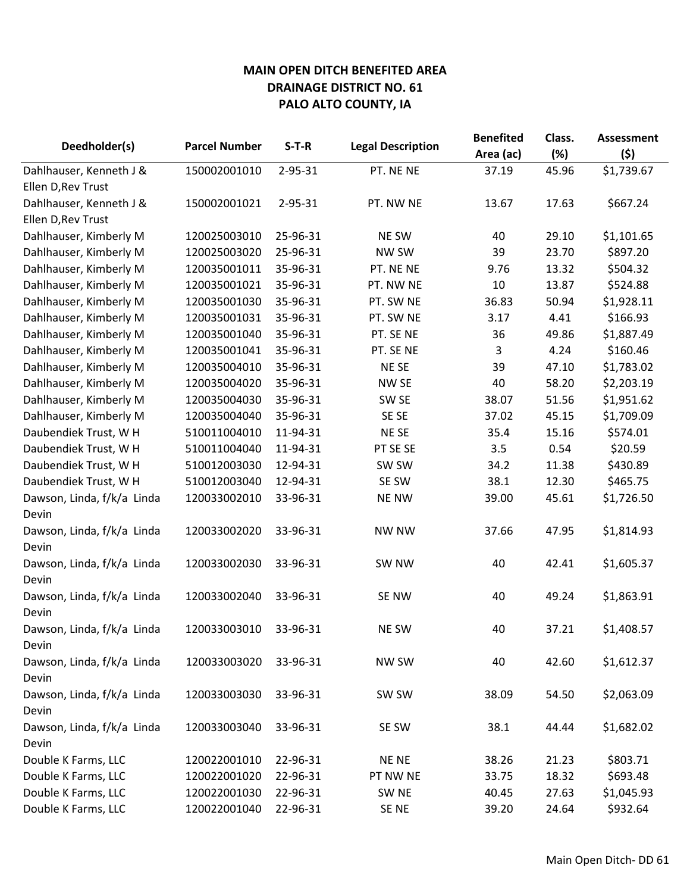| Deedholder(s)                       | <b>Parcel Number</b> | $S-T-R$  | <b>Legal Description</b> | <b>Benefited</b><br>Area (ac) | Class.<br>(%) | <b>Assessment</b><br>(\$) |
|-------------------------------------|----------------------|----------|--------------------------|-------------------------------|---------------|---------------------------|
| Dahlhauser, Kenneth J &             | 150002001010         | 2-95-31  | PT. NE NE                | 37.19                         | 45.96         | \$1,739.67                |
| Ellen D, Rev Trust                  |                      |          |                          |                               |               |                           |
| Dahlhauser, Kenneth J &             | 150002001021         | 2-95-31  | PT. NW NE                | 13.67                         | 17.63         | \$667.24                  |
| Ellen D, Rev Trust                  |                      |          |                          |                               |               |                           |
| Dahlhauser, Kimberly M              | 120025003010         | 25-96-31 | NE SW                    | 40                            | 29.10         | \$1,101.65                |
| Dahlhauser, Kimberly M              | 120025003020         | 25-96-31 | NW SW                    | 39                            | 23.70         | \$897.20                  |
| Dahlhauser, Kimberly M              | 120035001011         | 35-96-31 | PT. NE NE                | 9.76                          | 13.32         | \$504.32                  |
| Dahlhauser, Kimberly M              | 120035001021         | 35-96-31 | PT. NW NE                | 10                            | 13.87         | \$524.88                  |
| Dahlhauser, Kimberly M              | 120035001030         | 35-96-31 | PT. SW NE                | 36.83                         | 50.94         | \$1,928.11                |
| Dahlhauser, Kimberly M              | 120035001031         | 35-96-31 | PT. SW NE                | 3.17                          | 4.41          | \$166.93                  |
| Dahlhauser, Kimberly M              | 120035001040         | 35-96-31 | PT. SE NE                | 36                            | 49.86         | \$1,887.49                |
| Dahlhauser, Kimberly M              | 120035001041         | 35-96-31 | PT. SE NE                | 3                             | 4.24          | \$160.46                  |
| Dahlhauser, Kimberly M              | 120035004010         | 35-96-31 | <b>NESE</b>              | 39                            | 47.10         | \$1,783.02                |
| Dahlhauser, Kimberly M              | 120035004020         | 35-96-31 | NW <sub>SE</sub>         | 40                            | 58.20         | \$2,203.19                |
| Dahlhauser, Kimberly M              | 120035004030         | 35-96-31 | SW <sub>SE</sub>         | 38.07                         | 51.56         | \$1,951.62                |
| Dahlhauser, Kimberly M              | 120035004040         | 35-96-31 | SE SE                    | 37.02                         | 45.15         | \$1,709.09                |
| Daubendiek Trust, W H               | 510011004010         | 11-94-31 | <b>NESE</b>              | 35.4                          | 15.16         | \$574.01                  |
| Daubendiek Trust, W H               | 510011004040         | 11-94-31 | PT SE SE                 | 3.5                           | 0.54          | \$20.59                   |
| Daubendiek Trust, W H               | 510012003030         | 12-94-31 | SW SW                    | 34.2                          | 11.38         | \$430.89                  |
| Daubendiek Trust, W H               | 510012003040         | 12-94-31 | SE SW                    | 38.1                          | 12.30         | \$465.75                  |
| Dawson, Linda, f/k/a Linda<br>Devin | 120033002010         | 33-96-31 | <b>NE NW</b>             | 39.00                         | 45.61         | \$1,726.50                |
| Dawson, Linda, f/k/a Linda<br>Devin | 120033002020         | 33-96-31 | <b>NW NW</b>             | 37.66                         | 47.95         | \$1,814.93                |
| Dawson, Linda, f/k/a Linda<br>Devin | 120033002030         | 33-96-31 | SW NW                    | 40                            | 42.41         | \$1,605.37                |
| Dawson, Linda, f/k/a Linda<br>Devin | 120033002040         | 33-96-31 | SE NW                    | 40                            | 49.24         | \$1,863.91                |
| Dawson, Linda, f/k/a Linda<br>Devin | 120033003010         | 33-96-31 | NE SW                    | 40                            | 37.21         | \$1,408.57                |
| Dawson, Linda, f/k/a Linda<br>Devin | 120033003020         | 33-96-31 | <b>NW SW</b>             | 40                            | 42.60         | \$1,612.37                |
| Dawson, Linda, f/k/a Linda<br>Devin | 120033003030         | 33-96-31 | SW SW                    | 38.09                         | 54.50         | \$2,063.09                |
| Dawson, Linda, f/k/a Linda<br>Devin | 120033003040         | 33-96-31 | SE SW                    | 38.1                          | 44.44         | \$1,682.02                |
| Double K Farms, LLC                 | 120022001010         | 22-96-31 | NE NE                    | 38.26                         | 21.23         | \$803.71                  |
| Double K Farms, LLC                 | 120022001020         | 22-96-31 | PT NW NE                 | 33.75                         | 18.32         | \$693.48                  |
| Double K Farms, LLC                 | 120022001030         | 22-96-31 | SW <sub>NE</sub>         | 40.45                         | 27.63         | \$1,045.93                |
| Double K Farms, LLC                 | 120022001040         | 22-96-31 | SE NE                    | 39.20                         | 24.64         | \$932.64                  |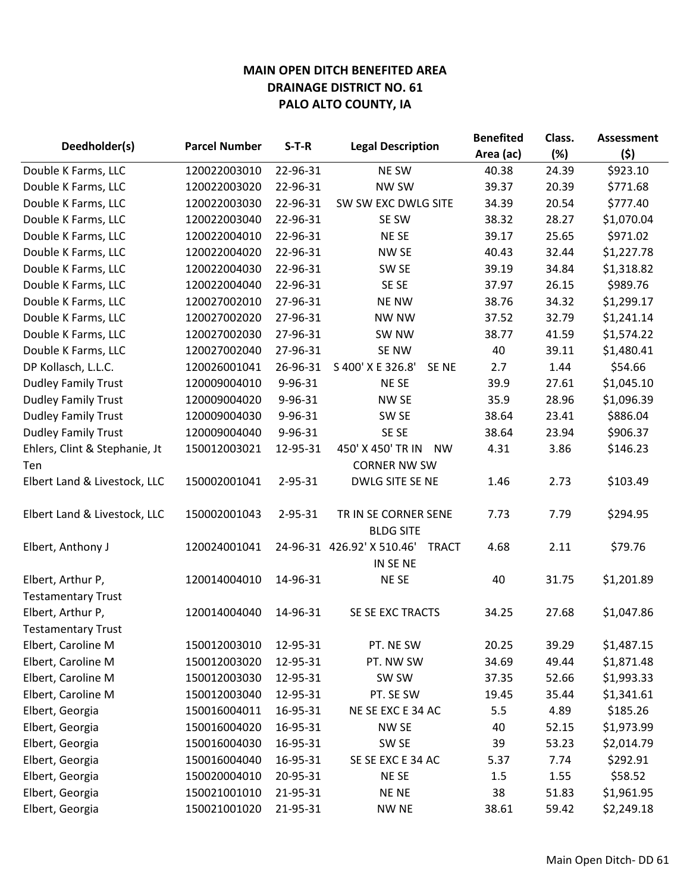|                               |                      | $S-T-R$       | <b>Legal Description</b>                               | <b>Benefited</b> | Class. | <b>Assessment</b> |
|-------------------------------|----------------------|---------------|--------------------------------------------------------|------------------|--------|-------------------|
| Deedholder(s)                 | <b>Parcel Number</b> |               |                                                        | Area (ac)        | (%)    | (\$)              |
| Double K Farms, LLC           | 120022003010         | 22-96-31      | NE SW                                                  | 40.38            | 24.39  | \$923.10          |
| Double K Farms, LLC           | 120022003020         | 22-96-31      | NW SW                                                  | 39.37            | 20.39  | \$771.68          |
| Double K Farms, LLC           | 120022003030         | 22-96-31      | SW SW EXC DWLG SITE                                    | 34.39            | 20.54  | \$777.40          |
| Double K Farms, LLC           | 120022003040         | 22-96-31      | SE SW                                                  | 38.32            | 28.27  | \$1,070.04        |
| Double K Farms, LLC           | 120022004010         | 22-96-31      | NE SE                                                  | 39.17            | 25.65  | \$971.02          |
| Double K Farms, LLC           | 120022004020         | 22-96-31      | NW SE                                                  | 40.43            | 32.44  | \$1,227.78        |
| Double K Farms, LLC           | 120022004030         | 22-96-31      | SW <sub>SE</sub>                                       | 39.19            | 34.84  | \$1,318.82        |
| Double K Farms, LLC           | 120022004040         | 22-96-31      | SE SE                                                  | 37.97            | 26.15  | \$989.76          |
| Double K Farms, LLC           | 120027002010         | 27-96-31      | <b>NE NW</b>                                           | 38.76            | 34.32  | \$1,299.17        |
| Double K Farms, LLC           | 120027002020         | 27-96-31      | <b>NW NW</b>                                           | 37.52            | 32.79  | \$1,241.14        |
| Double K Farms, LLC           | 120027002030         | 27-96-31      | SW NW                                                  | 38.77            | 41.59  | \$1,574.22        |
| Double K Farms, LLC           | 120027002040         | 27-96-31      | SE NW                                                  | 40               | 39.11  | \$1,480.41        |
| DP Kollasch, L.L.C.           | 120026001041         | 26-96-31      | S 400' X E 326.8'<br>SE NE                             | 2.7              | 1.44   | \$54.66           |
| <b>Dudley Family Trust</b>    | 120009004010         | 9-96-31       | NE SE                                                  | 39.9             | 27.61  | \$1,045.10        |
| <b>Dudley Family Trust</b>    | 120009004020         | 9-96-31       | NW SE                                                  | 35.9             | 28.96  | \$1,096.39        |
| <b>Dudley Family Trust</b>    | 120009004030         | 9-96-31       | SW <sub>SE</sub>                                       | 38.64            | 23.41  | \$886.04          |
| <b>Dudley Family Trust</b>    | 120009004040         | 9-96-31       | SE SE                                                  | 38.64            | 23.94  | \$906.37          |
| Ehlers, Clint & Stephanie, Jt | 150012003021         | 12-95-31      | 450' X 450' TR IN<br><b>NW</b>                         | 4.31             | 3.86   | \$146.23          |
| Ten                           |                      |               | <b>CORNER NW SW</b>                                    |                  |        |                   |
| Elbert Land & Livestock, LLC  | 150002001041         | 2-95-31       | DWLG SITE SE NE                                        | 1.46             | 2.73   | \$103.49          |
| Elbert Land & Livestock, LLC  | 150002001043         | $2 - 95 - 31$ | TR IN SE CORNER SENE<br><b>BLDG SITE</b>               | 7.73             | 7.79   | \$294.95          |
| Elbert, Anthony J             | 120024001041         |               | 24-96-31 426.92' X 510.46'<br><b>TRACT</b><br>IN SE NE | 4.68             | 2.11   | \$79.76           |
| Elbert, Arthur P,             | 120014004010         | 14-96-31      | NE SE                                                  | 40               | 31.75  | \$1,201.89        |
| <b>Testamentary Trust</b>     |                      |               |                                                        |                  |        |                   |
| Elbert, Arthur P,             | 120014004040         | 14-96-31      | SE SE EXC TRACTS                                       | 34.25            | 27.68  | \$1,047.86        |
| <b>Testamentary Trust</b>     |                      |               |                                                        |                  |        |                   |
| Elbert, Caroline M            | 150012003010         | 12-95-31      | PT. NE SW                                              | 20.25            | 39.29  | \$1,487.15        |
| Elbert, Caroline M            | 150012003020         | 12-95-31      | PT. NW SW                                              | 34.69            | 49.44  | \$1,871.48        |
| Elbert, Caroline M            | 150012003030         | 12-95-31      | SW SW                                                  | 37.35            | 52.66  | \$1,993.33        |
| Elbert, Caroline M            | 150012003040         | 12-95-31      | PT. SE SW                                              | 19.45            | 35.44  | \$1,341.61        |
| Elbert, Georgia               | 150016004011         | 16-95-31      | NE SE EXC E 34 AC                                      | 5.5              | 4.89   | \$185.26          |
| Elbert, Georgia               | 150016004020         | 16-95-31      | NW SE                                                  | 40               | 52.15  | \$1,973.99        |
| Elbert, Georgia               | 150016004030         | 16-95-31      | SW <sub>SE</sub>                                       | 39               | 53.23  | \$2,014.79        |
| Elbert, Georgia               | 150016004040         | 16-95-31      | SE SE EXC E 34 AC                                      | 5.37             | 7.74   | \$292.91          |
| Elbert, Georgia               | 150020004010         | 20-95-31      | NE SE                                                  | 1.5              | 1.55   | \$58.52           |
| Elbert, Georgia               | 150021001010         | 21-95-31      | NE NE                                                  | 38               | 51.83  | \$1,961.95        |
| Elbert, Georgia               | 150021001020         | 21-95-31      | <b>NW NE</b>                                           | 38.61            | 59.42  | \$2,249.18        |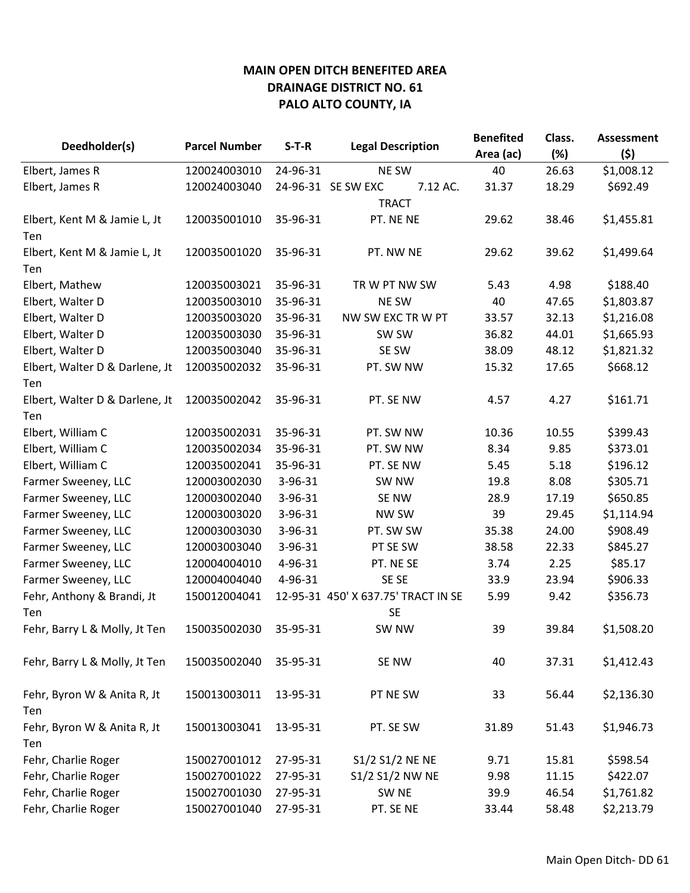| Deedholder(s)                  | <b>Parcel Number</b> | $S-T-R$  | <b>Legal Description</b>            | <b>Benefited</b> | Class. | <b>Assessment</b> |
|--------------------------------|----------------------|----------|-------------------------------------|------------------|--------|-------------------|
|                                |                      |          |                                     | Area (ac)        | (%)    | (5)               |
| Elbert, James R                | 120024003010         | 24-96-31 | <b>NE SW</b>                        | 40               | 26.63  | \$1,008.12        |
| Elbert, James R                | 120024003040         |          | 24-96-31 SE SW EXC<br>7.12 AC.      | 31.37            | 18.29  | \$692.49          |
|                                |                      |          | <b>TRACT</b>                        |                  |        |                   |
| Elbert, Kent M & Jamie L, Jt   | 120035001010         | 35-96-31 | PT. NE NE                           | 29.62            | 38.46  | \$1,455.81        |
| Ten                            |                      |          |                                     |                  |        |                   |
| Elbert, Kent M & Jamie L, Jt   | 120035001020         | 35-96-31 | PT. NW NE                           | 29.62            | 39.62  | \$1,499.64        |
| Ten                            |                      |          |                                     |                  |        |                   |
| Elbert, Mathew                 | 120035003021         | 35-96-31 | TR W PT NW SW                       | 5.43             | 4.98   | \$188.40          |
| Elbert, Walter D               | 120035003010         | 35-96-31 | NE SW                               | 40               | 47.65  | \$1,803.87        |
| Elbert, Walter D               | 120035003020         | 35-96-31 | NW SW EXC TR W PT                   | 33.57            | 32.13  | \$1,216.08        |
| Elbert, Walter D               | 120035003030         | 35-96-31 | SW SW                               | 36.82            | 44.01  | \$1,665.93        |
| Elbert, Walter D               | 120035003040         | 35-96-31 | SE SW                               | 38.09            | 48.12  | \$1,821.32        |
| Elbert, Walter D & Darlene, Jt | 120035002032         | 35-96-31 | PT. SW NW                           | 15.32            | 17.65  | \$668.12          |
| Ten                            |                      |          |                                     |                  |        |                   |
| Elbert, Walter D & Darlene, Jt | 120035002042         | 35-96-31 | PT. SE NW                           | 4.57             | 4.27   | \$161.71          |
| Ten                            |                      |          |                                     |                  |        |                   |
| Elbert, William C              | 120035002031         | 35-96-31 | PT. SW NW                           | 10.36            | 10.55  | \$399.43          |
| Elbert, William C              | 120035002034         | 35-96-31 | PT. SW NW                           | 8.34             | 9.85   | \$373.01          |
| Elbert, William C              | 120035002041         | 35-96-31 | PT. SE NW                           | 5.45             | 5.18   | \$196.12          |
| Farmer Sweeney, LLC            | 120003002030         | 3-96-31  | SW <sub>NW</sub>                    | 19.8             | 8.08   | \$305.71          |
| Farmer Sweeney, LLC            | 120003002040         | 3-96-31  | SE NW                               | 28.9             | 17.19  | \$650.85          |
| Farmer Sweeney, LLC            | 120003003020         | 3-96-31  | NW SW                               | 39               | 29.45  | \$1,114.94        |
| Farmer Sweeney, LLC            | 120003003030         | 3-96-31  | PT. SW SW                           | 35.38            | 24.00  | \$908.49          |
| Farmer Sweeney, LLC            | 120003003040         | 3-96-31  | PT SE SW                            | 38.58            | 22.33  | \$845.27          |
| Farmer Sweeney, LLC            | 120004004010         | 4-96-31  | PT. NE SE                           | 3.74             | 2.25   | \$85.17           |
| Farmer Sweeney, LLC            | 120004004040         | 4-96-31  | SE SE                               | 33.9             | 23.94  | \$906.33          |
| Fehr, Anthony & Brandi, Jt     | 150012004041         |          | 12-95-31 450' X 637.75' TRACT IN SE | 5.99             | 9.42   | \$356.73          |
| Ten                            |                      |          | <b>SE</b>                           |                  |        |                   |
| Fehr, Barry L & Molly, Jt Ten  | 150035002030         | 35-95-31 | SW <sub>NW</sub>                    | 39               | 39.84  | \$1,508.20        |
|                                |                      |          |                                     |                  |        |                   |
| Fehr, Barry L & Molly, Jt Ten  | 150035002040         | 35-95-31 | SE NW                               | 40               | 37.31  | \$1,412.43        |
|                                |                      |          |                                     |                  |        |                   |
| Fehr, Byron W & Anita R, Jt    | 150013003011         | 13-95-31 | PT NE SW                            | 33               | 56.44  | \$2,136.30        |
| Ten                            |                      |          |                                     |                  |        |                   |
| Fehr, Byron W & Anita R, Jt    | 150013003041         | 13-95-31 | PT. SE SW                           | 31.89            | 51.43  | \$1,946.73        |
| Ten                            |                      |          |                                     |                  |        |                   |
| Fehr, Charlie Roger            | 150027001012         | 27-95-31 | S1/2 S1/2 NE NE                     | 9.71             | 15.81  | \$598.54          |
| Fehr, Charlie Roger            | 150027001022         | 27-95-31 | S1/2 S1/2 NW NE                     | 9.98             | 11.15  | \$422.07          |
| Fehr, Charlie Roger            | 150027001030         | 27-95-31 | SW <sub>NE</sub>                    | 39.9             | 46.54  | \$1,761.82        |
| Fehr, Charlie Roger            | 150027001040         | 27-95-31 | PT. SE NE                           | 33.44            | 58.48  | \$2,213.79        |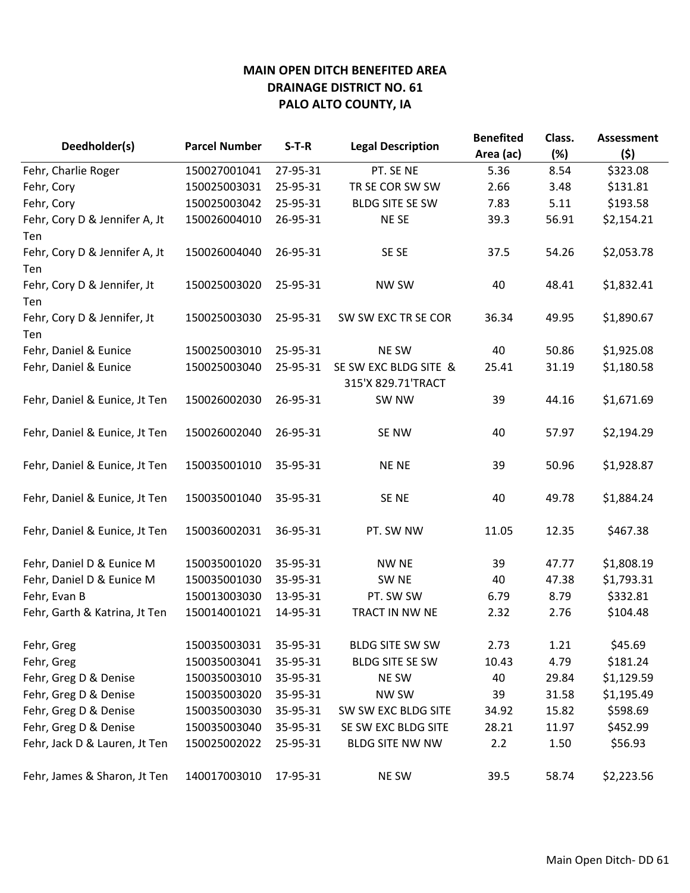| Deedholder(s)                 | <b>Parcel Number</b> | $S-T-R$  |                                             | <b>Benefited</b> | Class. | <b>Assessment</b> |
|-------------------------------|----------------------|----------|---------------------------------------------|------------------|--------|-------------------|
|                               |                      |          | <b>Legal Description</b>                    | Area (ac)        | (%)    | (5)               |
| Fehr, Charlie Roger           | 150027001041         | 27-95-31 | PT. SE NE                                   | 5.36             | 8.54   | \$323.08          |
| Fehr, Cory                    | 150025003031         | 25-95-31 | TR SE COR SW SW                             | 2.66             | 3.48   | \$131.81          |
| Fehr, Cory                    | 150025003042         | 25-95-31 | <b>BLDG SITE SE SW</b>                      | 7.83             | 5.11   | \$193.58          |
| Fehr, Cory D & Jennifer A, Jt | 150026004010         | 26-95-31 | NE SE                                       | 39.3             | 56.91  | \$2,154.21        |
| Ten                           |                      |          |                                             |                  |        |                   |
| Fehr, Cory D & Jennifer A, Jt | 150026004040         | 26-95-31 | SE SE                                       | 37.5             | 54.26  | \$2,053.78        |
| Ten                           |                      |          |                                             |                  |        |                   |
| Fehr, Cory D & Jennifer, Jt   | 150025003020         | 25-95-31 | NW SW                                       | 40               | 48.41  | \$1,832.41        |
| Ten                           |                      |          |                                             |                  |        |                   |
| Fehr, Cory D & Jennifer, Jt   | 150025003030         | 25-95-31 | SW SW EXC TR SE COR                         | 36.34            | 49.95  | \$1,890.67        |
| Ten                           |                      |          |                                             |                  |        |                   |
| Fehr, Daniel & Eunice         | 150025003010         | 25-95-31 | NE SW                                       | 40               | 50.86  | \$1,925.08        |
| Fehr, Daniel & Eunice         | 150025003040         | 25-95-31 | SE SW EXC BLDG SITE &<br>315'X 829.71'TRACT | 25.41            | 31.19  | \$1,180.58        |
| Fehr, Daniel & Eunice, Jt Ten | 150026002030         | 26-95-31 | SW <sub>NW</sub>                            | 39               | 44.16  | \$1,671.69        |
| Fehr, Daniel & Eunice, Jt Ten | 150026002040         | 26-95-31 | SE NW                                       | 40               | 57.97  | \$2,194.29        |
| Fehr, Daniel & Eunice, Jt Ten | 150035001010         | 35-95-31 | <b>NENE</b>                                 | 39               | 50.96  | \$1,928.87        |
| Fehr, Daniel & Eunice, Jt Ten | 150035001040         | 35-95-31 | SE NE                                       | 40               | 49.78  | \$1,884.24        |
| Fehr, Daniel & Eunice, Jt Ten | 150036002031         | 36-95-31 | PT. SW NW                                   | 11.05            | 12.35  | \$467.38          |
| Fehr, Daniel D & Eunice M     | 150035001020         | 35-95-31 | <b>NW NE</b>                                | 39               | 47.77  | \$1,808.19        |
| Fehr, Daniel D & Eunice M     | 150035001030         | 35-95-31 | SW <sub>NE</sub>                            | 40               | 47.38  | \$1,793.31        |
| Fehr, Evan B                  | 150013003030         | 13-95-31 | PT. SW SW                                   | 6.79             | 8.79   | \$332.81          |
| Fehr, Garth & Katrina, Jt Ten | 150014001021         | 14-95-31 | TRACT IN NW NE                              | 2.32             | 2.76   | \$104.48          |
| Fehr, Greg                    | 150035003031         | 35-95-31 | <b>BLDG SITE SW SW</b>                      | 2.73             | 1.21   | \$45.69           |
| Fehr, Greg                    | 150035003041         | 35-95-31 | <b>BLDG SITE SE SW</b>                      | 10.43            | 4.79   | \$181.24          |
| Fehr, Greg D & Denise         | 150035003010         | 35-95-31 | NE SW                                       | 40               | 29.84  | \$1,129.59        |
| Fehr, Greg D & Denise         | 150035003020         | 35-95-31 | <b>NW SW</b>                                | 39               | 31.58  | \$1,195.49        |
| Fehr, Greg D & Denise         | 150035003030         | 35-95-31 | SW SW EXC BLDG SITE                         | 34.92            | 15.82  | \$598.69          |
| Fehr, Greg D & Denise         | 150035003040         | 35-95-31 | SE SW EXC BLDG SITE                         | 28.21            | 11.97  | \$452.99          |
| Fehr, Jack D & Lauren, Jt Ten | 150025002022         | 25-95-31 | <b>BLDG SITE NW NW</b>                      | 2.2              | 1.50   | \$56.93           |
| Fehr, James & Sharon, Jt Ten  | 140017003010         | 17-95-31 | NE SW                                       | 39.5             | 58.74  | \$2,223.56        |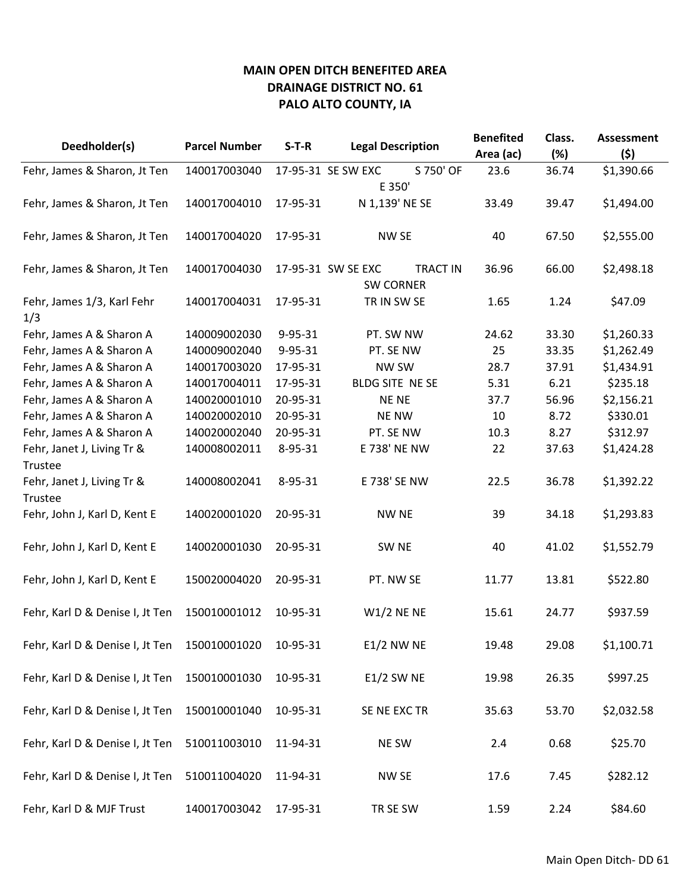| Deedholder(s)                         | <b>Parcel Number</b> | $S-T-R$  | <b>Legal Description</b>              | <b>Benefited</b><br>Area (ac) | Class.<br>(%) | <b>Assessment</b><br>(5) |
|---------------------------------------|----------------------|----------|---------------------------------------|-------------------------------|---------------|--------------------------|
| Fehr, James & Sharon, Jt Ten          | 140017003040         |          | S 750' OF<br>17-95-31 SE SW EXC       | 23.6                          | 36.74         | \$1,390.66               |
|                                       |                      |          | E 350'                                |                               |               |                          |
| Fehr, James & Sharon, Jt Ten          | 140017004010         | 17-95-31 | N 1,139' NE SE                        | 33.49                         | 39.47         | \$1,494.00               |
| Fehr, James & Sharon, Jt Ten          | 140017004020         | 17-95-31 | NW SE                                 | 40                            | 67.50         | \$2,555.00               |
| Fehr, James & Sharon, Jt Ten          | 140017004030         |          | <b>TRACT IN</b><br>17-95-31 SW SE EXC | 36.96                         | 66.00         | \$2,498.18               |
| Fehr, James 1/3, Karl Fehr<br>1/3     | 140017004031         | 17-95-31 | <b>SW CORNER</b><br>TR IN SW SE       | 1.65                          | 1.24          | \$47.09                  |
| Fehr, James A & Sharon A              | 140009002030         | 9-95-31  | PT. SW NW                             | 24.62                         | 33.30         | \$1,260.33               |
| Fehr, James A & Sharon A              | 140009002040         | 9-95-31  | PT. SE NW                             | 25                            | 33.35         | \$1,262.49               |
| Fehr, James A & Sharon A              | 140017003020         | 17-95-31 | <b>NW SW</b>                          | 28.7                          | 37.91         | \$1,434.91               |
| Fehr, James A & Sharon A              | 140017004011         | 17-95-31 | BLDG SITE NE SE                       | 5.31                          | 6.21          | \$235.18                 |
| Fehr, James A & Sharon A              | 140020001010         | 20-95-31 | <b>NENE</b>                           | 37.7                          | 56.96         | \$2,156.21               |
| Fehr, James A & Sharon A              | 140020002010         | 20-95-31 | <b>NE NW</b>                          | 10                            | 8.72          | \$330.01                 |
| Fehr, James A & Sharon A              | 140020002040         | 20-95-31 | PT. SE NW                             | 10.3                          | 8.27          | \$312.97                 |
| Fehr, Janet J, Living Tr &            | 140008002011         | 8-95-31  | E 738' NE NW                          | 22                            | 37.63         | \$1,424.28               |
| Trustee                               |                      |          |                                       |                               |               |                          |
| Fehr, Janet J, Living Tr &<br>Trustee | 140008002041         | 8-95-31  | E 738' SE NW                          | 22.5                          | 36.78         | \$1,392.22               |
| Fehr, John J, Karl D, Kent E          | 140020001020         | 20-95-31 | <b>NW NE</b>                          | 39                            | 34.18         | \$1,293.83               |
| Fehr, John J, Karl D, Kent E          | 140020001030         | 20-95-31 | SW <sub>NE</sub>                      | 40                            | 41.02         | \$1,552.79               |
| Fehr, John J, Karl D, Kent E          | 150020004020         | 20-95-31 | PT. NW SE                             | 11.77                         | 13.81         | \$522.80                 |
| Fehr, Karl D & Denise I, Jt Ten       | 150010001012         | 10-95-31 | $W1/2$ NE NE                          | 15.61                         | 24.77         | \$937.59                 |
| Fehr, Karl D & Denise I, Jt Ten       | 150010001020         | 10-95-31 | <b>E1/2 NW NE</b>                     | 19.48                         | 29.08         | \$1,100.71               |
| Fehr, Karl D & Denise I, Jt Ten       | 150010001030         | 10-95-31 | <b>E1/2 SW NE</b>                     | 19.98                         | 26.35         | \$997.25                 |
| Fehr, Karl D & Denise I, Jt Ten       | 150010001040         | 10-95-31 | SE NE EXC TR                          | 35.63                         | 53.70         | \$2,032.58               |
| Fehr, Karl D & Denise I, Jt Ten       | 510011003010         | 11-94-31 | NE SW                                 | 2.4                           | 0.68          | \$25.70                  |
| Fehr, Karl D & Denise I, Jt Ten       | 510011004020         | 11-94-31 | NW SE                                 | 17.6                          | 7.45          | \$282.12                 |
| Fehr, Karl D & MJF Trust              | 140017003042         | 17-95-31 | TR SE SW                              | 1.59                          | 2.24          | \$84.60                  |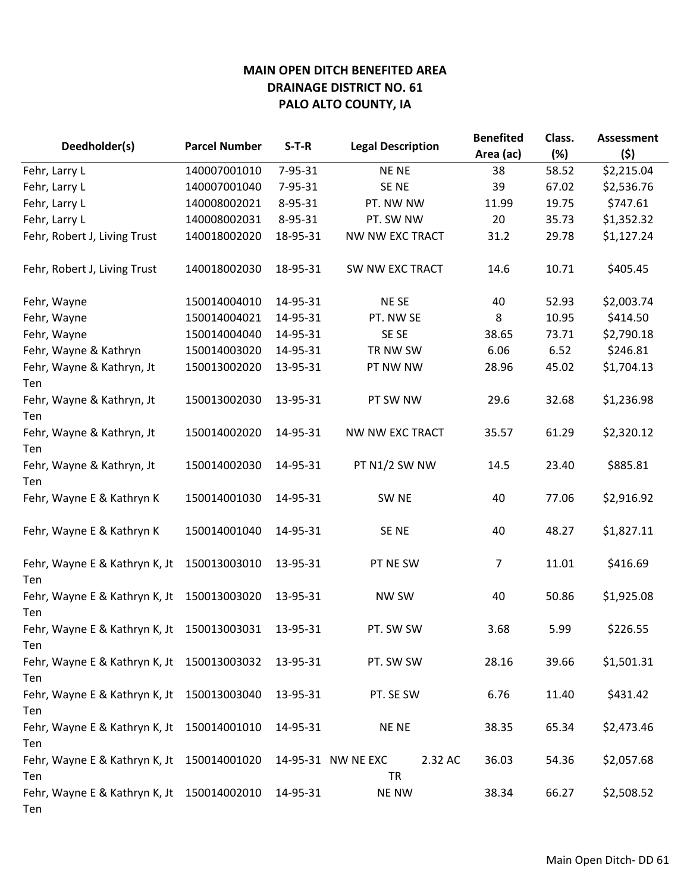| Deedholder(s)                                     | <b>Parcel Number</b> | $S-T-R$  | <b>Legal Description</b>                   | <b>Benefited</b> | Class. | <b>Assessment</b> |
|---------------------------------------------------|----------------------|----------|--------------------------------------------|------------------|--------|-------------------|
|                                                   |                      |          |                                            | Area (ac)        | (%)    | (5)               |
| Fehr, Larry L                                     | 140007001010         | 7-95-31  | <b>NENE</b>                                | 38               | 58.52  | \$2,215.04        |
| Fehr, Larry L                                     | 140007001040         | 7-95-31  | SE NE                                      | 39               | 67.02  | \$2,536.76        |
| Fehr, Larry L                                     | 140008002021         | 8-95-31  | PT. NW NW                                  | 11.99            | 19.75  | \$747.61          |
| Fehr, Larry L                                     | 140008002031         | 8-95-31  | PT. SW NW                                  | 20               | 35.73  | \$1,352.32        |
| Fehr, Robert J, Living Trust                      | 140018002020         | 18-95-31 | NW NW EXC TRACT                            | 31.2             | 29.78  | \$1,127.24        |
| Fehr, Robert J, Living Trust                      | 140018002030         | 18-95-31 | SW NW EXC TRACT                            | 14.6             | 10.71  | \$405.45          |
| Fehr, Wayne                                       | 150014004010         | 14-95-31 | NE SE                                      | 40               | 52.93  | \$2,003.74        |
| Fehr, Wayne                                       | 150014004021         | 14-95-31 | PT. NW SE                                  | 8                | 10.95  | \$414.50          |
| Fehr, Wayne                                       | 150014004040         | 14-95-31 | SE SE                                      | 38.65            | 73.71  | \$2,790.18        |
| Fehr, Wayne & Kathryn                             | 150014003020         | 14-95-31 | TR NW SW                                   | 6.06             | 6.52   | \$246.81          |
| Fehr, Wayne & Kathryn, Jt<br>Ten                  | 150013002020         | 13-95-31 | PT NW NW                                   | 28.96            | 45.02  | \$1,704.13        |
| Fehr, Wayne & Kathryn, Jt<br>Ten                  | 150013002030         | 13-95-31 | PT SW NW                                   | 29.6             | 32.68  | \$1,236.98        |
| Fehr, Wayne & Kathryn, Jt<br>Ten                  | 150014002020         | 14-95-31 | <b>NW NW EXC TRACT</b>                     | 35.57            | 61.29  | \$2,320.12        |
| Fehr, Wayne & Kathryn, Jt<br>Ten                  | 150014002030         | 14-95-31 | PT N1/2 SW NW                              | 14.5             | 23.40  | \$885.81          |
| Fehr, Wayne E & Kathryn K                         | 150014001030         | 14-95-31 | SW <sub>NE</sub>                           | 40               | 77.06  | \$2,916.92        |
| Fehr, Wayne E & Kathryn K                         | 150014001040         | 14-95-31 | SE NE                                      | 40               | 48.27  | \$1,827.11        |
| Fehr, Wayne E & Kathryn K, Jt<br>Ten              | 150013003010         | 13-95-31 | PT NE SW                                   | 7                | 11.01  | \$416.69          |
| Fehr, Wayne E & Kathryn K, Jt<br>Ten              | 150013003020         | 13-95-31 | NW SW                                      | 40               | 50.86  | \$1,925.08        |
| Fehr, Wayne E & Kathryn K, Jt<br>Ten              | 150013003031         | 13-95-31 | PT. SW SW                                  | 3.68             | 5.99   | \$226.55          |
| Fehr, Wayne E & Kathryn K, Jt 150013003032<br>Ten |                      | 13-95-31 | PT. SW SW                                  | 28.16            | 39.66  | \$1,501.31        |
| Fehr, Wayne E & Kathryn K, Jt 150013003040<br>Ten |                      | 13-95-31 | PT. SE SW                                  | 6.76             | 11.40  | \$431.42          |
| Fehr, Wayne E & Kathryn K, Jt 150014001010<br>Ten |                      | 14-95-31 | <b>NENE</b>                                | 38.35            | 65.34  | \$2,473.46        |
| Fehr, Wayne E & Kathryn K, Jt 150014001020<br>Ten |                      |          | 2.32 AC<br>14-95-31 NW NE EXC<br><b>TR</b> | 36.03            | 54.36  | \$2,057.68        |
| Fehr, Wayne E & Kathryn K, Jt 150014002010<br>Ten |                      | 14-95-31 | <b>NE NW</b>                               | 38.34            | 66.27  | \$2,508.52        |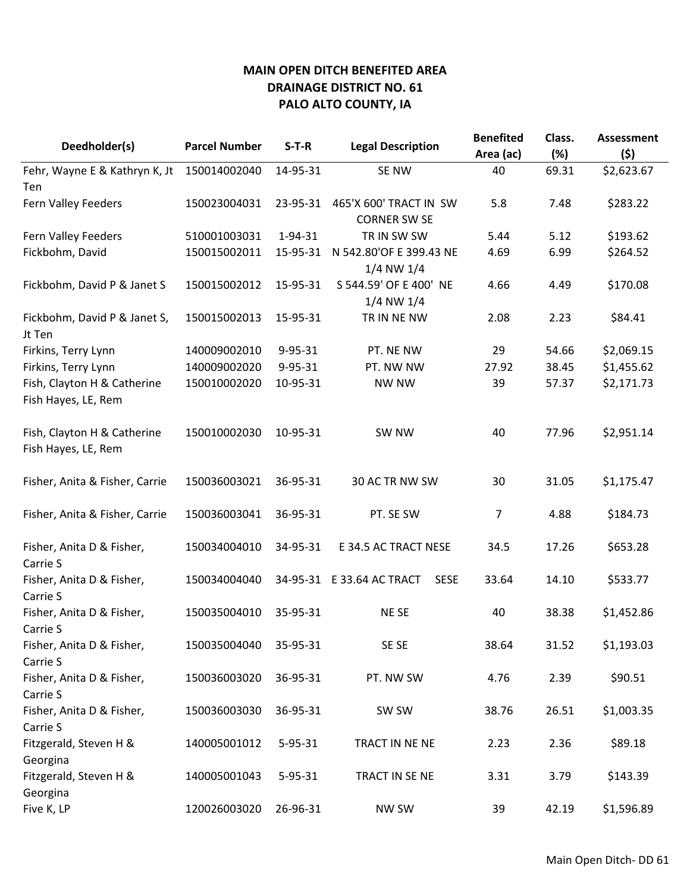|                                | <b>Parcel Number</b> | $S-T-R$       |                                          | <b>Benefited</b> | Class. | <b>Assessment</b> |
|--------------------------------|----------------------|---------------|------------------------------------------|------------------|--------|-------------------|
| Deedholder(s)                  |                      |               | <b>Legal Description</b>                 | Area (ac)        | (%)    | (5)               |
| Fehr, Wayne E & Kathryn K, Jt  | 150014002040         | 14-95-31      | SE NW                                    | 40               | 69.31  | \$2,623.67        |
| Ten                            |                      |               |                                          |                  |        |                   |
| Fern Valley Feeders            | 150023004031         | 23-95-31      | 465'X 600' TRACT IN SW                   | 5.8              | 7.48   | \$283.22          |
|                                |                      |               | <b>CORNER SW SE</b>                      |                  |        |                   |
| Fern Valley Feeders            | 510001003031         | 1-94-31       | TR IN SW SW                              | 5.44             | 5.12   | \$193.62          |
| Fickbohm, David                | 150015002011         | 15-95-31      | N 542.80'OF E 399.43 NE                  | 4.69             | 6.99   | \$264.52          |
|                                |                      |               | 1/4 NW 1/4                               |                  |        |                   |
| Fickbohm, David P & Janet S    | 150015002012         | 15-95-31      | S 544.59' OF E 400' NE                   | 4.66             | 4.49   | \$170.08          |
|                                |                      |               | $1/4$ NW $1/4$                           |                  |        |                   |
| Fickbohm, David P & Janet S,   | 150015002013         | 15-95-31      | TR IN NE NW                              | 2.08             | 2.23   | \$84.41           |
| Jt Ten                         |                      |               |                                          |                  |        |                   |
| Firkins, Terry Lynn            | 140009002010         | $9 - 95 - 31$ | PT. NE NW                                | 29               | 54.66  | \$2,069.15        |
| Firkins, Terry Lynn            | 140009002020         | $9 - 95 - 31$ | PT. NW NW                                | 27.92            | 38.45  | \$1,455.62        |
| Fish, Clayton H & Catherine    | 150010002020         | 10-95-31      | <b>NW NW</b>                             | 39               | 57.37  | \$2,171.73        |
| Fish Hayes, LE, Rem            |                      |               |                                          |                  |        |                   |
|                                |                      |               |                                          |                  |        |                   |
| Fish, Clayton H & Catherine    | 150010002030         | 10-95-31      | SW NW                                    | 40               | 77.96  | \$2,951.14        |
| Fish Hayes, LE, Rem            |                      |               |                                          |                  |        |                   |
|                                |                      |               |                                          |                  |        |                   |
| Fisher, Anita & Fisher, Carrie | 150036003021         | 36-95-31      | 30 AC TR NW SW                           | 30               | 31.05  | \$1,175.47        |
|                                |                      |               |                                          |                  |        |                   |
| Fisher, Anita & Fisher, Carrie | 150036003041         | 36-95-31      | PT. SE SW                                | $\overline{7}$   | 4.88   | \$184.73          |
|                                |                      |               |                                          |                  |        |                   |
| Fisher, Anita D & Fisher,      | 150034004010         | 34-95-31      | E 34.5 AC TRACT NESE                     | 34.5             | 17.26  | \$653.28          |
| Carrie S                       |                      |               |                                          |                  |        |                   |
| Fisher, Anita D & Fisher,      | 150034004040         |               | 34-95-31 E 33.64 AC TRACT<br><b>SESE</b> | 33.64            | 14.10  | \$533.77          |
| Carrie S                       |                      |               |                                          |                  |        |                   |
| Fisher, Anita D & Fisher,      | 150035004010         | 35-95-31      | <b>NESE</b>                              | 40               | 38.38  | \$1,452.86        |
| Carrie S                       |                      |               |                                          |                  |        |                   |
| Fisher, Anita D & Fisher,      | 150035004040         | 35-95-31      | SE SE                                    | 38.64            | 31.52  | \$1,193.03        |
| Carrie S                       |                      |               |                                          |                  |        |                   |
| Fisher, Anita D & Fisher,      | 150036003020         | 36-95-31      | PT. NW SW                                | 4.76             | 2.39   | \$90.51           |
| Carrie S                       |                      |               |                                          |                  |        |                   |
| Fisher, Anita D & Fisher,      | 150036003030         | 36-95-31      | SW SW                                    | 38.76            | 26.51  | \$1,003.35        |
| Carrie S                       |                      |               |                                          |                  |        |                   |
| Fitzgerald, Steven H &         | 140005001012         | 5-95-31       | TRACT IN NE NE                           | 2.23             | 2.36   | \$89.18           |
| Georgina                       |                      |               |                                          |                  |        |                   |
| Fitzgerald, Steven H &         | 140005001043         | $5 - 95 - 31$ | TRACT IN SE NE                           | 3.31             | 3.79   | \$143.39          |
| Georgina                       |                      |               |                                          |                  |        |                   |
| Five K, LP                     | 120026003020         | 26-96-31      | <b>NW SW</b>                             | 39               | 42.19  | \$1,596.89        |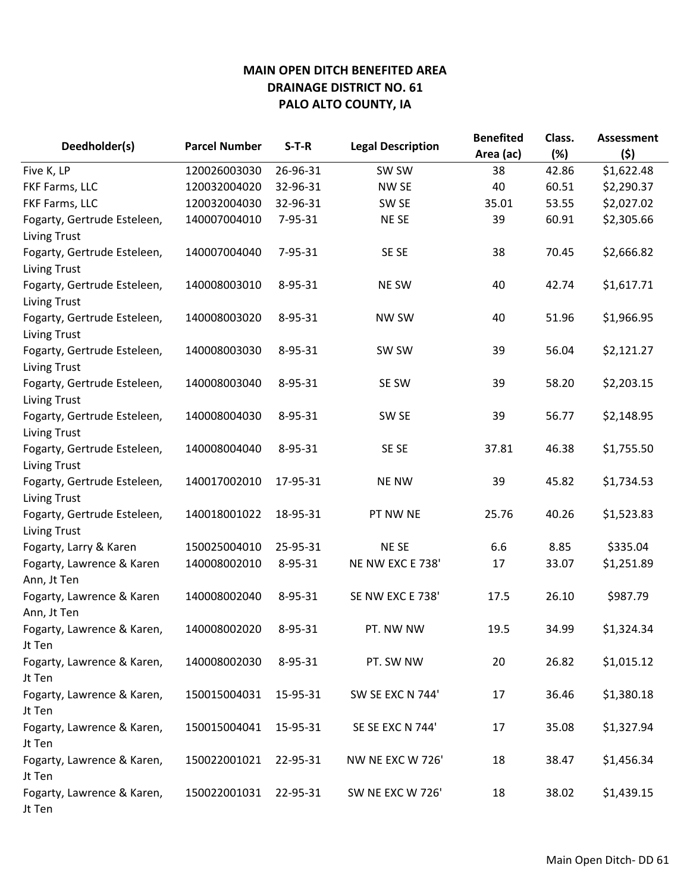| Deedholder(s)                                      | <b>Parcel Number</b> | $S-T-R$  | <b>Legal Description</b> | <b>Benefited</b> | Class. | <b>Assessment</b> |
|----------------------------------------------------|----------------------|----------|--------------------------|------------------|--------|-------------------|
|                                                    |                      |          |                          | Area (ac)        | (%)    | (5)               |
| Five K, LP                                         | 120026003030         | 26-96-31 | SW SW                    | 38               | 42.86  | \$1,622.48        |
| FKF Farms, LLC                                     | 120032004020         | 32-96-31 | NW SE                    | 40               | 60.51  | \$2,290.37        |
| FKF Farms, LLC                                     | 120032004030         | 32-96-31 | SW <sub>SE</sub>         | 35.01            | 53.55  | \$2,027.02        |
| Fogarty, Gertrude Esteleen,                        | 140007004010         | 7-95-31  | <b>NESE</b>              | 39               | 60.91  | \$2,305.66        |
| <b>Living Trust</b>                                |                      |          |                          |                  |        |                   |
| Fogarty, Gertrude Esteleen,<br><b>Living Trust</b> | 140007004040         | 7-95-31  | SE SE                    | 38               | 70.45  | \$2,666.82        |
| Fogarty, Gertrude Esteleen,<br><b>Living Trust</b> | 140008003010         | 8-95-31  | NE SW                    | 40               | 42.74  | \$1,617.71        |
| Fogarty, Gertrude Esteleen,<br><b>Living Trust</b> | 140008003020         | 8-95-31  | NW SW                    | 40               | 51.96  | \$1,966.95        |
| Fogarty, Gertrude Esteleen,<br><b>Living Trust</b> | 140008003030         | 8-95-31  | SW SW                    | 39               | 56.04  | \$2,121.27        |
| Fogarty, Gertrude Esteleen,<br><b>Living Trust</b> | 140008003040         | 8-95-31  | SE SW                    | 39               | 58.20  | \$2,203.15        |
| Fogarty, Gertrude Esteleen,<br><b>Living Trust</b> | 140008004030         | 8-95-31  | SW <sub>SE</sub>         | 39               | 56.77  | \$2,148.95        |
| Fogarty, Gertrude Esteleen,<br><b>Living Trust</b> | 140008004040         | 8-95-31  | SE SE                    | 37.81            | 46.38  | \$1,755.50        |
| Fogarty, Gertrude Esteleen,<br><b>Living Trust</b> | 140017002010         | 17-95-31 | <b>NE NW</b>             | 39               | 45.82  | \$1,734.53        |
| Fogarty, Gertrude Esteleen,<br><b>Living Trust</b> | 140018001022         | 18-95-31 | PT NW NE                 | 25.76            | 40.26  | \$1,523.83        |
| Fogarty, Larry & Karen                             | 150025004010         | 25-95-31 | <b>NESE</b>              | 6.6              | 8.85   | \$335.04          |
| Fogarty, Lawrence & Karen<br>Ann, Jt Ten           | 140008002010         | 8-95-31  | NE NW EXC E 738'         | 17               | 33.07  | \$1,251.89        |
| Fogarty, Lawrence & Karen<br>Ann, Jt Ten           | 140008002040         | 8-95-31  | SE NW EXC E 738'         | 17.5             | 26.10  | \$987.79          |
| Fogarty, Lawrence & Karen,<br>Jt Ten               | 140008002020         | 8-95-31  | PT. NW NW                | 19.5             | 34.99  | \$1,324.34        |
| Fogarty, Lawrence & Karen,<br>Jt Ten               | 140008002030         | 8-95-31  | PT. SW NW                | 20               | 26.82  | \$1,015.12        |
| Fogarty, Lawrence & Karen,<br>Jt Ten               | 150015004031         | 15-95-31 | SW SE EXC N 744'         | 17               | 36.46  | \$1,380.18        |
| Fogarty, Lawrence & Karen,<br>Jt Ten               | 150015004041         | 15-95-31 | SE SE EXC N 744'         | 17               | 35.08  | \$1,327.94        |
| Fogarty, Lawrence & Karen,<br>Jt Ten               | 150022001021         | 22-95-31 | NW NE EXC W 726'         | 18               | 38.47  | \$1,456.34        |
| Fogarty, Lawrence & Karen,<br>Jt Ten               | 150022001031         | 22-95-31 | SW NE EXC W 726'         | 18               | 38.02  | \$1,439.15        |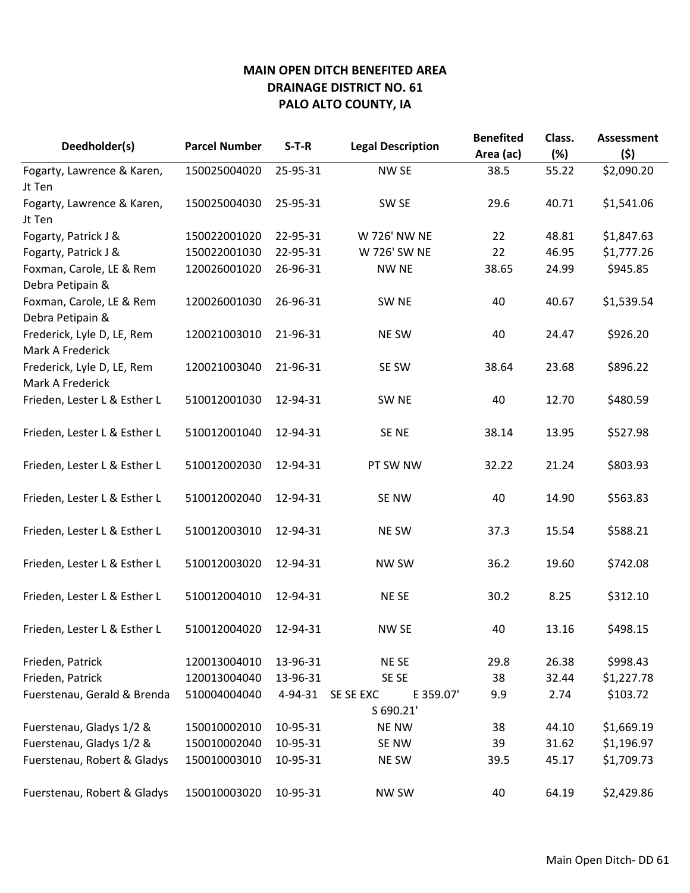| Deedholder(s)                                  | <b>Parcel Number</b> | $S-T-R$  | <b>Legal Description</b>            | <b>Benefited</b><br>Area (ac) | Class.<br>(%) | <b>Assessment</b><br>(5) |
|------------------------------------------------|----------------------|----------|-------------------------------------|-------------------------------|---------------|--------------------------|
| Fogarty, Lawrence & Karen,                     | 150025004020         | 25-95-31 | NW <sub>SE</sub>                    | 38.5                          | 55.22         | \$2,090.20               |
| Jt Ten                                         |                      |          |                                     |                               |               |                          |
| Fogarty, Lawrence & Karen,<br>Jt Ten           | 150025004030         | 25-95-31 | SW SE                               | 29.6                          | 40.71         | \$1,541.06               |
| Fogarty, Patrick J &                           | 150022001020         | 22-95-31 | W 726' NW NE                        | 22                            | 48.81         | \$1,847.63               |
| Fogarty, Patrick J &                           | 150022001030         | 22-95-31 | W 726' SW NE                        | 22                            | 46.95         | \$1,777.26               |
| Foxman, Carole, LE & Rem<br>Debra Petipain &   | 120026001020         | 26-96-31 | <b>NW NE</b>                        | 38.65                         | 24.99         | \$945.85                 |
| Foxman, Carole, LE & Rem<br>Debra Petipain &   | 120026001030         | 26-96-31 | SW <sub>NE</sub>                    | 40                            | 40.67         | \$1,539.54               |
| Frederick, Lyle D, LE, Rem<br>Mark A Frederick | 120021003010         | 21-96-31 | NE SW                               | 40                            | 24.47         | \$926.20                 |
| Frederick, Lyle D, LE, Rem<br>Mark A Frederick | 120021003040         | 21-96-31 | SE SW                               | 38.64                         | 23.68         | \$896.22                 |
| Frieden, Lester L & Esther L                   | 510012001030         | 12-94-31 | SW <sub>NE</sub>                    | 40                            | 12.70         | \$480.59                 |
| Frieden, Lester L & Esther L                   | 510012001040         | 12-94-31 | SE NE                               | 38.14                         | 13.95         | \$527.98                 |
| Frieden, Lester L & Esther L                   | 510012002030         | 12-94-31 | PT SW NW                            | 32.22                         | 21.24         | \$803.93                 |
| Frieden, Lester L & Esther L                   | 510012002040         | 12-94-31 | SE NW                               | 40                            | 14.90         | \$563.83                 |
| Frieden, Lester L & Esther L                   | 510012003010         | 12-94-31 | NE SW                               | 37.3                          | 15.54         | \$588.21                 |
| Frieden, Lester L & Esther L                   | 510012003020         | 12-94-31 | NW SW                               | 36.2                          | 19.60         | \$742.08                 |
| Frieden, Lester L & Esther L                   | 510012004010         | 12-94-31 | <b>NESE</b>                         | 30.2                          | 8.25          | \$312.10                 |
| Frieden, Lester L & Esther L                   | 510012004020         | 12-94-31 | NW SE                               | 40                            | 13.16         | \$498.15                 |
| Frieden, Patrick                               | 120013004010         | 13-96-31 | NE SE                               | 29.8                          | 26.38         | \$998.43                 |
| Frieden, Patrick                               | 120013004040         | 13-96-31 | SE SE                               | 38                            | 32.44         | \$1,227.78               |
| Fuerstenau, Gerald & Brenda                    | 510004004040         | 4-94-31  | SE SE EXC<br>E 359.07'<br>S 690.21' | 9.9                           | 2.74          | \$103.72                 |
| Fuerstenau, Gladys 1/2 &                       | 150010002010         | 10-95-31 | <b>NE NW</b>                        | 38                            | 44.10         | \$1,669.19               |
| Fuerstenau, Gladys 1/2 &                       | 150010002040         | 10-95-31 | SE NW                               | 39                            | 31.62         | \$1,196.97               |
| Fuerstenau, Robert & Gladys                    | 150010003010         | 10-95-31 | NE SW                               | 39.5                          | 45.17         | \$1,709.73               |
| Fuerstenau, Robert & Gladys                    | 150010003020         | 10-95-31 | <b>NW SW</b>                        | 40                            | 64.19         | \$2,429.86               |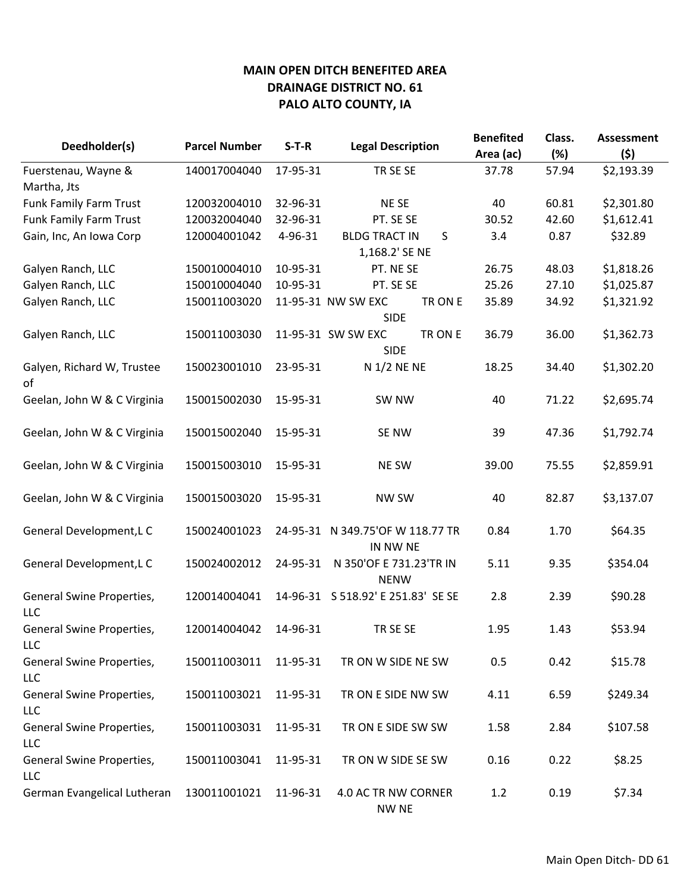| Deedholder(s)                           | <b>Parcel Number</b> | $S-T-R$  | <b>Legal Description</b>                     | <b>Benefited</b> | Class. | <b>Assessment</b> |
|-----------------------------------------|----------------------|----------|----------------------------------------------|------------------|--------|-------------------|
|                                         |                      |          |                                              | Area (ac)        | (%)    | (5)               |
| Fuerstenau, Wayne &                     | 140017004040         | 17-95-31 | TR SE SE                                     | 37.78            | 57.94  | \$2,193.39        |
| Martha, Jts                             |                      |          |                                              |                  |        |                   |
| <b>Funk Family Farm Trust</b>           | 120032004010         | 32-96-31 | NE SE                                        | 40               | 60.81  | \$2,301.80        |
| <b>Funk Family Farm Trust</b>           | 120032004040         | 32-96-31 | PT. SE SE                                    | 30.52            | 42.60  | \$1,612.41        |
| Gain, Inc, An Iowa Corp                 | 120004001042         | 4-96-31  | <b>BLDG TRACT IN</b><br>S                    | 3.4              | 0.87   | \$32.89           |
|                                         |                      |          | 1,168.2' SE NE                               |                  |        |                   |
| Galyen Ranch, LLC                       | 150010004010         | 10-95-31 | PT. NE SE                                    | 26.75            | 48.03  | \$1,818.26        |
| Galyen Ranch, LLC                       | 150010004040         | 10-95-31 | PT. SE SE                                    | 25.26            | 27.10  | \$1,025.87        |
| Galyen Ranch, LLC                       | 150011003020         |          | TR ON E<br>11-95-31 NW SW EXC<br><b>SIDE</b> | 35.89            | 34.92  | \$1,321.92        |
| Galyen Ranch, LLC                       | 150011003030         |          | TR ON E<br>11-95-31 SW SW EXC<br><b>SIDE</b> | 36.79            | 36.00  | \$1,362.73        |
| Galyen, Richard W, Trustee<br>of        | 150023001010         | 23-95-31 | N 1/2 NE NE                                  | 18.25            | 34.40  | \$1,302.20        |
| Geelan, John W & C Virginia             | 150015002030         | 15-95-31 | SW NW                                        | 40               | 71.22  | \$2,695.74        |
| Geelan, John W & C Virginia             | 150015002040         | 15-95-31 | <b>SE NW</b>                                 | 39               | 47.36  | \$1,792.74        |
| Geelan, John W & C Virginia             | 150015003010         | 15-95-31 | <b>NE SW</b>                                 | 39.00            | 75.55  | \$2,859.91        |
| Geelan, John W & C Virginia             | 150015003020         | 15-95-31 | <b>NW SW</b>                                 | 40               | 82.87  | \$3,137.07        |
| General Development, LC                 | 150024001023         |          | 24-95-31 N 349.75'OF W 118.77 TR<br>IN NW NE | 0.84             | 1.70   | \$64.35           |
| General Development, LC                 | 150024002012         | 24-95-31 | N 350'OF E 731.23'TR IN<br><b>NENW</b>       | 5.11             | 9.35   | \$354.04          |
| General Swine Properties,<br><b>LLC</b> | 120014004041         |          | 14-96-31 S 518.92' E 251.83' SE SE           | 2.8              | 2.39   | \$90.28           |
| General Swine Properties,<br><b>LLC</b> | 120014004042         | 14-96-31 | TR SE SE                                     | 1.95             | 1.43   | \$53.94           |
| General Swine Properties,<br>LLC        | 150011003011         | 11-95-31 | TR ON W SIDE NE SW                           | 0.5              | 0.42   | \$15.78           |
| General Swine Properties,<br><b>LLC</b> | 150011003021         | 11-95-31 | TR ON E SIDE NW SW                           | 4.11             | 6.59   | \$249.34          |
| General Swine Properties,<br>LLC        | 150011003031         | 11-95-31 | TR ON E SIDE SW SW                           | 1.58             | 2.84   | \$107.58          |
| General Swine Properties,<br><b>LLC</b> | 150011003041         | 11-95-31 | TR ON W SIDE SE SW                           | 0.16             | 0.22   | \$8.25            |
| German Evangelical Lutheran             | 130011001021         | 11-96-31 | 4.0 AC TR NW CORNER<br>NW NE                 | 1.2              | 0.19   | \$7.34            |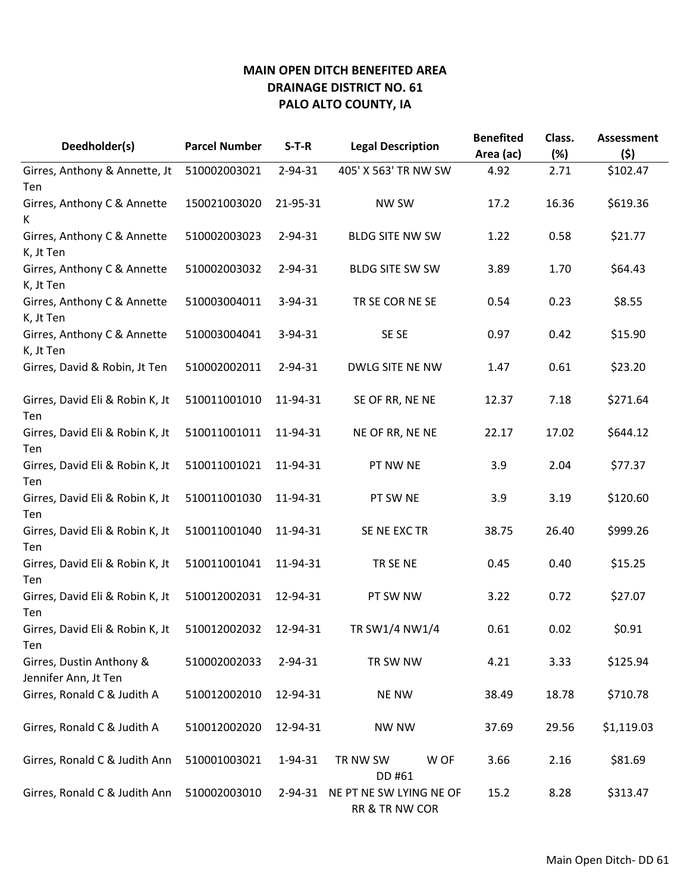| Deedholder(s)                          | <b>Parcel Number</b> | $S-T-R$       | <b>Legal Description</b> | <b>Benefited</b> | Class. | <b>Assessment</b> |
|----------------------------------------|----------------------|---------------|--------------------------|------------------|--------|-------------------|
|                                        |                      |               |                          | Area (ac)        | (%)    | (\$)              |
| Girres, Anthony & Annette, Jt          | 510002003021         | $2 - 94 - 31$ | 405' X 563' TR NW SW     | 4.92             | 2.71   | \$102.47          |
| Ten                                    |                      |               |                          |                  |        |                   |
| Girres, Anthony C & Annette            | 150021003020         | 21-95-31      | NW SW                    | 17.2             | 16.36  | \$619.36          |
| K                                      |                      |               |                          |                  |        |                   |
| Girres, Anthony C & Annette            | 510002003023         | 2-94-31       | <b>BLDG SITE NW SW</b>   | 1.22             | 0.58   | \$21.77           |
| K, Jt Ten                              |                      |               |                          |                  |        |                   |
| Girres, Anthony C & Annette            | 510002003032         | 2-94-31       | <b>BLDG SITE SW SW</b>   | 3.89             | 1.70   | \$64.43           |
| K, Jt Ten                              |                      |               |                          |                  |        |                   |
| Girres, Anthony C & Annette            | 510003004011         | 3-94-31       | TR SE COR NE SE          | 0.54             | 0.23   | \$8.55            |
| K, Jt Ten                              |                      |               |                          |                  |        |                   |
| Girres, Anthony C & Annette            | 510003004041         | 3-94-31       | SE SE                    | 0.97             | 0.42   | \$15.90           |
| K, Jt Ten                              |                      |               |                          |                  |        |                   |
| Girres, David & Robin, Jt Ten          | 510002002011         | 2-94-31       | DWLG SITE NE NW          | 1.47             | 0.61   | \$23.20           |
|                                        |                      |               |                          |                  |        |                   |
| Girres, David Eli & Robin K, Jt        | 510011001010         | 11-94-31      | SE OF RR, NE NE          | 12.37            | 7.18   | \$271.64          |
| Ten                                    |                      |               |                          |                  |        |                   |
| Girres, David Eli & Robin K, Jt        | 510011001011         | 11-94-31      | NE OF RR, NE NE          | 22.17            | 17.02  | \$644.12          |
| Ten                                    |                      |               |                          |                  |        |                   |
| Girres, David Eli & Robin K, Jt        | 510011001021         | 11-94-31      | PT NW NE                 | 3.9              | 2.04   | \$77.37           |
| Ten                                    |                      |               |                          |                  |        |                   |
| Girres, David Eli & Robin K, Jt        | 510011001030         | 11-94-31      | PT SW NE                 | 3.9              | 3.19   | \$120.60          |
| Ten                                    |                      | 11-94-31      |                          |                  | 26.40  |                   |
| Girres, David Eli & Robin K, Jt        | 510011001040         |               | SE NE EXC TR             | 38.75            |        | \$999.26          |
| Ten<br>Girres, David Eli & Robin K, Jt | 510011001041         | 11-94-31      | TR SE NE                 | 0.45             | 0.40   | \$15.25           |
| Ten                                    |                      |               |                          |                  |        |                   |
| Girres, David Eli & Robin K, Jt        | 510012002031         | 12-94-31      | PT SW NW                 | 3.22             | 0.72   | \$27.07           |
| Ten                                    |                      |               |                          |                  |        |                   |
| Girres, David Eli & Robin K, Jt        | 510012002032         | 12-94-31      | TR SW1/4 NW1/4           | 0.61             | 0.02   | \$0.91            |
| Ten                                    |                      |               |                          |                  |        |                   |
| Girres, Dustin Anthony &               | 510002002033         | 2-94-31       | TR SW NW                 | 4.21             | 3.33   | \$125.94          |
| Jennifer Ann, Jt Ten                   |                      |               |                          |                  |        |                   |
| Girres, Ronald C & Judith A            | 510012002010         | 12-94-31      | <b>NE NW</b>             | 38.49            | 18.78  | \$710.78          |
|                                        |                      |               |                          |                  |        |                   |
| Girres, Ronald C & Judith A            | 510012002020         | 12-94-31      | <b>NW NW</b>             | 37.69            | 29.56  | \$1,119.03        |
|                                        |                      |               |                          |                  |        |                   |
| Girres, Ronald C & Judith Ann          | 510001003021         | 1-94-31       | TR NW SW<br>W OF         | 3.66             | 2.16   | \$81.69           |
|                                        |                      |               | DD #61                   |                  |        |                   |
| Girres, Ronald C & Judith Ann          | 510002003010         | 2-94-31       | NE PT NE SW LYING NE OF  | 15.2             | 8.28   | \$313.47          |
|                                        |                      |               | RR & TR NW COR           |                  |        |                   |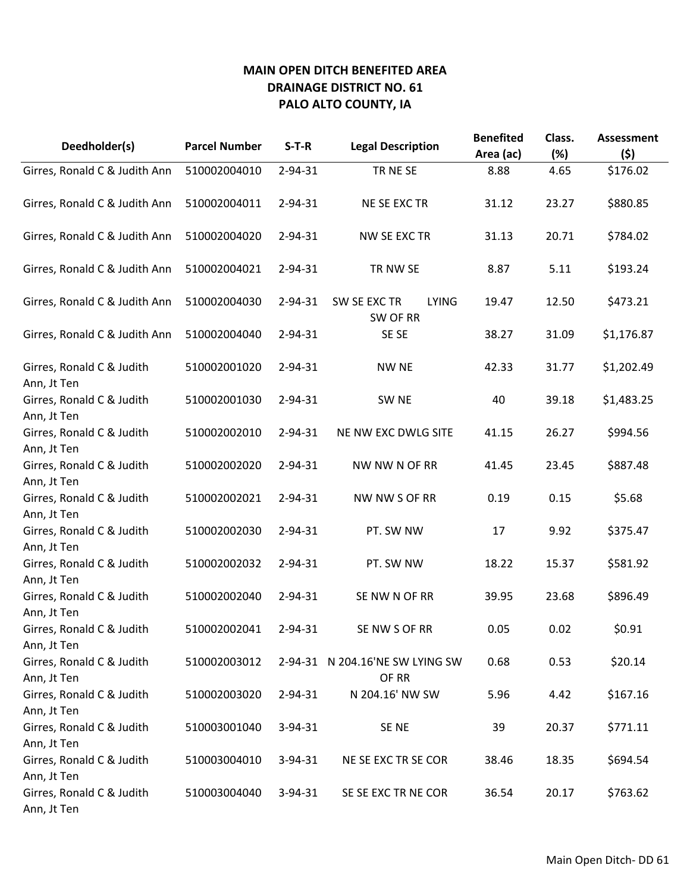| Deedholder(s)                                           | <b>Parcel Number</b> | $S-T-R$       | <b>Legal Description</b>                 | <b>Benefited</b> | Class. | <b>Assessment</b> |
|---------------------------------------------------------|----------------------|---------------|------------------------------------------|------------------|--------|-------------------|
|                                                         |                      |               |                                          | Area (ac)        | (%)    | (\$)              |
| Girres, Ronald C & Judith Ann                           | 510002004010         | 2-94-31       | TR NE SE                                 | 8.88             | 4.65   | \$176.02          |
| Girres, Ronald C & Judith Ann                           | 510002004011         | 2-94-31       | NE SE EXC TR                             | 31.12            | 23.27  | \$880.85          |
| Girres, Ronald C & Judith Ann                           | 510002004020         | 2-94-31       | NW SE EXC TR                             | 31.13            | 20.71  | \$784.02          |
| Girres, Ronald C & Judith Ann                           | 510002004021         | 2-94-31       | TR NW SE                                 | 8.87             | 5.11   | \$193.24          |
| Girres, Ronald C & Judith Ann                           | 510002004030         | $2 - 94 - 31$ | SW SE EXC TR<br><b>LYING</b><br>SW OF RR | 19.47            | 12.50  | \$473.21          |
| Girres, Ronald C & Judith Ann                           | 510002004040         | 2-94-31       | SE SE                                    | 38.27            | 31.09  | \$1,176.87        |
| Girres, Ronald C & Judith<br>Ann, Jt Ten                | 510002001020         | 2-94-31       | <b>NW NE</b>                             | 42.33            | 31.77  | \$1,202.49        |
| Girres, Ronald C & Judith<br>Ann, Jt Ten                | 510002001030         | 2-94-31       | SW <sub>NE</sub>                         | 40               | 39.18  | \$1,483.25        |
| Girres, Ronald C & Judith<br>Ann, Jt Ten                | 510002002010         | 2-94-31       | NE NW EXC DWLG SITE                      | 41.15            | 26.27  | \$994.56          |
| Girres, Ronald C & Judith<br>Ann, Jt Ten                | 510002002020         | 2-94-31       | NW NW N OF RR                            | 41.45            | 23.45  | \$887.48          |
| Girres, Ronald C & Judith<br>Ann, Jt Ten                | 510002002021         | 2-94-31       | NW NW S OF RR                            | 0.19             | 0.15   | \$5.68            |
| Girres, Ronald C & Judith<br>Ann, Jt Ten                | 510002002030         | 2-94-31       | PT. SW NW                                | 17               | 9.92   | \$375.47          |
| Girres, Ronald C & Judith<br>Ann, Jt Ten                | 510002002032         | 2-94-31       | PT. SW NW                                | 18.22            | 15.37  | \$581.92          |
| Girres, Ronald C & Judith<br>Ann, Jt Ten                | 510002002040         | 2-94-31       | SE NW N OF RR                            | 39.95            | 23.68  | \$896.49          |
| Girres, Ronald C & Judith<br>Ann, Jt Ten                | 510002002041         | 2-94-31       | SE NW S OF RR                            | 0.05             | 0.02   | \$0.91            |
| Girres, Ronald C & Judith<br>Ann, Jt Ten                | 510002003012         |               | 2-94-31 N 204.16'NE SW LYING SW<br>OF RR | 0.68             | 0.53   | \$20.14           |
| Girres, Ronald C & Judith<br>Ann, Jt Ten                | 510002003020         | $2 - 94 - 31$ | N 204.16' NW SW                          | 5.96             | 4.42   | \$167.16          |
| Girres, Ronald C & Judith                               | 510003001040         | $3 - 94 - 31$ | SE NE                                    | 39               | 20.37  | \$771.11          |
| Ann, Jt Ten<br>Girres, Ronald C & Judith                | 510003004010         | $3 - 94 - 31$ | NE SE EXC TR SE COR                      | 38.46            | 18.35  | \$694.54          |
| Ann, Jt Ten<br>Girres, Ronald C & Judith<br>Ann, Jt Ten | 510003004040         | $3 - 94 - 31$ | SE SE EXC TR NE COR                      | 36.54            | 20.17  | \$763.62          |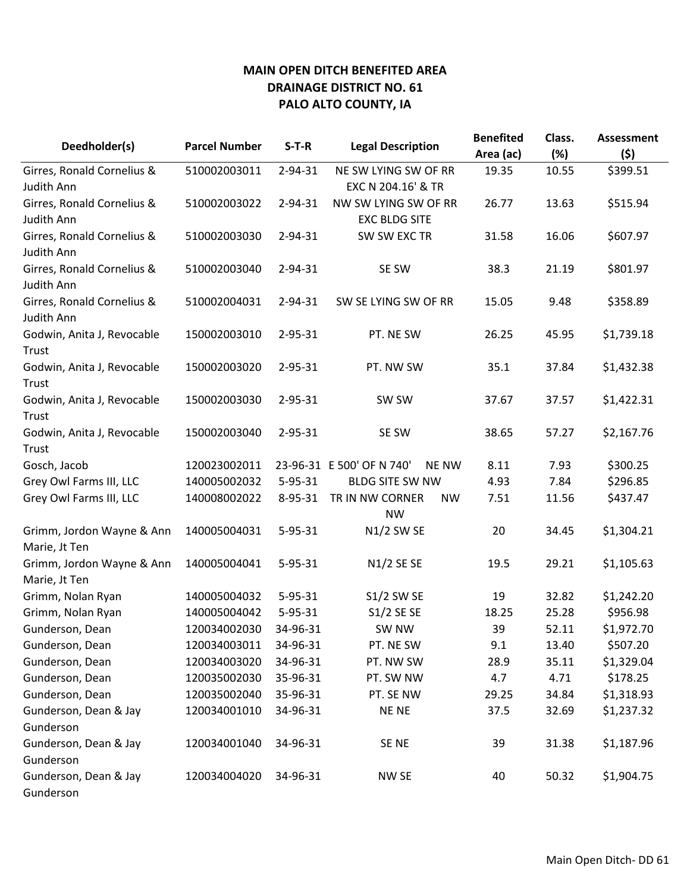| Deedholder(s)                              | <b>Parcel Number</b> | $S-T-R$       | <b>Legal Description</b>                  | <b>Benefited</b> | Class. | <b>Assessment</b> |
|--------------------------------------------|----------------------|---------------|-------------------------------------------|------------------|--------|-------------------|
|                                            |                      |               |                                           | Area (ac)        | (%)    | (5)               |
| Girres, Ronald Cornelius &                 | 510002003011         | 2-94-31       | NE SW LYING SW OF RR                      | 19.35            | 10.55  | \$399.51          |
| Judith Ann                                 |                      |               | EXC N 204.16' & TR                        |                  |        |                   |
| Girres, Ronald Cornelius &                 | 510002003022         | $2 - 94 - 31$ | NW SW LYING SW OF RR                      | 26.77            | 13.63  | \$515.94          |
| Judith Ann                                 |                      |               | <b>EXC BLDG SITE</b>                      |                  |        |                   |
| Girres, Ronald Cornelius &<br>Judith Ann   | 510002003030         | 2-94-31       | SW SW EXC TR                              | 31.58            | 16.06  | \$607.97          |
| Girres, Ronald Cornelius &                 | 510002003040         | 2-94-31       | SE SW                                     | 38.3             | 21.19  | \$801.97          |
| Judith Ann                                 |                      |               |                                           |                  |        |                   |
| Girres, Ronald Cornelius &<br>Judith Ann   | 510002004031         | $2 - 94 - 31$ | SW SE LYING SW OF RR                      | 15.05            | 9.48   | \$358.89          |
| Godwin, Anita J, Revocable<br>Trust        | 150002003010         | 2-95-31       | PT. NE SW                                 | 26.25            | 45.95  | \$1,739.18        |
| Godwin, Anita J, Revocable<br>Trust        | 150002003020         | 2-95-31       | PT. NW SW                                 | 35.1             | 37.84  | \$1,432.38        |
| Godwin, Anita J, Revocable                 | 150002003030         | 2-95-31       | SW SW                                     | 37.67            | 37.57  | \$1,422.31        |
| Trust                                      |                      |               |                                           |                  |        |                   |
| Godwin, Anita J, Revocable                 | 150002003040         | 2-95-31       | SE SW                                     | 38.65            | 57.27  | \$2,167.76        |
| Trust                                      |                      |               |                                           |                  |        |                   |
| Gosch, Jacob                               | 120023002011         |               | 23-96-31 E 500' OF N 740'<br><b>NE NW</b> | 8.11             | 7.93   | \$300.25          |
| Grey Owl Farms III, LLC                    | 140005002032         | $5 - 95 - 31$ | <b>BLDG SITE SW NW</b>                    | 4.93             | 7.84   | \$296.85          |
| Grey Owl Farms III, LLC                    | 140008002022         | 8-95-31       | TR IN NW CORNER<br><b>NW</b><br><b>NW</b> | 7.51             | 11.56  | \$437.47          |
| Grimm, Jordon Wayne & Ann<br>Marie, Jt Ten | 140005004031         | $5 - 95 - 31$ | N1/2 SW SE                                | 20               | 34.45  | \$1,304.21        |
| Grimm, Jordon Wayne & Ann                  | 140005004041         | 5-95-31       | N1/2 SE SE                                | 19.5             | 29.21  | \$1,105.63        |
| Marie, Jt Ten                              |                      |               |                                           |                  |        |                   |
| Grimm, Nolan Ryan                          | 140005004032         | $5 - 95 - 31$ | <b>S1/2 SW SE</b>                         | 19               | 32.82  | \$1,242.20        |
| Grimm, Nolan Ryan                          | 140005004042         | $5 - 95 - 31$ | S1/2 SE SE                                | 18.25            | 25.28  | \$956.98          |
| Gunderson, Dean                            | 120034002030         | 34-96-31      | SW NW                                     | 39               | 52.11  | \$1,972.70        |
| Gunderson, Dean                            | 120034003011         | 34-96-31      | PT. NE SW                                 | 9.1              | 13.40  | \$507.20          |
| Gunderson, Dean                            | 120034003020         | 34-96-31      | PT. NW SW                                 | 28.9             | 35.11  | \$1,329.04        |
| Gunderson, Dean                            | 120035002030         | 35-96-31      | PT. SW NW                                 | 4.7              | 4.71   | \$178.25          |
| Gunderson, Dean                            | 120035002040         | 35-96-31      | PT. SE NW                                 | 29.25            | 34.84  | \$1,318.93        |
| Gunderson, Dean & Jay                      | 120034001010         | 34-96-31      | <b>NENE</b>                               | 37.5             | 32.69  | \$1,237.32        |
| Gunderson                                  |                      |               |                                           |                  |        |                   |
| Gunderson, Dean & Jay                      | 120034001040         | 34-96-31      | SE <sub>NE</sub>                          | 39               | 31.38  | \$1,187.96        |
| Gunderson                                  |                      |               |                                           |                  |        |                   |
| Gunderson, Dean & Jay<br>Gunderson         | 120034004020         | 34-96-31      | NW SE                                     | 40               | 50.32  | \$1,904.75        |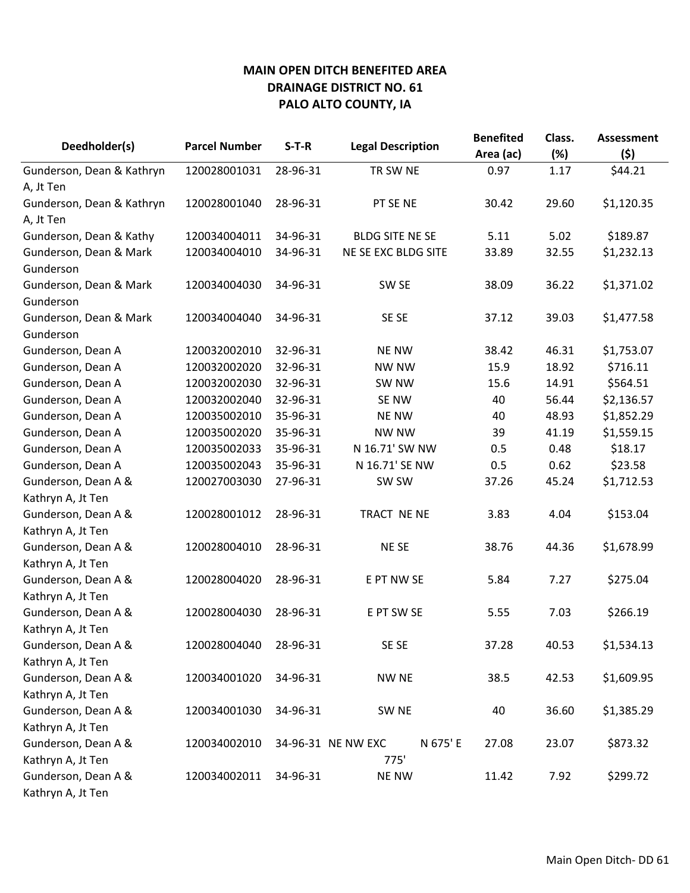| Deedholder(s)             | <b>Parcel Number</b> | $S-T-R$  | <b>Legal Description</b>       | <b>Benefited</b><br>Area (ac) | Class.<br>(%) | <b>Assessment</b><br>(\$) |
|---------------------------|----------------------|----------|--------------------------------|-------------------------------|---------------|---------------------------|
| Gunderson, Dean & Kathryn | 120028001031         | 28-96-31 | TR SW NE                       | 0.97                          | 1.17          | \$44.21                   |
| A, Jt Ten                 |                      |          |                                |                               |               |                           |
| Gunderson, Dean & Kathryn | 120028001040         | 28-96-31 | PT SE NE                       | 30.42                         | 29.60         | \$1,120.35                |
| A, Jt Ten                 |                      |          |                                |                               |               |                           |
| Gunderson, Dean & Kathy   | 120034004011         | 34-96-31 | <b>BLDG SITE NE SE</b>         | 5.11                          | 5.02          | \$189.87                  |
| Gunderson, Dean & Mark    | 120034004010         | 34-96-31 | NE SE EXC BLDG SITE            | 33.89                         | 32.55         | \$1,232.13                |
| Gunderson                 |                      |          |                                |                               |               |                           |
| Gunderson, Dean & Mark    | 120034004030         | 34-96-31 | SW <sub>SE</sub>               | 38.09                         | 36.22         | \$1,371.02                |
| Gunderson                 |                      |          |                                |                               |               |                           |
| Gunderson, Dean & Mark    | 120034004040         | 34-96-31 | SE SE                          | 37.12                         | 39.03         | \$1,477.58                |
| Gunderson                 |                      |          |                                |                               |               |                           |
| Gunderson, Dean A         | 120032002010         | 32-96-31 | <b>NE NW</b>                   | 38.42                         | 46.31         | \$1,753.07                |
| Gunderson, Dean A         | 120032002020         | 32-96-31 | <b>NW NW</b>                   | 15.9                          | 18.92         | \$716.11                  |
| Gunderson, Dean A         | 120032002030         | 32-96-31 | SW NW                          | 15.6                          | 14.91         | \$564.51                  |
| Gunderson, Dean A         | 120032002040         | 32-96-31 | SE NW                          | 40                            | 56.44         | \$2,136.57                |
| Gunderson, Dean A         | 120035002010         | 35-96-31 | <b>NE NW</b>                   | 40                            | 48.93         | \$1,852.29                |
| Gunderson, Dean A         | 120035002020         | 35-96-31 | NW NW                          | 39                            | 41.19         | \$1,559.15                |
| Gunderson, Dean A         | 120035002033         | 35-96-31 | N 16.71' SW NW                 | 0.5                           | 0.48          | \$18.17                   |
| Gunderson, Dean A         | 120035002043         | 35-96-31 | N 16.71' SE NW                 | 0.5                           | 0.62          | \$23.58                   |
| Gunderson, Dean A &       | 120027003030         | 27-96-31 | SW SW                          | 37.26                         | 45.24         | \$1,712.53                |
| Kathryn A, Jt Ten         |                      |          |                                |                               |               |                           |
| Gunderson, Dean A &       | 120028001012         | 28-96-31 | TRACT NE NE                    | 3.83                          | 4.04          | \$153.04                  |
| Kathryn A, Jt Ten         |                      |          |                                |                               |               |                           |
| Gunderson, Dean A &       | 120028004010         | 28-96-31 | <b>NESE</b>                    | 38.76                         | 44.36         | \$1,678.99                |
| Kathryn A, Jt Ten         |                      |          |                                |                               |               |                           |
| Gunderson, Dean A &       | 120028004020         | 28-96-31 | E PT NW SE                     | 5.84                          | 7.27          | \$275.04                  |
| Kathryn A, Jt Ten         |                      |          |                                |                               |               |                           |
| Gunderson, Dean A &       | 120028004030         | 28-96-31 | E PT SW SE                     | 5.55                          | 7.03          | \$266.19                  |
| Kathryn A, Jt Ten         |                      |          |                                |                               |               |                           |
| Gunderson, Dean A &       | 120028004040         | 28-96-31 | SE SE                          | 37.28                         | 40.53         | \$1,534.13                |
| Kathryn A, Jt Ten         |                      |          |                                |                               |               |                           |
| Gunderson, Dean A &       | 120034001020         | 34-96-31 | NW NE                          | 38.5                          | 42.53         | \$1,609.95                |
| Kathryn A, Jt Ten         |                      |          |                                |                               |               |                           |
| Gunderson, Dean A &       | 120034001030         | 34-96-31 | SW NE                          | 40                            | 36.60         | \$1,385.29                |
| Kathryn A, Jt Ten         |                      |          |                                |                               |               |                           |
| Gunderson, Dean A &       | 120034002010         |          | N 675' E<br>34-96-31 NE NW EXC | 27.08                         | 23.07         | \$873.32                  |
| Kathryn A, Jt Ten         |                      |          | 775'                           |                               |               |                           |
| Gunderson, Dean A &       | 120034002011         | 34-96-31 | <b>NE NW</b>                   | 11.42                         | 7.92          | \$299.72                  |
| Kathryn A, Jt Ten         |                      |          |                                |                               |               |                           |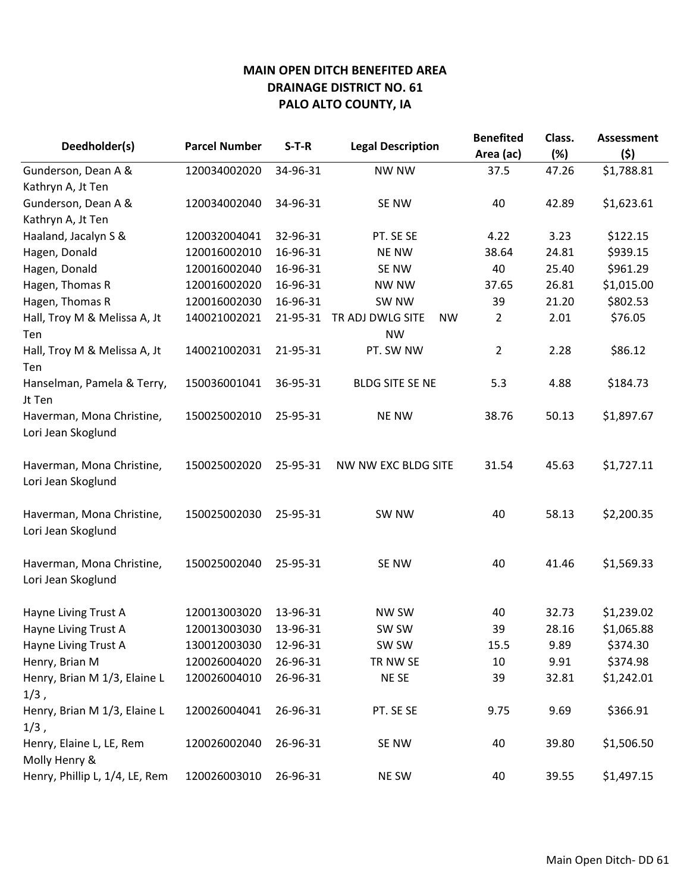| Deedholder(s)                                   | <b>Parcel Number</b> | $S-T-R$  | <b>Legal Description</b>      | <b>Benefited</b><br>Area (ac) | Class.<br>(%) | <b>Assessment</b><br>(5) |
|-------------------------------------------------|----------------------|----------|-------------------------------|-------------------------------|---------------|--------------------------|
| Gunderson, Dean A &                             | 120034002020         | 34-96-31 | NW NW                         | 37.5                          | 47.26         | \$1,788.81               |
| Kathryn A, Jt Ten                               |                      |          |                               |                               |               |                          |
| Gunderson, Dean A &                             | 120034002040         | 34-96-31 | SE NW                         | 40                            | 42.89         | \$1,623.61               |
| Kathryn A, Jt Ten                               |                      |          |                               |                               |               |                          |
| Haaland, Jacalyn S &                            | 120032004041         | 32-96-31 | PT. SE SE                     | 4.22                          | 3.23          | \$122.15                 |
| Hagen, Donald                                   | 120016002010         | 16-96-31 | <b>NE NW</b>                  | 38.64                         | 24.81         | \$939.15                 |
| Hagen, Donald                                   | 120016002040         | 16-96-31 | SE NW                         | 40                            | 25.40         | \$961.29                 |
| Hagen, Thomas R                                 | 120016002020         | 16-96-31 | <b>NW NW</b>                  | 37.65                         | 26.81         | \$1,015.00               |
| Hagen, Thomas R                                 | 120016002030         | 16-96-31 | SW NW                         | 39                            | 21.20         | \$802.53                 |
| Hall, Troy M & Melissa A, Jt                    | 140021002021         | 21-95-31 | TR ADJ DWLG SITE<br><b>NW</b> | 2                             | 2.01          | \$76.05                  |
| Ten                                             |                      |          | <b>NW</b>                     |                               |               |                          |
| Hall, Troy M & Melissa A, Jt<br>Ten             | 140021002031         | 21-95-31 | PT. SW NW                     | 2                             | 2.28          | \$86.12                  |
| Hanselman, Pamela & Terry,<br>Jt Ten            | 150036001041         | 36-95-31 | <b>BLDG SITE SE NE</b>        | 5.3                           | 4.88          | \$184.73                 |
| Haverman, Mona Christine,<br>Lori Jean Skoglund | 150025002010         | 25-95-31 | <b>NE NW</b>                  | 38.76                         | 50.13         | \$1,897.67               |
| Haverman, Mona Christine,<br>Lori Jean Skoglund | 150025002020         | 25-95-31 | NW NW EXC BLDG SITE           | 31.54                         | 45.63         | \$1,727.11               |
| Haverman, Mona Christine,<br>Lori Jean Skoglund | 150025002030         | 25-95-31 | SW NW                         | 40                            | 58.13         | \$2,200.35               |
| Haverman, Mona Christine,<br>Lori Jean Skoglund | 150025002040         | 25-95-31 | SE NW                         | 40                            | 41.46         | \$1,569.33               |
| Hayne Living Trust A                            | 120013003020         | 13-96-31 | NW SW                         | 40                            | 32.73         | \$1,239.02               |
| Hayne Living Trust A                            | 120013003030         | 13-96-31 | SW SW                         | 39                            | 28.16         | \$1,065.88               |
| Hayne Living Trust A                            | 130012003030         | 12-96-31 | SW SW                         | 15.5                          | 9.89          | \$374.30                 |
| Henry, Brian M                                  | 120026004020         | 26-96-31 | TR NW SE                      | 10                            | 9.91          | \$374.98                 |
| Henry, Brian M 1/3, Elaine L<br>$1/3$ ,         | 120026004010         | 26-96-31 | NE SE                         | 39                            | 32.81         | \$1,242.01               |
| Henry, Brian M 1/3, Elaine L<br>$1/3$ ,         | 120026004041         | 26-96-31 | PT. SE SE                     | 9.75                          | 9.69          | \$366.91                 |
| Henry, Elaine L, LE, Rem<br>Molly Henry &       | 120026002040         | 26-96-31 | SE NW                         | 40                            | 39.80         | \$1,506.50               |
| Henry, Phillip L, 1/4, LE, Rem                  | 120026003010         | 26-96-31 | NE SW                         | 40                            | 39.55         | \$1,497.15               |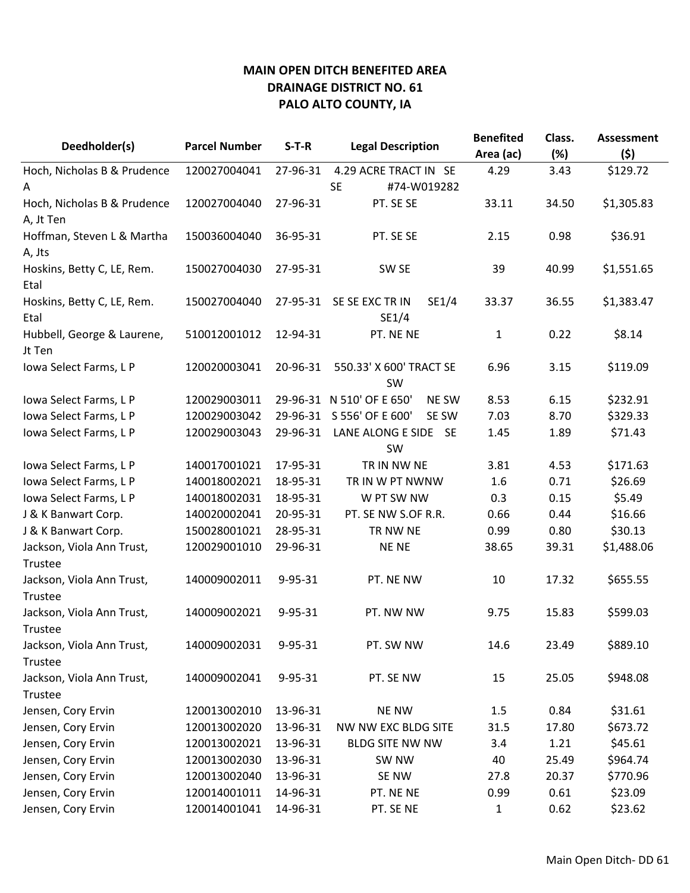| Deedholder(s)                        | <b>Parcel Number</b> | $S-T-R$       | <b>Legal Description</b>               | <b>Benefited</b> | Class. | <b>Assessment</b> |
|--------------------------------------|----------------------|---------------|----------------------------------------|------------------|--------|-------------------|
|                                      |                      |               |                                        | Area (ac)        | (%)    | (\$)              |
| Hoch, Nicholas B & Prudence          | 120027004041         | 27-96-31      | 4.29 ACRE TRACT IN SE                  | 4.29             | 3.43   | \$129.72          |
| A                                    |                      |               | <b>SE</b><br>#74-W019282               |                  |        |                   |
| Hoch, Nicholas B & Prudence          | 120027004040         | 27-96-31      | PT. SE SE                              | 33.11            | 34.50  | \$1,305.83        |
| A, Jt Ten                            |                      |               |                                        |                  |        |                   |
| Hoffman, Steven L & Martha           | 150036004040         | 36-95-31      | PT. SE SE                              | 2.15             | 0.98   | \$36.91           |
| A, Jts<br>Hoskins, Betty C, LE, Rem. | 150027004030         | 27-95-31      | SW <sub>SE</sub>                       | 39               | 40.99  | \$1,551.65        |
| Etal                                 |                      |               |                                        |                  |        |                   |
| Hoskins, Betty C, LE, Rem.           | 150027004040         | 27-95-31      | SE SE EXC TR IN<br>SE1/4               | 33.37            | 36.55  | \$1,383.47        |
| Etal                                 |                      |               | SE1/4                                  |                  |        |                   |
| Hubbell, George & Laurene,<br>Jt Ten | 510012001012         | 12-94-31      | PT. NE NE                              | $\mathbf{1}$     | 0.22   | \$8.14            |
| Iowa Select Farms, L P               | 120020003041         | 20-96-31      | 550.33' X 600' TRACT SE                | 6.96             | 3.15   | \$119.09          |
|                                      |                      |               | <b>SW</b><br>N 510' OF E 650'          |                  |        |                   |
| Iowa Select Farms, L P               | 120029003011         | 29-96-31      | <b>NE SW</b>                           | 8.53             | 6.15   | \$232.91          |
| Iowa Select Farms, L P               | 120029003042         | 29-96-31      | S 556' OF E 600'<br>SE SW              | 7.03             | 8.70   | \$329.33          |
| Iowa Select Farms, L P               | 120029003043         | 29-96-31      | LANE ALONG E SIDE<br>- SE<br><b>SW</b> | 1.45             | 1.89   | \$71.43           |
| Iowa Select Farms, L P               | 140017001021         | 17-95-31      | TR IN NW NE                            | 3.81             | 4.53   | \$171.63          |
| Iowa Select Farms, L P               | 140018002021         | 18-95-31      | TR IN W PT NWNW                        | 1.6              | 0.71   | \$26.69           |
| Iowa Select Farms, L P               | 140018002031         | 18-95-31      | W PT SW NW                             | 0.3              | 0.15   | \$5.49            |
| J & K Banwart Corp.                  | 140020002041         | 20-95-31      | PT. SE NW S.OF R.R.                    | 0.66             | 0.44   | \$16.66           |
| J & K Banwart Corp.                  | 150028001021         | 28-95-31      | TR NW NE                               | 0.99             | 0.80   | \$30.13           |
| Jackson, Viola Ann Trust,            | 120029001010         | 29-96-31      | <b>NENE</b>                            | 38.65            | 39.31  | \$1,488.06        |
| Trustee                              |                      |               |                                        |                  |        |                   |
| Jackson, Viola Ann Trust,            | 140009002011         | $9 - 95 - 31$ | PT. NE NW                              | 10               | 17.32  | \$655.55          |
| Trustee                              |                      |               |                                        |                  |        |                   |
| Jackson, Viola Ann Trust,            | 140009002021         | 9-95-31       | PT. NW NW                              | 9.75             | 15.83  | \$599.03          |
| Trustee                              |                      |               |                                        |                  |        |                   |
| Jackson, Viola Ann Trust,            | 140009002031         | 9-95-31       | PT. SW NW                              | 14.6             | 23.49  | \$889.10          |
| Trustee                              |                      |               |                                        |                  |        |                   |
| Jackson, Viola Ann Trust,            | 140009002041         | 9-95-31       | PT. SE NW                              | 15               | 25.05  | \$948.08          |
| Trustee                              |                      |               |                                        |                  |        |                   |
| Jensen, Cory Ervin                   | 120013002010         | 13-96-31      | <b>NE NW</b>                           | $1.5\,$          | 0.84   | \$31.61           |
| Jensen, Cory Ervin                   | 120013002020         | 13-96-31      | NW NW EXC BLDG SITE                    | 31.5             | 17.80  | \$673.72          |
| Jensen, Cory Ervin                   | 120013002021         | 13-96-31      | <b>BLDG SITE NW NW</b>                 | 3.4              | 1.21   | \$45.61           |
| Jensen, Cory Ervin                   | 120013002030         | 13-96-31      | SW NW                                  | 40               | 25.49  | \$964.74          |
| Jensen, Cory Ervin                   | 120013002040         | 13-96-31      | SE NW                                  | 27.8             | 20.37  | \$770.96          |
| Jensen, Cory Ervin                   | 120014001011         | 14-96-31      | PT. NE NE                              | 0.99             | 0.61   | \$23.09           |
| Jensen, Cory Ervin                   | 120014001041         | 14-96-31      | PT. SE NE                              | $\mathbf{1}$     | 0.62   | \$23.62           |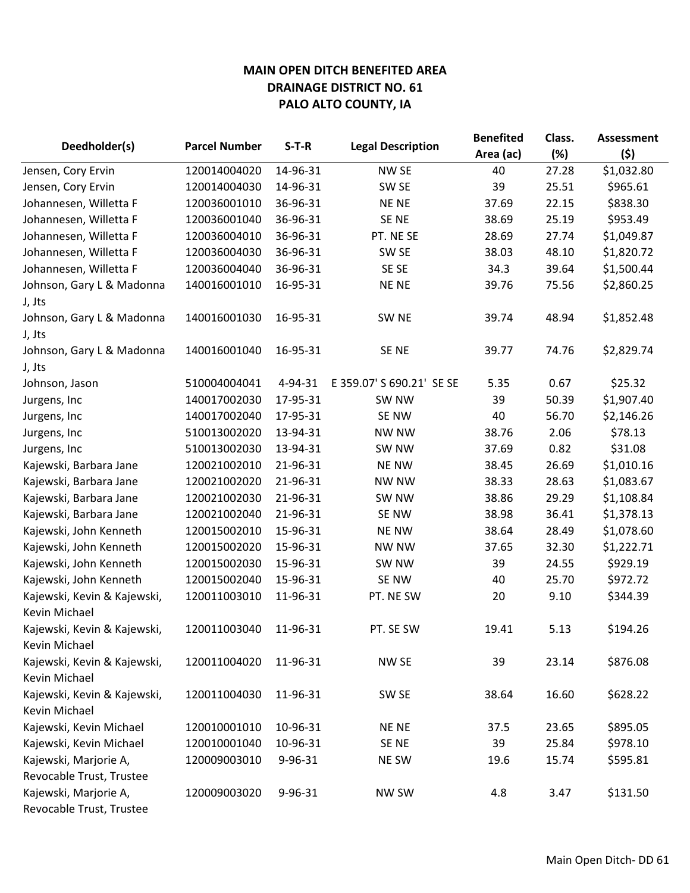|                                              |                      |          | <b>Legal Description</b>  | <b>Benefited</b> | Class. | <b>Assessment</b> |
|----------------------------------------------|----------------------|----------|---------------------------|------------------|--------|-------------------|
| Deedholder(s)                                | <b>Parcel Number</b> | $S-T-R$  |                           | Area (ac)        | (%)    | (5)               |
| Jensen, Cory Ervin                           | 120014004020         | 14-96-31 | NW SE                     | 40               | 27.28  | \$1,032.80        |
| Jensen, Cory Ervin                           | 120014004030         | 14-96-31 | SW <sub>SE</sub>          | 39               | 25.51  | \$965.61          |
| Johannesen, Willetta F                       | 120036001010         | 36-96-31 | <b>NENE</b>               | 37.69            | 22.15  | \$838.30          |
| Johannesen, Willetta F                       | 120036001040         | 36-96-31 | SE NE                     | 38.69            | 25.19  | \$953.49          |
| Johannesen, Willetta F                       | 120036004010         | 36-96-31 | PT. NE SE                 | 28.69            | 27.74  | \$1,049.87        |
| Johannesen, Willetta F                       | 120036004030         | 36-96-31 | SW <sub>SE</sub>          | 38.03            | 48.10  | \$1,820.72        |
| Johannesen, Willetta F                       | 120036004040         | 36-96-31 | SE SE                     | 34.3             | 39.64  | \$1,500.44        |
| Johnson, Gary L & Madonna<br>J, Jts          | 140016001010         | 16-95-31 | <b>NENE</b>               | 39.76            | 75.56  | \$2,860.25        |
| Johnson, Gary L & Madonna                    | 140016001030         | 16-95-31 | SW <sub>NE</sub>          | 39.74            | 48.94  | \$1,852.48        |
| J, Jts                                       |                      |          |                           |                  |        |                   |
| Johnson, Gary L & Madonna                    | 140016001040         | 16-95-31 | SE <sub>NE</sub>          | 39.77            | 74.76  | \$2,829.74        |
| J, Jts                                       |                      |          |                           |                  |        |                   |
| Johnson, Jason                               | 510004004041         | 4-94-31  | E 359.07' S 690.21' SE SE | 5.35             | 0.67   | \$25.32           |
| Jurgens, Inc                                 | 140017002030         | 17-95-31 | SW <sub>NW</sub>          | 39               | 50.39  | \$1,907.40        |
| Jurgens, Inc                                 | 140017002040         | 17-95-31 | SE NW                     | 40               | 56.70  | \$2,146.26        |
| Jurgens, Inc                                 | 510013002020         | 13-94-31 | <b>NW NW</b>              | 38.76            | 2.06   | \$78.13           |
| Jurgens, Inc                                 | 510013002030         | 13-94-31 | SW <sub>NW</sub>          | 37.69            | 0.82   | \$31.08           |
| Kajewski, Barbara Jane                       | 120021002010         | 21-96-31 | <b>NE NW</b>              | 38.45            | 26.69  | \$1,010.16        |
| Kajewski, Barbara Jane                       | 120021002020         | 21-96-31 | <b>NW NW</b>              | 38.33            | 28.63  | \$1,083.67        |
| Kajewski, Barbara Jane                       | 120021002030         | 21-96-31 | SW NW                     | 38.86            | 29.29  | \$1,108.84        |
| Kajewski, Barbara Jane                       | 120021002040         | 21-96-31 | SE NW                     | 38.98            | 36.41  | \$1,378.13        |
| Kajewski, John Kenneth                       | 120015002010         | 15-96-31 | <b>NE NW</b>              | 38.64            | 28.49  | \$1,078.60        |
| Kajewski, John Kenneth                       | 120015002020         | 15-96-31 | <b>NW NW</b>              | 37.65            | 32.30  | \$1,222.71        |
| Kajewski, John Kenneth                       | 120015002030         | 15-96-31 | SW <sub>NW</sub>          | 39               | 24.55  | \$929.19          |
| Kajewski, John Kenneth                       | 120015002040         | 15-96-31 | SE NW                     | 40               | 25.70  | \$972.72          |
| Kajewski, Kevin & Kajewski,<br>Kevin Michael | 120011003010         | 11-96-31 | PT. NE SW                 | 20               | 9.10   | \$344.39          |
| Kajewski, Kevin & Kajewski,<br>Kevin Michael | 120011003040         | 11-96-31 | PT. SE SW                 | 19.41            | 5.13   | \$194.26          |
| Kajewski, Kevin & Kajewski,<br>Kevin Michael | 120011004020         | 11-96-31 | NW SE                     | 39               | 23.14  | \$876.08          |
| Kajewski, Kevin & Kajewski,<br>Kevin Michael | 120011004030         | 11-96-31 | SW SE                     | 38.64            | 16.60  | \$628.22          |
| Kajewski, Kevin Michael                      | 120010001010         | 10-96-31 | NE NE                     | 37.5             | 23.65  | \$895.05          |
| Kajewski, Kevin Michael                      | 120010001040         | 10-96-31 | SE NE                     | 39               | 25.84  | \$978.10          |
| Kajewski, Marjorie A,                        | 120009003010         | 9-96-31  | NE SW                     | 19.6             | 15.74  | \$595.81          |
| Revocable Trust, Trustee                     |                      |          |                           |                  |        |                   |
| Kajewski, Marjorie A,                        | 120009003020         | 9-96-31  | <b>NW SW</b>              | 4.8              | 3.47   | \$131.50          |
| Revocable Trust, Trustee                     |                      |          |                           |                  |        |                   |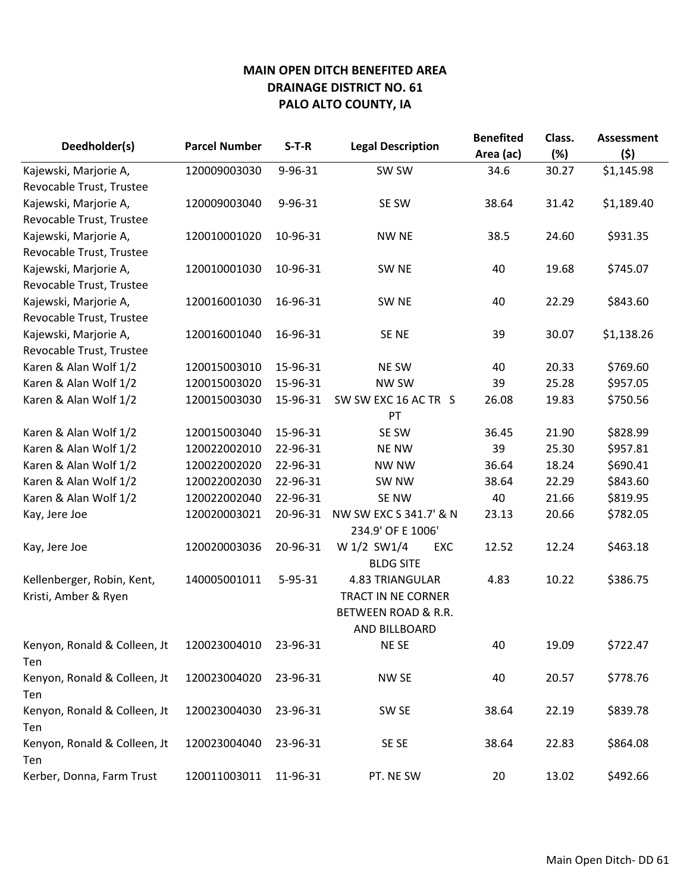| Deedholder(s)                | <b>Parcel Number</b> | $S-T-R$       | <b>Legal Description</b>  | <b>Benefited</b><br>Area (ac) | Class.<br>(%) | <b>Assessment</b><br>(5) |
|------------------------------|----------------------|---------------|---------------------------|-------------------------------|---------------|--------------------------|
| Kajewski, Marjorie A,        | 120009003030         | 9-96-31       | SW SW                     | 34.6                          | 30.27         | \$1,145.98               |
| Revocable Trust, Trustee     |                      |               |                           |                               |               |                          |
| Kajewski, Marjorie A,        | 120009003040         | 9-96-31       | SE SW                     | 38.64                         | 31.42         | \$1,189.40               |
| Revocable Trust, Trustee     |                      |               |                           |                               |               |                          |
| Kajewski, Marjorie A,        | 120010001020         | 10-96-31      | <b>NW NE</b>              | 38.5                          | 24.60         | \$931.35                 |
| Revocable Trust, Trustee     |                      |               |                           |                               |               |                          |
| Kajewski, Marjorie A,        | 120010001030         | 10-96-31      | SW <sub>NE</sub>          | 40                            | 19.68         | \$745.07                 |
| Revocable Trust, Trustee     |                      |               |                           |                               |               |                          |
| Kajewski, Marjorie A,        | 120016001030         | 16-96-31      | SW <sub>NE</sub>          | 40                            | 22.29         | \$843.60                 |
| Revocable Trust, Trustee     |                      |               |                           |                               |               |                          |
| Kajewski, Marjorie A,        | 120016001040         | 16-96-31      | SE <sub>NE</sub>          | 39                            | 30.07         | \$1,138.26               |
| Revocable Trust, Trustee     |                      |               |                           |                               |               |                          |
| Karen & Alan Wolf 1/2        | 120015003010         | 15-96-31      | <b>NE SW</b>              | 40                            | 20.33         | \$769.60                 |
| Karen & Alan Wolf 1/2        | 120015003020         | 15-96-31      | <b>NW SW</b>              | 39                            | 25.28         | \$957.05                 |
| Karen & Alan Wolf 1/2        | 120015003030         | 15-96-31      | SW SW EXC 16 AC TR S      | 26.08                         | 19.83         | \$750.56                 |
|                              |                      |               | PT                        |                               |               |                          |
| Karen & Alan Wolf 1/2        | 120015003040         | 15-96-31      | SE SW                     | 36.45                         | 21.90         | \$828.99                 |
| Karen & Alan Wolf 1/2        | 120022002010         | 22-96-31      | <b>NE NW</b>              | 39                            | 25.30         | \$957.81                 |
| Karen & Alan Wolf 1/2        | 120022002020         | 22-96-31      | <b>NW NW</b>              | 36.64                         | 18.24         | \$690.41                 |
| Karen & Alan Wolf 1/2        | 120022002030         | 22-96-31      | SW NW                     | 38.64                         | 22.29         | \$843.60                 |
| Karen & Alan Wolf 1/2        | 120022002040         | 22-96-31      | SE NW                     | 40                            | 21.66         | \$819.95                 |
| Kay, Jere Joe                | 120020003021         | 20-96-31      | NW SW EXC S 341.7' & N    | 23.13                         | 20.66         | \$782.05                 |
|                              |                      |               | 234.9' OF E 1006'         |                               |               |                          |
| Kay, Jere Joe                | 120020003036         | 20-96-31      | W 1/2 SW1/4<br>EXC        | 12.52                         | 12.24         | \$463.18                 |
|                              |                      |               | <b>BLDG SITE</b>          |                               |               |                          |
| Kellenberger, Robin, Kent,   | 140005001011         | $5 - 95 - 31$ | 4.83 TRIANGULAR           | 4.83                          | 10.22         | \$386.75                 |
| Kristi, Amber & Ryen         |                      |               | <b>TRACT IN NE CORNER</b> |                               |               |                          |
|                              |                      |               | BETWEEN ROAD & R.R.       |                               |               |                          |
|                              |                      |               | <b>AND BILLBOARD</b>      |                               |               |                          |
| Kenyon, Ronald & Colleen, Jt | 120023004010         | 23-96-31      | NE SE                     | 40                            | 19.09         | \$722.47                 |
| Ten                          |                      |               |                           |                               |               |                          |
| Kenyon, Ronald & Colleen, Jt | 120023004020         | 23-96-31      | NW SE                     | 40                            | 20.57         | \$778.76                 |
| Ten                          |                      |               |                           |                               |               |                          |
| Kenyon, Ronald & Colleen, Jt | 120023004030         | 23-96-31      | SW SE                     | 38.64                         | 22.19         | \$839.78                 |
| Ten                          |                      |               |                           |                               |               |                          |
| Kenyon, Ronald & Colleen, Jt | 120023004040         | 23-96-31      | SE SE                     | 38.64                         | 22.83         | \$864.08                 |
| Ten                          |                      |               |                           |                               |               |                          |
| Kerber, Donna, Farm Trust    | 120011003011         | 11-96-31      | PT. NE SW                 | 20                            | 13.02         | \$492.66                 |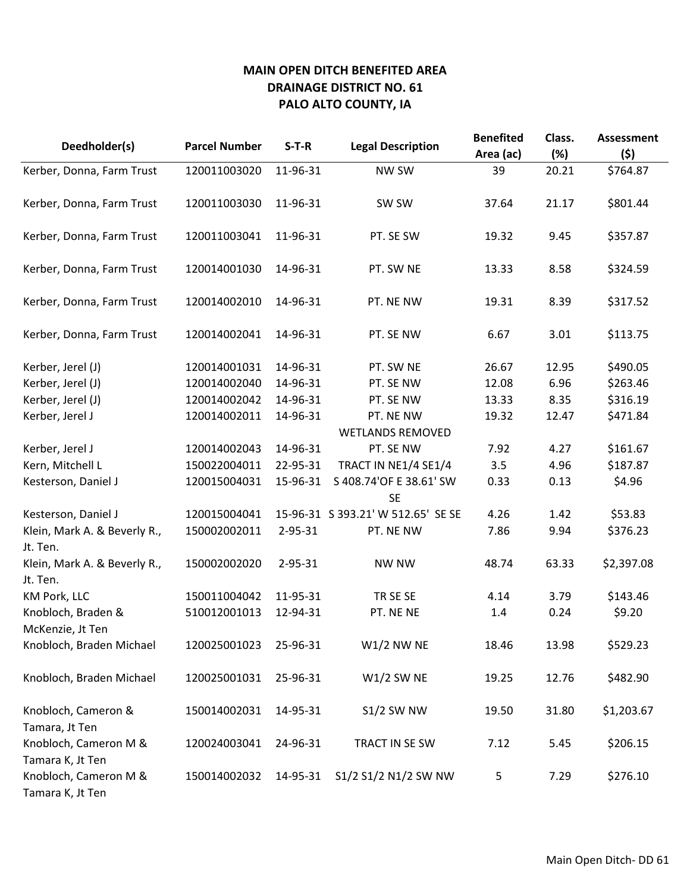| Deedholder(s)                             | <b>Parcel Number</b> | $S-T-R$  | <b>Legal Description</b>             | <b>Benefited</b><br>Area (ac) | Class.<br>(%) | <b>Assessment</b><br>(\$) |
|-------------------------------------------|----------------------|----------|--------------------------------------|-------------------------------|---------------|---------------------------|
| Kerber, Donna, Farm Trust                 | 120011003020         | 11-96-31 | <b>NW SW</b>                         | 39                            | 20.21         | \$764.87                  |
| Kerber, Donna, Farm Trust                 | 120011003030         | 11-96-31 | SW SW                                | 37.64                         | 21.17         | \$801.44                  |
| Kerber, Donna, Farm Trust                 | 120011003041         | 11-96-31 | PT. SE SW                            | 19.32                         | 9.45          | \$357.87                  |
| Kerber, Donna, Farm Trust                 | 120014001030         | 14-96-31 | PT. SW NE                            | 13.33                         | 8.58          | \$324.59                  |
| Kerber, Donna, Farm Trust                 | 120014002010         | 14-96-31 | PT. NE NW                            | 19.31                         | 8.39          | \$317.52                  |
| Kerber, Donna, Farm Trust                 | 120014002041         | 14-96-31 | PT. SE NW                            | 6.67                          | 3.01          | \$113.75                  |
| Kerber, Jerel (J)                         | 120014001031         | 14-96-31 | PT. SW NE                            | 26.67                         | 12.95         | \$490.05                  |
| Kerber, Jerel (J)                         | 120014002040         | 14-96-31 | PT. SE NW                            | 12.08                         | 6.96          | \$263.46                  |
| Kerber, Jerel (J)                         | 120014002042         | 14-96-31 | PT. SE NW                            | 13.33                         | 8.35          | \$316.19                  |
| Kerber, Jerel J                           | 120014002011         | 14-96-31 | PT. NE NW<br><b>WETLANDS REMOVED</b> | 19.32                         | 12.47         | \$471.84                  |
| Kerber, Jerel J                           | 120014002043         | 14-96-31 | PT. SE NW                            | 7.92                          | 4.27          | \$161.67                  |
| Kern, Mitchell L                          | 150022004011         | 22-95-31 | TRACT IN NE1/4 SE1/4                 | 3.5                           | 4.96          | \$187.87                  |
| Kesterson, Daniel J                       | 120015004031         | 15-96-31 | S 408.74'OF E 38.61' SW<br><b>SE</b> | 0.33                          | 0.13          | \$4.96                    |
| Kesterson, Daniel J                       | 120015004041         |          | 15-96-31 S 393.21' W 512.65' SE SE   | 4.26                          | 1.42          | \$53.83                   |
| Klein, Mark A. & Beverly R.,<br>Jt. Ten.  | 150002002011         | 2-95-31  | PT. NE NW                            | 7.86                          | 9.94          | \$376.23                  |
| Klein, Mark A. & Beverly R.,<br>Jt. Ten.  | 150002002020         | 2-95-31  | <b>NW NW</b>                         | 48.74                         | 63.33         | \$2,397.08                |
| KM Pork, LLC                              | 150011004042         | 11-95-31 | TR SE SE                             | 4.14                          | 3.79          | \$143.46                  |
| Knobloch, Braden &<br>McKenzie, Jt Ten    | 510012001013         | 12-94-31 | PT. NE NE                            | 1.4                           | 0.24          | \$9.20                    |
| Knobloch, Braden Michael                  | 120025001023         | 25-96-31 | <b>W1/2 NW NE</b>                    | 18.46                         | 13.98         | \$529.23                  |
| Knobloch, Braden Michael                  | 120025001031         | 25-96-31 | $W1/2$ SW NE                         | 19.25                         | 12.76         | \$482.90                  |
| Knobloch, Cameron &<br>Tamara, Jt Ten     | 150014002031         | 14-95-31 | <b>S1/2 SW NW</b>                    | 19.50                         | 31.80         | \$1,203.67                |
| Knobloch, Cameron M &<br>Tamara K, Jt Ten | 120024003041         | 24-96-31 | TRACT IN SE SW                       | 7.12                          | 5.45          | \$206.15                  |
| Knobloch, Cameron M &<br>Tamara K, Jt Ten | 150014002032         | 14-95-31 | S1/2 S1/2 N1/2 SW NW                 | 5                             | 7.29          | \$276.10                  |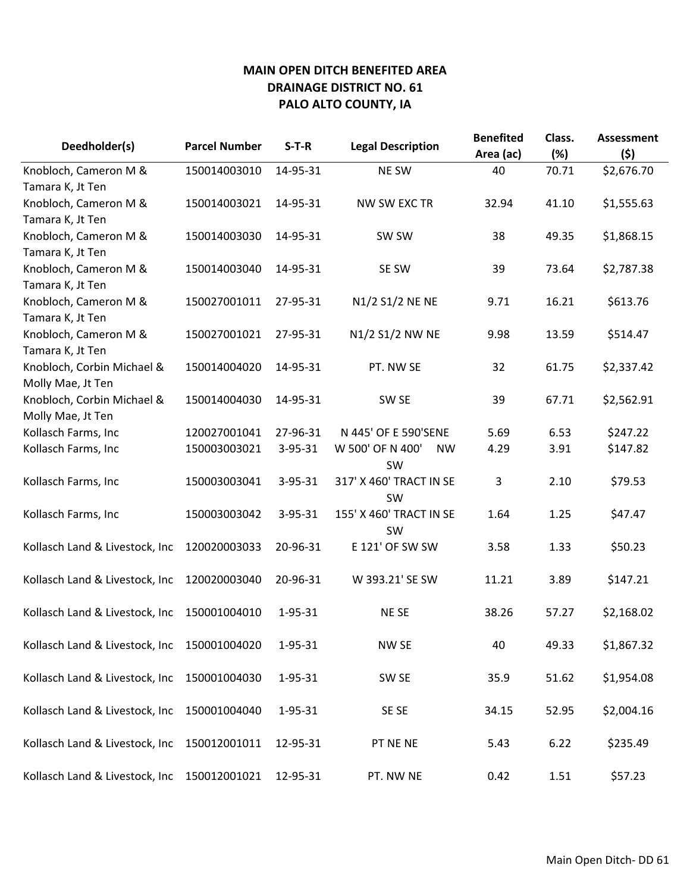| Deedholder(s)                  | <b>Parcel Number</b> | $S-T-R$       | <b>Legal Description</b>                   | <b>Benefited</b><br>Area (ac) | Class.<br>(%) | <b>Assessment</b><br>(5) |
|--------------------------------|----------------------|---------------|--------------------------------------------|-------------------------------|---------------|--------------------------|
| Knobloch, Cameron M &          | 150014003010         | 14-95-31      | NE SW                                      | 40                            | 70.71         | \$2,676.70               |
| Tamara K, Jt Ten               |                      |               |                                            |                               |               |                          |
| Knobloch, Cameron M &          | 150014003021         | 14-95-31      | <b>NW SW EXC TR</b>                        | 32.94                         | 41.10         | \$1,555.63               |
| Tamara K, Jt Ten               |                      |               |                                            |                               |               |                          |
| Knobloch, Cameron M &          | 150014003030         | 14-95-31      | SW SW                                      | 38                            | 49.35         | \$1,868.15               |
| Tamara K, Jt Ten               |                      |               |                                            |                               |               |                          |
| Knobloch, Cameron M &          | 150014003040         | 14-95-31      | SE SW                                      | 39                            | 73.64         | \$2,787.38               |
| Tamara K, Jt Ten               |                      |               |                                            |                               |               |                          |
| Knobloch, Cameron M &          | 150027001011         | 27-95-31      | N1/2 S1/2 NE NE                            | 9.71                          | 16.21         | \$613.76                 |
| Tamara K, Jt Ten               |                      |               |                                            |                               |               |                          |
| Knobloch, Cameron M &          | 150027001021         | 27-95-31      | N1/2 S1/2 NW NE                            | 9.98                          | 13.59         | \$514.47                 |
| Tamara K, Jt Ten               |                      |               |                                            |                               |               |                          |
| Knobloch, Corbin Michael &     | 150014004020         | 14-95-31      | PT. NW SE                                  | 32                            | 61.75         | \$2,337.42               |
| Molly Mae, Jt Ten              |                      |               |                                            |                               |               |                          |
| Knobloch, Corbin Michael &     | 150014004030         | 14-95-31      | SW <sub>SE</sub>                           | 39                            | 67.71         | \$2,562.91               |
| Molly Mae, Jt Ten              |                      |               |                                            |                               |               |                          |
| Kollasch Farms, Inc            | 120027001041         | 27-96-31      | N 445' OF E 590'SENE                       | 5.69                          | 6.53          | \$247.22                 |
| Kollasch Farms, Inc            | 150003003021         | $3 - 95 - 31$ | W 500' OF N 400'<br><b>NW</b><br><b>SW</b> | 4.29                          | 3.91          | \$147.82                 |
| Kollasch Farms, Inc            | 150003003041         | $3 - 95 - 31$ | 317' X 460' TRACT IN SE<br><b>SW</b>       | 3                             | 2.10          | \$79.53                  |
| Kollasch Farms, Inc            | 150003003042         | $3 - 95 - 31$ | 155' X 460' TRACT IN SE<br><b>SW</b>       | 1.64                          | 1.25          | \$47.47                  |
| Kollasch Land & Livestock, Inc | 120020003033         | 20-96-31      | E 121' OF SW SW                            | 3.58                          | 1.33          | \$50.23                  |
| Kollasch Land & Livestock, Inc | 120020003040         | 20-96-31      | W 393.21' SE SW                            | 11.21                         | 3.89          | \$147.21                 |
| Kollasch Land & Livestock, Inc | 150001004010         | 1-95-31       | NE SE                                      | 38.26                         | 57.27         | \$2,168.02               |
| Kollasch Land & Livestock, Inc | 150001004020         | 1-95-31       | NW SE                                      | 40                            | 49.33         | \$1,867.32               |
| Kollasch Land & Livestock, Inc | 150001004030         | 1-95-31       | SW <sub>SE</sub>                           | 35.9                          | 51.62         | \$1,954.08               |
| Kollasch Land & Livestock, Inc | 150001004040         | 1-95-31       | SE SE                                      | 34.15                         | 52.95         | \$2,004.16               |
| Kollasch Land & Livestock, Inc | 150012001011         | 12-95-31      | PT NE NE                                   | 5.43                          | 6.22          | \$235.49                 |
| Kollasch Land & Livestock, Inc | 150012001021         | 12-95-31      | PT. NW NE                                  | 0.42                          | 1.51          | \$57.23                  |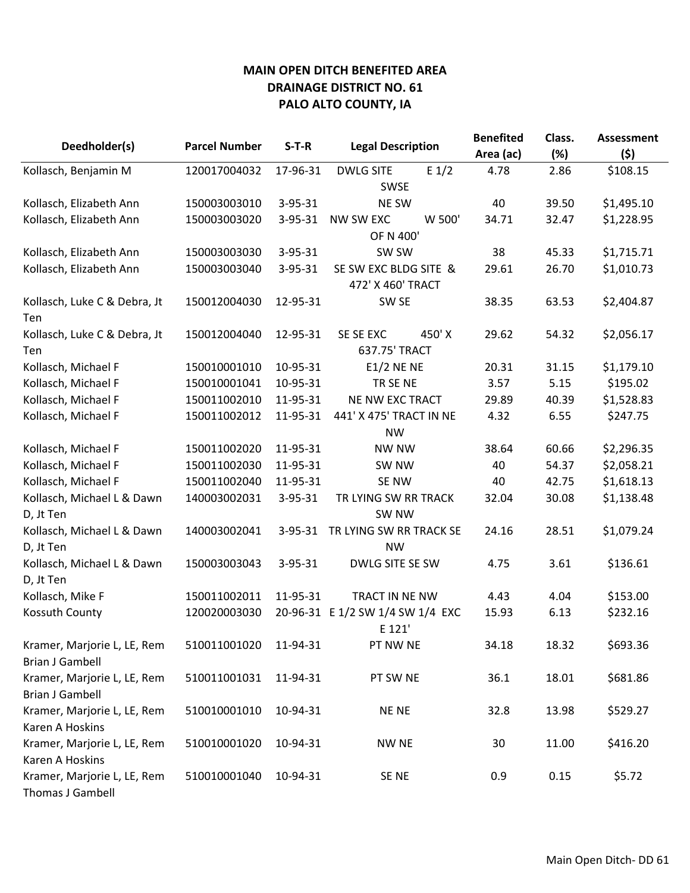|                              |                      |               |                                  | <b>Benefited</b> | Class. | <b>Assessment</b> |
|------------------------------|----------------------|---------------|----------------------------------|------------------|--------|-------------------|
| Deedholder(s)                | <b>Parcel Number</b> | $S-T-R$       | <b>Legal Description</b>         | Area (ac)        | (%)    | (5)               |
| Kollasch, Benjamin M         | 120017004032         | 17-96-31      | $E_1/2$<br><b>DWLG SITE</b>      | 4.78             | 2.86   | \$108.15          |
|                              |                      |               | <b>SWSE</b>                      |                  |        |                   |
| Kollasch, Elizabeth Ann      | 150003003010         | $3 - 95 - 31$ | <b>NE SW</b>                     | 40               | 39.50  | \$1,495.10        |
| Kollasch, Elizabeth Ann      | 150003003020         | $3 - 95 - 31$ | NW SW EXC<br>W 500'              | 34.71            | 32.47  | \$1,228.95        |
|                              |                      |               | OF N 400'                        |                  |        |                   |
| Kollasch, Elizabeth Ann      | 150003003030         | $3 - 95 - 31$ | SW SW                            | 38               | 45.33  | \$1,715.71        |
| Kollasch, Elizabeth Ann      | 150003003040         | $3 - 95 - 31$ | SE SW EXC BLDG SITE &            | 29.61            | 26.70  | \$1,010.73        |
|                              |                      |               | 472' X 460' TRACT                |                  |        |                   |
| Kollasch, Luke C & Debra, Jt | 150012004030         | 12-95-31      | SW <sub>SE</sub>                 | 38.35            | 63.53  | \$2,404.87        |
| Ten                          |                      |               |                                  |                  |        |                   |
| Kollasch, Luke C & Debra, Jt | 150012004040         | 12-95-31      | SE SE EXC<br>450'X               | 29.62            | 54.32  | \$2,056.17        |
| Ten                          |                      |               | 637.75' TRACT                    |                  |        |                   |
| Kollasch, Michael F          | 150010001010         | 10-95-31      | <b>E1/2 NE NE</b>                | 20.31            | 31.15  | \$1,179.10        |
| Kollasch, Michael F          | 150010001041         | 10-95-31      | TR SE NE                         | 3.57             | 5.15   | \$195.02          |
| Kollasch, Michael F          | 150011002010         | 11-95-31      | <b>NE NW EXC TRACT</b>           | 29.89            | 40.39  | \$1,528.83        |
| Kollasch, Michael F          | 150011002012         | 11-95-31      | 441' X 475' TRACT IN NE          | 4.32             | 6.55   | \$247.75          |
|                              |                      |               | <b>NW</b>                        |                  |        |                   |
| Kollasch, Michael F          | 150011002020         | 11-95-31      | <b>NW NW</b>                     | 38.64            | 60.66  | \$2,296.35        |
| Kollasch, Michael F          | 150011002030         | 11-95-31      | SW NW                            | 40               | 54.37  | \$2,058.21        |
| Kollasch, Michael F          | 150011002040         | 11-95-31      | SE NW                            | 40               | 42.75  | \$1,618.13        |
| Kollasch, Michael L & Dawn   | 140003002031         | 3-95-31       | TR LYING SW RR TRACK             | 32.04            | 30.08  | \$1,138.48        |
| D, Jt Ten                    |                      |               | SW NW                            |                  |        |                   |
| Kollasch, Michael L & Dawn   | 140003002041         | $3 - 95 - 31$ | TR LYING SW RR TRACK SE          | 24.16            | 28.51  | \$1,079.24        |
| D, Jt Ten                    |                      |               | <b>NW</b>                        |                  |        |                   |
| Kollasch, Michael L & Dawn   | 150003003043         | $3 - 95 - 31$ | DWLG SITE SE SW                  | 4.75             | 3.61   | \$136.61          |
| D, Jt Ten                    |                      |               |                                  |                  |        |                   |
| Kollasch, Mike F             | 150011002011         | 11-95-31      | TRACT IN NE NW                   | 4.43             | 4.04   | \$153.00          |
| Kossuth County               | 120020003030         |               | 20-96-31 E 1/2 SW 1/4 SW 1/4 EXC | 15.93            | 6.13   | \$232.16          |
|                              |                      |               | E 121'                           |                  |        |                   |
| Kramer, Marjorie L, LE, Rem  | 510011001020         | 11-94-31      | PT NW NE                         | 34.18            | 18.32  | \$693.36          |
| <b>Brian J Gambell</b>       |                      |               |                                  |                  |        |                   |
| Kramer, Marjorie L, LE, Rem  | 510011001031         | 11-94-31      | PT SW NE                         | 36.1             | 18.01  | \$681.86          |
| <b>Brian J Gambell</b>       |                      |               |                                  |                  |        |                   |
| Kramer, Marjorie L, LE, Rem  | 510010001010         | 10-94-31      | <b>NENE</b>                      | 32.8             | 13.98  | \$529.27          |
| Karen A Hoskins              |                      |               |                                  |                  |        |                   |
| Kramer, Marjorie L, LE, Rem  | 510010001020         | 10-94-31      | <b>NW NE</b>                     | 30               | 11.00  | \$416.20          |
| Karen A Hoskins              |                      |               |                                  |                  |        |                   |
| Kramer, Marjorie L, LE, Rem  | 510010001040         | 10-94-31      | SE <sub>NE</sub>                 | 0.9              | 0.15   | \$5.72            |
| Thomas J Gambell             |                      |               |                                  |                  |        |                   |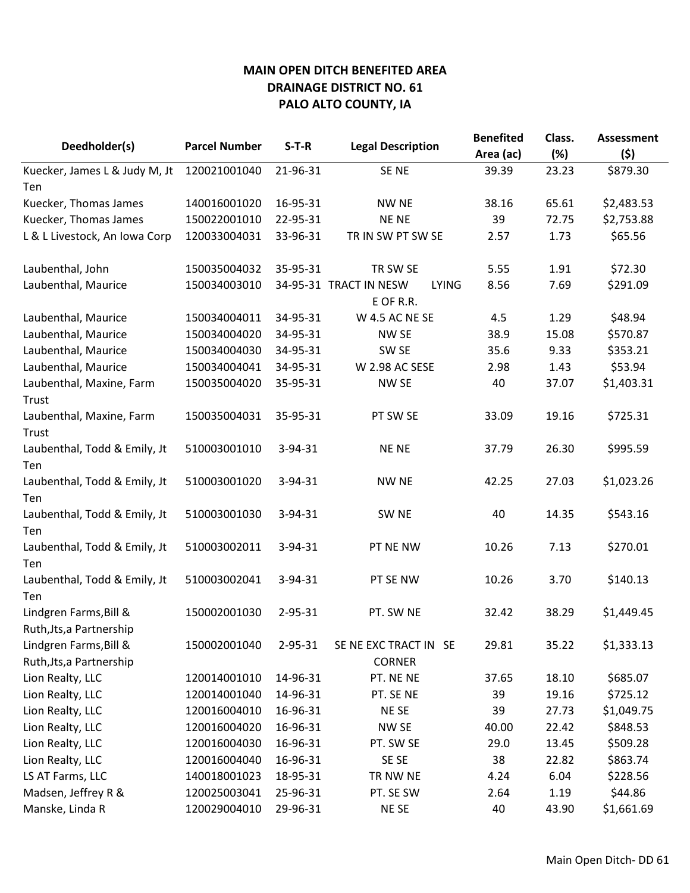| Deedholder(s)                                      | <b>Parcel Number</b> | $S-T-R$       |                                                     | <b>Benefited</b> | Class. | <b>Assessment</b> |
|----------------------------------------------------|----------------------|---------------|-----------------------------------------------------|------------------|--------|-------------------|
|                                                    |                      |               | <b>Legal Description</b>                            | Area (ac)        | (%)    | (5)               |
| Kuecker, James L & Judy M, Jt                      | 120021001040         | 21-96-31      | SE <sub>NE</sub>                                    | 39.39            | 23.23  | \$879.30          |
| Ten                                                |                      |               |                                                     |                  |        |                   |
| Kuecker, Thomas James                              | 140016001020         | 16-95-31      | <b>NW NE</b>                                        | 38.16            | 65.61  | \$2,483.53        |
| Kuecker, Thomas James                              | 150022001010         | 22-95-31      | <b>NENE</b>                                         | 39               | 72.75  | \$2,753.88        |
| L & L Livestock, An Iowa Corp                      | 120033004031         | 33-96-31      | TR IN SW PT SW SE                                   | 2.57             | 1.73   | \$65.56           |
| Laubenthal, John                                   | 150035004032         | 35-95-31      | TR SW SE                                            | 5.55             | 1.91   | \$72.30           |
| Laubenthal, Maurice                                | 150034003010         |               | 34-95-31 TRACT IN NESW<br><b>LYING</b><br>E OF R.R. | 8.56             | 7.69   | \$291.09          |
| Laubenthal, Maurice                                | 150034004011         | 34-95-31      | W 4.5 AC NE SE                                      | 4.5              | 1.29   | \$48.94           |
| Laubenthal, Maurice                                | 150034004020         | 34-95-31      | NW SE                                               | 38.9             | 15.08  | \$570.87          |
| Laubenthal, Maurice                                | 150034004030         | 34-95-31      | SW <sub>SE</sub>                                    | 35.6             | 9.33   | \$353.21          |
| Laubenthal, Maurice                                | 150034004041         | 34-95-31      | <b>W 2.98 AC SESE</b>                               | 2.98             | 1.43   | \$53.94           |
| Laubenthal, Maxine, Farm<br>Trust                  | 150035004020         | 35-95-31      | NW SE                                               | 40               | 37.07  | \$1,403.31        |
| Laubenthal, Maxine, Farm<br>Trust                  | 150035004031         | 35-95-31      | PT SW SE                                            | 33.09            | 19.16  | \$725.31          |
| Laubenthal, Todd & Emily, Jt<br>Ten                | 510003001010         | $3 - 94 - 31$ | <b>NENE</b>                                         | 37.79            | 26.30  | \$995.59          |
| Laubenthal, Todd & Emily, Jt<br>Ten                | 510003001020         | $3 - 94 - 31$ | <b>NW NE</b>                                        | 42.25            | 27.03  | \$1,023.26        |
| Laubenthal, Todd & Emily, Jt<br>Ten                | 510003001030         | $3 - 94 - 31$ | SW <sub>NE</sub>                                    | 40               | 14.35  | \$543.16          |
| Laubenthal, Todd & Emily, Jt<br>Ten                | 510003002011         | 3-94-31       | PT NE NW                                            | 10.26            | 7.13   | \$270.01          |
| Laubenthal, Todd & Emily, Jt<br>Ten                | 510003002041         | $3 - 94 - 31$ | PT SE NW                                            | 10.26            | 3.70   | \$140.13          |
| Lindgren Farms, Bill &<br>Ruth, Jts, a Partnership | 150002001030         | $2 - 95 - 31$ | PT. SW NE                                           | 32.42            | 38.29  | \$1,449.45        |
| Lindgren Farms, Bill &<br>Ruth, Jts, a Partnership | 150002001040         | 2-95-31       | SE NE EXC TRACT IN SE<br><b>CORNER</b>              | 29.81            | 35.22  | \$1,333.13        |
| Lion Realty, LLC                                   | 120014001010         | 14-96-31      | PT. NE NE                                           | 37.65            | 18.10  | \$685.07          |
| Lion Realty, LLC                                   | 120014001040         | 14-96-31      | PT. SE NE                                           | 39               | 19.16  | \$725.12          |
| Lion Realty, LLC                                   | 120016004010         | 16-96-31      | NE SE                                               | 39               | 27.73  | \$1,049.75        |
| Lion Realty, LLC                                   | 120016004020         | 16-96-31      | NW <sub>SE</sub>                                    | 40.00            | 22.42  | \$848.53          |
| Lion Realty, LLC                                   | 120016004030         | 16-96-31      | PT. SW SE                                           | 29.0             | 13.45  | \$509.28          |
| Lion Realty, LLC                                   | 120016004040         | 16-96-31      | SE SE                                               | 38               | 22.82  | \$863.74          |
| LS AT Farms, LLC                                   | 140018001023         | 18-95-31      | TR NW NE                                            | 4.24             | 6.04   | \$228.56          |
| Madsen, Jeffrey R &                                | 120025003041         | 25-96-31      | PT. SE SW                                           | 2.64             | 1.19   | \$44.86           |
| Manske, Linda R                                    | 120029004010         | 29-96-31      | NE SE                                               | 40               | 43.90  | \$1,661.69        |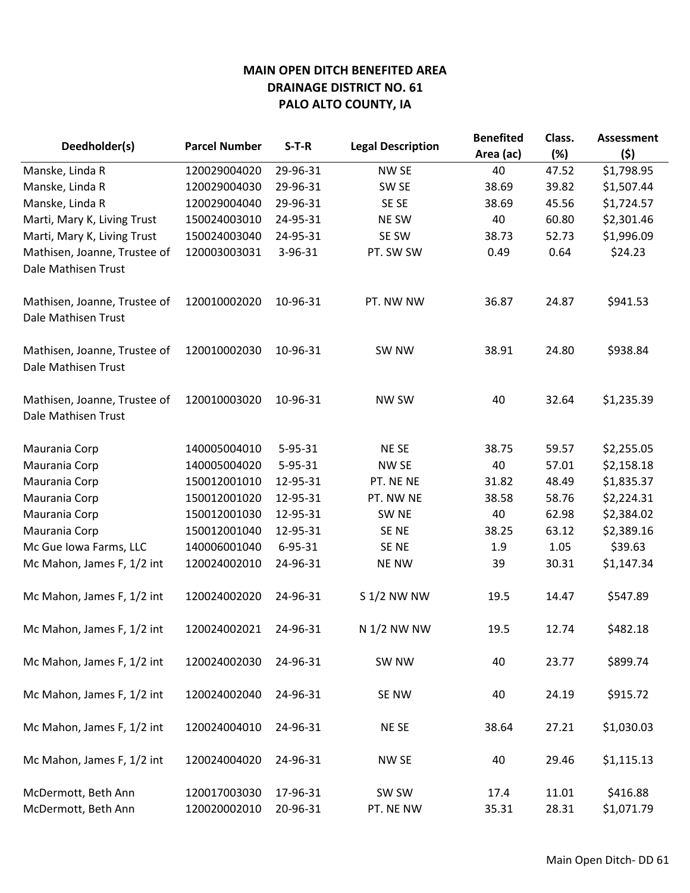|                                                     |                              | $S-T-R$              | <b>Legal Description</b> | <b>Benefited</b> | Class.         | <b>Assessment</b>      |
|-----------------------------------------------------|------------------------------|----------------------|--------------------------|------------------|----------------|------------------------|
| Deedholder(s)                                       | <b>Parcel Number</b>         |                      |                          | Area (ac)        | (%)            | (5)                    |
| Manske, Linda R                                     | 120029004020                 | 29-96-31             | NW SE                    | 40               | 47.52          | \$1,798.95             |
| Manske, Linda R                                     | 120029004030                 | 29-96-31             | SW SE                    | 38.69            | 39.82          | \$1,507.44             |
| Manske, Linda R                                     | 120029004040                 | 29-96-31             | SE SE                    | 38.69            | 45.56          | \$1,724.57             |
| Marti, Mary K, Living Trust                         | 150024003010                 | 24-95-31             | <b>NE SW</b>             | 40               | 60.80          | \$2,301.46             |
| Marti, Mary K, Living Trust                         | 150024003040                 | 24-95-31             | SE SW                    | 38.73            | 52.73          | \$1,996.09             |
| Mathisen, Joanne, Trustee of<br>Dale Mathisen Trust | 120003003031                 | 3-96-31              | PT. SW SW                | 0.49             | 0.64           | \$24.23                |
| Mathisen, Joanne, Trustee of<br>Dale Mathisen Trust | 120010002020                 | 10-96-31             | PT. NW NW                | 36.87            | 24.87          | \$941.53               |
| Mathisen, Joanne, Trustee of<br>Dale Mathisen Trust | 120010002030                 | 10-96-31             | SW NW                    | 38.91            | 24.80          | \$938.84               |
| Mathisen, Joanne, Trustee of<br>Dale Mathisen Trust | 120010003020                 | 10-96-31             | NW SW                    | 40               | 32.64          | \$1,235.39             |
| Maurania Corp                                       | 140005004010                 | $5 - 95 - 31$        | <b>NESE</b>              | 38.75            | 59.57          | \$2,255.05             |
| Maurania Corp                                       | 140005004020                 | 5-95-31              | NW SE                    | 40               | 57.01          | \$2,158.18             |
| Maurania Corp                                       | 150012001010                 | 12-95-31             | PT. NE NE                | 31.82            | 48.49          | \$1,835.37             |
| Maurania Corp                                       | 150012001020                 | 12-95-31             | PT. NW NE                | 38.58            | 58.76          | \$2,224.31             |
| Maurania Corp                                       | 150012001030                 | 12-95-31             | SW <sub>NE</sub>         | 40               | 62.98          | \$2,384.02             |
| Maurania Corp                                       | 150012001040                 | 12-95-31             | SE <sub>NE</sub>         | 38.25            | 63.12          | \$2,389.16             |
| Mc Gue Iowa Farms, LLC                              | 140006001040                 | $6 - 95 - 31$        | SE NE                    | 1.9              | 1.05           | \$39.63                |
| Mc Mahon, James F, 1/2 int                          | 120024002010                 | 24-96-31             | <b>NE NW</b>             | 39               | 30.31          | \$1,147.34             |
| Mc Mahon, James F, 1/2 int                          | 120024002020                 | 24-96-31             | S 1/2 NW NW              | 19.5             | 14.47          | \$547.89               |
| Mc Mahon, James F, 1/2 int                          | 120024002021                 | 24-96-31             | N 1/2 NW NW              | 19.5             | 12.74          | \$482.18               |
| Mc Mahon, James F, 1/2 int                          | 120024002030                 | 24-96-31             | SW NW                    | 40               | 23.77          | \$899.74               |
| Mc Mahon, James F, 1/2 int                          | 120024002040                 | 24-96-31             | SE NW                    | 40               | 24.19          | \$915.72               |
| Mc Mahon, James F, 1/2 int                          | 120024004010                 | 24-96-31             | NE SE                    | 38.64            | 27.21          | \$1,030.03             |
| Mc Mahon, James F, 1/2 int                          | 120024004020                 | 24-96-31             | NW SE                    | 40               | 29.46          | \$1,115.13             |
| McDermott, Beth Ann<br>McDermott, Beth Ann          | 120017003030<br>120020002010 | 17-96-31<br>20-96-31 | SW SW<br>PT. NE NW       | 17.4<br>35.31    | 11.01<br>28.31 | \$416.88<br>\$1,071.79 |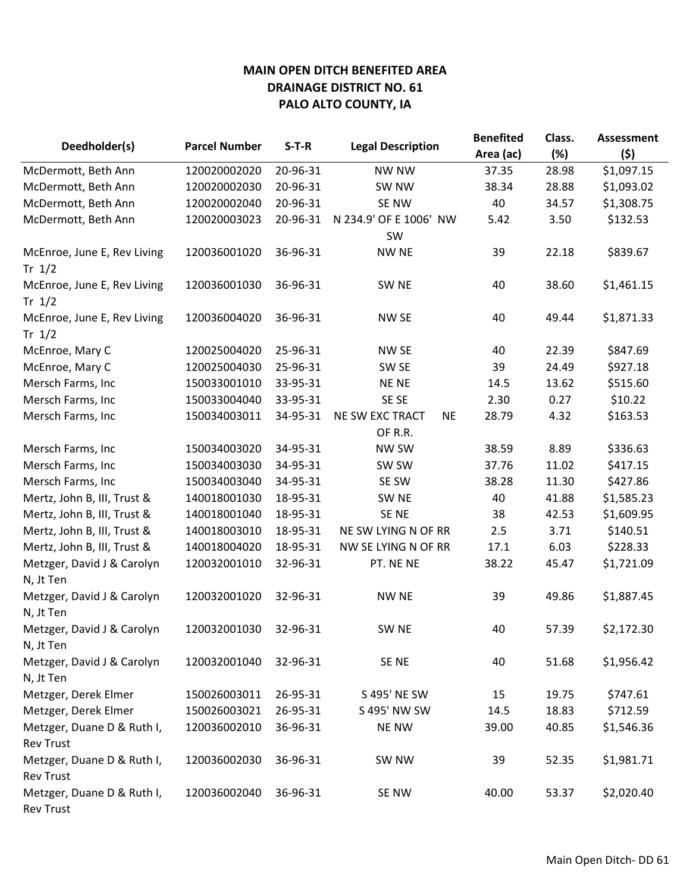| Deedholder(s)                                  | <b>Parcel Number</b> | $S-T-R$  | <b>Legal Description</b>     | <b>Benefited</b> | Class. | <b>Assessment</b> |
|------------------------------------------------|----------------------|----------|------------------------------|------------------|--------|-------------------|
|                                                |                      |          |                              | Area (ac)        | (%)    | (\$)              |
| McDermott, Beth Ann                            | 120020002020         | 20-96-31 | <b>NW NW</b>                 | 37.35            | 28.98  | \$1,097.15        |
| McDermott, Beth Ann                            | 120020002030         | 20-96-31 | SW NW                        | 38.34            | 28.88  | \$1,093.02        |
| McDermott, Beth Ann                            | 120020002040         | 20-96-31 | SE NW                        | 40               | 34.57  | \$1,308.75        |
| McDermott, Beth Ann                            | 120020003023         | 20-96-31 | N 234.9' OF E 1006' NW       | 5.42             | 3.50   | \$132.53          |
|                                                |                      |          | SW                           |                  |        |                   |
| McEnroe, June E, Rev Living<br>Tr $1/2$        | 120036001020         | 36-96-31 | <b>NW NE</b>                 | 39               | 22.18  | \$839.67          |
| McEnroe, June E, Rev Living<br>Tr $1/2$        | 120036001030         | 36-96-31 | SW <sub>NE</sub>             | 40               | 38.60  | \$1,461.15        |
| McEnroe, June E, Rev Living<br>Tr $1/2$        | 120036004020         | 36-96-31 | NW SE                        | 40               | 49.44  | \$1,871.33        |
| McEnroe, Mary C                                | 120025004020         | 25-96-31 | NW SE                        | 40               | 22.39  | \$847.69          |
| McEnroe, Mary C                                | 120025004030         | 25-96-31 | SW <sub>SE</sub>             | 39               | 24.49  | \$927.18          |
| Mersch Farms, Inc                              | 150033001010         | 33-95-31 | <b>NENE</b>                  | 14.5             | 13.62  | \$515.60          |
| Mersch Farms, Inc                              | 150033004040         | 33-95-31 | SE SE                        | 2.30             | 0.27   | \$10.22           |
| Mersch Farms, Inc                              | 150034003011         | 34-95-31 | NE SW EXC TRACT<br><b>NE</b> | 28.79            | 4.32   | \$163.53          |
|                                                |                      |          | OF R.R.                      |                  |        |                   |
| Mersch Farms, Inc                              | 150034003020         | 34-95-31 | NW SW                        | 38.59            | 8.89   | \$336.63          |
| Mersch Farms, Inc                              | 150034003030         | 34-95-31 | SW SW                        | 37.76            | 11.02  | \$417.15          |
| Mersch Farms, Inc                              | 150034003040         | 34-95-31 | SE SW                        | 38.28            | 11.30  | \$427.86          |
| Mertz, John B, III, Trust &                    | 140018001030         | 18-95-31 | SW <sub>NE</sub>             | 40               | 41.88  | \$1,585.23        |
| Mertz, John B, III, Trust &                    | 140018001040         | 18-95-31 | SE <sub>NE</sub>             | 38               | 42.53  | \$1,609.95        |
| Mertz, John B, III, Trust &                    | 140018003010         | 18-95-31 | NE SW LYING N OF RR          | 2.5              | 3.71   | \$140.51          |
| Mertz, John B, III, Trust &                    | 140018004020         | 18-95-31 | NW SE LYING N OF RR          | 17.1             | 6.03   | \$228.33          |
| Metzger, David J & Carolyn<br>N, Jt Ten        | 120032001010         | 32-96-31 | PT. NE NE                    | 38.22            | 45.47  | \$1,721.09        |
| Metzger, David J & Carolyn<br>N, Jt Ten        | 120032001020         | 32-96-31 | <b>NW NE</b>                 | 39               | 49.86  | \$1,887.45        |
| Metzger, David J & Carolyn<br>N, Jt Ten        | 120032001030         | 32-96-31 | SW <sub>NE</sub>             | 40               | 57.39  | \$2,172.30        |
| Metzger, David J & Carolyn<br>N, Jt Ten        | 120032001040         | 32-96-31 | SE NE                        | 40               | 51.68  | \$1,956.42        |
| Metzger, Derek Elmer                           | 150026003011         | 26-95-31 | S 495' NE SW                 | 15               | 19.75  | \$747.61          |
| Metzger, Derek Elmer                           | 150026003021         | 26-95-31 | S 495' NW SW                 | 14.5             | 18.83  | \$712.59          |
| Metzger, Duane D & Ruth I,<br><b>Rev Trust</b> | 120036002010         | 36-96-31 | <b>NE NW</b>                 | 39.00            | 40.85  | \$1,546.36        |
| Metzger, Duane D & Ruth I,<br><b>Rev Trust</b> | 120036002030         | 36-96-31 | SW NW                        | 39               | 52.35  | \$1,981.71        |
| Metzger, Duane D & Ruth I,<br><b>Rev Trust</b> | 120036002040         | 36-96-31 | SE NW                        | 40.00            | 53.37  | \$2,020.40        |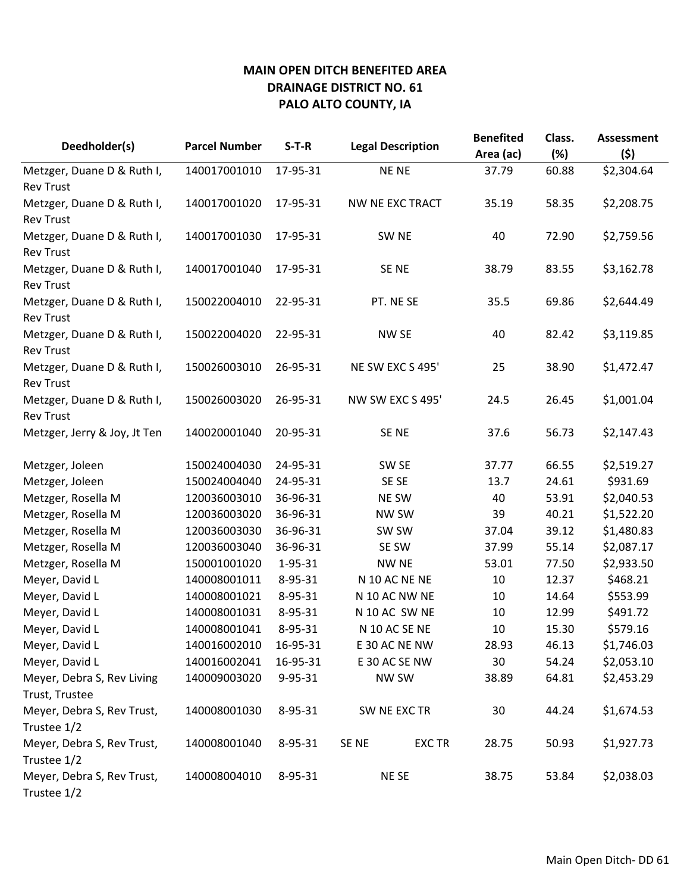| Deedholder(s)                             | <b>Parcel Number</b> | $S-T-R$       | <b>Legal Description</b> |               | <b>Benefited</b><br>Area (ac) | Class.<br>(%) | <b>Assessment</b><br>(5) |
|-------------------------------------------|----------------------|---------------|--------------------------|---------------|-------------------------------|---------------|--------------------------|
| Metzger, Duane D & Ruth I,                | 140017001010         | 17-95-31      | <b>NENE</b>              |               | 37.79                         | 60.88         | \$2,304.64               |
| <b>Rev Trust</b>                          |                      |               |                          |               |                               |               |                          |
| Metzger, Duane D & Ruth I,                | 140017001020         | 17-95-31      | NW NE EXC TRACT          |               | 35.19                         | 58.35         | \$2,208.75               |
| <b>Rev Trust</b>                          |                      |               |                          |               |                               |               |                          |
| Metzger, Duane D & Ruth I,                | 140017001030         | 17-95-31      | SW <sub>NE</sub>         |               | 40                            | 72.90         | \$2,759.56               |
| <b>Rev Trust</b>                          |                      |               |                          |               |                               |               |                          |
| Metzger, Duane D & Ruth I,                | 140017001040         | 17-95-31      | SE NE                    |               | 38.79                         | 83.55         | \$3,162.78               |
| <b>Rev Trust</b>                          |                      |               |                          |               |                               |               |                          |
| Metzger, Duane D & Ruth I,                | 150022004010         | 22-95-31      | PT. NE SE                |               | 35.5                          | 69.86         | \$2,644.49               |
| <b>Rev Trust</b>                          |                      |               |                          |               |                               |               |                          |
| Metzger, Duane D & Ruth I,                | 150022004020         | 22-95-31      | NW SE                    |               | 40                            | 82.42         | \$3,119.85               |
| <b>Rev Trust</b>                          |                      |               |                          |               |                               |               |                          |
| Metzger, Duane D & Ruth I,                | 150026003010         | 26-95-31      | NE SW EXC S 495'         |               | 25                            | 38.90         | \$1,472.47               |
| <b>Rev Trust</b>                          |                      |               |                          |               |                               |               |                          |
| Metzger, Duane D & Ruth I,                | 150026003020         | 26-95-31      | NW SW EXC S 495'         |               | 24.5                          | 26.45         | \$1,001.04               |
| <b>Rev Trust</b>                          |                      |               |                          |               |                               |               |                          |
| Metzger, Jerry & Joy, Jt Ten              | 140020001040         | 20-95-31      | SE NE                    |               | 37.6                          | 56.73         | \$2,147.43               |
| Metzger, Joleen                           | 150024004030         | 24-95-31      | SW <sub>SE</sub>         |               | 37.77                         | 66.55         | \$2,519.27               |
| Metzger, Joleen                           | 150024004040         | 24-95-31      | SE SE                    |               | 13.7                          | 24.61         | \$931.69                 |
| Metzger, Rosella M                        | 120036003010         | 36-96-31      | <b>NE SW</b>             |               | 40                            | 53.91         | \$2,040.53               |
| Metzger, Rosella M                        | 120036003020         | 36-96-31      | NW SW                    |               | 39                            | 40.21         | \$1,522.20               |
| Metzger, Rosella M                        | 120036003030         | 36-96-31      | SW SW                    |               | 37.04                         | 39.12         | \$1,480.83               |
| Metzger, Rosella M                        | 120036003040         | 36-96-31      | SE SW                    |               | 37.99                         | 55.14         | \$2,087.17               |
| Metzger, Rosella M                        | 150001001020         | 1-95-31       | <b>NW NE</b>             |               | 53.01                         | 77.50         | \$2,933.50               |
| Meyer, David L                            | 140008001011         | 8-95-31       | N 10 AC NE NE            |               | 10                            | 12.37         | \$468.21                 |
| Meyer, David L                            | 140008001021         | 8-95-31       | N 10 AC NW NE            |               | 10                            | 14.64         | \$553.99                 |
| Meyer, David L                            | 140008001031         | 8-95-31       | N 10 AC SW NE            |               | 10                            | 12.99         | \$491.72                 |
| Meyer, David L                            | 140008001041         | 8-95-31       | N 10 AC SE NE            |               | 10                            | 15.30         | \$579.16                 |
| Meyer, David L                            | 140016002010         | 16-95-31      | E 30 AC NE NW            |               | 28.93                         | 46.13         | \$1,746.03               |
| Meyer, David L                            | 140016002041         | 16-95-31      | E 30 AC SE NW            |               | 30                            | 54.24         | \$2,053.10               |
| Meyer, Debra S, Rev Living                | 140009003020         | $9 - 95 - 31$ | <b>NW SW</b>             |               | 38.89                         | 64.81         | \$2,453.29               |
| Trust, Trustee                            |                      |               |                          |               |                               |               |                          |
| Meyer, Debra S, Rev Trust,                | 140008001030         | 8-95-31       | SW NE EXC TR             |               | 30                            | 44.24         | \$1,674.53               |
| Trustee 1/2                               |                      |               |                          |               |                               |               |                          |
| Meyer, Debra S, Rev Trust,                | 140008001040         | 8-95-31       | SE <sub>NE</sub>         | <b>EXC TR</b> | 28.75                         | 50.93         | \$1,927.73               |
| Trustee 1/2                               |                      |               |                          |               |                               |               |                          |
| Meyer, Debra S, Rev Trust,<br>Trustee 1/2 | 140008004010         | 8-95-31       | NE SE                    |               | 38.75                         | 53.84         | \$2,038.03               |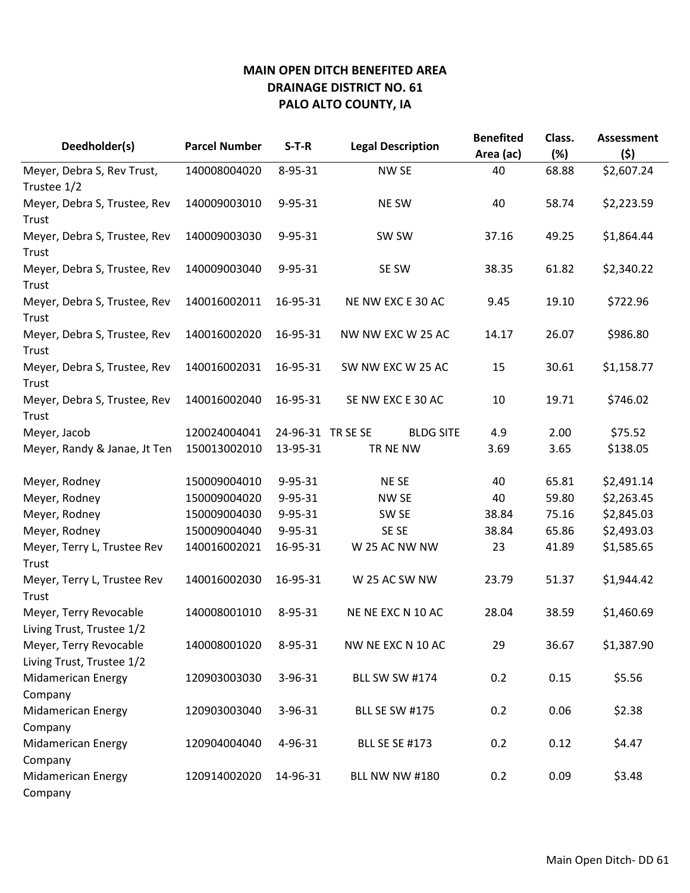|                                                     |                      |                   |                          | <b>Benefited</b> | Class. | <b>Assessment</b> |
|-----------------------------------------------------|----------------------|-------------------|--------------------------|------------------|--------|-------------------|
| Deedholder(s)                                       | <b>Parcel Number</b> | $S-T-R$           | <b>Legal Description</b> | Area (ac)        | (%)    | (5)               |
| Meyer, Debra S, Rev Trust,                          | 140008004020         | 8-95-31           | <b>NW SE</b>             | 40               | 68.88  | \$2,607.24        |
| Trustee 1/2                                         |                      |                   |                          |                  |        |                   |
| Meyer, Debra S, Trustee, Rev                        | 140009003010         | 9-95-31           | NE SW                    | 40               | 58.74  | \$2,223.59        |
| Trust                                               |                      |                   |                          |                  |        |                   |
| Meyer, Debra S, Trustee, Rev<br>Trust               | 140009003030         | $9 - 95 - 31$     | SW SW                    | 37.16            | 49.25  | \$1,864.44        |
| Meyer, Debra S, Trustee, Rev<br>Trust               | 140009003040         | 9-95-31           | SE SW                    | 38.35            | 61.82  | \$2,340.22        |
| Meyer, Debra S, Trustee, Rev<br>Trust               | 140016002011         | 16-95-31          | NE NW EXC E 30 AC        | 9.45             | 19.10  | \$722.96          |
| Meyer, Debra S, Trustee, Rev<br>Trust               | 140016002020         | 16-95-31          | NW NW EXC W 25 AC        | 14.17            | 26.07  | \$986.80          |
| Meyer, Debra S, Trustee, Rev<br>Trust               | 140016002031         | 16-95-31          | SW NW EXC W 25 AC        | 15               | 30.61  | \$1,158.77        |
| Meyer, Debra S, Trustee, Rev                        | 140016002040         | 16-95-31          | SE NW EXC E 30 AC        | 10               | 19.71  | \$746.02          |
| Trust                                               |                      |                   |                          |                  |        |                   |
| Meyer, Jacob                                        | 120024004041         | 24-96-31 TR SE SE | <b>BLDG SITE</b>         | 4.9              | 2.00   | \$75.52           |
| Meyer, Randy & Janae, Jt Ten                        | 150013002010         | 13-95-31          | TR NE NW                 | 3.69             | 3.65   | \$138.05          |
| Meyer, Rodney                                       | 150009004010         | 9-95-31           | NE SE                    | 40               | 65.81  | \$2,491.14        |
| Meyer, Rodney                                       | 150009004020         | 9-95-31           | <b>NW SE</b>             | 40               | 59.80  | \$2,263.45        |
| Meyer, Rodney                                       | 150009004030         | 9-95-31           | SW <sub>SE</sub>         | 38.84            | 75.16  | \$2,845.03        |
| Meyer, Rodney                                       | 150009004040         | 9-95-31           | SE SE                    | 38.84            | 65.86  | \$2,493.03        |
| Meyer, Terry L, Trustee Rev                         | 140016002021         | 16-95-31          | W 25 AC NW NW            | 23               | 41.89  | \$1,585.65        |
| Trust                                               |                      |                   |                          |                  |        |                   |
| Meyer, Terry L, Trustee Rev<br>Trust                | 140016002030         | 16-95-31          | W 25 AC SW NW            | 23.79            | 51.37  | \$1,944.42        |
| Meyer, Terry Revocable<br>Living Trust, Trustee 1/2 | 140008001010         | 8-95-31           | NE NE EXC N 10 AC        | 28.04            | 38.59  | \$1,460.69        |
| Meyer, Terry Revocable                              | 140008001020         | 8-95-31           | NW NE EXC N 10 AC        | 29               | 36.67  | \$1,387.90        |
| Living Trust, Trustee 1/2                           |                      |                   |                          |                  |        |                   |
| <b>Midamerican Energy</b>                           | 120903003030         | 3-96-31           | <b>BLL SW SW #174</b>    | 0.2              | 0.15   | \$5.56            |
| Company                                             |                      |                   |                          |                  |        |                   |
| <b>Midamerican Energy</b><br>Company                | 120903003040         | 3-96-31           | <b>BLL SE SW #175</b>    | 0.2              | 0.06   | \$2.38            |
| <b>Midamerican Energy</b>                           | 120904004040         | 4-96-31           | <b>BLL SE SE #173</b>    | 0.2              | 0.12   | \$4.47            |
| Company                                             |                      |                   |                          |                  |        |                   |
| <b>Midamerican Energy</b><br>Company                | 120914002020         | 14-96-31          | <b>BLL NW NW #180</b>    | 0.2              | 0.09   | \$3.48            |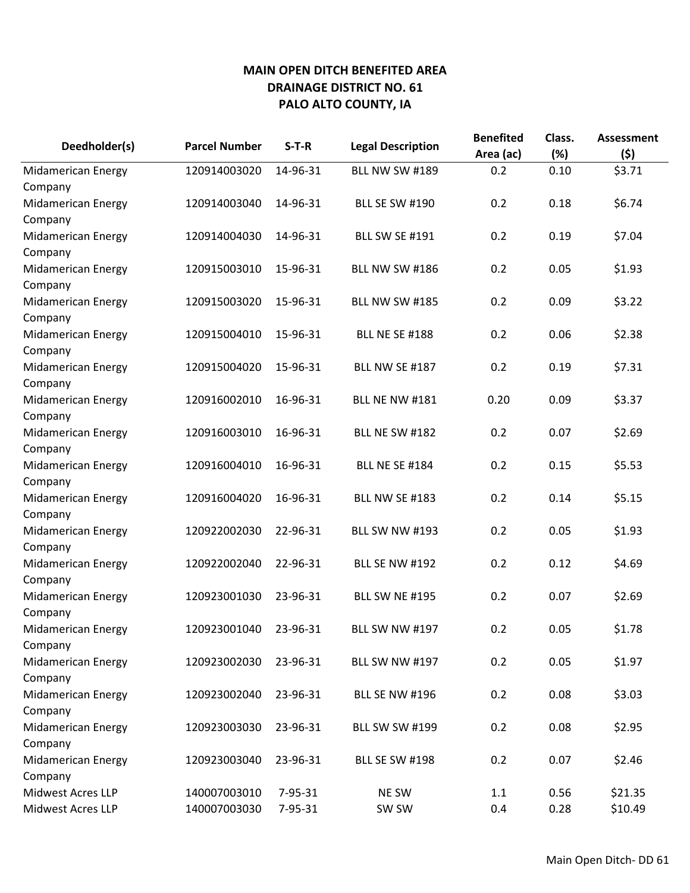| Deedholder(s)             | <b>Parcel Number</b> | $S-T-R$  | <b>Legal Description</b> | <b>Benefited</b><br>Area (ac) | Class.<br>(%) | <b>Assessment</b><br>(5) |
|---------------------------|----------------------|----------|--------------------------|-------------------------------|---------------|--------------------------|
| <b>Midamerican Energy</b> | 120914003020         | 14-96-31 | <b>BLL NW SW #189</b>    | 0.2                           | 0.10          | \$3.71                   |
| Company                   |                      |          |                          |                               |               |                          |
| Midamerican Energy        | 120914003040         | 14-96-31 | <b>BLL SE SW #190</b>    | 0.2                           | 0.18          | \$6.74                   |
| Company                   |                      |          |                          |                               |               |                          |
| <b>Midamerican Energy</b> | 120914004030         | 14-96-31 | <b>BLL SW SE #191</b>    | 0.2                           | 0.19          | \$7.04                   |
| Company                   |                      |          |                          |                               |               |                          |
| <b>Midamerican Energy</b> | 120915003010         | 15-96-31 | <b>BLL NW SW #186</b>    | 0.2                           | 0.05          | \$1.93                   |
| Company                   |                      |          |                          |                               |               |                          |
| <b>Midamerican Energy</b> | 120915003020         | 15-96-31 | <b>BLL NW SW #185</b>    | 0.2                           | 0.09          | \$3.22                   |
| Company                   |                      |          |                          |                               |               |                          |
| <b>Midamerican Energy</b> | 120915004010         | 15-96-31 | <b>BLL NE SE #188</b>    | 0.2                           | 0.06          | \$2.38                   |
| Company                   |                      |          |                          |                               |               |                          |
| <b>Midamerican Energy</b> | 120915004020         | 15-96-31 | <b>BLL NW SE #187</b>    | 0.2                           | 0.19          | \$7.31                   |
| Company                   |                      |          |                          |                               |               |                          |
| <b>Midamerican Energy</b> | 120916002010         | 16-96-31 | <b>BLL NE NW #181</b>    | 0.20                          | 0.09          | \$3.37                   |
| Company                   |                      |          |                          |                               |               |                          |
| <b>Midamerican Energy</b> | 120916003010         | 16-96-31 | <b>BLL NE SW #182</b>    | 0.2                           | 0.07          | \$2.69                   |
| Company                   |                      |          |                          |                               |               |                          |
| <b>Midamerican Energy</b> | 120916004010         | 16-96-31 | <b>BLL NE SE #184</b>    | 0.2                           | 0.15          | \$5.53                   |
| Company                   |                      |          |                          |                               |               |                          |
| <b>Midamerican Energy</b> | 120916004020         | 16-96-31 | <b>BLL NW SE #183</b>    | 0.2                           | 0.14          | \$5.15                   |
| Company                   |                      |          |                          |                               |               |                          |
| <b>Midamerican Energy</b> | 120922002030         | 22-96-31 | <b>BLL SW NW #193</b>    | 0.2                           | 0.05          | \$1.93                   |
| Company                   |                      |          |                          |                               |               |                          |
| <b>Midamerican Energy</b> | 120922002040         | 22-96-31 | <b>BLL SE NW #192</b>    | 0.2                           | 0.12          | \$4.69                   |
| Company                   |                      |          |                          |                               |               |                          |
| <b>Midamerican Energy</b> | 120923001030         | 23-96-31 | <b>BLL SW NE #195</b>    | 0.2                           | 0.07          | \$2.69                   |
| Company                   |                      |          |                          |                               |               |                          |
| <b>Midamerican Energy</b> | 120923001040         | 23-96-31 | <b>BLL SW NW #197</b>    | 0.2                           | 0.05          | \$1.78                   |
| Company                   |                      |          |                          |                               |               |                          |
| <b>Midamerican Energy</b> | 120923002030         | 23-96-31 | <b>BLL SW NW #197</b>    | 0.2                           | 0.05          | \$1.97                   |
| Company                   |                      |          |                          |                               |               |                          |
| <b>Midamerican Energy</b> | 120923002040         | 23-96-31 | <b>BLL SE NW #196</b>    | 0.2                           | 0.08          | \$3.03                   |
| Company                   |                      |          |                          |                               |               |                          |
| <b>Midamerican Energy</b> | 120923003030         | 23-96-31 | <b>BLL SW SW #199</b>    | 0.2                           | 0.08          | \$2.95                   |
| Company                   |                      |          |                          |                               |               |                          |
| <b>Midamerican Energy</b> | 120923003040         | 23-96-31 | <b>BLL SE SW #198</b>    | 0.2                           | 0.07          | \$2.46                   |
| Company                   |                      |          |                          |                               |               |                          |
| <b>Midwest Acres LLP</b>  | 140007003010         | 7-95-31  | NE SW                    | 1.1                           | 0.56          | \$21.35                  |
| Midwest Acres LLP         | 140007003030         | 7-95-31  | SW SW                    | 0.4                           | 0.28          | \$10.49                  |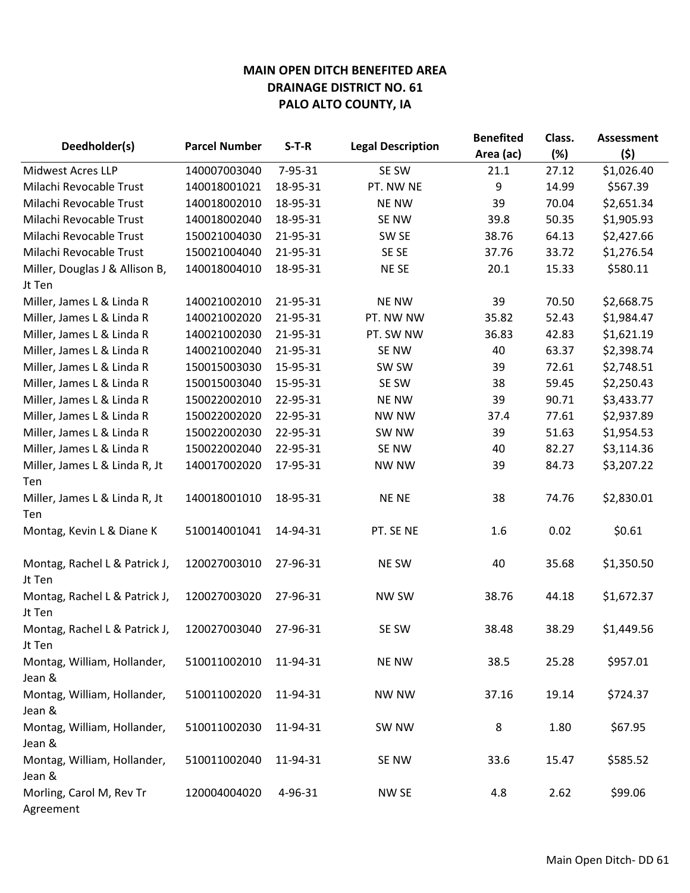|                                          |                      |          |                          | <b>Benefited</b> | Class. | <b>Assessment</b> |
|------------------------------------------|----------------------|----------|--------------------------|------------------|--------|-------------------|
| Deedholder(s)                            | <b>Parcel Number</b> | $S-T-R$  | <b>Legal Description</b> | Area (ac)        | (%)    | (5)               |
| <b>Midwest Acres LLP</b>                 | 140007003040         | 7-95-31  | SE SW                    | 21.1             | 27.12  | \$1,026.40        |
| Milachi Revocable Trust                  | 140018001021         | 18-95-31 | PT. NW NE                | 9                | 14.99  | \$567.39          |
| Milachi Revocable Trust                  | 140018002010         | 18-95-31 | <b>NE NW</b>             | 39               | 70.04  | \$2,651.34        |
| Milachi Revocable Trust                  | 140018002040         | 18-95-31 | SE NW                    | 39.8             | 50.35  | \$1,905.93        |
| Milachi Revocable Trust                  | 150021004030         | 21-95-31 | SW SE                    | 38.76            | 64.13  | \$2,427.66        |
| Milachi Revocable Trust                  | 150021004040         | 21-95-31 | SE SE                    | 37.76            | 33.72  | \$1,276.54        |
| Miller, Douglas J & Allison B,<br>Jt Ten | 140018004010         | 18-95-31 | NE SE                    | 20.1             | 15.33  | \$580.11          |
| Miller, James L & Linda R                | 140021002010         | 21-95-31 | <b>NE NW</b>             | 39               | 70.50  | \$2,668.75        |
| Miller, James L & Linda R                | 140021002020         | 21-95-31 | PT. NW NW                | 35.82            | 52.43  | \$1,984.47        |
| Miller, James L & Linda R                | 140021002030         | 21-95-31 | PT. SW NW                | 36.83            | 42.83  | \$1,621.19        |
| Miller, James L & Linda R                | 140021002040         | 21-95-31 | SE NW                    | 40               | 63.37  | \$2,398.74        |
| Miller, James L & Linda R                | 150015003030         | 15-95-31 | SW SW                    | 39               | 72.61  | \$2,748.51        |
| Miller, James L & Linda R                | 150015003040         | 15-95-31 | SE SW                    | 38               | 59.45  | \$2,250.43        |
| Miller, James L & Linda R                | 150022002010         | 22-95-31 | <b>NE NW</b>             | 39               | 90.71  | \$3,433.77        |
| Miller, James L & Linda R                | 150022002020         | 22-95-31 | <b>NW NW</b>             | 37.4             | 77.61  | \$2,937.89        |
| Miller, James L & Linda R                | 150022002030         | 22-95-31 | SW <sub>NW</sub>         | 39               | 51.63  | \$1,954.53        |
| Miller, James L & Linda R                | 150022002040         | 22-95-31 | SE NW                    | 40               | 82.27  | \$3,114.36        |
| Miller, James L & Linda R, Jt            | 140017002020         | 17-95-31 | <b>NW NW</b>             | 39               | 84.73  | \$3,207.22        |
| Ten                                      |                      |          |                          |                  |        |                   |
| Miller, James L & Linda R, Jt            | 140018001010         | 18-95-31 | <b>NENE</b>              | 38               | 74.76  | \$2,830.01        |
| Ten                                      |                      |          |                          |                  |        |                   |
| Montag, Kevin L & Diane K                | 510014001041         | 14-94-31 | PT. SE NE                | 1.6              | 0.02   | \$0.61            |
| Montag, Rachel L & Patrick J,<br>Jt Ten  | 120027003010         | 27-96-31 | <b>NE SW</b>             | 40               | 35.68  | \$1,350.50        |
| Montag, Rachel L & Patrick J,<br>Jt Ten  | 120027003020         | 27-96-31 | NW SW                    | 38.76            | 44.18  | \$1,672.37        |
| Montag, Rachel L & Patrick J,<br>Jt Ten  | 120027003040         | 27-96-31 | SE SW                    | 38.48            | 38.29  | \$1,449.56        |
| Montag, William, Hollander,<br>Jean &    | 510011002010         | 11-94-31 | <b>NE NW</b>             | 38.5             | 25.28  | \$957.01          |
| Montag, William, Hollander,<br>Jean &    | 510011002020         | 11-94-31 | <b>NW NW</b>             | 37.16            | 19.14  | \$724.37          |
| Montag, William, Hollander,<br>Jean &    | 510011002030         | 11-94-31 | SW NW                    | 8                | 1.80   | \$67.95           |
| Montag, William, Hollander,<br>Jean &    | 510011002040         | 11-94-31 | SE NW                    | 33.6             | 15.47  | \$585.52          |
| Morling, Carol M, Rev Tr<br>Agreement    | 120004004020         | 4-96-31  | NW SE                    | 4.8              | 2.62   | \$99.06           |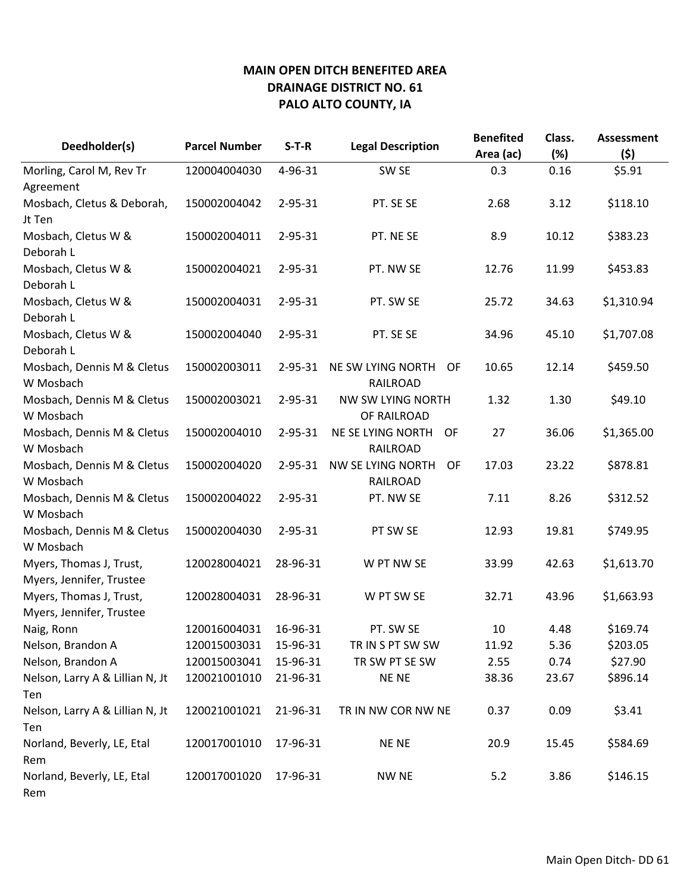| Deedholder(s)                   | <b>Parcel Number</b> | $S-T-R$       | <b>Legal Description</b> | <b>Benefited</b><br>Area (ac) | Class.<br>(%) | <b>Assessment</b><br>(5) |
|---------------------------------|----------------------|---------------|--------------------------|-------------------------------|---------------|--------------------------|
| Morling, Carol M, Rev Tr        | 120004004030         | 4-96-31       | SW <sub>SE</sub>         | 0.3                           | 0.16          | \$5.91                   |
| Agreement                       |                      |               |                          |                               |               |                          |
| Mosbach, Cletus & Deborah,      | 150002004042         | 2-95-31       | PT. SE SE                | 2.68                          | 3.12          | \$118.10                 |
| Jt Ten                          |                      |               |                          |                               |               |                          |
| Mosbach, Cletus W &             | 150002004011         | 2-95-31       | PT. NE SE                | 8.9                           | 10.12         | \$383.23                 |
| Deborah L                       |                      |               |                          |                               |               |                          |
| Mosbach, Cletus W &             | 150002004021         | $2 - 95 - 31$ | PT. NW SE                | 12.76                         | 11.99         | \$453.83                 |
| Deborah L                       |                      |               |                          |                               |               |                          |
| Mosbach, Cletus W &             | 150002004031         | 2-95-31       | PT. SW SE                | 25.72                         | 34.63         | \$1,310.94               |
| Deborah L                       |                      |               |                          |                               |               |                          |
| Mosbach, Cletus W &             | 150002004040         | $2 - 95 - 31$ | PT. SE SE                | 34.96                         | 45.10         | \$1,707.08               |
| Deborah L                       |                      |               |                          |                               |               |                          |
| Mosbach, Dennis M & Cletus      | 150002003011         | $2 - 95 - 31$ | NE SW LYING NORTH<br>0F  | 10.65                         | 12.14         | \$459.50                 |
| W Mosbach                       |                      |               | <b>RAILROAD</b>          |                               |               |                          |
| Mosbach, Dennis M & Cletus      | 150002003021         | $2 - 95 - 31$ | NW SW LYING NORTH        | 1.32                          | 1.30          | \$49.10                  |
| W Mosbach                       |                      |               | OF RAILROAD              |                               |               |                          |
| Mosbach, Dennis M & Cletus      | 150002004010         | $2 - 95 - 31$ | NE SE LYING NORTH<br>OF  | 27                            | 36.06         | \$1,365.00               |
| W Mosbach                       |                      |               | RAILROAD                 |                               |               |                          |
| Mosbach, Dennis M & Cletus      | 150002004020         | $2 - 95 - 31$ | NW SE LYING NORTH<br>OF  | 17.03                         | 23.22         | \$878.81                 |
| W Mosbach                       |                      |               | RAILROAD                 |                               |               |                          |
| Mosbach, Dennis M & Cletus      | 150002004022         | 2-95-31       | PT. NW SE                | 7.11                          | 8.26          | \$312.52                 |
| W Mosbach                       |                      |               |                          |                               |               |                          |
| Mosbach, Dennis M & Cletus      | 150002004030         | 2-95-31       | PT SW SE                 | 12.93                         | 19.81         | \$749.95                 |
| W Mosbach                       |                      |               |                          |                               |               |                          |
| Myers, Thomas J, Trust,         | 120028004021         | 28-96-31      | W PT NW SE               | 33.99                         | 42.63         | \$1,613.70               |
| Myers, Jennifer, Trustee        |                      |               |                          |                               |               |                          |
| Myers, Thomas J, Trust,         | 120028004031         | 28-96-31      | W PT SW SE               | 32.71                         | 43.96         | \$1,663.93               |
| Myers, Jennifer, Trustee        |                      |               |                          |                               |               |                          |
| Naig, Ronn                      | 120016004031         | 16-96-31      | PT. SW SE                | 10                            | 4.48          | \$169.74                 |
| Nelson, Brandon A               | 120015003031         | 15-96-31      | TR IN S PT SW SW         | 11.92                         | 5.36          | \$203.05                 |
| Nelson, Brandon A               | 120015003041         | 15-96-31      | TR SW PT SE SW           | 2.55                          | 0.74          | \$27.90                  |
| Nelson, Larry A & Lillian N, Jt | 120021001010         | 21-96-31      | NE NE                    | 38.36                         | 23.67         | \$896.14                 |
| Ten                             |                      |               |                          |                               |               |                          |
| Nelson, Larry A & Lillian N, Jt | 120021001021         | 21-96-31      | TR IN NW COR NW NE       | 0.37                          | 0.09          | \$3.41                   |
| Ten                             |                      |               |                          |                               |               |                          |
| Norland, Beverly, LE, Etal      | 120017001010         | 17-96-31      | <b>NENE</b>              | 20.9                          | 15.45         | \$584.69                 |
| Rem                             |                      |               |                          |                               |               |                          |
| Norland, Beverly, LE, Etal      | 120017001020         | 17-96-31      | <b>NW NE</b>             | 5.2                           | 3.86          | \$146.15                 |
| Rem                             |                      |               |                          |                               |               |                          |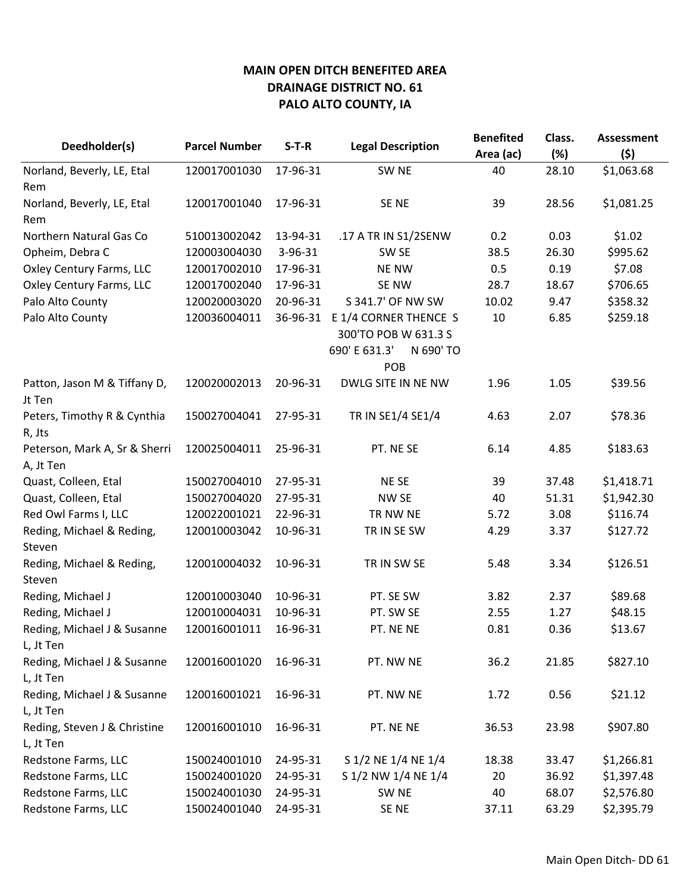|                                        |                      |          | <b>Legal Description</b>   | <b>Benefited</b> | Class. | <b>Assessment</b> |
|----------------------------------------|----------------------|----------|----------------------------|------------------|--------|-------------------|
| Deedholder(s)                          | <b>Parcel Number</b> | $S-T-R$  |                            | Area (ac)        | (%)    | (\$)              |
| Norland, Beverly, LE, Etal             | 120017001030         | 17-96-31 | SW <sub>NE</sub>           | 40               | 28.10  | \$1,063.68        |
| Rem                                    |                      |          |                            |                  |        |                   |
| Norland, Beverly, LE, Etal             | 120017001040         | 17-96-31 | SE <sub>NE</sub>           | 39               | 28.56  | \$1,081.25        |
| Rem                                    |                      |          |                            |                  |        |                   |
| Northern Natural Gas Co                | 510013002042         | 13-94-31 | .17 A TR IN S1/2SENW       | 0.2              | 0.03   | \$1.02            |
| Opheim, Debra C                        | 120003004030         | 3-96-31  | SW <sub>SE</sub>           | 38.5             | 26.30  | \$995.62          |
| Oxley Century Farms, LLC               | 120017002010         | 17-96-31 | <b>NE NW</b>               | 0.5              | 0.19   | \$7.08            |
| Oxley Century Farms, LLC               | 120017002040         | 17-96-31 | SE NW                      | 28.7             | 18.67  | \$706.65          |
| Palo Alto County                       | 120020003020         | 20-96-31 | S 341.7' OF NW SW          | 10.02            | 9.47   | \$358.32          |
| Palo Alto County                       | 120036004011         | 36-96-31 | E 1/4 CORNER THENCE S      | 10               | 6.85   | \$259.18          |
|                                        |                      |          | 300'TO POB W 631.3 S       |                  |        |                   |
|                                        |                      |          | 690' E 631.3'<br>N 690' TO |                  |        |                   |
|                                        |                      |          | POB                        |                  |        |                   |
| Patton, Jason M & Tiffany D,<br>Jt Ten | 120020002013         | 20-96-31 | DWLG SITE IN NE NW         | 1.96             | 1.05   | \$39.56           |
| Peters, Timothy R & Cynthia            | 150027004041         | 27-95-31 | TR IN SE1/4 SE1/4          | 4.63             | 2.07   | \$78.36           |
| R, Jts                                 |                      |          |                            |                  |        |                   |
| Peterson, Mark A, Sr & Sherri          | 120025004011         | 25-96-31 | PT. NE SE                  | 6.14             | 4.85   | \$183.63          |
| A, Jt Ten                              |                      |          |                            |                  |        |                   |
| Quast, Colleen, Etal                   | 150027004010         | 27-95-31 | NE SE                      | 39               | 37.48  | \$1,418.71        |
| Quast, Colleen, Etal                   | 150027004020         | 27-95-31 | NW SE                      | 40               | 51.31  | \$1,942.30        |
| Red Owl Farms I, LLC                   | 120022001021         | 22-96-31 | TR NW NE                   | 5.72             | 3.08   | \$116.74          |
| Reding, Michael & Reding,              | 120010003042         | 10-96-31 | TR IN SE SW                | 4.29             | 3.37   | \$127.72          |
| Steven                                 |                      |          |                            |                  |        |                   |
| Reding, Michael & Reding,              | 120010004032         | 10-96-31 | TR IN SW SE                | 5.48             | 3.34   | \$126.51          |
| Steven                                 |                      |          |                            |                  |        |                   |
| Reding, Michael J                      | 120010003040         | 10-96-31 | PT. SE SW                  | 3.82             | 2.37   | \$89.68           |
| Reding, Michael J                      | 120010004031         | 10-96-31 | PT. SW SE                  | 2.55             | 1.27   | \$48.15           |
| Reding, Michael J & Susanne            | 120016001011         | 16-96-31 | PT. NE NE                  | 0.81             | 0.36   | \$13.67           |
| L, Jt Ten                              |                      |          |                            |                  |        |                   |
| Reding, Michael J & Susanne            | 120016001020         | 16-96-31 | PT. NW NE                  | 36.2             | 21.85  | \$827.10          |
| L, Jt Ten                              |                      |          |                            |                  |        |                   |
| Reding, Michael J & Susanne            | 120016001021         | 16-96-31 | PT. NW NE                  | 1.72             | 0.56   | \$21.12           |
| L, Jt Ten                              |                      |          |                            |                  |        |                   |
| Reding, Steven J & Christine           | 120016001010         | 16-96-31 | PT. NE NE                  | 36.53            | 23.98  | \$907.80          |
| L, Jt Ten                              |                      |          |                            |                  |        |                   |
| Redstone Farms, LLC                    | 150024001010         | 24-95-31 | S 1/2 NE 1/4 NE 1/4        | 18.38            | 33.47  | \$1,266.81        |
| Redstone Farms, LLC                    | 150024001020         | 24-95-31 | S 1/2 NW 1/4 NE 1/4        | 20               | 36.92  | \$1,397.48        |
| Redstone Farms, LLC                    | 150024001030         | 24-95-31 | SW <sub>NE</sub>           | 40               | 68.07  | \$2,576.80        |
| Redstone Farms, LLC                    | 150024001040         | 24-95-31 | SE NE                      | 37.11            | 63.29  | \$2,395.79        |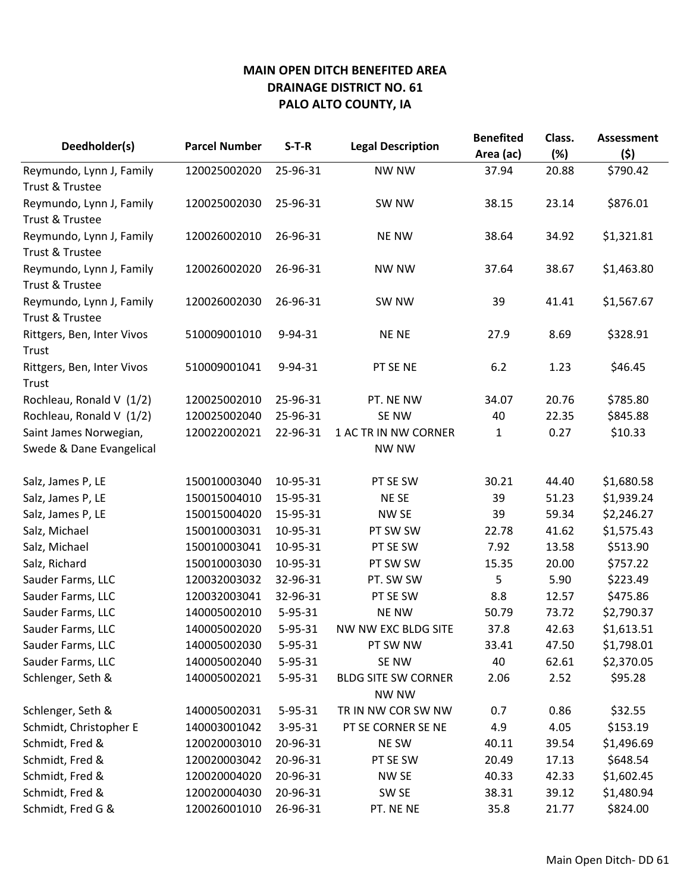| Deedholder(s)              | <b>Parcel Number</b> | $S-T-R$       | <b>Legal Description</b>   | <b>Benefited</b> | Class. | <b>Assessment</b> |
|----------------------------|----------------------|---------------|----------------------------|------------------|--------|-------------------|
|                            |                      |               |                            | Area (ac)        | (%)    | (\$)              |
| Reymundo, Lynn J, Family   | 120025002020         | 25-96-31      | NW NW                      | 37.94            | 20.88  | \$790.42          |
| Trust & Trustee            |                      |               |                            |                  |        |                   |
| Reymundo, Lynn J, Family   | 120025002030         | 25-96-31      | SW NW                      | 38.15            | 23.14  | \$876.01          |
| Trust & Trustee            |                      |               |                            |                  |        |                   |
| Reymundo, Lynn J, Family   | 120026002010         | 26-96-31      | <b>NE NW</b>               | 38.64            | 34.92  | \$1,321.81        |
| Trust & Trustee            |                      |               |                            |                  |        |                   |
| Reymundo, Lynn J, Family   | 120026002020         | 26-96-31      | <b>NW NW</b>               | 37.64            | 38.67  | \$1,463.80        |
| Trust & Trustee            |                      |               |                            |                  |        |                   |
| Reymundo, Lynn J, Family   | 120026002030         | 26-96-31      | SW NW                      | 39               | 41.41  | \$1,567.67        |
| Trust & Trustee            |                      |               |                            |                  |        |                   |
| Rittgers, Ben, Inter Vivos | 510009001010         | 9-94-31       | <b>NENE</b>                | 27.9             | 8.69   | \$328.91          |
| Trust                      |                      |               |                            |                  |        |                   |
| Rittgers, Ben, Inter Vivos | 510009001041         | 9-94-31       | PT SE NE                   | 6.2              | 1.23   | \$46.45           |
| Trust                      |                      |               |                            |                  |        |                   |
| Rochleau, Ronald V (1/2)   | 120025002010         | 25-96-31      | PT. NE NW                  | 34.07            | 20.76  | \$785.80          |
| Rochleau, Ronald V (1/2)   | 120025002040         | 25-96-31      | SE NW                      | 40               | 22.35  | \$845.88          |
| Saint James Norwegian,     | 120022002021         | 22-96-31      | 1 AC TR IN NW CORNER       | 1                | 0.27   | \$10.33           |
| Swede & Dane Evangelical   |                      |               | <b>NW NW</b>               |                  |        |                   |
|                            |                      |               |                            |                  |        |                   |
| Salz, James P, LE          | 150010003040         | 10-95-31      | PT SE SW                   | 30.21            | 44.40  | \$1,680.58        |
| Salz, James P, LE          | 150015004010         | 15-95-31      | NE SE                      | 39               | 51.23  | \$1,939.24        |
| Salz, James P, LE          | 150015004020         | 15-95-31      | NW SE                      | 39               | 59.34  | \$2,246.27        |
| Salz, Michael              | 150010003031         | 10-95-31      | PT SW SW                   | 22.78            | 41.62  | \$1,575.43        |
| Salz, Michael              | 150010003041         | 10-95-31      | PT SE SW                   | 7.92             | 13.58  | \$513.90          |
| Salz, Richard              | 150010003030         | 10-95-31      | PT SW SW                   | 15.35            | 20.00  | \$757.22          |
| Sauder Farms, LLC          | 120032003032         | 32-96-31      | PT. SW SW                  | 5                | 5.90   | \$223.49          |
| Sauder Farms, LLC          | 120032003041         | 32-96-31      | PT SE SW                   | 8.8              | 12.57  | \$475.86          |
| Sauder Farms, LLC          | 140005002010         | 5-95-31       | <b>NE NW</b>               | 50.79            | 73.72  | \$2,790.37        |
| Sauder Farms, LLC          | 140005002020         | $5 - 95 - 31$ | NW NW EXC BLDG SITE        | 37.8             | 42.63  | \$1,613.51        |
| Sauder Farms, LLC          | 140005002030         | 5-95-31       | PT SW NW                   | 33.41            | 47.50  | \$1,798.01        |
| Sauder Farms, LLC          | 140005002040         | 5-95-31       | SE NW                      | 40               | 62.61  | \$2,370.05        |
| Schlenger, Seth &          | 140005002021         | $5 - 95 - 31$ | <b>BLDG SITE SW CORNER</b> | 2.06             | 2.52   | \$95.28           |
|                            |                      |               | NW NW                      |                  |        |                   |
| Schlenger, Seth &          | 140005002031         | 5-95-31       | TR IN NW COR SW NW         | 0.7              | 0.86   | \$32.55           |
| Schmidt, Christopher E     | 140003001042         | 3-95-31       | PT SE CORNER SE NE         | 4.9              | 4.05   | \$153.19          |
| Schmidt, Fred &            | 120020003010         | 20-96-31      | NE SW                      | 40.11            | 39.54  | \$1,496.69        |
| Schmidt, Fred &            | 120020003042         | 20-96-31      | PT SE SW                   | 20.49            | 17.13  | \$648.54          |
| Schmidt, Fred &            | 120020004020         | 20-96-31      | NW SE                      | 40.33            | 42.33  | \$1,602.45        |
| Schmidt, Fred &            | 120020004030         | 20-96-31      | SW SE                      | 38.31            | 39.12  | \$1,480.94        |
| Schmidt, Fred G &          | 120026001010         | 26-96-31      | PT. NE NE                  | 35.8             | 21.77  | \$824.00          |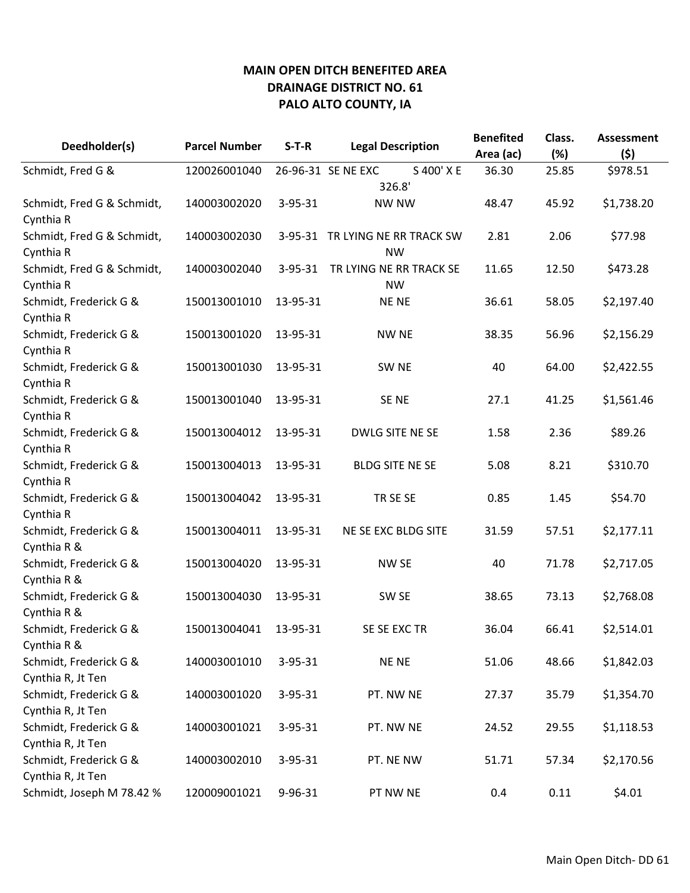| Deedholder(s)                         | <b>Parcel Number</b> | $S-T-R$       | <b>Legal Description</b>         | <b>Benefited</b><br>Area (ac) | Class.<br>(%) | <b>Assessment</b><br>(5) |
|---------------------------------------|----------------------|---------------|----------------------------------|-------------------------------|---------------|--------------------------|
| Schmidt, Fred G &                     | 120026001040         |               | 26-96-31 SE NE EXC<br>S 400' X E | 36.30                         | 25.85         | \$978.51                 |
|                                       |                      |               | 326.8'                           |                               |               |                          |
| Schmidt, Fred G & Schmidt,            | 140003002020         | $3 - 95 - 31$ | <b>NW NW</b>                     | 48.47                         | 45.92         | \$1,738.20               |
| Cynthia R                             |                      |               |                                  |                               |               |                          |
| Schmidt, Fred G & Schmidt,            | 140003002030         |               | 3-95-31 TR LYING NE RR TRACK SW  | 2.81                          | 2.06          | \$77.98                  |
| Cynthia R                             |                      |               | <b>NW</b>                        |                               |               |                          |
| Schmidt, Fred G & Schmidt,            | 140003002040         | $3 - 95 - 31$ | TR LYING NE RR TRACK SE          | 11.65                         | 12.50         | \$473.28                 |
| Cynthia R                             |                      |               | <b>NW</b>                        |                               |               |                          |
| Schmidt, Frederick G &                | 150013001010         | 13-95-31      | <b>NENE</b>                      | 36.61                         | 58.05         | \$2,197.40               |
| Cynthia R                             |                      |               |                                  |                               |               |                          |
| Schmidt, Frederick G &                | 150013001020         | 13-95-31      | <b>NW NE</b>                     | 38.35                         | 56.96         | \$2,156.29               |
| Cynthia R                             |                      |               |                                  |                               |               |                          |
| Schmidt, Frederick G &<br>Cynthia R   | 150013001030         | 13-95-31      | SW <sub>NE</sub>                 | 40                            | 64.00         | \$2,422.55               |
| Schmidt, Frederick G &                | 150013001040         | 13-95-31      | SE <sub>NE</sub>                 | 27.1                          | 41.25         | \$1,561.46               |
| Cynthia R                             |                      |               |                                  |                               |               |                          |
| Schmidt, Frederick G &                | 150013004012         | 13-95-31      | DWLG SITE NE SE                  | 1.58                          | 2.36          | \$89.26                  |
| Cynthia R                             |                      |               |                                  |                               |               |                          |
| Schmidt, Frederick G &                | 150013004013         | 13-95-31      | <b>BLDG SITE NE SE</b>           | 5.08                          | 8.21          | \$310.70                 |
| Cynthia R                             |                      |               |                                  |                               |               |                          |
| Schmidt, Frederick G &                | 150013004042         | 13-95-31      | TR SE SE                         | 0.85                          | 1.45          | \$54.70                  |
| Cynthia R                             |                      |               |                                  |                               |               |                          |
| Schmidt, Frederick G &                | 150013004011         | 13-95-31      | NE SE EXC BLDG SITE              | 31.59                         | 57.51         | \$2,177.11               |
| Cynthia R &                           |                      |               |                                  |                               |               |                          |
| Schmidt, Frederick G &<br>Cynthia R & | 150013004020         | 13-95-31      | <b>NW SE</b>                     | 40                            | 71.78         | \$2,717.05               |
| Schmidt, Frederick G &                | 150013004030         | 13-95-31      | SW <sub>SE</sub>                 | 38.65                         | 73.13         | \$2,768.08               |
| Cynthia R &                           |                      |               |                                  |                               |               |                          |
| Schmidt, Frederick G &                | 150013004041         | 13-95-31      | SE SE EXC TR                     | 36.04                         | 66.41         | \$2,514.01               |
| Cynthia R &                           |                      |               |                                  |                               |               |                          |
| Schmidt, Frederick G &                | 140003001010         | 3-95-31       | <b>NENE</b>                      | 51.06                         | 48.66         | \$1,842.03               |
| Cynthia R, Jt Ten                     |                      |               |                                  |                               |               |                          |
| Schmidt, Frederick G &                | 140003001020         | $3 - 95 - 31$ | PT. NW NE                        | 27.37                         | 35.79         | \$1,354.70               |
| Cynthia R, Jt Ten                     |                      |               |                                  |                               |               |                          |
| Schmidt, Frederick G &                | 140003001021         | $3 - 95 - 31$ | PT. NW NE                        | 24.52                         | 29.55         | \$1,118.53               |
| Cynthia R, Jt Ten                     |                      |               |                                  |                               |               |                          |
| Schmidt, Frederick G &                | 140003002010         | 3-95-31       | PT. NE NW                        | 51.71                         | 57.34         | \$2,170.56               |
| Cynthia R, Jt Ten                     |                      |               |                                  |                               |               |                          |
| Schmidt, Joseph M 78.42 %             | 120009001021         | 9-96-31       | PT NW NE                         | 0.4                           | 0.11          | \$4.01                   |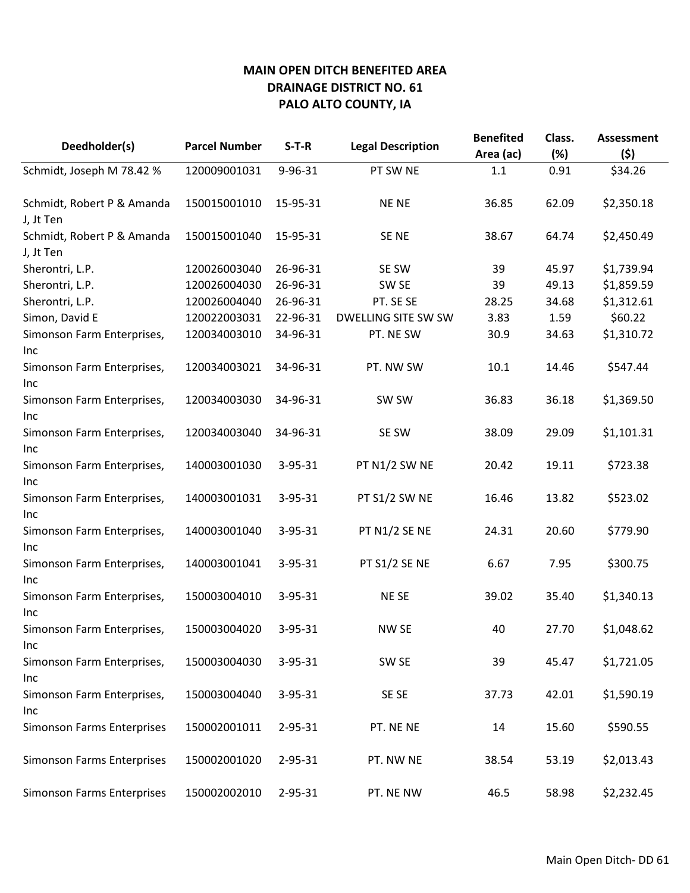| Deedholder(s)                            | <b>Parcel Number</b> | $S-T-R$       | <b>Legal Description</b> | <b>Benefited</b><br>Area (ac) | Class.<br>(%) | <b>Assessment</b><br>(5) |
|------------------------------------------|----------------------|---------------|--------------------------|-------------------------------|---------------|--------------------------|
| Schmidt, Joseph M 78.42 %                | 120009001031         | 9-96-31       | PT SW NE                 | 1.1                           | 0.91          | \$34.26                  |
| Schmidt, Robert P & Amanda<br>J, Jt Ten  | 150015001010         | 15-95-31      | <b>NENE</b>              | 36.85                         | 62.09         | \$2,350.18               |
| Schmidt, Robert P & Amanda<br>J, Jt Ten  | 150015001040         | 15-95-31      | SE NE                    | 38.67                         | 64.74         | \$2,450.49               |
| Sherontri, L.P.                          | 120026003040         | 26-96-31      | SE SW                    | 39                            | 45.97         | \$1,739.94               |
| Sherontri, L.P.                          | 120026004030         | 26-96-31      | SW <sub>SE</sub>         | 39                            | 49.13         | \$1,859.59               |
| Sherontri, L.P.                          | 120026004040         | 26-96-31      | PT. SE SE                | 28.25                         | 34.68         | \$1,312.61               |
| Simon, David E                           | 120022003031         | 22-96-31      | DWELLING SITE SW SW      | 3.83                          | 1.59          | \$60.22                  |
| Simonson Farm Enterprises,<br>Inc        | 120034003010         | 34-96-31      | PT. NE SW                | 30.9                          | 34.63         | \$1,310.72               |
| Simonson Farm Enterprises,<br><b>Inc</b> | 120034003021         | 34-96-31      | PT. NW SW                | 10.1                          | 14.46         | \$547.44                 |
| Simonson Farm Enterprises,<br>Inc        | 120034003030         | 34-96-31      | SW SW                    | 36.83                         | 36.18         | \$1,369.50               |
| Simonson Farm Enterprises,<br>Inc        | 120034003040         | 34-96-31      | SE SW                    | 38.09                         | 29.09         | \$1,101.31               |
| Simonson Farm Enterprises,<br>Inc        | 140003001030         | 3-95-31       | PT N1/2 SW NE            | 20.42                         | 19.11         | \$723.38                 |
| Simonson Farm Enterprises,<br>Inc        | 140003001031         | 3-95-31       | PT S1/2 SW NE            | 16.46                         | 13.82         | \$523.02                 |
| Simonson Farm Enterprises,<br>Inc        | 140003001040         | 3-95-31       | PT N1/2 SE NE            | 24.31                         | 20.60         | \$779.90                 |
| Simonson Farm Enterprises,<br>Inc        | 140003001041         | $3 - 95 - 31$ | PT S1/2 SE NE            | 6.67                          | 7.95          | \$300.75                 |
| Simonson Farm Enterprises,<br>Inc        | 150003004010         | $3 - 95 - 31$ | NE SE                    | 39.02                         | 35.40         | \$1,340.13               |
| Simonson Farm Enterprises,<br>Inc        | 150003004020         | 3-95-31       | NW SE                    | 40                            | 27.70         | \$1,048.62               |
| Simonson Farm Enterprises,<br>Inc        | 150003004030         | 3-95-31       | SW SE                    | 39                            | 45.47         | \$1,721.05               |
| Simonson Farm Enterprises,<br>Inc        | 150003004040         | $3 - 95 - 31$ | SE SE                    | 37.73                         | 42.01         | \$1,590.19               |
| <b>Simonson Farms Enterprises</b>        | 150002001011         | 2-95-31       | PT. NE NE                | 14                            | 15.60         | \$590.55                 |
| Simonson Farms Enterprises               | 150002001020         | 2-95-31       | PT. NW NE                | 38.54                         | 53.19         | \$2,013.43               |
| Simonson Farms Enterprises               | 150002002010         | 2-95-31       | PT. NE NW                | 46.5                          | 58.98         | \$2,232.45               |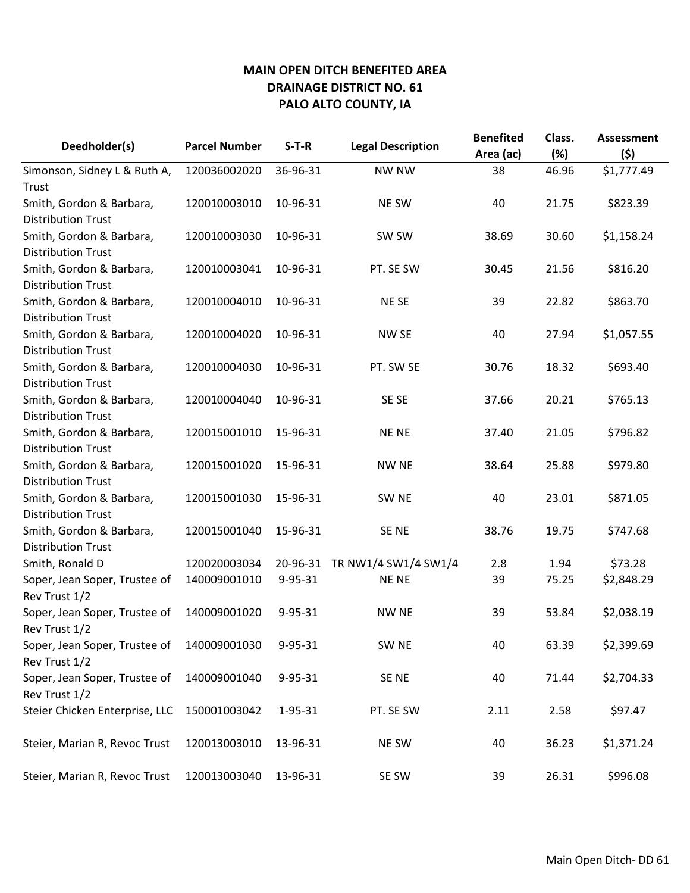| Deedholder(s)                                         | <b>Parcel Number</b> | $S-T-R$       | <b>Legal Description</b> | <b>Benefited</b><br>Area (ac) | Class.<br>(%) | <b>Assessment</b><br>(5) |
|-------------------------------------------------------|----------------------|---------------|--------------------------|-------------------------------|---------------|--------------------------|
| Simonson, Sidney L & Ruth A,<br>Trust                 | 120036002020         | 36-96-31      | <b>NW NW</b>             | 38                            | 46.96         | \$1,777.49               |
| Smith, Gordon & Barbara,<br><b>Distribution Trust</b> | 120010003010         | 10-96-31      | <b>NE SW</b>             | 40                            | 21.75         | \$823.39                 |
| Smith, Gordon & Barbara,<br><b>Distribution Trust</b> | 120010003030         | 10-96-31      | SW SW                    | 38.69                         | 30.60         | \$1,158.24               |
| Smith, Gordon & Barbara,<br><b>Distribution Trust</b> | 120010003041         | 10-96-31      | PT. SE SW                | 30.45                         | 21.56         | \$816.20                 |
| Smith, Gordon & Barbara,<br><b>Distribution Trust</b> | 120010004010         | 10-96-31      | NE SE                    | 39                            | 22.82         | \$863.70                 |
| Smith, Gordon & Barbara,<br><b>Distribution Trust</b> | 120010004020         | 10-96-31      | NW SE                    | 40                            | 27.94         | \$1,057.55               |
| Smith, Gordon & Barbara,<br><b>Distribution Trust</b> | 120010004030         | 10-96-31      | PT. SW SE                | 30.76                         | 18.32         | \$693.40                 |
| Smith, Gordon & Barbara,<br><b>Distribution Trust</b> | 120010004040         | 10-96-31      | SE SE                    | 37.66                         | 20.21         | \$765.13                 |
| Smith, Gordon & Barbara,<br><b>Distribution Trust</b> | 120015001010         | 15-96-31      | <b>NENE</b>              | 37.40                         | 21.05         | \$796.82                 |
| Smith, Gordon & Barbara,<br><b>Distribution Trust</b> | 120015001020         | 15-96-31      | <b>NW NE</b>             | 38.64                         | 25.88         | \$979.80                 |
| Smith, Gordon & Barbara,<br><b>Distribution Trust</b> | 120015001030         | 15-96-31      | SW <sub>NE</sub>         | 40                            | 23.01         | \$871.05                 |
| Smith, Gordon & Barbara,<br><b>Distribution Trust</b> | 120015001040         | 15-96-31      | SE <sub>NE</sub>         | 38.76                         | 19.75         | \$747.68                 |
| Smith, Ronald D                                       | 120020003034         | 20-96-31      | TR NW1/4 SW1/4 SW1/4     | 2.8                           | 1.94          | \$73.28                  |
| Soper, Jean Soper, Trustee of<br>Rev Trust 1/2        | 140009001010         | 9-95-31       | <b>NENE</b>              | 39                            | 75.25         | \$2,848.29               |
| Soper, Jean Soper, Trustee of<br>Rev Trust 1/2        | 140009001020         | $9 - 95 - 31$ | <b>NW NE</b>             | 39                            | 53.84         | \$2,038.19               |
| Soper, Jean Soper, Trustee of<br>Rev Trust 1/2        | 140009001030         | 9-95-31       | SW <sub>NE</sub>         | 40                            | 63.39         | \$2,399.69               |
| Soper, Jean Soper, Trustee of<br>Rev Trust 1/2        | 140009001040         | 9-95-31       | SE NE                    | 40                            | 71.44         | \$2,704.33               |
| Steier Chicken Enterprise, LLC                        | 150001003042         | 1-95-31       | PT. SE SW                | 2.11                          | 2.58          | \$97.47                  |
| Steier, Marian R, Revoc Trust                         | 120013003010         | 13-96-31      | NE SW                    | 40                            | 36.23         | \$1,371.24               |
| Steier, Marian R, Revoc Trust                         | 120013003040         | 13-96-31      | SE SW                    | 39                            | 26.31         | \$996.08                 |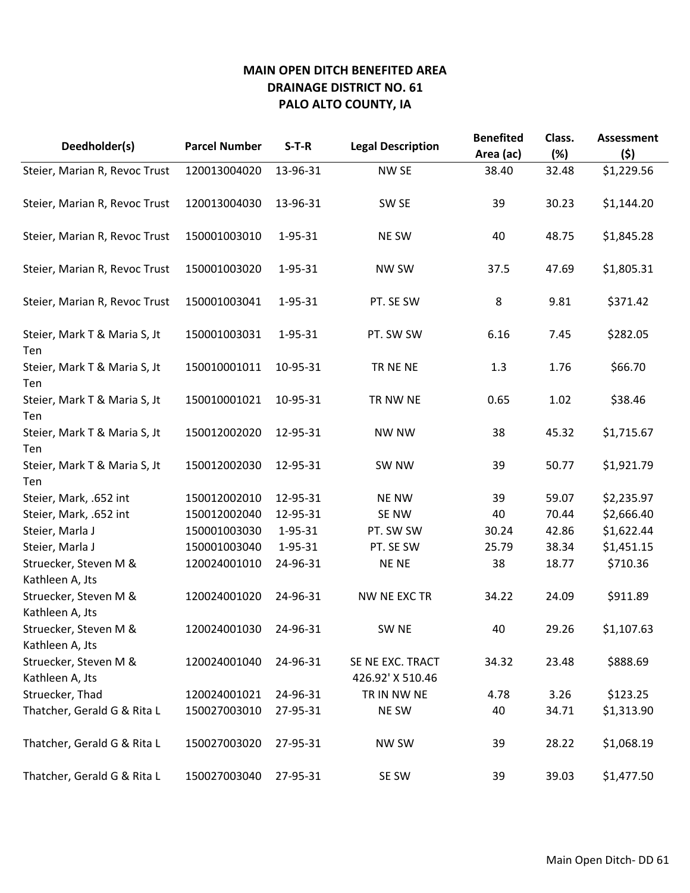| Deedholder(s)                            | <b>Parcel Number</b> | $S-T-R$  | <b>Legal Description</b>             | <b>Benefited</b><br>Area (ac) | Class.<br>(%) | <b>Assessment</b><br>(\$) |
|------------------------------------------|----------------------|----------|--------------------------------------|-------------------------------|---------------|---------------------------|
| Steier, Marian R, Revoc Trust            | 120013004020         | 13-96-31 | NW SE                                | 38.40                         | 32.48         | \$1,229.56                |
| Steier, Marian R, Revoc Trust            | 120013004030         | 13-96-31 | SW <sub>SE</sub>                     | 39                            | 30.23         | \$1,144.20                |
| Steier, Marian R, Revoc Trust            | 150001003010         | 1-95-31  | NE SW                                | 40                            | 48.75         | \$1,845.28                |
| Steier, Marian R, Revoc Trust            | 150001003020         | 1-95-31  | <b>NW SW</b>                         | 37.5                          | 47.69         | \$1,805.31                |
| Steier, Marian R, Revoc Trust            | 150001003041         | 1-95-31  | PT. SE SW                            | 8                             | 9.81          | \$371.42                  |
| Steier, Mark T & Maria S, Jt<br>Ten      | 150001003031         | 1-95-31  | PT. SW SW                            | 6.16                          | 7.45          | \$282.05                  |
| Steier, Mark T & Maria S, Jt<br>Ten      | 150010001011         | 10-95-31 | TR NE NE                             | 1.3                           | 1.76          | \$66.70                   |
| Steier, Mark T & Maria S, Jt<br>Ten      | 150010001021         | 10-95-31 | TR NW NE                             | 0.65                          | 1.02          | \$38.46                   |
| Steier, Mark T & Maria S, Jt<br>Ten      | 150012002020         | 12-95-31 | <b>NW NW</b>                         | 38                            | 45.32         | \$1,715.67                |
| Steier, Mark T & Maria S, Jt<br>Ten      | 150012002030         | 12-95-31 | SW NW                                | 39                            | 50.77         | \$1,921.79                |
| Steier, Mark, .652 int                   | 150012002010         | 12-95-31 | <b>NE NW</b>                         | 39                            | 59.07         | \$2,235.97                |
| Steier, Mark, .652 int                   | 150012002040         | 12-95-31 | SE NW                                | 40                            | 70.44         | \$2,666.40                |
| Steier, Marla J                          | 150001003030         | 1-95-31  | PT. SW SW                            | 30.24                         | 42.86         | \$1,622.44                |
| Steier, Marla J                          | 150001003040         | 1-95-31  | PT. SE SW                            | 25.79                         | 38.34         | \$1,451.15                |
| Struecker, Steven M &<br>Kathleen A, Jts | 120024001010         | 24-96-31 | NE NE                                | 38                            | 18.77         | \$710.36                  |
| Struecker, Steven M &<br>Kathleen A, Jts | 120024001020         | 24-96-31 | NW NE EXC TR                         | 34.22                         | 24.09         | \$911.89                  |
| Struecker, Steven M &<br>Kathleen A, Jts | 120024001030         | 24-96-31 | SW <sub>NE</sub>                     | 40                            | 29.26         | \$1,107.63                |
| Struecker, Steven M &<br>Kathleen A, Jts | 120024001040         | 24-96-31 | SE NE EXC. TRACT<br>426.92' X 510.46 | 34.32                         | 23.48         | \$888.69                  |
| Struecker, Thad                          | 120024001021         | 24-96-31 | TR IN NW NE                          | 4.78                          | 3.26          | \$123.25                  |
| Thatcher, Gerald G & Rita L              | 150027003010         | 27-95-31 | NE SW                                | 40                            | 34.71         | \$1,313.90                |
| Thatcher, Gerald G & Rita L              | 150027003020         | 27-95-31 | <b>NW SW</b>                         | 39                            | 28.22         | \$1,068.19                |
| Thatcher, Gerald G & Rita L              | 150027003040         | 27-95-31 | SE SW                                | 39                            | 39.03         | \$1,477.50                |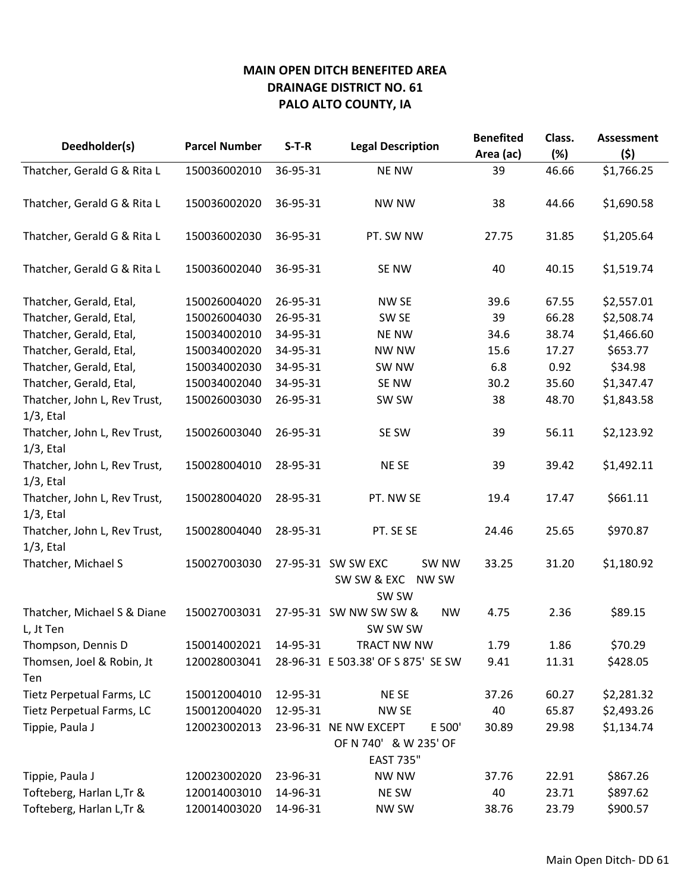| Deedholder(s)                                | <b>Parcel Number</b> | $S-T-R$  | <b>Legal Description</b>                                     | <b>Benefited</b> | Class. | <b>Assessment</b> |
|----------------------------------------------|----------------------|----------|--------------------------------------------------------------|------------------|--------|-------------------|
|                                              |                      |          |                                                              | Area (ac)        | (%)    | (\$)              |
| Thatcher, Gerald G & Rita L                  | 150036002010         | 36-95-31 | <b>NE NW</b>                                                 | 39               | 46.66  | \$1,766.25        |
| Thatcher, Gerald G & Rita L                  | 150036002020         | 36-95-31 | <b>NW NW</b>                                                 | 38               | 44.66  | \$1,690.58        |
| Thatcher, Gerald G & Rita L                  | 150036002030         | 36-95-31 | PT. SW NW                                                    | 27.75            | 31.85  | \$1,205.64        |
| Thatcher, Gerald G & Rita L                  | 150036002040         | 36-95-31 | SE NW                                                        | 40               | 40.15  | \$1,519.74        |
| Thatcher, Gerald, Etal,                      | 150026004020         | 26-95-31 | NW SE                                                        | 39.6             | 67.55  | \$2,557.01        |
| Thatcher, Gerald, Etal,                      | 150026004030         | 26-95-31 | SW <sub>SE</sub>                                             | 39               | 66.28  | \$2,508.74        |
| Thatcher, Gerald, Etal,                      | 150034002010         | 34-95-31 | <b>NE NW</b>                                                 | 34.6             | 38.74  | \$1,466.60        |
| Thatcher, Gerald, Etal,                      | 150034002020         | 34-95-31 | NW NW                                                        | 15.6             | 17.27  | \$653.77          |
| Thatcher, Gerald, Etal,                      | 150034002030         | 34-95-31 | SW NW                                                        | 6.8              | 0.92   | \$34.98           |
| Thatcher, Gerald, Etal,                      | 150034002040         | 34-95-31 | SE NW                                                        | 30.2             | 35.60  | \$1,347.47        |
| Thatcher, John L, Rev Trust,<br>$1/3$ , Etal | 150026003030         | 26-95-31 | SW SW                                                        | 38               | 48.70  | \$1,843.58        |
| Thatcher, John L, Rev Trust,<br>$1/3$ , Etal | 150026003040         | 26-95-31 | SE SW                                                        | 39               | 56.11  | \$2,123.92        |
| Thatcher, John L, Rev Trust,<br>$1/3$ , Etal | 150028004010         | 28-95-31 | NE SE                                                        | 39               | 39.42  | \$1,492.11        |
| Thatcher, John L, Rev Trust,<br>$1/3$ , Etal | 150028004020         | 28-95-31 | PT. NW SE                                                    | 19.4             | 17.47  | \$661.11          |
| Thatcher, John L, Rev Trust,<br>$1/3$ , Etal | 150028004040         | 28-95-31 | PT. SE SE                                                    | 24.46            | 25.65  | \$970.87          |
| Thatcher, Michael S                          | 150027003030         |          | 27-95-31 SW SW EXC<br>SW NW<br>SW SW & EXC<br>NW SW<br>SW SW | 33.25            | 31.20  | \$1,180.92        |
| Thatcher, Michael S & Diane<br>L, Jt Ten     | 150027003031         |          | 27-95-31 SW NW SW SW &<br><b>NW</b><br>SW SW SW              | 4.75             | 2.36   | \$89.15           |
| Thompson, Dennis D                           | 150014002021         | 14-95-31 | TRACT NW NW                                                  | 1.79             | 1.86   | \$70.29           |
| Thomsen, Joel & Robin, Jt<br>Ten             | 120028003041         |          | 28-96-31 E 503.38' OF S 875' SE SW                           | 9.41             | 11.31  | \$428.05          |
| Tietz Perpetual Farms, LC                    | 150012004010         | 12-95-31 | NE SE                                                        | 37.26            | 60.27  | \$2,281.32        |
| Tietz Perpetual Farms, LC                    | 150012004020         | 12-95-31 | NW SE                                                        | 40               | 65.87  | \$2,493.26        |
| Tippie, Paula J                              | 120023002013         |          | 23-96-31 NE NW EXCEPT<br>E 500'<br>OF N 740' & W 235' OF     | 30.89            | 29.98  | \$1,134.74        |
|                                              |                      |          | <b>EAST 735"</b>                                             |                  |        |                   |
| Tippie, Paula J                              | 120023002020         | 23-96-31 | <b>NW NW</b>                                                 | 37.76            | 22.91  | \$867.26          |
| Tofteberg, Harlan L, Tr &                    | 120014003010         | 14-96-31 | NE SW                                                        | 40               | 23.71  | \$897.62          |
| Tofteberg, Harlan L, Tr &                    | 120014003020         | 14-96-31 | <b>NW SW</b>                                                 | 38.76            | 23.79  | \$900.57          |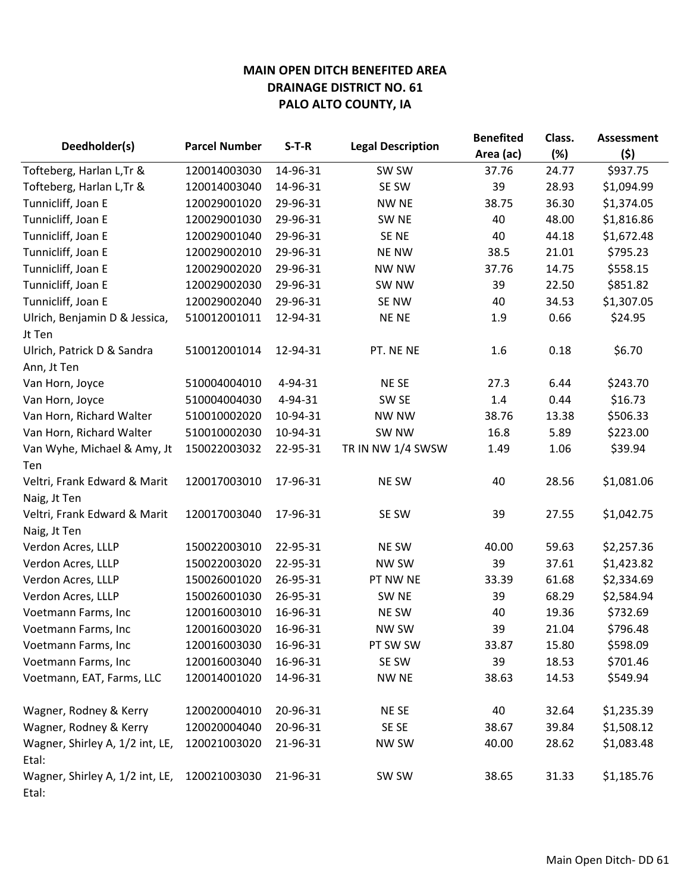| Deedholder(s)                            | <b>Parcel Number</b> | $S-T-R$  | <b>Legal Description</b> | <b>Benefited</b> | Class. | <b>Assessment</b> |
|------------------------------------------|----------------------|----------|--------------------------|------------------|--------|-------------------|
|                                          |                      |          |                          | Area (ac)        | (%)    | (5)               |
| Tofteberg, Harlan L, Tr &                | 120014003030         | 14-96-31 | SW SW                    | 37.76            | 24.77  | \$937.75          |
| Tofteberg, Harlan L, Tr &                | 120014003040         | 14-96-31 | SE SW                    | 39               | 28.93  | \$1,094.99        |
| Tunnicliff, Joan E                       | 120029001020         | 29-96-31 | <b>NW NE</b>             | 38.75            | 36.30  | \$1,374.05        |
| Tunnicliff, Joan E                       | 120029001030         | 29-96-31 | SW <sub>NE</sub>         | 40               | 48.00  | \$1,816.86        |
| Tunnicliff, Joan E                       | 120029001040         | 29-96-31 | SE <sub>NE</sub>         | 40               | 44.18  | \$1,672.48        |
| Tunnicliff, Joan E                       | 120029002010         | 29-96-31 | <b>NE NW</b>             | 38.5             | 21.01  | \$795.23          |
| Tunnicliff, Joan E                       | 120029002020         | 29-96-31 | <b>NW NW</b>             | 37.76            | 14.75  | \$558.15          |
| Tunnicliff, Joan E                       | 120029002030         | 29-96-31 | SW NW                    | 39               | 22.50  | \$851.82          |
| Tunnicliff, Joan E                       | 120029002040         | 29-96-31 | SE NW                    | 40               | 34.53  | \$1,307.05        |
| Ulrich, Benjamin D & Jessica,            | 510012001011         | 12-94-31 | <b>NENE</b>              | 1.9              | 0.66   | \$24.95           |
| Jt Ten                                   |                      |          |                          |                  |        |                   |
| Ulrich, Patrick D & Sandra               | 510012001014         | 12-94-31 | PT. NE NE                | 1.6              | 0.18   | \$6.70            |
| Ann, Jt Ten                              |                      |          |                          |                  |        |                   |
| Van Horn, Joyce                          | 510004004010         | 4-94-31  | NE SE                    | 27.3             | 6.44   | \$243.70          |
| Van Horn, Joyce                          | 510004004030         | 4-94-31  | SW <sub>SE</sub>         | 1.4              | 0.44   | \$16.73           |
| Van Horn, Richard Walter                 | 510010002020         | 10-94-31 | <b>NW NW</b>             | 38.76            | 13.38  | \$506.33          |
| Van Horn, Richard Walter                 | 510010002030         | 10-94-31 | SW NW                    | 16.8             | 5.89   | \$223.00          |
| Van Wyhe, Michael & Amy, Jt              | 150022003032         | 22-95-31 | TR IN NW 1/4 SWSW        | 1.49             | 1.06   | \$39.94           |
| Ten                                      |                      |          |                          |                  |        |                   |
| Veltri, Frank Edward & Marit             | 120017003010         | 17-96-31 | <b>NE SW</b>             | 40               | 28.56  | \$1,081.06        |
| Naig, Jt Ten                             |                      |          |                          |                  |        |                   |
| Veltri, Frank Edward & Marit             | 120017003040         | 17-96-31 | SE SW                    | 39               | 27.55  | \$1,042.75        |
| Naig, Jt Ten                             |                      |          |                          |                  |        |                   |
| Verdon Acres, LLLP                       | 150022003010         | 22-95-31 | NE SW                    | 40.00            | 59.63  | \$2,257.36        |
| Verdon Acres, LLLP                       | 150022003020         | 22-95-31 | NW SW                    | 39               | 37.61  | \$1,423.82        |
| Verdon Acres, LLLP                       | 150026001020         | 26-95-31 | PT NW NE                 | 33.39            | 61.68  | \$2,334.69        |
| Verdon Acres, LLLP                       | 150026001030         | 26-95-31 | SW <sub>NE</sub>         | 39               | 68.29  | \$2,584.94        |
| Voetmann Farms, Inc                      | 120016003010         | 16-96-31 | <b>NE SW</b>             | 40               | 19.36  | \$732.69          |
| Voetmann Farms, Inc                      | 120016003020         | 16-96-31 | <b>NW SW</b>             | 39               | 21.04  | \$796.48          |
| Voetmann Farms, Inc                      | 120016003030         | 16-96-31 | PT SW SW                 | 33.87            | 15.80  | \$598.09          |
| Voetmann Farms, Inc                      | 120016003040         | 16-96-31 | SE SW                    | 39               | 18.53  | \$701.46          |
| Voetmann, EAT, Farms, LLC                | 120014001020         | 14-96-31 | NW NE                    | 38.63            | 14.53  | \$549.94          |
| Wagner, Rodney & Kerry                   | 120020004010         | 20-96-31 | NE SE                    | 40               | 32.64  | \$1,235.39        |
| Wagner, Rodney & Kerry                   | 120020004040         | 20-96-31 | SE SE                    | 38.67            | 39.84  | \$1,508.12        |
| Wagner, Shirley A, 1/2 int, LE,<br>Etal: | 120021003020         | 21-96-31 | <b>NW SW</b>             | 40.00            | 28.62  | \$1,083.48        |
| Wagner, Shirley A, 1/2 int, LE,<br>Etal: | 120021003030         | 21-96-31 | SW SW                    | 38.65            | 31.33  | \$1,185.76        |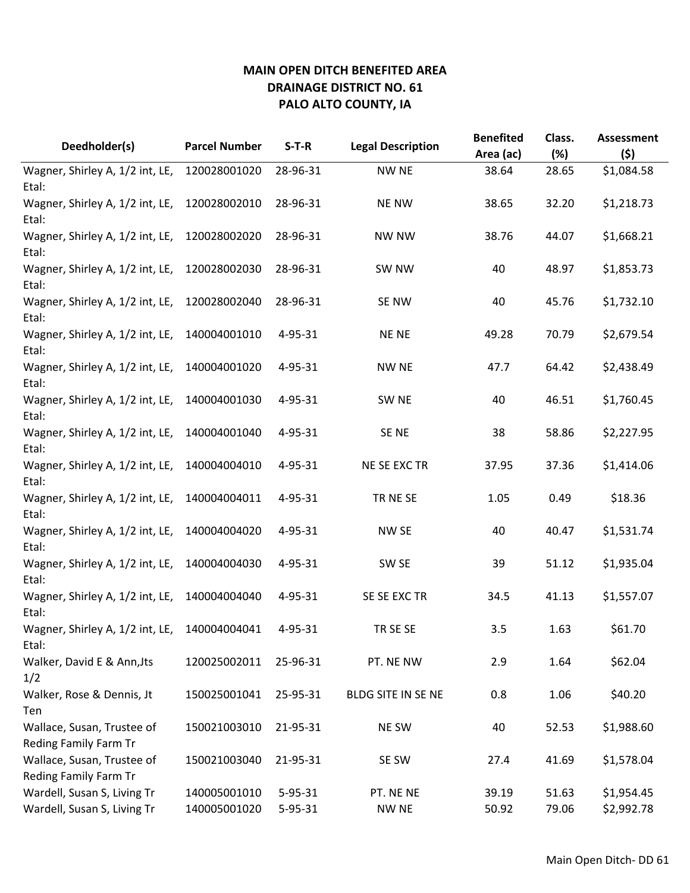| Deedholder(s)                                       | <b>Parcel Number</b> | $S-T-R$  | <b>Legal Description</b> | <b>Benefited</b><br>Area (ac) | Class.<br>(%) | <b>Assessment</b><br>(5) |
|-----------------------------------------------------|----------------------|----------|--------------------------|-------------------------------|---------------|--------------------------|
| Wagner, Shirley A, 1/2 int, LE,                     | 120028001020         | 28-96-31 | <b>NW NE</b>             | 38.64                         | 28.65         | \$1,084.58               |
| Etal:<br>Wagner, Shirley A, 1/2 int, LE,<br>Etal:   | 120028002010         | 28-96-31 | <b>NE NW</b>             | 38.65                         | 32.20         | \$1,218.73               |
| Wagner, Shirley A, 1/2 int, LE,<br>Etal:            | 120028002020         | 28-96-31 | <b>NW NW</b>             | 38.76                         | 44.07         | \$1,668.21               |
| Wagner, Shirley A, 1/2 int, LE,<br>Etal:            | 120028002030         | 28-96-31 | SW NW                    | 40                            | 48.97         | \$1,853.73               |
| Wagner, Shirley A, 1/2 int, LE,<br>Etal:            | 120028002040         | 28-96-31 | SE NW                    | 40                            | 45.76         | \$1,732.10               |
| Wagner, Shirley A, 1/2 int, LE,<br>Etal:            | 140004001010         | 4-95-31  | <b>NENE</b>              | 49.28                         | 70.79         | \$2,679.54               |
| Wagner, Shirley A, 1/2 int, LE,<br>Etal:            | 140004001020         | 4-95-31  | <b>NW NE</b>             | 47.7                          | 64.42         | \$2,438.49               |
| Wagner, Shirley A, 1/2 int, LE,<br>Etal:            | 140004001030         | 4-95-31  | SW <sub>NE</sub>         | 40                            | 46.51         | \$1,760.45               |
| Wagner, Shirley A, 1/2 int, LE,<br>Etal:            | 140004001040         | 4-95-31  | SE <sub>NE</sub>         | 38                            | 58.86         | \$2,227.95               |
| Wagner, Shirley A, 1/2 int, LE,<br>Etal:            | 140004004010         | 4-95-31  | NE SE EXC TR             | 37.95                         | 37.36         | \$1,414.06               |
| Wagner, Shirley A, 1/2 int, LE,<br>Etal:            | 140004004011         | 4-95-31  | TR NE SE                 | 1.05                          | 0.49          | \$18.36                  |
| Wagner, Shirley A, 1/2 int, LE,<br>Etal:            | 140004004020         | 4-95-31  | NW SE                    | 40                            | 40.47         | \$1,531.74               |
| Wagner, Shirley A, 1/2 int, LE,<br>Etal:            | 140004004030         | 4-95-31  | SW SE                    | 39                            | 51.12         | \$1,935.04               |
| Wagner, Shirley A, 1/2 int, LE,<br>Etal:            | 140004004040         | 4-95-31  | SE SE EXC TR             | 34.5                          | 41.13         | \$1,557.07               |
| Wagner, Shirley A, 1/2 int, LE,<br>Etal:            | 140004004041         | 4-95-31  | TR SE SE                 | 3.5                           | 1.63          | \$61.70                  |
| Walker, David E & Ann, Jts<br>1/2                   | 120025002011         | 25-96-31 | PT. NE NW                | 2.9                           | 1.64          | \$62.04                  |
| Walker, Rose & Dennis, Jt<br>Ten                    | 150025001041         | 25-95-31 | BLDG SITE IN SE NE       | 0.8                           | 1.06          | \$40.20                  |
| Wallace, Susan, Trustee of<br>Reding Family Farm Tr | 150021003010         | 21-95-31 | NE SW                    | 40                            | 52.53         | \$1,988.60               |
| Wallace, Susan, Trustee of<br>Reding Family Farm Tr | 150021003040         | 21-95-31 | SE SW                    | 27.4                          | 41.69         | \$1,578.04               |
| Wardell, Susan S, Living Tr                         | 140005001010         | 5-95-31  | PT. NE NE                | 39.19                         | 51.63         | \$1,954.45               |
| Wardell, Susan S, Living Tr                         | 140005001020         | 5-95-31  | <b>NW NE</b>             | 50.92                         | 79.06         | \$2,992.78               |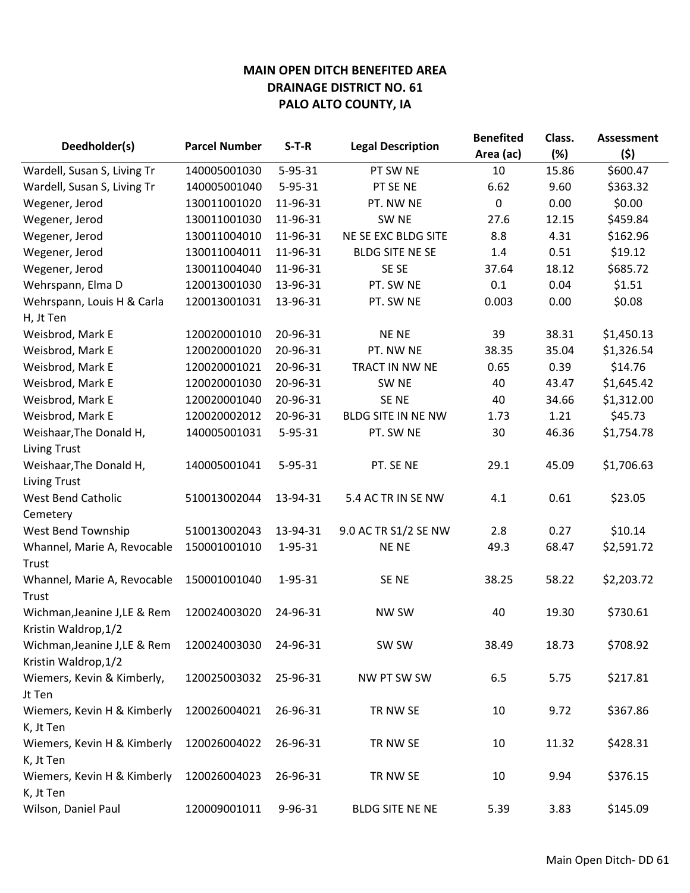|                              | <b>Parcel Number</b> | $S-T-R$       |                          | <b>Benefited</b> | Class. | <b>Assessment</b> |
|------------------------------|----------------------|---------------|--------------------------|------------------|--------|-------------------|
| Deedholder(s)                |                      |               | <b>Legal Description</b> | Area (ac)        | (%)    | (\$)              |
| Wardell, Susan S, Living Tr  | 140005001030         | 5-95-31       | PT SW NE                 | 10               | 15.86  | \$600.47          |
| Wardell, Susan S, Living Tr  | 140005001040         | $5 - 95 - 31$ | PT SE NE                 | 6.62             | 9.60   | \$363.32          |
| Wegener, Jerod               | 130011001020         | 11-96-31      | PT. NW NE                | 0                | 0.00   | \$0.00            |
| Wegener, Jerod               | 130011001030         | 11-96-31      | SW <sub>NE</sub>         | 27.6             | 12.15  | \$459.84          |
| Wegener, Jerod               | 130011004010         | 11-96-31      | NE SE EXC BLDG SITE      | 8.8              | 4.31   | \$162.96          |
| Wegener, Jerod               | 130011004011         | 11-96-31      | <b>BLDG SITE NE SE</b>   | 1.4              | 0.51   | \$19.12           |
| Wegener, Jerod               | 130011004040         | 11-96-31      | SE SE                    | 37.64            | 18.12  | \$685.72          |
| Wehrspann, Elma D            | 120013001030         | 13-96-31      | PT. SW NE                | 0.1              | 0.04   | \$1.51            |
| Wehrspann, Louis H & Carla   | 120013001031         | 13-96-31      | PT. SW NE                | 0.003            | 0.00   | \$0.08            |
| H, Jt Ten                    |                      |               |                          |                  |        |                   |
| Weisbrod, Mark E             | 120020001010         | 20-96-31      | <b>NENE</b>              | 39               | 38.31  | \$1,450.13        |
| Weisbrod, Mark E             | 120020001020         | 20-96-31      | PT. NW NE                | 38.35            | 35.04  | \$1,326.54        |
| Weisbrod, Mark E             | 120020001021         | 20-96-31      | TRACT IN NW NE           | 0.65             | 0.39   | \$14.76           |
| Weisbrod, Mark E             | 120020001030         | 20-96-31      | SW <sub>NE</sub>         | 40               | 43.47  | \$1,645.42        |
| Weisbrod, Mark E             | 120020001040         | 20-96-31      | SE <sub>NE</sub>         | 40               | 34.66  | \$1,312.00        |
| Weisbrod, Mark E             | 120020002012         | 20-96-31      | BLDG SITE IN NE NW       | 1.73             | 1.21   | \$45.73           |
| Weishaar, The Donald H,      | 140005001031         | $5 - 95 - 31$ | PT. SW NE                | 30               | 46.36  | \$1,754.78        |
| <b>Living Trust</b>          |                      |               |                          |                  |        |                   |
| Weishaar, The Donald H,      | 140005001041         | $5 - 95 - 31$ | PT. SE NE                | 29.1             | 45.09  | \$1,706.63        |
| <b>Living Trust</b>          |                      |               |                          |                  |        |                   |
| <b>West Bend Catholic</b>    | 510013002044         | 13-94-31      | 5.4 AC TR IN SE NW       | 4.1              | 0.61   | \$23.05           |
| Cemetery                     |                      |               |                          |                  |        |                   |
| West Bend Township           | 510013002043         | 13-94-31      | 9.0 AC TR S1/2 SE NW     | 2.8              | 0.27   | \$10.14           |
| Whannel, Marie A, Revocable  | 150001001010         | 1-95-31       | <b>NENE</b>              | 49.3             | 68.47  | \$2,591.72        |
| Trust                        |                      |               |                          |                  |        |                   |
| Whannel, Marie A, Revocable  | 150001001040         | 1-95-31       | SE <sub>NE</sub>         | 38.25            | 58.22  | \$2,203.72        |
| Trust                        |                      |               |                          |                  |        |                   |
| Wichman, Jeanine J, LE & Rem | 120024003020         | 24-96-31      | <b>NW SW</b>             | 40               | 19.30  | \$730.61          |
| Kristin Waldrop, 1/2         |                      |               |                          |                  |        |                   |
| Wichman, Jeanine J, LE & Rem | 120024003030         | 24-96-31      | SW SW                    | 38.49            | 18.73  | \$708.92          |
| Kristin Waldrop, 1/2         |                      |               |                          |                  |        |                   |
| Wiemers, Kevin & Kimberly,   | 120025003032         | 25-96-31      | NW PT SW SW              | 6.5              | 5.75   | \$217.81          |
| Jt Ten                       |                      |               |                          |                  |        |                   |
| Wiemers, Kevin H & Kimberly  | 120026004021         | 26-96-31      | TR NW SE                 | 10               | 9.72   | \$367.86          |
| K, Jt Ten                    |                      |               |                          |                  |        |                   |
| Wiemers, Kevin H & Kimberly  | 120026004022         | 26-96-31      | TR NW SE                 | 10               | 11.32  | \$428.31          |
| K, Jt Ten                    |                      |               |                          |                  |        |                   |
| Wiemers, Kevin H & Kimberly  | 120026004023         | 26-96-31      | TR NW SE                 | 10               | 9.94   | \$376.15          |
| K, Jt Ten                    |                      |               |                          |                  |        |                   |
| Wilson, Daniel Paul          | 120009001011         | 9-96-31       | BLDG SITE NE NE          | 5.39             | 3.83   | \$145.09          |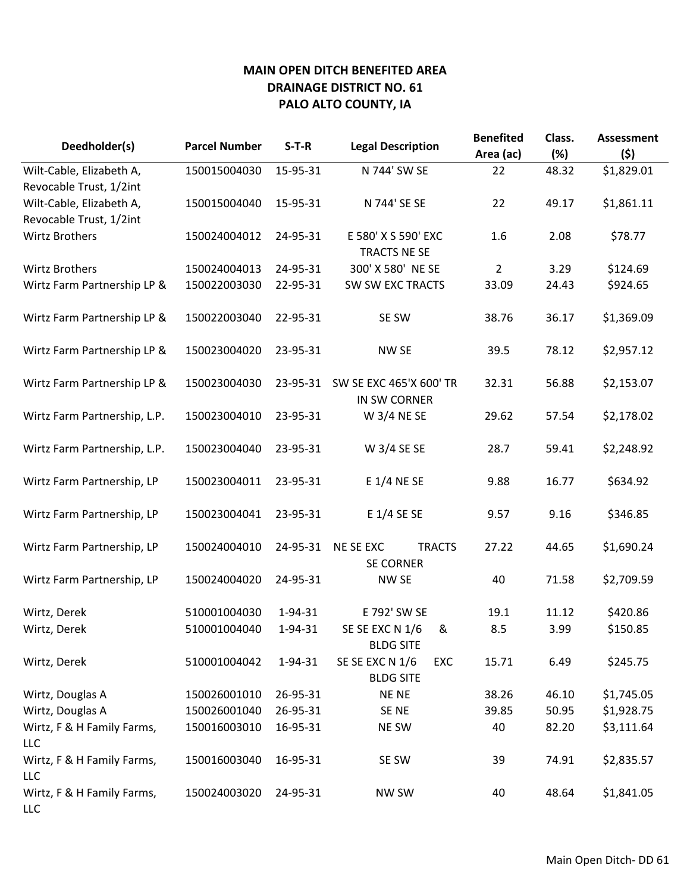| Deedholder(s)                | <b>Parcel Number</b> | $S-T-R$  | <b>Legal Description</b>                 | <b>Benefited</b><br>Area (ac) | Class.<br>(%) | <b>Assessment</b><br>(5) |
|------------------------------|----------------------|----------|------------------------------------------|-------------------------------|---------------|--------------------------|
| Wilt-Cable, Elizabeth A,     | 150015004030         | 15-95-31 | N 744' SW SE                             | 22                            | 48.32         | \$1,829.01               |
| Revocable Trust, 1/2int      |                      |          |                                          |                               |               |                          |
| Wilt-Cable, Elizabeth A,     | 150015004040         | 15-95-31 | N 744' SE SE                             | 22                            | 49.17         | \$1,861.11               |
| Revocable Trust, 1/2int      |                      |          |                                          |                               |               |                          |
| <b>Wirtz Brothers</b>        | 150024004012         | 24-95-31 | E 580' X S 590' EXC                      | 1.6                           | 2.08          | \$78.77                  |
|                              |                      |          | TRACTS NE SE                             |                               |               |                          |
| <b>Wirtz Brothers</b>        | 150024004013         | 24-95-31 | 300' X 580' NE SE                        | $\overline{2}$                | 3.29          | \$124.69                 |
| Wirtz Farm Partnership LP &  | 150022003030         | 22-95-31 | SW SW EXC TRACTS                         | 33.09                         | 24.43         | \$924.65                 |
| Wirtz Farm Partnership LP &  | 150022003040         | 22-95-31 | SE SW                                    | 38.76                         | 36.17         | \$1,369.09               |
| Wirtz Farm Partnership LP &  | 150023004020         | 23-95-31 | NW SE                                    | 39.5                          | 78.12         | \$2,957.12               |
|                              |                      |          |                                          |                               |               |                          |
| Wirtz Farm Partnership LP &  | 150023004030         | 23-95-31 | SW SE EXC 465'X 600' TR                  | 32.31                         | 56.88         | \$2,153.07               |
|                              |                      |          | IN SW CORNER                             |                               |               |                          |
| Wirtz Farm Partnership, L.P. | 150023004010         | 23-95-31 | W 3/4 NE SE                              | 29.62                         | 57.54         | \$2,178.02               |
| Wirtz Farm Partnership, L.P. | 150023004040         | 23-95-31 | W 3/4 SE SE                              | 28.7                          | 59.41         | \$2,248.92               |
|                              |                      |          |                                          |                               |               |                          |
| Wirtz Farm Partnership, LP   | 150023004011         | 23-95-31 | E 1/4 NE SE                              | 9.88                          | 16.77         | \$634.92                 |
| Wirtz Farm Partnership, LP   | 150023004041         | 23-95-31 | E 1/4 SE SE                              | 9.57                          | 9.16          | \$346.85                 |
| Wirtz Farm Partnership, LP   | 150024004010         | 24-95-31 | NE SE EXC<br><b>TRACTS</b>               | 27.22                         | 44.65         | \$1,690.24               |
|                              |                      |          | <b>SE CORNER</b>                         |                               |               |                          |
| Wirtz Farm Partnership, LP   | 150024004020         | 24-95-31 | NW SE                                    | 40                            | 71.58         | \$2,709.59               |
| Wirtz, Derek                 | 510001004030         | 1-94-31  | E 792' SW SE                             | 19.1                          | 11.12         | \$420.86                 |
| Wirtz, Derek                 | 510001004040         | 1-94-31  | SE SE EXC N 1/6<br>&<br><b>BLDG SITE</b> | 8.5                           | 3.99          | \$150.85                 |
| Wirtz, Derek                 | 510001004042         | 1-94-31  | SE SE EXC N 1/6<br>EXC                   | 15.71                         | 6.49          | \$245.75                 |
|                              |                      |          | <b>BLDG SITE</b>                         |                               |               |                          |
| Wirtz, Douglas A             | 150026001010         | 26-95-31 | <b>NENE</b>                              | 38.26                         | 46.10         | \$1,745.05               |
| Wirtz, Douglas A             | 150026001040         | 26-95-31 | SE NE                                    | 39.85                         | 50.95         | \$1,928.75               |
| Wirtz, F & H Family Farms,   | 150016003010         | 16-95-31 | NE SW                                    | 40                            | 82.20         | \$3,111.64               |
| <b>LLC</b>                   |                      |          |                                          |                               |               |                          |
| Wirtz, F & H Family Farms,   | 150016003040         | 16-95-31 | SE SW                                    | 39                            | 74.91         | \$2,835.57               |
| <b>LLC</b>                   |                      |          |                                          |                               |               |                          |
| Wirtz, F & H Family Farms,   | 150024003020         | 24-95-31 | <b>NW SW</b>                             | 40                            | 48.64         | \$1,841.05               |
| <b>LLC</b>                   |                      |          |                                          |                               |               |                          |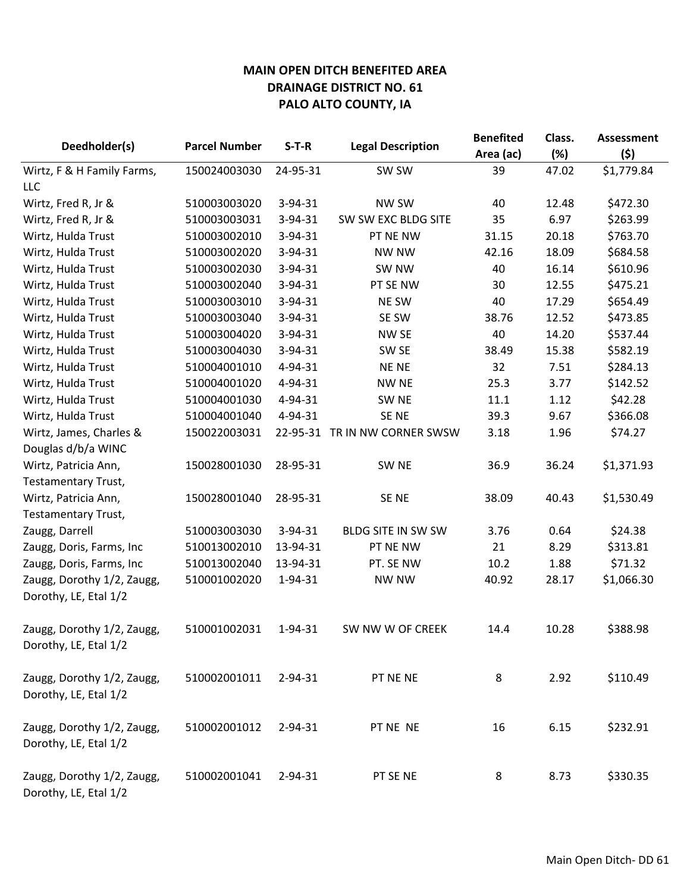| Deedholder(s)              | <b>Parcel Number</b> | $S-T-R$       | <b>Legal Description</b>      | <b>Benefited</b><br>Area (ac) | Class.<br>(%) | <b>Assessment</b><br>(5) |
|----------------------------|----------------------|---------------|-------------------------------|-------------------------------|---------------|--------------------------|
| Wirtz, F & H Family Farms, | 150024003030         | 24-95-31      | SW SW                         | 39                            | 47.02         | \$1,779.84               |
| LLC                        |                      |               |                               |                               |               |                          |
| Wirtz, Fred R, Jr &        | 510003003020         | 3-94-31       | NW SW                         | 40                            | 12.48         | \$472.30                 |
| Wirtz, Fred R, Jr &        | 510003003031         | $3 - 94 - 31$ | SW SW EXC BLDG SITE           | 35                            | 6.97          | \$263.99                 |
| Wirtz, Hulda Trust         | 510003002010         | 3-94-31       | PT NE NW                      | 31.15                         | 20.18         | \$763.70                 |
| Wirtz, Hulda Trust         | 510003002020         | 3-94-31       | <b>NW NW</b>                  | 42.16                         | 18.09         | \$684.58                 |
| Wirtz, Hulda Trust         | 510003002030         | 3-94-31       | SW NW                         | 40                            | 16.14         | \$610.96                 |
| Wirtz, Hulda Trust         | 510003002040         | $3 - 94 - 31$ | PT SE NW                      | 30                            | 12.55         | \$475.21                 |
| Wirtz, Hulda Trust         | 510003003010         | $3 - 94 - 31$ | <b>NE SW</b>                  | 40                            | 17.29         | \$654.49                 |
| Wirtz, Hulda Trust         | 510003003040         | 3-94-31       | SE SW                         | 38.76                         | 12.52         | \$473.85                 |
| Wirtz, Hulda Trust         | 510003004020         | $3 - 94 - 31$ | <b>NW SE</b>                  | 40                            | 14.20         | \$537.44                 |
| Wirtz, Hulda Trust         | 510003004030         | 3-94-31       | SW <sub>SE</sub>              | 38.49                         | 15.38         | \$582.19                 |
| Wirtz, Hulda Trust         | 510004001010         | 4-94-31       | <b>NENE</b>                   | 32                            | 7.51          | \$284.13                 |
| Wirtz, Hulda Trust         | 510004001020         | 4-94-31       | <b>NW NE</b>                  | 25.3                          | 3.77          | \$142.52                 |
| Wirtz, Hulda Trust         | 510004001030         | 4-94-31       | SW <sub>NE</sub>              | 11.1                          | 1.12          | \$42.28                  |
| Wirtz, Hulda Trust         | 510004001040         | 4-94-31       | SE NE                         | 39.3                          | 9.67          | \$366.08                 |
| Wirtz, James, Charles &    | 150022003031         |               | 22-95-31 TR IN NW CORNER SWSW | 3.18                          | 1.96          | \$74.27                  |
| Douglas d/b/a WINC         |                      |               |                               |                               |               |                          |
| Wirtz, Patricia Ann,       | 150028001030         | 28-95-31      | SW <sub>NE</sub>              | 36.9                          | 36.24         | \$1,371.93               |
| Testamentary Trust,        |                      |               |                               |                               |               |                          |
| Wirtz, Patricia Ann,       | 150028001040         | 28-95-31      | SE NE                         | 38.09                         | 40.43         | \$1,530.49               |
| Testamentary Trust,        |                      |               |                               |                               |               |                          |
| Zaugg, Darrell             | 510003003030         | 3-94-31       | BLDG SITE IN SW SW            | 3.76                          | 0.64          | \$24.38                  |
| Zaugg, Doris, Farms, Inc   | 510013002010         | 13-94-31      | PT NE NW                      | 21                            | 8.29          | \$313.81                 |
| Zaugg, Doris, Farms, Inc   | 510013002040         | 13-94-31      | PT. SE NW                     | 10.2                          | 1.88          | \$71.32                  |
| Zaugg, Dorothy 1/2, Zaugg, | 510001002020         | 1-94-31       | NW NW                         | 40.92                         | 28.17         | \$1,066.30               |
| Dorothy, LE, Etal 1/2      |                      |               |                               |                               |               |                          |
| Zaugg, Dorothy 1/2, Zaugg, | 510001002031         | 1-94-31       | SW NW W OF CREEK              | 14.4                          | 10.28         | \$388.98                 |
| Dorothy, LE, Etal 1/2      |                      |               |                               |                               |               |                          |
| Zaugg, Dorothy 1/2, Zaugg, | 510002001011         | 2-94-31       | PT NE NE                      | 8                             | 2.92          | \$110.49                 |
| Dorothy, LE, Etal 1/2      |                      |               |                               |                               |               |                          |
| Zaugg, Dorothy 1/2, Zaugg, | 510002001012         | 2-94-31       | PT NE NE                      | 16                            | 6.15          | \$232.91                 |
| Dorothy, LE, Etal 1/2      |                      |               |                               |                               |               |                          |
| Zaugg, Dorothy 1/2, Zaugg, | 510002001041         | 2-94-31       | PT SE NE                      | 8                             | 8.73          | \$330.35                 |
| Dorothy, LE, Etal 1/2      |                      |               |                               |                               |               |                          |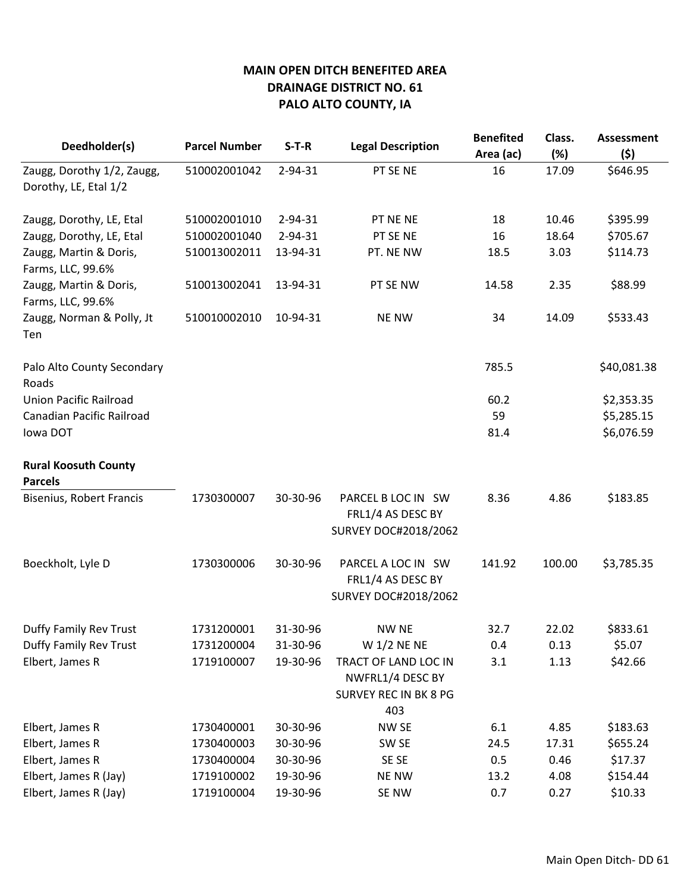| Deedholder(s)                                         | <b>Parcel Number</b>                   | $S-T-R$                          | <b>Legal Description</b>                                                           | <b>Benefited</b>   | Class.                | <b>Assessment</b>               |
|-------------------------------------------------------|----------------------------------------|----------------------------------|------------------------------------------------------------------------------------|--------------------|-----------------------|---------------------------------|
| Zaugg, Dorothy 1/2, Zaugg,                            | 510002001042                           | $2 - 94 - 31$                    | PT SE NE                                                                           | Area (ac)<br>16    | (%)<br>17.09          | (\$)<br>\$646.95                |
| Dorothy, LE, Etal 1/2                                 |                                        |                                  |                                                                                    |                    |                       |                                 |
|                                                       |                                        |                                  |                                                                                    |                    |                       |                                 |
| Zaugg, Dorothy, LE, Etal                              | 510002001010                           | 2-94-31                          | PT NE NE                                                                           | 18                 | 10.46                 | \$395.99                        |
| Zaugg, Dorothy, LE, Etal                              | 510002001040                           | 2-94-31                          | PT SE NE                                                                           | 16                 | 18.64                 | \$705.67                        |
| Zaugg, Martin & Doris,                                | 510013002011                           | 13-94-31                         | PT. NE NW                                                                          | 18.5               | 3.03                  | \$114.73                        |
| Farms, LLC, 99.6%                                     |                                        |                                  |                                                                                    |                    |                       |                                 |
| Zaugg, Martin & Doris,                                | 510013002041                           | 13-94-31                         | PT SE NW                                                                           | 14.58              | 2.35                  | \$88.99                         |
| Farms, LLC, 99.6%                                     |                                        |                                  |                                                                                    |                    |                       |                                 |
| Zaugg, Norman & Polly, Jt<br>Ten                      | 510010002010                           | 10-94-31                         | <b>NE NW</b>                                                                       | 34                 | 14.09                 | \$533.43                        |
|                                                       |                                        |                                  |                                                                                    |                    |                       |                                 |
| Palo Alto County Secondary                            |                                        |                                  |                                                                                    | 785.5              |                       | \$40,081.38                     |
| Roads                                                 |                                        |                                  |                                                                                    |                    |                       |                                 |
| <b>Union Pacific Railroad</b>                         |                                        |                                  |                                                                                    | 60.2               |                       | \$2,353.35                      |
| Canadian Pacific Railroad                             |                                        |                                  |                                                                                    | 59                 |                       | \$5,285.15                      |
| lowa DOT                                              |                                        |                                  |                                                                                    | 81.4               |                       | \$6,076.59                      |
| <b>Rural Koosuth County</b>                           |                                        |                                  |                                                                                    |                    |                       |                                 |
| <b>Parcels</b>                                        |                                        |                                  |                                                                                    |                    |                       |                                 |
| Bisenius, Robert Francis                              | 1730300007                             | 30-30-96                         | PARCEL B LOC IN SW                                                                 | 8.36               | 4.86                  | \$183.85                        |
|                                                       |                                        |                                  | FRL1/4 AS DESC BY                                                                  |                    |                       |                                 |
|                                                       |                                        |                                  | SURVEY DOC#2018/2062                                                               |                    |                       |                                 |
| Boeckholt, Lyle D                                     | 1730300006                             | 30-30-96                         | PARCEL A LOC IN SW                                                                 | 141.92             | 100.00                | \$3,785.35                      |
|                                                       |                                        |                                  | FRL1/4 AS DESC BY                                                                  |                    |                       |                                 |
|                                                       |                                        |                                  | SURVEY DOC#2018/2062                                                               |                    |                       |                                 |
|                                                       |                                        |                                  |                                                                                    |                    |                       |                                 |
| Duffy Family Rev Trust                                | 1731200001                             | 31-30-96                         | <b>NW NE</b>                                                                       | 32.7               | 22.02                 | \$833.61                        |
| Duffy Family Rev Trust                                | 1731200004                             | 31-30-96                         | W 1/2 NE NE                                                                        | 0.4                | 0.13                  | \$5.07                          |
| Elbert, James R                                       | 1719100007                             | 19-30-96                         | TRACT OF LAND LOC IN                                                               | 3.1                | 1.13                  | \$42.66                         |
|                                                       |                                        |                                  |                                                                                    |                    |                       |                                 |
|                                                       |                                        |                                  |                                                                                    |                    |                       |                                 |
|                                                       |                                        |                                  |                                                                                    |                    |                       |                                 |
|                                                       |                                        |                                  |                                                                                    |                    |                       |                                 |
|                                                       |                                        |                                  |                                                                                    |                    |                       |                                 |
| Elbert, James R (Jay)                                 | 1719100002                             | 19-30-96                         | <b>NE NW</b>                                                                       | 13.2               | 4.08                  | \$154.44                        |
| Elbert, James R (Jay)                                 | 1719100004                             | 19-30-96                         | SE NW                                                                              | 0.7                | 0.27                  | \$10.33                         |
| Elbert, James R<br>Elbert, James R<br>Elbert, James R | 1730400001<br>1730400003<br>1730400004 | 30-30-96<br>30-30-96<br>30-30-96 | NWFRL1/4 DESC BY<br><b>SURVEY REC IN BK 8 PG</b><br>403<br>NW SE<br>SW SE<br>SE SE | 6.1<br>24.5<br>0.5 | 4.85<br>17.31<br>0.46 | \$183.63<br>\$655.24<br>\$17.37 |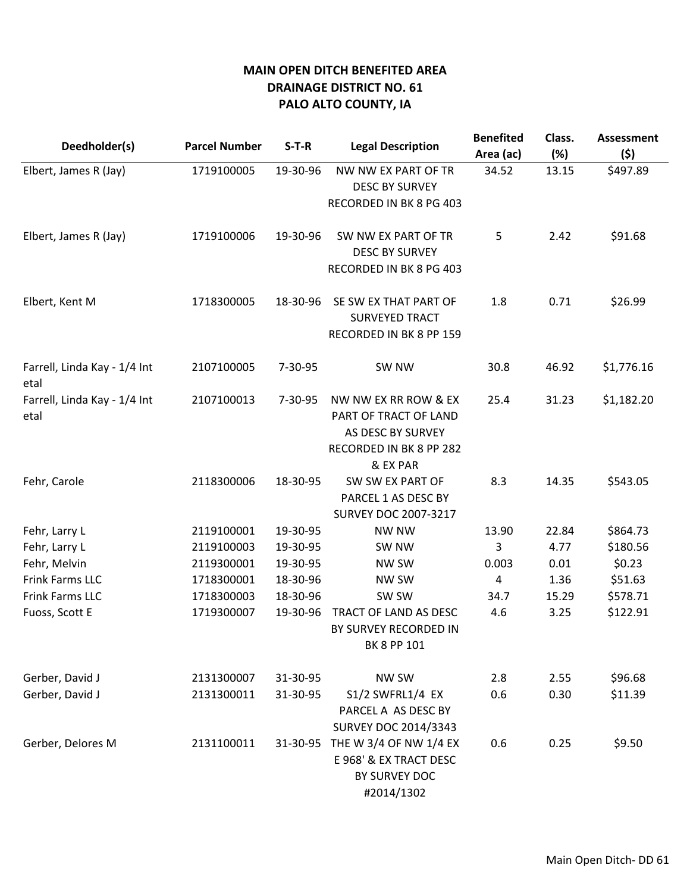| Deedholder(s)                        | <b>Parcel Number</b> | $S-T-R$       | <b>Legal Description</b>                       | <b>Benefited</b><br>Area (ac) | Class.<br>(%) | <b>Assessment</b><br>(5) |
|--------------------------------------|----------------------|---------------|------------------------------------------------|-------------------------------|---------------|--------------------------|
| Elbert, James R (Jay)                | 1719100005           | 19-30-96      | NW NW EX PART OF TR                            | 34.52                         | 13.15         | \$497.89                 |
|                                      |                      |               | <b>DESC BY SURVEY</b>                          |                               |               |                          |
|                                      |                      |               | RECORDED IN BK 8 PG 403                        |                               |               |                          |
| Elbert, James R (Jay)                | 1719100006           | 19-30-96      | SW NW EX PART OF TR                            | 5                             | 2.42          | \$91.68                  |
|                                      |                      |               | <b>DESC BY SURVEY</b>                          |                               |               |                          |
|                                      |                      |               | RECORDED IN BK 8 PG 403                        |                               |               |                          |
| Elbert, Kent M                       | 1718300005           | 18-30-96      | SE SW EX THAT PART OF<br><b>SURVEYED TRACT</b> | 1.8                           | 0.71          | \$26.99                  |
|                                      |                      |               | RECORDED IN BK 8 PP 159                        |                               |               |                          |
| Farrell, Linda Kay - 1/4 Int<br>etal | 2107100005           | 7-30-95       | SW NW                                          | 30.8                          | 46.92         | \$1,776.16               |
| Farrell, Linda Kay - 1/4 Int         | 2107100013           | $7 - 30 - 95$ | NW NW EX RR ROW & EX                           | 25.4                          | 31.23         | \$1,182.20               |
| etal                                 |                      |               | PART OF TRACT OF LAND                          |                               |               |                          |
|                                      |                      |               | AS DESC BY SURVEY                              |                               |               |                          |
|                                      |                      |               | RECORDED IN BK 8 PP 282                        |                               |               |                          |
|                                      |                      |               | & EX PAR                                       |                               |               |                          |
| Fehr, Carole                         | 2118300006           | 18-30-95      | SW SW EX PART OF                               | 8.3                           | 14.35         | \$543.05                 |
|                                      |                      |               | PARCEL 1 AS DESC BY                            |                               |               |                          |
|                                      |                      |               | <b>SURVEY DOC 2007-3217</b>                    |                               |               |                          |
| Fehr, Larry L                        | 2119100001           | 19-30-95      | <b>NW NW</b>                                   | 13.90                         | 22.84         | \$864.73                 |
| Fehr, Larry L                        | 2119100003           | 19-30-95      | SW NW                                          | 3                             | 4.77          | \$180.56                 |
| Fehr, Melvin                         | 2119300001           | 19-30-95      | NW SW                                          | 0.003                         | 0.01          | \$0.23                   |
| Frink Farms LLC                      | 1718300001           | 18-30-96      | NW SW                                          | 4                             | 1.36          | \$51.63                  |
| Frink Farms LLC                      | 1718300003           | 18-30-96      | SW SW                                          | 34.7                          | 15.29         | \$578.71                 |
| Fuoss, Scott E                       | 1719300007           | 19-30-96      | TRACT OF LAND AS DESC<br>BY SURVEY RECORDED IN | 4.6                           | 3.25          | \$122.91                 |
|                                      |                      |               | BK 8 PP 101                                    |                               |               |                          |
| Gerber, David J                      | 2131300007           | 31-30-95      | <b>NW SW</b>                                   | 2.8                           | 2.55          | \$96.68                  |
| Gerber, David J                      | 2131300011           | 31-30-95      | S1/2 SWFRL1/4 EX                               | 0.6                           | 0.30          | \$11.39                  |
|                                      |                      |               | PARCEL A AS DESC BY                            |                               |               |                          |
|                                      |                      |               | <b>SURVEY DOC 2014/3343</b>                    |                               |               |                          |
| Gerber, Delores M                    | 2131100011           | 31-30-95      | THE W 3/4 OF NW 1/4 EX                         | 0.6                           | 0.25          | \$9.50                   |
|                                      |                      |               | E 968' & EX TRACT DESC                         |                               |               |                          |
|                                      |                      |               | BY SURVEY DOC                                  |                               |               |                          |
|                                      |                      |               | #2014/1302                                     |                               |               |                          |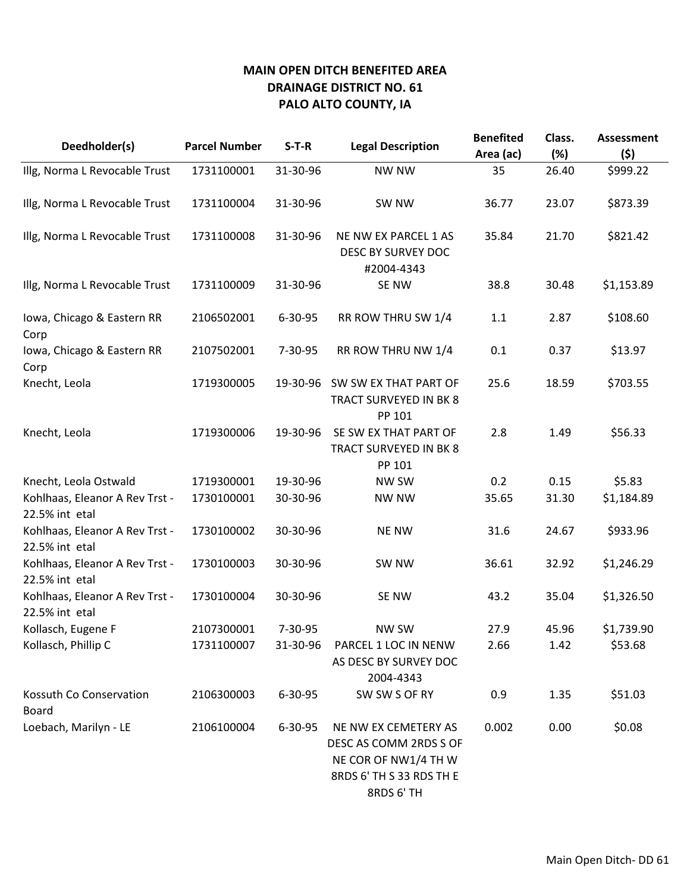| Deedholder(s)                                    | <b>Parcel Number</b> | $S-T-R$       | <b>Legal Description</b>                                                                                         | <b>Benefited</b> | Class. | <b>Assessment</b> |
|--------------------------------------------------|----------------------|---------------|------------------------------------------------------------------------------------------------------------------|------------------|--------|-------------------|
|                                                  |                      |               |                                                                                                                  | Area (ac)        | (%)    | (\$)              |
| Illg, Norma L Revocable Trust                    | 1731100001           | 31-30-96      | <b>NW NW</b>                                                                                                     | 35               | 26.40  | \$999.22          |
| Illg, Norma L Revocable Trust                    | 1731100004           | 31-30-96      | SW NW                                                                                                            | 36.77            | 23.07  | \$873.39          |
| Illg, Norma L Revocable Trust                    | 1731100008           | 31-30-96      | NE NW EX PARCEL 1 AS<br>DESC BY SURVEY DOC<br>#2004-4343                                                         | 35.84            | 21.70  | \$821.42          |
| Illg, Norma L Revocable Trust                    | 1731100009           | 31-30-96      | SE NW                                                                                                            | 38.8             | 30.48  | \$1,153.89        |
| Iowa, Chicago & Eastern RR<br>Corp               | 2106502001           | $6 - 30 - 95$ | RR ROW THRU SW 1/4                                                                                               | 1.1              | 2.87   | \$108.60          |
| Iowa, Chicago & Eastern RR<br>Corp               | 2107502001           | $7 - 30 - 95$ | RR ROW THRU NW 1/4                                                                                               | 0.1              | 0.37   | \$13.97           |
| Knecht, Leola                                    | 1719300005           | 19-30-96      | SW SW EX THAT PART OF<br>TRACT SURVEYED IN BK 8<br>PP 101                                                        | 25.6             | 18.59  | \$703.55          |
| Knecht, Leola                                    | 1719300006           | 19-30-96      | SE SW EX THAT PART OF<br>TRACT SURVEYED IN BK 8<br>PP 101                                                        | 2.8              | 1.49   | \$56.33           |
| Knecht, Leola Ostwald                            | 1719300001           | 19-30-96      | NW SW                                                                                                            | 0.2              | 0.15   | \$5.83            |
| Kohlhaas, Eleanor A Rev Trst -<br>22.5% int etal | 1730100001           | 30-30-96      | <b>NW NW</b>                                                                                                     | 35.65            | 31.30  | \$1,184.89        |
| Kohlhaas, Eleanor A Rev Trst -<br>22.5% int etal | 1730100002           | 30-30-96      | <b>NE NW</b>                                                                                                     | 31.6             | 24.67  | \$933.96          |
| Kohlhaas, Eleanor A Rev Trst -<br>22.5% int etal | 1730100003           | 30-30-96      | SW NW                                                                                                            | 36.61            | 32.92  | \$1,246.29        |
| Kohlhaas, Eleanor A Rev Trst -<br>22.5% int etal | 1730100004           | 30-30-96      | SE NW                                                                                                            | 43.2             | 35.04  | \$1,326.50        |
| Kollasch, Eugene F                               | 2107300001           | 7-30-95       | NW SW                                                                                                            | 27.9             | 45.96  | \$1,739.90        |
| Kollasch, Phillip C                              | 1731100007           | 31-30-96      | PARCEL 1 LOC IN NENW<br>AS DESC BY SURVEY DOC<br>2004-4343                                                       | 2.66             | 1.42   | \$53.68           |
| Kossuth Co Conservation<br><b>Board</b>          | 2106300003           | 6-30-95       | SW SW S OF RY                                                                                                    | 0.9              | 1.35   | \$51.03           |
| Loebach, Marilyn - LE                            | 2106100004           | $6 - 30 - 95$ | NE NW EX CEMETERY AS<br>DESC AS COMM 2RDS S OF<br>NE COR OF NW1/4 TH W<br>8RDS 6' TH S 33 RDS TH E<br>8RDS 6' TH | 0.002            | 0.00   | \$0.08            |